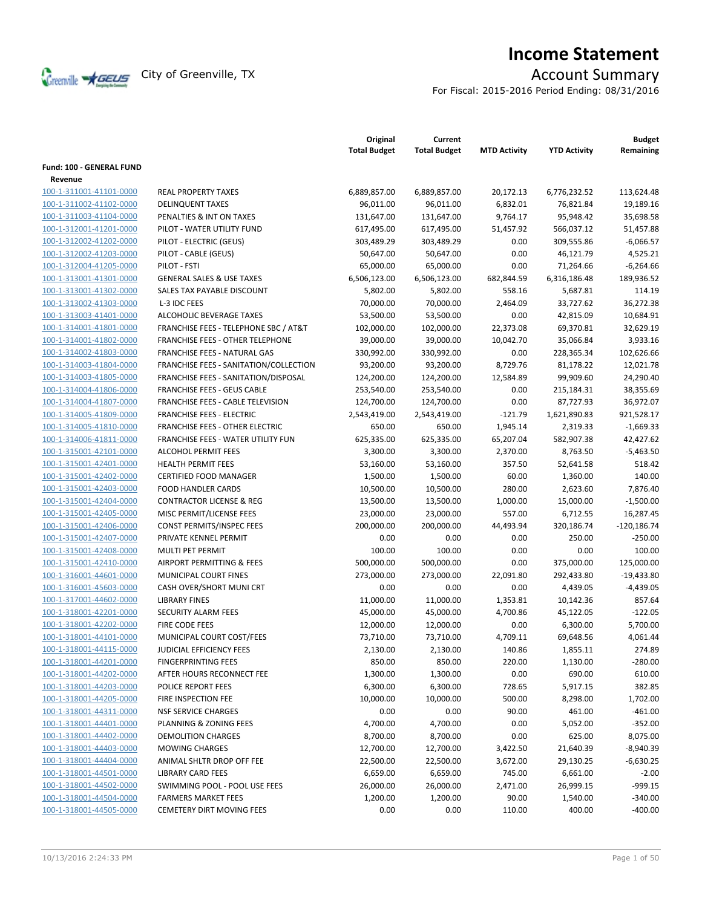

# **Income Statement**

For Fiscal: 2015-2016 Period Ending: 08/31/2016

|                                 |                                        | Original<br><b>Total Budget</b> | Current<br><b>Total Budget</b> | <b>MTD Activity</b> | <b>YTD Activity</b> | <b>Budget</b><br>Remaining |
|---------------------------------|----------------------------------------|---------------------------------|--------------------------------|---------------------|---------------------|----------------------------|
| <b>Fund: 100 - GENERAL FUND</b> |                                        |                                 |                                |                     |                     |                            |
| Revenue                         |                                        |                                 |                                |                     |                     |                            |
| 100-1-311001-41101-0000         | <b>REAL PROPERTY TAXES</b>             | 6,889,857.00                    | 6,889,857.00                   | 20,172.13           | 6,776,232.52        | 113,624.48                 |
| 100-1-311002-41102-0000         | <b>DELINQUENT TAXES</b>                | 96,011.00                       | 96,011.00                      | 6,832.01            | 76,821.84           | 19,189.16                  |
| 100-1-311003-41104-0000         | PENALTIES & INT ON TAXES               | 131,647.00                      | 131,647.00                     | 9,764.17            | 95,948.42           | 35,698.58                  |
| 100-1-312001-41201-0000         | PILOT - WATER UTILITY FUND             | 617,495.00                      | 617,495.00                     | 51,457.92           | 566,037.12          | 51,457.88                  |
| 100-1-312002-41202-0000         | PILOT - ELECTRIC (GEUS)                | 303,489.29                      | 303,489.29                     | 0.00                | 309,555.86          | $-6,066.57$                |
| 100-1-312002-41203-0000         | PILOT - CABLE (GEUS)                   | 50,647.00                       | 50,647.00                      | 0.00                | 46,121.79           | 4,525.21                   |
| 100-1-312004-41205-0000         | PILOT - FSTI                           | 65,000.00                       | 65,000.00                      | 0.00                | 71,264.66           | $-6,264.66$                |
| 100-1-313001-41301-0000         | <b>GENERAL SALES &amp; USE TAXES</b>   | 6,506,123.00                    | 6,506,123.00                   | 682,844.59          | 6,316,186.48        | 189,936.52                 |
| 100-1-313001-41302-0000         | SALES TAX PAYABLE DISCOUNT             | 5,802.00                        | 5,802.00                       | 558.16              | 5,687.81            | 114.19                     |
| 100-1-313002-41303-0000         | L-3 IDC FEES                           | 70,000.00                       | 70,000.00                      | 2,464.09            | 33,727.62           | 36,272.38                  |
| 100-1-313003-41401-0000         | ALCOHOLIC BEVERAGE TAXES               | 53,500.00                       | 53,500.00                      | 0.00                | 42,815.09           | 10,684.91                  |
| 100-1-314001-41801-0000         | FRANCHISE FEES - TELEPHONE SBC / AT&T  | 102,000.00                      | 102,000.00                     | 22,373.08           | 69,370.81           | 32,629.19                  |
| 100-1-314001-41802-0000         | FRANCHISE FEES - OTHER TELEPHONE       | 39,000.00                       | 39,000.00                      | 10,042.70           | 35,066.84           | 3,933.16                   |
| 100-1-314002-41803-0000         | <b>FRANCHISE FEES - NATURAL GAS</b>    | 330,992.00                      | 330,992.00                     | 0.00                | 228,365.34          | 102,626.66                 |
| 100-1-314003-41804-0000         | FRANCHISE FEES - SANITATION/COLLECTION | 93,200.00                       | 93,200.00                      | 8,729.76            | 81,178.22           | 12,021.78                  |
| 100-1-314003-41805-0000         | FRANCHISE FEES - SANITATION/DISPOSAL   | 124,200.00                      | 124,200.00                     | 12,584.89           | 99,909.60           | 24,290.40                  |
| 100-1-314004-41806-0000         | <b>FRANCHISE FEES - GEUS CABLE</b>     | 253,540.00                      | 253,540.00                     | 0.00                | 215,184.31          | 38,355.69                  |
| 100-1-314004-41807-0000         | FRANCHISE FEES - CABLE TELEVISION      | 124,700.00                      | 124,700.00                     | 0.00                | 87,727.93           | 36,972.07                  |
| 100-1-314005-41809-0000         | <b>FRANCHISE FEES - ELECTRIC</b>       | 2,543,419.00                    | 2,543,419.00                   | $-121.79$           | 1,621,890.83        | 921,528.17                 |
| 100-1-314005-41810-0000         | FRANCHISE FEES - OTHER ELECTRIC        | 650.00                          | 650.00                         | 1,945.14            | 2,319.33            | $-1,669.33$                |
| 100-1-314006-41811-0000         | FRANCHISE FEES - WATER UTILITY FUN     | 625,335.00                      | 625,335.00                     | 65,207.04           | 582,907.38          | 42,427.62                  |
| 100-1-315001-42101-0000         | <b>ALCOHOL PERMIT FEES</b>             | 3,300.00                        | 3,300.00                       | 2,370.00            | 8,763.50            | $-5,463.50$                |
| 100-1-315001-42401-0000         | <b>HEALTH PERMIT FEES</b>              | 53,160.00                       | 53,160.00                      | 357.50              | 52,641.58           | 518.42                     |
| 100-1-315001-42402-0000         | <b>CERTIFIED FOOD MANAGER</b>          | 1,500.00                        | 1,500.00                       | 60.00               | 1,360.00            | 140.00                     |
| 100-1-315001-42403-0000         | <b>FOOD HANDLER CARDS</b>              | 10,500.00                       | 10,500.00                      | 280.00              | 2,623.60            | 7,876.40                   |
| 100-1-315001-42404-0000         | <b>CONTRACTOR LICENSE &amp; REG</b>    | 13,500.00                       | 13,500.00                      | 1,000.00            | 15,000.00           | $-1,500.00$                |
| 100-1-315001-42405-0000         | MISC PERMIT/LICENSE FEES               | 23,000.00                       | 23,000.00                      | 557.00              | 6,712.55            | 16,287.45                  |
| 100-1-315001-42406-0000         | <b>CONST PERMITS/INSPEC FEES</b>       | 200,000.00                      | 200,000.00                     | 44,493.94           | 320,186.74          | $-120,186.74$              |
| 100-1-315001-42407-0000         | PRIVATE KENNEL PERMIT                  | 0.00                            | 0.00                           | 0.00                | 250.00              | $-250.00$                  |
| 100-1-315001-42408-0000         | MULTI PET PERMIT                       | 100.00                          | 100.00                         | 0.00                | 0.00                | 100.00                     |
| 100-1-315001-42410-0000         | AIRPORT PERMITTING & FEES              | 500,000.00                      | 500,000.00                     | 0.00                | 375,000.00          | 125,000.00                 |
| 100-1-316001-44601-0000         | MUNICIPAL COURT FINES                  | 273,000.00                      | 273,000.00                     | 22,091.80           | 292,433.80          | $-19,433.80$               |
| 100-1-316001-45603-0000         | CASH OVER/SHORT MUNI CRT               | 0.00                            | 0.00                           | 0.00                | 4,439.05            | $-4,439.05$                |
| 100-1-317001-44602-0000         | <b>LIBRARY FINES</b>                   | 11,000.00                       | 11,000.00                      | 1,353.81            | 10,142.36           | 857.64                     |
| 100-1-318001-42201-0000         | SECURITY ALARM FEES                    | 45,000.00                       | 45,000.00                      | 4,700.86            | 45,122.05           | $-122.05$                  |
| 100-1-318001-42202-0000         | FIRE CODE FEES                         | 12,000.00                       | 12,000.00                      | 0.00                | 6,300.00            | 5,700.00                   |
| 100-1-318001-44101-0000         | MUNICIPAL COURT COST/FEES              | 73,710.00                       | 73,710.00                      | 4,709.11            | 69,648.56           | 4,061.44                   |
| 100-1-318001-44115-0000         | <b>JUDICIAL EFFICIENCY FEES</b>        | 2,130.00                        | 2,130.00                       | 140.86              | 1,855.11            | 274.89                     |
| 100-1-318001-44201-0000         | <b>FINGERPRINTING FEES</b>             | 850.00                          | 850.00                         | 220.00              | 1,130.00            | -280.00                    |
| 100-1-318001-44202-0000         | AFTER HOURS RECONNECT FEE              | 1,300.00                        | 1,300.00                       | 0.00                | 690.00              | 610.00                     |
| 100-1-318001-44203-0000         | <b>POLICE REPORT FEES</b>              | 6,300.00                        | 6,300.00                       | 728.65              | 5,917.15            | 382.85                     |
| 100-1-318001-44205-0000         | FIRE INSPECTION FEE                    | 10,000.00                       | 10,000.00                      | 500.00              | 8,298.00            | 1,702.00                   |
| 100-1-318001-44311-0000         | <b>NSF SERVICE CHARGES</b>             | 0.00                            | 0.00                           | 90.00               | 461.00              | $-461.00$                  |
| 100-1-318001-44401-0000         | PLANNING & ZONING FEES                 | 4,700.00                        | 4,700.00                       | 0.00                | 5,052.00            | $-352.00$                  |
| 100-1-318001-44402-0000         | <b>DEMOLITION CHARGES</b>              | 8,700.00                        | 8,700.00                       | 0.00                | 625.00              | 8,075.00                   |
| 100-1-318001-44403-0000         | <b>MOWING CHARGES</b>                  | 12,700.00                       | 12,700.00                      | 3,422.50            | 21,640.39           | $-8,940.39$                |
| 100-1-318001-44404-0000         | ANIMAL SHLTR DROP OFF FEE              | 22,500.00                       | 22,500.00                      | 3,672.00            | 29,130.25           | $-6,630.25$                |
| 100-1-318001-44501-0000         | <b>LIBRARY CARD FEES</b>               | 6,659.00                        | 6,659.00                       | 745.00              | 6,661.00            | $-2.00$                    |
| 100-1-318001-44502-0000         | SWIMMING POOL - POOL USE FEES          | 26,000.00                       | 26,000.00                      | 2,471.00            | 26,999.15           | $-999.15$                  |
| 100-1-318001-44504-0000         | <b>FARMERS MARKET FEES</b>             | 1,200.00                        | 1,200.00                       | 90.00               | 1,540.00            | $-340.00$                  |
| 100-1-318001-44505-0000         | <b>CEMETERY DIRT MOVING FEES</b>       | 0.00                            | 0.00                           | 110.00              | 400.00              | $-400.00$                  |
|                                 |                                        |                                 |                                |                     |                     |                            |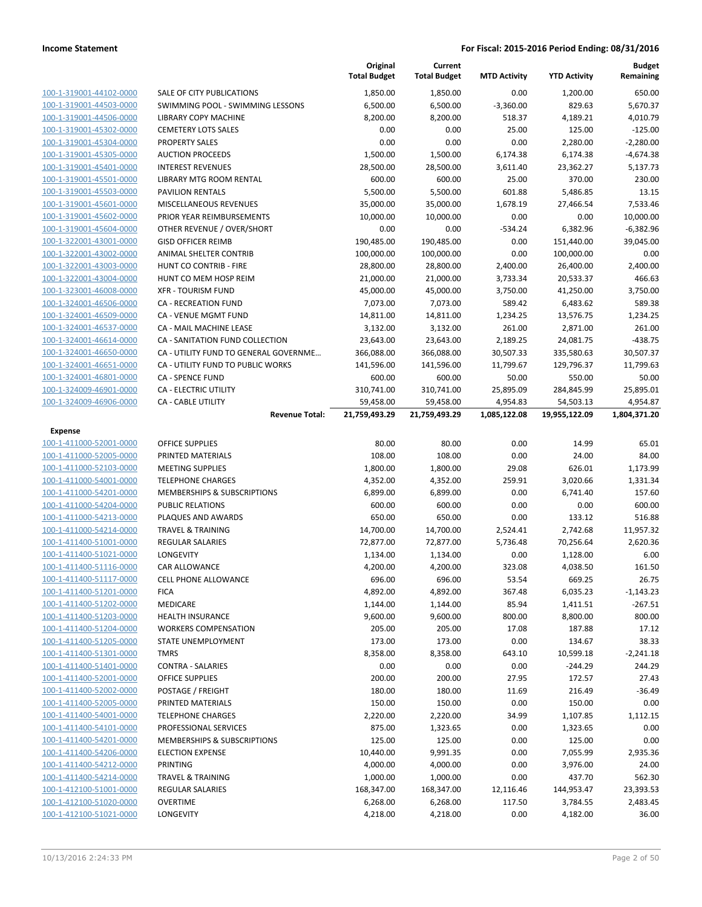|                                           |                                                    | Original<br><b>Total Budget</b> | Current<br><b>Total Budget</b> | <b>MTD Activity</b>      | <b>YTD Activity</b>        | <b>Budget</b><br>Remaining |
|-------------------------------------------|----------------------------------------------------|---------------------------------|--------------------------------|--------------------------|----------------------------|----------------------------|
| 100-1-319001-44102-0000                   | SALE OF CITY PUBLICATIONS                          | 1,850.00                        | 1,850.00                       | 0.00                     | 1,200.00                   | 650.00                     |
| 100-1-319001-44503-0000                   | SWIMMING POOL - SWIMMING LESSONS                   | 6,500.00                        | 6,500.00                       | $-3,360.00$              | 829.63                     | 5,670.37                   |
| 100-1-319001-44506-0000                   | <b>LIBRARY COPY MACHINE</b>                        | 8,200.00                        | 8,200.00                       | 518.37                   | 4,189.21                   | 4,010.79                   |
| 100-1-319001-45302-0000                   | <b>CEMETERY LOTS SALES</b>                         | 0.00                            | 0.00                           | 25.00                    | 125.00                     | $-125.00$                  |
| 100-1-319001-45304-0000                   | <b>PROPERTY SALES</b>                              | 0.00                            | 0.00                           | 0.00                     | 2,280.00                   | $-2,280.00$                |
| 100-1-319001-45305-0000                   | <b>AUCTION PROCEEDS</b>                            | 1,500.00                        | 1,500.00                       | 6,174.38                 | 6,174.38                   | $-4,674.38$                |
| 100-1-319001-45401-0000                   | <b>INTEREST REVENUES</b>                           | 28,500.00                       | 28,500.00                      | 3,611.40                 | 23,362.27                  | 5,137.73                   |
| 100-1-319001-45501-0000                   | <b>LIBRARY MTG ROOM RENTAL</b>                     | 600.00                          | 600.00                         | 25.00                    | 370.00                     | 230.00                     |
| 100-1-319001-45503-0000                   | <b>PAVILION RENTALS</b>                            | 5,500.00                        | 5,500.00                       | 601.88                   | 5,486.85                   | 13.15                      |
| 100-1-319001-45601-0000                   | MISCELLANEOUS REVENUES                             | 35,000.00                       | 35,000.00                      | 1,678.19                 | 27,466.54                  | 7,533.46                   |
| 100-1-319001-45602-0000                   | PRIOR YEAR REIMBURSEMENTS                          | 10,000.00                       | 10,000.00                      | 0.00                     | 0.00                       | 10,000.00                  |
| 100-1-319001-45604-0000                   | OTHER REVENUE / OVER/SHORT                         | 0.00                            | 0.00                           | $-534.24$                | 6,382.96                   | $-6,382.96$                |
| 100-1-322001-43001-0000                   | <b>GISD OFFICER REIMB</b>                          | 190,485.00                      | 190,485.00                     | 0.00                     | 151,440.00                 | 39,045.00                  |
| 100-1-322001-43002-0000                   | ANIMAL SHELTER CONTRIB                             | 100,000.00                      | 100,000.00                     | 0.00                     | 100,000.00                 | 0.00                       |
| 100-1-322001-43003-0000                   | HUNT CO CONTRIB - FIRE                             | 28,800.00                       | 28,800.00                      | 2,400.00                 | 26,400.00                  | 2,400.00                   |
| 100-1-322001-43004-0000                   | HUNT CO MEM HOSP REIM                              | 21,000.00                       | 21,000.00                      | 3,733.34                 | 20,533.37                  | 466.63                     |
| 100-1-323001-46008-0000                   | <b>XFR - TOURISM FUND</b>                          | 45,000.00                       | 45,000.00                      | 3,750.00                 | 41,250.00                  | 3,750.00                   |
| 100-1-324001-46506-0000                   | <b>CA - RECREATION FUND</b>                        | 7,073.00                        | 7,073.00                       | 589.42                   | 6,483.62                   | 589.38                     |
| 100-1-324001-46509-0000                   | <b>CA - VENUE MGMT FUND</b>                        | 14,811.00                       | 14,811.00                      | 1,234.25                 | 13,576.75                  | 1,234.25                   |
| 100-1-324001-46537-0000                   | CA - MAIL MACHINE LEASE                            | 3,132.00                        | 3,132.00                       | 261.00                   | 2,871.00                   | 261.00                     |
| 100-1-324001-46614-0000                   | CA - SANITATION FUND COLLECTION                    | 23,643.00                       | 23,643.00                      | 2,189.25                 | 24,081.75                  | $-438.75$                  |
| 100-1-324001-46650-0000                   | CA - UTILITY FUND TO GENERAL GOVERNME              | 366,088.00                      | 366,088.00                     | 30,507.33                | 335,580.63                 | 30,507.37                  |
| 100-1-324001-46651-0000                   | CA - UTILITY FUND TO PUBLIC WORKS                  | 141,596.00                      | 141,596.00                     | 11,799.67                | 129,796.37                 | 11,799.63                  |
| 100-1-324001-46801-0000                   | <b>CA - SPENCE FUND</b>                            | 600.00                          | 600.00                         | 50.00                    | 550.00                     | 50.00                      |
| 100-1-324009-46901-0000                   | <b>CA - ELECTRIC UTILITY</b>                       | 310,741.00                      | 310,741.00                     | 25,895.09                | 284,845.99                 | 25,895.01                  |
| 100-1-324009-46906-0000                   | <b>CA - CABLE UTILITY</b><br><b>Revenue Total:</b> | 59,458.00<br>21,759,493.29      | 59,458.00<br>21,759,493.29     | 4,954.83<br>1,085,122.08 | 54,503.13<br>19,955,122.09 | 4,954.87<br>1,804,371.20   |
|                                           |                                                    |                                 |                                |                          |                            |                            |
| <b>Expense</b><br>100-1-411000-52001-0000 | <b>OFFICE SUPPLIES</b>                             | 80.00                           | 80.00                          | 0.00                     | 14.99                      | 65.01                      |
| 100-1-411000-52005-0000                   | PRINTED MATERIALS                                  | 108.00                          | 108.00                         | 0.00                     | 24.00                      | 84.00                      |
| 100-1-411000-52103-0000                   | <b>MEETING SUPPLIES</b>                            | 1,800.00                        | 1,800.00                       | 29.08                    | 626.01                     | 1,173.99                   |
| 100-1-411000-54001-0000                   | <b>TELEPHONE CHARGES</b>                           | 4,352.00                        | 4,352.00                       | 259.91                   | 3,020.66                   | 1,331.34                   |
| 100-1-411000-54201-0000                   | MEMBERSHIPS & SUBSCRIPTIONS                        | 6,899.00                        | 6,899.00                       | 0.00                     | 6,741.40                   | 157.60                     |
| 100-1-411000-54204-0000                   | <b>PUBLIC RELATIONS</b>                            | 600.00                          | 600.00                         | 0.00                     | 0.00                       | 600.00                     |
| 100-1-411000-54213-0000                   | PLAQUES AND AWARDS                                 | 650.00                          | 650.00                         | 0.00                     | 133.12                     | 516.88                     |
| 100-1-411000-54214-0000                   | <b>TRAVEL &amp; TRAINING</b>                       | 14,700.00                       | 14,700.00                      | 2,524.41                 | 2,742.68                   | 11,957.32                  |
| 100-1-411400-51001-0000                   | <b>REGULAR SALARIES</b>                            | 72,877.00                       | 72,877.00                      | 5,736.48                 | 70,256.64                  | 2,620.36                   |
| 100-1-411400-51021-0000                   | LONGEVITY                                          | 1,134.00                        | 1,134.00                       | 0.00                     | 1,128.00                   | 6.00                       |
| 100-1-411400-51116-0000                   | CAR ALLOWANCE                                      | 4,200.00                        | 4,200.00                       | 323.08                   | 4,038.50                   | 161.50                     |
| 100-1-411400-51117-0000                   | CELL PHONE ALLOWANCE                               | 696.00                          | 696.00                         | 53.54                    | 669.25                     | 26.75                      |
| 100-1-411400-51201-0000                   | <b>FICA</b>                                        | 4,892.00                        | 4,892.00                       | 367.48                   | 6,035.23                   | $-1,143.23$                |
| 100-1-411400-51202-0000                   | MEDICARE                                           | 1,144.00                        | 1,144.00                       | 85.94                    | 1,411.51                   | $-267.51$                  |
| 100-1-411400-51203-0000                   | <b>HEALTH INSURANCE</b>                            | 9,600.00                        | 9,600.00                       | 800.00                   | 8,800.00                   | 800.00                     |
| 100-1-411400-51204-0000                   | <b>WORKERS COMPENSATION</b>                        | 205.00                          | 205.00                         | 17.08                    | 187.88                     | 17.12                      |
| 100-1-411400-51205-0000                   | <b>STATE UNEMPLOYMENT</b>                          | 173.00                          | 173.00                         | 0.00                     | 134.67                     | 38.33                      |
| 100-1-411400-51301-0000                   | <b>TMRS</b>                                        | 8,358.00                        | 8,358.00                       | 643.10                   | 10,599.18                  | $-2,241.18$                |
| 100-1-411400-51401-0000                   | <b>CONTRA - SALARIES</b>                           | 0.00                            | 0.00                           | 0.00                     | $-244.29$                  | 244.29                     |
| 100-1-411400-52001-0000                   | <b>OFFICE SUPPLIES</b>                             | 200.00                          | 200.00                         | 27.95                    | 172.57                     | 27.43                      |
| 100-1-411400-52002-0000                   | POSTAGE / FREIGHT                                  | 180.00                          | 180.00                         | 11.69                    | 216.49                     | $-36.49$                   |
| 100-1-411400-52005-0000                   | PRINTED MATERIALS                                  | 150.00                          | 150.00                         | 0.00                     | 150.00                     | 0.00                       |
| 100-1-411400-54001-0000                   | <b>TELEPHONE CHARGES</b>                           | 2,220.00                        | 2,220.00                       | 34.99                    | 1,107.85                   | 1,112.15                   |
| 100-1-411400-54101-0000                   | PROFESSIONAL SERVICES                              | 875.00                          | 1,323.65                       | 0.00                     | 1,323.65                   | 0.00                       |
| 100-1-411400-54201-0000                   | MEMBERSHIPS & SUBSCRIPTIONS                        | 125.00                          | 125.00                         | 0.00                     | 125.00                     | 0.00                       |
| 100-1-411400-54206-0000                   | <b>ELECTION EXPENSE</b>                            | 10,440.00                       | 9,991.35                       | 0.00                     | 7,055.99                   | 2,935.36                   |
| 100-1-411400-54212-0000                   | <b>PRINTING</b>                                    | 4,000.00                        | 4,000.00                       | 0.00                     | 3,976.00                   | 24.00                      |
| 100-1-411400-54214-0000                   | <b>TRAVEL &amp; TRAINING</b>                       | 1,000.00                        | 1,000.00                       | 0.00                     | 437.70                     | 562.30                     |
| 100-1-412100-51001-0000                   | <b>REGULAR SALARIES</b>                            | 168,347.00                      | 168,347.00                     | 12,116.46                | 144,953.47                 | 23,393.53                  |
| 100-1-412100-51020-0000                   | <b>OVERTIME</b>                                    | 6,268.00                        | 6,268.00                       | 117.50                   | 3,784.55                   | 2,483.45                   |
| 100-1-412100-51021-0000                   | LONGEVITY                                          | 4,218.00                        | 4,218.00                       | 0.00                     | 4,182.00                   | 36.00                      |
|                                           |                                                    |                                 |                                |                          |                            |                            |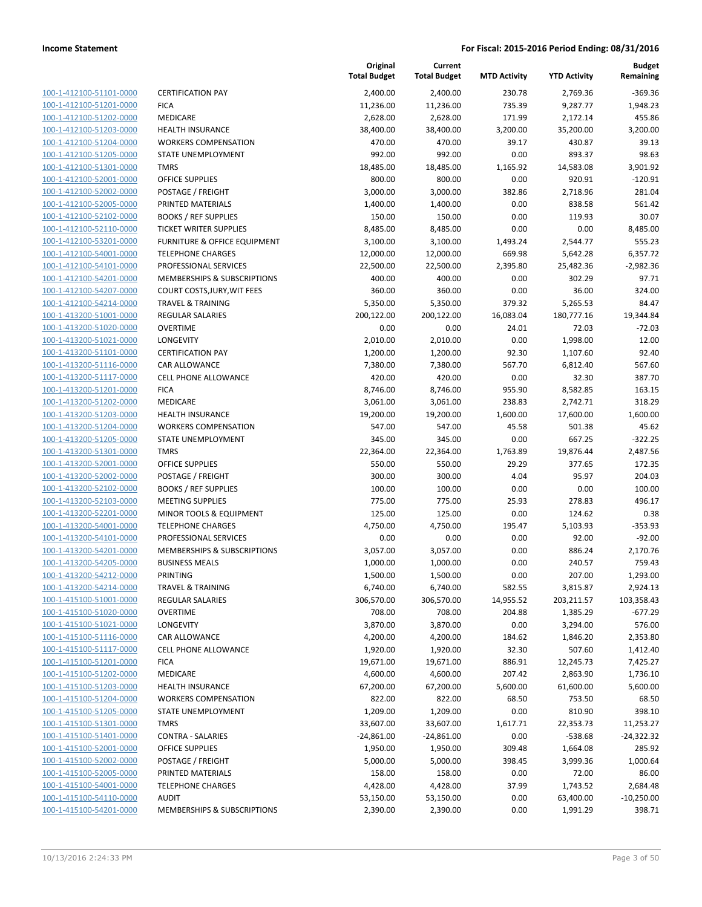| 100-1-412100-51101-0000                                   |
|-----------------------------------------------------------|
| 100-1-412100-51201-0000                                   |
| 100-1-412100-51202-0000                                   |
| 100-1-412100-51203-0000                                   |
| 100-1-412100-51204-0000                                   |
| 100-1-412100-51205-0000<br>100-1-412100-51301-0000        |
| 100-1-412100-52001-0000                                   |
| 100-1-412100-52002-0000                                   |
| 100-1-412100-52005-0000                                   |
| 100-1-412100-52102-0000                                   |
| 100-1-412100-52110-0000                                   |
| 100-1-412100-53201-0000                                   |
| 100-1-412100-54001-0000                                   |
| <u>100-1-412100-54101-0000</u>                            |
| 100-1-412100-54201-0000                                   |
| 100-1-412100-54207-0000                                   |
| 100-1-412100-54214-0000                                   |
| 100-1-413200-51001-0000                                   |
| 100-1-413200-51020-0000                                   |
| 100-1-413200-51021-0000                                   |
| 100-1-413200-51101-0000                                   |
| 100-1-413200-51116-0000                                   |
| 100-1-413200-51117-0000<br>100-1-413200-51201-0000        |
| 100-1-413200-51202-0000                                   |
| 100-1-413200-51203-0000                                   |
| 100-1-413200-51204-0000                                   |
| 100-1-413200-51205-0000                                   |
| 100-1-413200-51301-0000                                   |
| 100-1-413200-52001-0000                                   |
| 100-1-413200-52002-0000                                   |
| 100-1-413200-52102-0000                                   |
| 100-1-413200-52103-0000                                   |
| 100-1-413200-52201-0000                                   |
| 100-1-413200-54001-0000                                   |
| 100-1-413200-54101-0000                                   |
| 100-1-413200-54201-0000                                   |
| 100-1-413200-54205-0000                                   |
| 100-1-413200-54212-0000                                   |
| 100-1-413200-54214-0000                                   |
| <u>100-1-415100-51001-0000</u>                            |
| 100-1-415100-51020-0000<br><u>100-1-415100-51021-0000</u> |
| <u>100-1-415100-51116-0000</u>                            |
| <u>100-1-415100-51117-0000</u>                            |
| 100-1-415100-51201-0000                                   |
| 100-1-415100-51202-0000                                   |
| <u>100-1-415100-51203-0000</u>                            |
| <u>100-1-415100-51204-0000</u>                            |
| <u>100-1-415100-51205-0000</u>                            |
| 100-1-415100-51301-0000                                   |
| 100-1-415100-51401-0000                                   |
| <u>100-1-415100-52001-0000</u>                            |
| <u>100-1-415100-52002-0000</u>                            |
| <u>100-1-415100-52005-0000</u>                            |
| <u>100-1-415100-54001-0000</u>                            |
| 100-1-415100-54110-0000                                   |
| 100-1-415100-54201-0000                                   |

|                                                    |                                     | Original<br><b>Total Budget</b> | Current<br><b>Total Budget</b> | <b>MTD Activity</b> | <b>YTD Activity</b>   | <b>Budget</b><br>Remaining |
|----------------------------------------------------|-------------------------------------|---------------------------------|--------------------------------|---------------------|-----------------------|----------------------------|
| 100-1-412100-51101-0000                            | <b>CERTIFICATION PAY</b>            | 2,400.00                        | 2,400.00                       | 230.78              | 2,769.36              | $-369.36$                  |
| 100-1-412100-51201-0000                            | <b>FICA</b>                         | 11,236.00                       | 11,236.00                      | 735.39              | 9,287.77              | 1,948.23                   |
| 100-1-412100-51202-0000                            | MEDICARE                            | 2,628.00                        | 2,628.00                       | 171.99              | 2,172.14              | 455.86                     |
| 100-1-412100-51203-0000                            | <b>HEALTH INSURANCE</b>             | 38,400.00                       | 38,400.00                      | 3,200.00            | 35,200.00             | 3,200.00                   |
| 100-1-412100-51204-0000                            | <b>WORKERS COMPENSATION</b>         | 470.00                          | 470.00                         | 39.17               | 430.87                | 39.13                      |
| 100-1-412100-51205-0000                            | STATE UNEMPLOYMENT                  | 992.00                          | 992.00                         | 0.00                | 893.37                | 98.63                      |
| 100-1-412100-51301-0000                            | <b>TMRS</b>                         | 18,485.00                       | 18,485.00                      | 1,165.92            | 14,583.08             | 3,901.92                   |
| 100-1-412100-52001-0000                            | <b>OFFICE SUPPLIES</b>              | 800.00                          | 800.00                         | 0.00                | 920.91                | $-120.91$                  |
| 100-1-412100-52002-0000                            | POSTAGE / FREIGHT                   | 3,000.00                        | 3,000.00                       | 382.86              | 2,718.96              | 281.04                     |
| 100-1-412100-52005-0000                            | PRINTED MATERIALS                   | 1,400.00                        | 1,400.00                       | 0.00                | 838.58                | 561.42                     |
| 100-1-412100-52102-0000                            | <b>BOOKS / REF SUPPLIES</b>         | 150.00                          | 150.00                         | 0.00                | 119.93                | 30.07                      |
| 100-1-412100-52110-0000                            | <b>TICKET WRITER SUPPLIES</b>       | 8,485.00                        | 8,485.00                       | 0.00                | 0.00                  | 8,485.00                   |
| 100-1-412100-53201-0000                            | FURNITURE & OFFICE EQUIPMENT        | 3,100.00                        | 3,100.00                       | 1,493.24            | 2,544.77              | 555.23                     |
| 100-1-412100-54001-0000                            | <b>TELEPHONE CHARGES</b>            | 12,000.00                       | 12,000.00                      | 669.98              | 5,642.28              | 6,357.72                   |
| 100-1-412100-54101-0000                            | PROFESSIONAL SERVICES               | 22,500.00                       | 22,500.00                      | 2,395.80            | 25,482.36             | $-2,982.36$                |
| 100-1-412100-54201-0000                            | MEMBERSHIPS & SUBSCRIPTIONS         | 400.00                          | 400.00                         | 0.00                | 302.29                | 97.71                      |
| 100-1-412100-54207-0000                            | COURT COSTS, JURY, WIT FEES         | 360.00                          | 360.00                         | 0.00                | 36.00                 | 324.00                     |
| 100-1-412100-54214-0000                            | <b>TRAVEL &amp; TRAINING</b>        | 5,350.00                        | 5,350.00                       | 379.32              | 5,265.53              | 84.47                      |
| 100-1-413200-51001-0000                            | REGULAR SALARIES                    | 200,122.00                      | 200,122.00                     | 16,083.04           | 180,777.16            | 19,344.84                  |
| 100-1-413200-51020-0000                            | <b>OVERTIME</b>                     | 0.00                            | 0.00                           | 24.01               | 72.03                 | $-72.03$                   |
| 100-1-413200-51021-0000                            | LONGEVITY                           | 2,010.00                        | 2,010.00                       | 0.00                | 1,998.00              | 12.00                      |
| 100-1-413200-51101-0000                            | <b>CERTIFICATION PAY</b>            | 1,200.00                        | 1,200.00                       | 92.30               | 1,107.60              | 92.40                      |
| 100-1-413200-51116-0000                            | CAR ALLOWANCE                       | 7,380.00                        | 7,380.00                       | 567.70              | 6,812.40              | 567.60                     |
| 100-1-413200-51117-0000                            | <b>CELL PHONE ALLOWANCE</b>         | 420.00                          | 420.00                         | 0.00                | 32.30                 | 387.70                     |
| 100-1-413200-51201-0000                            | <b>FICA</b>                         | 8,746.00                        | 8,746.00                       | 955.90              | 8,582.85              | 163.15                     |
| 100-1-413200-51202-0000                            | MEDICARE                            | 3,061.00                        | 3,061.00                       | 238.83              | 2,742.71              | 318.29                     |
| 100-1-413200-51203-0000                            | <b>HEALTH INSURANCE</b>             | 19,200.00                       | 19,200.00                      | 1,600.00            | 17,600.00             | 1,600.00                   |
| 100-1-413200-51204-0000                            | <b>WORKERS COMPENSATION</b>         | 547.00                          | 547.00                         | 45.58               | 501.38                | 45.62                      |
| 100-1-413200-51205-0000                            | STATE UNEMPLOYMENT                  | 345.00                          | 345.00                         | 0.00                | 667.25                | $-322.25$                  |
| 100-1-413200-51301-0000                            | <b>TMRS</b>                         | 22,364.00                       | 22,364.00                      | 1,763.89            | 19,876.44             | 2,487.56                   |
| 100-1-413200-52001-0000                            | <b>OFFICE SUPPLIES</b>              | 550.00                          | 550.00                         | 29.29               | 377.65                | 172.35                     |
| 100-1-413200-52002-0000                            | POSTAGE / FREIGHT                   | 300.00                          | 300.00                         | 4.04                | 95.97                 | 204.03                     |
| 100-1-413200-52102-0000                            | <b>BOOKS / REF SUPPLIES</b>         | 100.00                          | 100.00                         | 0.00                | 0.00                  | 100.00                     |
| 100-1-413200-52103-0000                            | <b>MEETING SUPPLIES</b>             | 775.00                          | 775.00                         | 25.93               | 278.83                | 496.17                     |
| 100-1-413200-52201-0000                            | MINOR TOOLS & EQUIPMENT             | 125.00                          | 125.00                         | 0.00                | 124.62                | 0.38                       |
| 100-1-413200-54001-0000                            | <b>TELEPHONE CHARGES</b>            | 4,750.00                        | 4,750.00                       | 195.47              | 5,103.93              | $-353.93$                  |
| 100-1-413200-54101-0000                            | PROFESSIONAL SERVICES               | 0.00                            | 0.00                           | 0.00                | 92.00                 | $-92.00$                   |
| 100-1-413200-54201-0000<br>100-1-413200-54205-0000 | MEMBERSHIPS & SUBSCRIPTIONS         | 3,057.00                        | 3,057.00                       | 0.00                | 886.24                | 2,170.76                   |
|                                                    | <b>BUSINESS MEALS</b>               | 1,000.00                        | 1,000.00                       | 0.00                | 240.57                | 759.43                     |
| 100-1-413200-54212-0000                            | PRINTING                            | 1,500.00                        | 1,500.00                       | 0.00                | 207.00                | 1,293.00                   |
| 100-1-413200-54214-0000                            | TRAVEL & TRAINING                   | 6,740.00                        | 6,740.00<br>306,570.00         | 582.55              | 3,815.87              | 2,924.13                   |
| 100-1-415100-51001-0000                            | REGULAR SALARIES<br><b>OVERTIME</b> | 306,570.00                      |                                | 14,955.52           | 203,211.57            | 103,358.43                 |
| 100-1-415100-51020-0000<br>100-1-415100-51021-0000 | LONGEVITY                           | 708.00                          | 708.00                         | 204.88              | 1,385.29              | $-677.29$                  |
| 100-1-415100-51116-0000                            | CAR ALLOWANCE                       | 3,870.00                        | 3,870.00                       | 0.00                | 3,294.00              | 576.00                     |
| 100-1-415100-51117-0000                            | CELL PHONE ALLOWANCE                | 4,200.00                        | 4,200.00                       | 184.62<br>32.30     | 1,846.20<br>507.60    | 2,353.80                   |
| 100-1-415100-51201-0000                            | <b>FICA</b>                         | 1,920.00<br>19,671.00           | 1,920.00                       | 886.91              |                       | 1,412.40                   |
| 100-1-415100-51202-0000                            | MEDICARE                            | 4,600.00                        | 19,671.00<br>4,600.00          | 207.42              | 12,245.73<br>2,863.90 | 7,425.27<br>1,736.10       |
| 100-1-415100-51203-0000                            | <b>HEALTH INSURANCE</b>             | 67,200.00                       | 67,200.00                      | 5,600.00            | 61,600.00             | 5,600.00                   |
| 100-1-415100-51204-0000                            | <b>WORKERS COMPENSATION</b>         | 822.00                          | 822.00                         | 68.50               | 753.50                | 68.50                      |
| 100-1-415100-51205-0000                            | STATE UNEMPLOYMENT                  | 1,209.00                        | 1,209.00                       | 0.00                | 810.90                | 398.10                     |
| 100-1-415100-51301-0000                            | <b>TMRS</b>                         | 33,607.00                       | 33,607.00                      | 1,617.71            | 22,353.73             | 11,253.27                  |
| 100-1-415100-51401-0000                            | <b>CONTRA - SALARIES</b>            | $-24,861.00$                    | $-24,861.00$                   | 0.00                | $-538.68$             | $-24,322.32$               |
| 100-1-415100-52001-0000                            | <b>OFFICE SUPPLIES</b>              | 1,950.00                        | 1,950.00                       | 309.48              | 1,664.08              | 285.92                     |
| 100-1-415100-52002-0000                            | POSTAGE / FREIGHT                   | 5,000.00                        | 5,000.00                       | 398.45              | 3,999.36              | 1,000.64                   |
| 100-1-415100-52005-0000                            | PRINTED MATERIALS                   | 158.00                          | 158.00                         | 0.00                | 72.00                 | 86.00                      |
| 100-1-415100-54001-0000                            | <b>TELEPHONE CHARGES</b>            | 4,428.00                        | 4,428.00                       | 37.99               | 1,743.52              | 2,684.48                   |
| 100-1-415100-54110-0000                            | <b>AUDIT</b>                        | 53,150.00                       | 53,150.00                      | 0.00                | 63,400.00             | $-10,250.00$               |
| 100-1-415100-54201-0000                            | MEMBERSHIPS & SUBSCRIPTIONS         | 2,390.00                        | 2,390.00                       | 0.00                | 1,991.29              | 398.71                     |
|                                                    |                                     |                                 |                                |                     |                       |                            |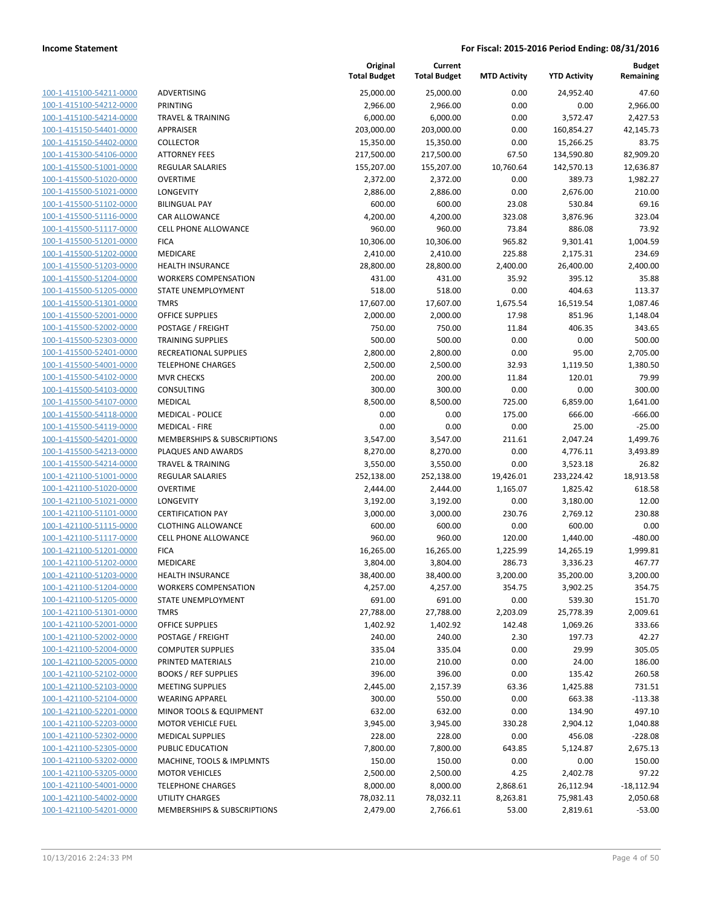| 100-1-415100-54211-0000        |
|--------------------------------|
| 100-1-415100-54212-0000        |
| 100-1-415100-54214-0000        |
| 100-1-415150-54401-0000        |
| 100-1-415150-54402-0000        |
| 100-1-415300-54106-0000        |
| 100-1-415500-51001-0000        |
| 100-1-415500-51020-0000        |
| 100-1-415500-51021-0000        |
| 100-1-415500-51102-0000        |
| 100-1-415500-51116-0000        |
| 100-1-415500-51117-0000        |
| 100-1-415500-51201-0000        |
| 100-1-415500-51202-0000        |
| 100-1-415500-51203-0000        |
| 100-1-415500-51204-0000        |
|                                |
| 100-1-415500-51205-0000        |
| 100-1-415500-51301-0000        |
| 100-1-415500-52001-0000        |
| 100-1-415500-52002-0000        |
| 100-1-415500-52303-0000        |
| 100-1-415500-52401-0000        |
| 100-1-415500-54001-0000        |
| 100-1-415500-54102-0000        |
| 100-1-415500-54103-0000        |
| 100-1-415500-54107-0000        |
| 100-1-415500-54118-0000        |
| 100-1-415500-54119-0000        |
| 100-1-415500-54201-0000        |
| 100-1-415500-54213-0000        |
| 100-1-415500-54214-0000        |
| 100-1-421100-51001-0000        |
| 100-1-421100-51020-0000        |
| 100-1-421100-51021-0000        |
|                                |
| 100-1-421100-51101-0000        |
| 100-1-421100-51115-0000        |
| 100-1-421100-51117-0000        |
| 100-1-421100-51201-0000        |
| 100-1-421100-51202-0000        |
| 100-1-421100-51203-0000        |
| 100-1-421100-51204-0000        |
| 100-1-421100-51205-0000        |
| <u>100-1-421100-51301-0000</u> |
| <u>100-1-421100-52001-0000</u> |
| <u>100-1-421100-52002-0000</u> |
| 100-1-421100-52004-0000        |
| 100-1-421100-52005-0000        |
| <u>100-1-421100-52102-0000</u> |
| <u>100-1-421100-52103-0000</u> |
| <u>100-1-421100-52104-0000</u> |
| 100-1-421100-52201-0000        |
|                                |
| 100-1-421100-52203-0000        |
| 100-1-421100-52302-0000        |
| <u>100-1-421100-52305-0000</u> |
| <u>100-1-421100-53202-0000</u> |
| <u>100-1-421100-53205-0000</u> |
| 100-1-421100-54001-0000        |
| <u>100-1-421100-54002-0000</u> |
| <u>100-1-421100-54201-0000</u> |

|                         |                              | Original<br><b>Total Budget</b> | Current<br><b>Total Budget</b> | <b>MTD Activity</b> | <b>YTD Activity</b> | <b>Budget</b><br>Remaining |
|-------------------------|------------------------------|---------------------------------|--------------------------------|---------------------|---------------------|----------------------------|
| 100-1-415100-54211-0000 | ADVERTISING                  | 25,000.00                       | 25,000.00                      | 0.00                | 24,952.40           | 47.60                      |
| 100-1-415100-54212-0000 | <b>PRINTING</b>              | 2,966.00                        | 2,966.00                       | 0.00                | 0.00                | 2,966.00                   |
| 100-1-415100-54214-0000 | <b>TRAVEL &amp; TRAINING</b> | 6,000.00                        | 6,000.00                       | 0.00                | 3,572.47            | 2,427.53                   |
| 100-1-415150-54401-0000 | <b>APPRAISER</b>             | 203,000.00                      | 203,000.00                     | 0.00                | 160,854.27          | 42,145.73                  |
| 100-1-415150-54402-0000 | <b>COLLECTOR</b>             | 15,350.00                       | 15,350.00                      | 0.00                | 15,266.25           | 83.75                      |
| 100-1-415300-54106-0000 | <b>ATTORNEY FEES</b>         | 217,500.00                      | 217,500.00                     | 67.50               | 134,590.80          | 82,909.20                  |
| 100-1-415500-51001-0000 | REGULAR SALARIES             | 155,207.00                      | 155,207.00                     | 10,760.64           | 142,570.13          | 12,636.87                  |
| 100-1-415500-51020-0000 | <b>OVERTIME</b>              | 2,372.00                        | 2,372.00                       | 0.00                | 389.73              | 1,982.27                   |
| 100-1-415500-51021-0000 | LONGEVITY                    | 2,886.00                        | 2,886.00                       | 0.00                | 2,676.00            | 210.00                     |
| 100-1-415500-51102-0000 | <b>BILINGUAL PAY</b>         | 600.00                          | 600.00                         | 23.08               | 530.84              | 69.16                      |
| 100-1-415500-51116-0000 | CAR ALLOWANCE                | 4,200.00                        | 4,200.00                       | 323.08              | 3,876.96            | 323.04                     |
| 100-1-415500-51117-0000 | <b>CELL PHONE ALLOWANCE</b>  | 960.00                          | 960.00                         | 73.84               | 886.08              | 73.92                      |
| 100-1-415500-51201-0000 | <b>FICA</b>                  | 10,306.00                       | 10,306.00                      | 965.82              | 9,301.41            | 1,004.59                   |
| 100-1-415500-51202-0000 | <b>MEDICARE</b>              | 2,410.00                        | 2,410.00                       | 225.88              | 2,175.31            | 234.69                     |
| 100-1-415500-51203-0000 | <b>HEALTH INSURANCE</b>      | 28,800.00                       | 28,800.00                      | 2,400.00            | 26,400.00           | 2,400.00                   |
| 100-1-415500-51204-0000 | <b>WORKERS COMPENSATION</b>  | 431.00                          | 431.00                         | 35.92               | 395.12              | 35.88                      |
| 100-1-415500-51205-0000 | STATE UNEMPLOYMENT           | 518.00                          | 518.00                         | 0.00                | 404.63              | 113.37                     |
| 100-1-415500-51301-0000 | <b>TMRS</b>                  | 17,607.00                       | 17,607.00                      | 1,675.54            | 16,519.54           | 1,087.46                   |
| 100-1-415500-52001-0000 | <b>OFFICE SUPPLIES</b>       | 2,000.00                        | 2,000.00                       | 17.98               | 851.96              | 1,148.04                   |
| 100-1-415500-52002-0000 | POSTAGE / FREIGHT            | 750.00                          | 750.00                         | 11.84               | 406.35              | 343.65                     |
| 100-1-415500-52303-0000 | <b>TRAINING SUPPLIES</b>     | 500.00                          | 500.00                         | 0.00                | 0.00                | 500.00                     |
| 100-1-415500-52401-0000 | RECREATIONAL SUPPLIES        | 2,800.00                        | 2,800.00                       | 0.00                | 95.00               | 2,705.00                   |
| 100-1-415500-54001-0000 | <b>TELEPHONE CHARGES</b>     |                                 |                                | 32.93               |                     |                            |
| 100-1-415500-54102-0000 |                              | 2,500.00                        | 2,500.00                       |                     | 1,119.50            | 1,380.50<br>79.99          |
| 100-1-415500-54103-0000 | <b>MVR CHECKS</b>            | 200.00                          | 200.00                         | 11.84<br>0.00       | 120.01<br>0.00      | 300.00                     |
| 100-1-415500-54107-0000 | CONSULTING<br><b>MEDICAL</b> | 300.00                          | 300.00                         |                     |                     |                            |
|                         |                              | 8,500.00                        | 8,500.00                       | 725.00              | 6,859.00            | 1,641.00                   |
| 100-1-415500-54118-0000 | <b>MEDICAL - POLICE</b>      | 0.00                            | 0.00                           | 175.00              | 666.00              | $-666.00$                  |
| 100-1-415500-54119-0000 | <b>MEDICAL - FIRE</b>        | 0.00                            | 0.00                           | 0.00                | 25.00               | $-25.00$                   |
| 100-1-415500-54201-0000 | MEMBERSHIPS & SUBSCRIPTIONS  | 3,547.00                        | 3,547.00                       | 211.61              | 2,047.24            | 1,499.76                   |
| 100-1-415500-54213-0000 | PLAQUES AND AWARDS           | 8,270.00                        | 8,270.00                       | 0.00                | 4,776.11            | 3,493.89                   |
| 100-1-415500-54214-0000 | <b>TRAVEL &amp; TRAINING</b> | 3,550.00                        | 3,550.00                       | 0.00                | 3,523.18            | 26.82                      |
| 100-1-421100-51001-0000 | REGULAR SALARIES             | 252,138.00                      | 252,138.00                     | 19,426.01           | 233,224.42          | 18,913.58                  |
| 100-1-421100-51020-0000 | <b>OVERTIME</b>              | 2,444.00                        | 2,444.00                       | 1,165.07            | 1,825.42            | 618.58                     |
| 100-1-421100-51021-0000 | LONGEVITY                    | 3,192.00                        | 3,192.00                       | 0.00                | 3,180.00            | 12.00                      |
| 100-1-421100-51101-0000 | <b>CERTIFICATION PAY</b>     | 3,000.00                        | 3,000.00                       | 230.76              | 2,769.12            | 230.88                     |
| 100-1-421100-51115-0000 | <b>CLOTHING ALLOWANCE</b>    | 600.00                          | 600.00                         | 0.00                | 600.00              | 0.00                       |
| 100-1-421100-51117-0000 | <b>CELL PHONE ALLOWANCE</b>  | 960.00                          | 960.00                         | 120.00              | 1,440.00            | $-480.00$                  |
| 100-1-421100-51201-0000 | <b>FICA</b>                  | 16,265.00                       | 16,265.00                      | 1,225.99            | 14,265.19           | 1,999.81                   |
| 100-1-421100-51202-0000 | MEDICARE                     | 3,804.00                        | 3,804.00                       | 286.73              | 3,336.23            | 467.77                     |
| 100-1-421100-51203-0000 | <b>HEALTH INSURANCE</b>      | 38,400.00                       | 38,400.00                      | 3,200.00            | 35,200.00           | 3,200.00                   |
| 100-1-421100-51204-0000 | <b>WORKERS COMPENSATION</b>  | 4,257.00                        | 4,257.00                       | 354.75              | 3,902.25            | 354.75                     |
| 100-1-421100-51205-0000 | STATE UNEMPLOYMENT           | 691.00                          | 691.00                         | 0.00                | 539.30              | 151.70                     |
| 100-1-421100-51301-0000 | <b>TMRS</b>                  | 27,788.00                       | 27,788.00                      | 2,203.09            | 25,778.39           | 2,009.61                   |
| 100-1-421100-52001-0000 | <b>OFFICE SUPPLIES</b>       | 1,402.92                        | 1,402.92                       | 142.48              | 1,069.26            | 333.66                     |
| 100-1-421100-52002-0000 | POSTAGE / FREIGHT            | 240.00                          | 240.00                         | 2.30                | 197.73              | 42.27                      |
| 100-1-421100-52004-0000 | <b>COMPUTER SUPPLIES</b>     | 335.04                          | 335.04                         | 0.00                | 29.99               | 305.05                     |
| 100-1-421100-52005-0000 | PRINTED MATERIALS            | 210.00                          | 210.00                         | 0.00                | 24.00               | 186.00                     |
| 100-1-421100-52102-0000 | <b>BOOKS / REF SUPPLIES</b>  | 396.00                          | 396.00                         | 0.00                | 135.42              | 260.58                     |
| 100-1-421100-52103-0000 | <b>MEETING SUPPLIES</b>      | 2,445.00                        | 2,157.39                       | 63.36               | 1,425.88            | 731.51                     |
| 100-1-421100-52104-0000 | <b>WEARING APPAREL</b>       | 300.00                          | 550.00                         | 0.00                | 663.38              | $-113.38$                  |
| 100-1-421100-52201-0000 | MINOR TOOLS & EQUIPMENT      | 632.00                          | 632.00                         | 0.00                | 134.90              | 497.10                     |
| 100-1-421100-52203-0000 | <b>MOTOR VEHICLE FUEL</b>    | 3,945.00                        | 3,945.00                       | 330.28              | 2,904.12            | 1,040.88                   |
| 100-1-421100-52302-0000 | <b>MEDICAL SUPPLIES</b>      | 228.00                          | 228.00                         | 0.00                | 456.08              | $-228.08$                  |
| 100-1-421100-52305-0000 | PUBLIC EDUCATION             | 7,800.00                        | 7,800.00                       | 643.85              | 5,124.87            | 2,675.13                   |
| 100-1-421100-53202-0000 | MACHINE, TOOLS & IMPLMNTS    | 150.00                          | 150.00                         | 0.00                | 0.00                | 150.00                     |
| 100-1-421100-53205-0000 | <b>MOTOR VEHICLES</b>        | 2,500.00                        | 2,500.00                       | 4.25                | 2,402.78            | 97.22                      |
| 100-1-421100-54001-0000 | <b>TELEPHONE CHARGES</b>     | 8,000.00                        | 8,000.00                       | 2,868.61            | 26,112.94           | $-18,112.94$               |
| 100-1-421100-54002-0000 | UTILITY CHARGES              | 78,032.11                       | 78,032.11                      | 8,263.81            | 75,981.43           | 2,050.68                   |
| 100-1-421100-54201-0000 | MEMBERSHIPS & SUBSCRIPTIONS  | 2,479.00                        | 2,766.61                       | 53.00               | 2,819.61            | $-53.00$                   |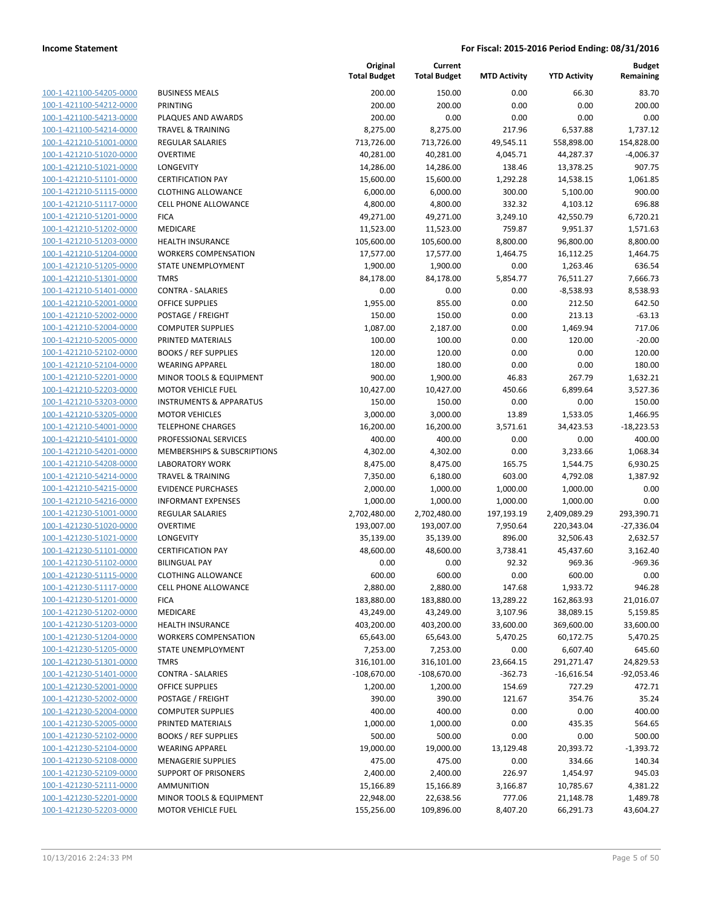| 100-1-421100-54205-0000        |
|--------------------------------|
| 100-1-421100-54212-0000        |
| 100-1-421100-54213-0000        |
| 100-1-421100-54214-0000        |
| 100-1-421210-51001-0000        |
| 100-1-421210-51020-0000        |
|                                |
| 100-1-421210-51021-0000        |
| 100-1-421210-51101-0000        |
| 100-1-421210-51115-0000        |
| 100-1-421210-51117-0000        |
| 100-1-421210-51201-0000        |
| 100-1-421210-51202-0000        |
| 100-1-421210-51203-0000        |
| 100-1-421210-51204-0000        |
| 100-1-421210-51205-0000        |
| 100-1-421210-51301-0000        |
|                                |
| 100-1-421210-51401-0000        |
| 100-1-421210-52001-0000        |
| 100-1-421210-52002-0000        |
| 100-1-421210-52004-0000        |
| 100-1-421210-52005-0000        |
| 100-1-421210-52102-0000        |
| 100-1-421210-52104-0000        |
| 100-1-421210-52201-0000        |
| 100-1-421210-52203-0000        |
| 100-1-421210-53203-0000        |
|                                |
| 100-1-421210-53205-0000        |
| 100-1-421210-54001-0000        |
| 100-1-421210-54101-0000        |
| 100-1-421210-54201-0000        |
| <u>100-1-421210-54208-0000</u> |
| 100-1-421210-54214-0000        |
| 100-1-421210-54215-0000        |
| 100-1-421210-54216-0000        |
| 100-1-421230-51001-0000        |
| 100-1-421230-51020-0000        |
|                                |
| 100-1-421230-51021-0000        |
| 100-1-421230-51101-0000        |
| 100-1-421230-51102-0000        |
| 100-1-421230-51115-0000        |
| 100-1-421230-51117-0000        |
| <u>100-1-421230-51201-0000</u> |
| <u>100-1-421230-51202-0000</u> |
| 100-1-421230-51203-0000        |
| 100-1-421230-51204-0000        |
| 100-1-421230-51205-0000        |
|                                |
| 100-1-421230-51301-0000        |
| 100-1-421230-51401-0000        |
| 100-1-421230-52001-0000        |
| 100-1-421230-52002-0000        |
| 100-1-421230-52004-0000        |
| 100-1-421230-52005-0000        |
| <u>100-1-421230-52102-0000</u> |
| <u>100-1-421230-52104-0000</u> |
| 100-1-421230-52108-0000        |
| 100-1-421230-52109-0000        |
| 100-1-421230-52111-0000        |
|                                |
| <u>100-1-421230-52201-0000</u> |
| <u>100-1-421230-52203-0000</u> |

|                         |                                    | Original<br><b>Total Budget</b> | Current<br><b>Total Budget</b> | <b>MTD Activity</b> | <b>YTD Activity</b> | <b>Budget</b><br>Remaining |
|-------------------------|------------------------------------|---------------------------------|--------------------------------|---------------------|---------------------|----------------------------|
| 100-1-421100-54205-0000 | <b>BUSINESS MEALS</b>              | 200.00                          | 150.00                         | 0.00                | 66.30               | 83.70                      |
| 100-1-421100-54212-0000 | <b>PRINTING</b>                    | 200.00                          | 200.00                         | 0.00                | 0.00                | 200.00                     |
| 100-1-421100-54213-0000 | PLAQUES AND AWARDS                 | 200.00                          | 0.00                           | 0.00                | 0.00                | 0.00                       |
| 100-1-421100-54214-0000 | <b>TRAVEL &amp; TRAINING</b>       | 8,275.00                        | 8,275.00                       | 217.96              | 6,537.88            | 1,737.12                   |
| 100-1-421210-51001-0000 | <b>REGULAR SALARIES</b>            | 713,726.00                      | 713,726.00                     | 49,545.11           | 558,898.00          | 154,828.00                 |
| 100-1-421210-51020-0000 | <b>OVERTIME</b>                    | 40,281.00                       | 40,281.00                      | 4,045.71            | 44,287.37           | $-4,006.37$                |
| 100-1-421210-51021-0000 | LONGEVITY                          | 14,286.00                       | 14,286.00                      | 138.46              | 13,378.25           | 907.75                     |
| 100-1-421210-51101-0000 | <b>CERTIFICATION PAY</b>           | 15,600.00                       | 15,600.00                      | 1,292.28            | 14,538.15           | 1,061.85                   |
| 100-1-421210-51115-0000 | <b>CLOTHING ALLOWANCE</b>          | 6,000.00                        | 6,000.00                       | 300.00              | 5,100.00            | 900.00                     |
| 100-1-421210-51117-0000 | <b>CELL PHONE ALLOWANCE</b>        | 4,800.00                        | 4,800.00                       | 332.32              | 4,103.12            | 696.88                     |
| 100-1-421210-51201-0000 | <b>FICA</b>                        | 49,271.00                       | 49,271.00                      | 3,249.10            | 42,550.79           | 6,720.21                   |
| 100-1-421210-51202-0000 | MEDICARE                           | 11,523.00                       | 11,523.00                      | 759.87              | 9,951.37            | 1,571.63                   |
| 100-1-421210-51203-0000 | <b>HEALTH INSURANCE</b>            | 105,600.00                      | 105,600.00                     | 8,800.00            | 96,800.00           | 8,800.00                   |
| 100-1-421210-51204-0000 | <b>WORKERS COMPENSATION</b>        | 17,577.00                       | 17,577.00                      | 1,464.75            | 16,112.25           | 1,464.75                   |
| 100-1-421210-51205-0000 | STATE UNEMPLOYMENT                 | 1,900.00                        | 1,900.00                       | 0.00                | 1,263.46            | 636.54                     |
| 100-1-421210-51301-0000 | TMRS                               | 84,178.00                       | 84,178.00                      | 5,854.77            | 76,511.27           | 7,666.73                   |
| 100-1-421210-51401-0000 | <b>CONTRA - SALARIES</b>           | 0.00                            | 0.00                           | 0.00                | $-8,538.93$         | 8,538.93                   |
| 100-1-421210-52001-0000 | <b>OFFICE SUPPLIES</b>             | 1,955.00                        | 855.00                         | 0.00                | 212.50              | 642.50                     |
| 100-1-421210-52002-0000 | POSTAGE / FREIGHT                  | 150.00                          | 150.00                         | 0.00                | 213.13              | $-63.13$                   |
| 100-1-421210-52004-0000 | <b>COMPUTER SUPPLIES</b>           | 1,087.00                        | 2,187.00                       | 0.00                | 1,469.94            | 717.06                     |
| 100-1-421210-52005-0000 | PRINTED MATERIALS                  | 100.00                          | 100.00                         | 0.00                | 120.00              | $-20.00$                   |
| 100-1-421210-52102-0000 | <b>BOOKS / REF SUPPLIES</b>        | 120.00                          | 120.00                         | 0.00                | 0.00                | 120.00                     |
| 100-1-421210-52104-0000 | <b>WEARING APPAREL</b>             | 180.00                          | 180.00                         | 0.00                | 0.00                | 180.00                     |
| 100-1-421210-52201-0000 | MINOR TOOLS & EQUIPMENT            | 900.00                          | 1,900.00                       | 46.83               | 267.79              | 1,632.21                   |
| 100-1-421210-52203-0000 | <b>MOTOR VEHICLE FUEL</b>          | 10,427.00                       | 10,427.00                      | 450.66              | 6,899.64            | 3,527.36                   |
| 100-1-421210-53203-0000 | <b>INSTRUMENTS &amp; APPARATUS</b> | 150.00                          | 150.00                         | 0.00                | 0.00                | 150.00                     |
| 100-1-421210-53205-0000 | <b>MOTOR VEHICLES</b>              | 3,000.00                        | 3,000.00                       | 13.89               | 1,533.05            | 1,466.95                   |
| 100-1-421210-54001-0000 | <b>TELEPHONE CHARGES</b>           | 16,200.00                       | 16,200.00                      | 3,571.61            | 34,423.53           | $-18,223.53$               |
| 100-1-421210-54101-0000 | PROFESSIONAL SERVICES              | 400.00                          | 400.00                         | 0.00                | 0.00                | 400.00                     |
| 100-1-421210-54201-0000 | MEMBERSHIPS & SUBSCRIPTIONS        | 4,302.00                        | 4,302.00                       | 0.00                | 3,233.66            | 1,068.34                   |
| 100-1-421210-54208-0000 | <b>LABORATORY WORK</b>             | 8,475.00                        | 8,475.00                       | 165.75              | 1,544.75            | 6,930.25                   |
| 100-1-421210-54214-0000 | <b>TRAVEL &amp; TRAINING</b>       | 7,350.00                        | 6,180.00                       | 603.00              | 4,792.08            | 1,387.92                   |
| 100-1-421210-54215-0000 | <b>EVIDENCE PURCHASES</b>          | 2,000.00                        | 1,000.00                       | 1,000.00            | 1,000.00            | 0.00                       |
| 100-1-421210-54216-0000 | <b>INFORMANT EXPENSES</b>          | 1,000.00                        | 1,000.00                       | 1,000.00            | 1,000.00            | 0.00                       |
| 100-1-421230-51001-0000 | REGULAR SALARIES                   | 2,702,480.00                    | 2,702,480.00                   | 197,193.19          | 2,409,089.29        | 293,390.71                 |
| 100-1-421230-51020-0000 | <b>OVERTIME</b>                    | 193,007.00                      | 193,007.00                     | 7,950.64            | 220,343.04          | $-27,336.04$               |
| 100-1-421230-51021-0000 | LONGEVITY                          | 35,139.00                       | 35,139.00                      | 896.00              | 32,506.43           | 2,632.57                   |
| 100-1-421230-51101-0000 | <b>CERTIFICATION PAY</b>           | 48,600.00                       | 48,600.00                      | 3,738.41            | 45,437.60           | 3,162.40                   |
| 100-1-421230-51102-0000 | <b>BILINGUAL PAY</b>               | 0.00                            | 0.00                           | 92.32               | 969.36              | $-969.36$                  |
| 100-1-421230-51115-0000 | <b>CLOTHING ALLOWANCE</b>          | 600.00                          | 600.00                         | 0.00                | 600.00              | 0.00                       |
| 100-1-421230-51117-0000 | <b>CELL PHONE ALLOWANCE</b>        | 2,880.00                        | 2,880.00                       | 147.68              | 1,933.72            | 946.28                     |
| 100-1-421230-51201-0000 | <b>FICA</b>                        | 183,880.00                      | 183,880.00                     | 13,289.22           | 162,863.93          | 21,016.07                  |
| 100-1-421230-51202-0000 | MEDICARE                           | 43,249.00                       | 43,249.00                      | 3,107.96            | 38,089.15           | 5,159.85                   |
| 100-1-421230-51203-0000 | <b>HEALTH INSURANCE</b>            | 403,200.00                      | 403,200.00                     | 33,600.00           | 369,600.00          | 33,600.00                  |
| 100-1-421230-51204-0000 | <b>WORKERS COMPENSATION</b>        | 65,643.00                       | 65,643.00                      | 5,470.25            | 60,172.75           | 5,470.25                   |
| 100-1-421230-51205-0000 | STATE UNEMPLOYMENT                 | 7,253.00                        | 7,253.00                       | 0.00                | 6,607.40            | 645.60                     |
| 100-1-421230-51301-0000 | <b>TMRS</b>                        | 316,101.00                      | 316,101.00                     | 23,664.15           | 291,271.47          | 24,829.53                  |
| 100-1-421230-51401-0000 | <b>CONTRA - SALARIES</b>           | $-108,670.00$                   | $-108,670.00$                  | $-362.73$           | $-16,616.54$        | $-92,053.46$               |
| 100-1-421230-52001-0000 | <b>OFFICE SUPPLIES</b>             | 1,200.00                        | 1,200.00                       | 154.69              | 727.29              | 472.71                     |
| 100-1-421230-52002-0000 | POSTAGE / FREIGHT                  | 390.00                          | 390.00                         | 121.67              | 354.76              | 35.24                      |
| 100-1-421230-52004-0000 | <b>COMPUTER SUPPLIES</b>           | 400.00                          | 400.00                         | 0.00                | 0.00                | 400.00                     |
| 100-1-421230-52005-0000 | PRINTED MATERIALS                  | 1,000.00                        | 1,000.00                       | 0.00                | 435.35              | 564.65                     |
| 100-1-421230-52102-0000 | <b>BOOKS / REF SUPPLIES</b>        | 500.00                          | 500.00                         | 0.00                | 0.00                | 500.00                     |
| 100-1-421230-52104-0000 | <b>WEARING APPAREL</b>             | 19,000.00                       | 19,000.00                      | 13,129.48           | 20,393.72           | $-1,393.72$                |
| 100-1-421230-52108-0000 | <b>MENAGERIE SUPPLIES</b>          | 475.00                          | 475.00                         | 0.00                | 334.66              | 140.34                     |
| 100-1-421230-52109-0000 | <b>SUPPORT OF PRISONERS</b>        | 2,400.00                        | 2,400.00                       | 226.97              | 1,454.97            | 945.03                     |
| 100-1-421230-52111-0000 | AMMUNITION                         | 15,166.89                       | 15,166.89                      | 3,166.87            | 10,785.67           | 4,381.22                   |
| 100-1-421230-52201-0000 | MINOR TOOLS & EQUIPMENT            | 22,948.00                       | 22,638.56                      | 777.06              | 21,148.78           | 1,489.78                   |
| 100-1-421230-52203-0000 | <b>MOTOR VEHICLE FUEL</b>          | 155,256.00                      | 109,896.00                     | 8,407.20            | 66,291.73           | 43,604.27                  |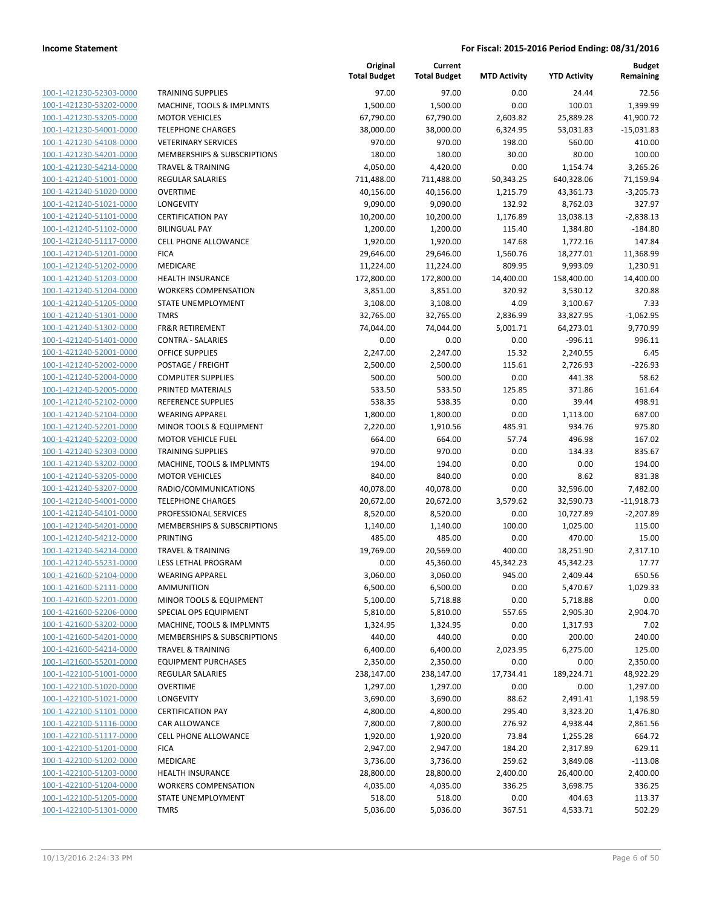| 100-1-421230-52303-0000        |
|--------------------------------|
| 100-1-421230-53202-0000        |
| 100-1-421230-53205-0000        |
| <u>100-1-421230-54001-0000</u> |
|                                |
| 100-1-421230-54108-0000        |
| 100-1-421230-54201-0000        |
| 100-1-421230-54214-0000        |
| <u>100-1-421240-51001-0000</u> |
| <u>100-1-421240-51020-0000</u> |
| 100-1-421240-51021-0000        |
| 100-1-421240-51101-0000        |
| 100-1-421240-51102-0000        |
|                                |
| 100-1-421240-51117-0000        |
| <u>100-1-421240-51201-0000</u> |
| 100-1-421240-51202-0000        |
| 100-1-421240-51203-0000        |
| 100-1-421240-51204-0000        |
| <u>100-1-421240-51205-0000</u> |
| <u>100-1-421240-51301-0000</u> |
| 100-1-421240-51302-0000        |
| 100-1-421240-51401-0000        |
|                                |
| 100-1-421240-52001-0000        |
| <u>100-1-421240-52002-0000</u> |
| <u>100-1-421240-52004-0000</u> |
| 100-1-421240-52005-0000        |
| 100-1-421240-52102-0000        |
| 100-1-421240-52104-0000        |
| <u>100-1-421240-52201-0000</u> |
| <u>100-1-421240-52203-0000</u> |
| 100-1-421240-52303-0000        |
|                                |
| 100-1-421240-53202-0000        |
| 100-1-421240-53205-0000        |
| <u>100-1-421240-53207-0000</u> |
| <u>100-1-421240-54001-0000</u> |
| 100-1-421240-54101-0000        |
| 100-1-421240-54201-0000        |
| 100-1-421240-54212-0000        |
| 100-1-421240-54214-0000        |
|                                |
| <u>100-1-421240-55231-0000</u> |
| 100-1-421600-52104-0000        |
| 100-1-421600-52111-0000        |
| 100-1-421600-52201-0000        |
| <u>100-1-421600-52206-0000</u> |
| 100-1-421600-53202-0000        |
| <u>100-1-421600-54201-0000</u> |
| 100-1-421600-54214-0000        |
| 100-1-421600-55201-0000        |
|                                |
| <u>100-1-422100-51001-0000</u> |
| 100-1-422100-51020-0000        |
| <u>100-1-422100-51021-0000</u> |
| 100-1-422100-51101-0000        |
| 100-1-422100-51116-0000        |
| <u>100-1-422100-51117-0000</u> |
| 100-1-422100-51201-0000        |
| <u>100-1-422100-51202-0000</u> |
| <u>100-1-422100-51203-0000</u> |
| 100-1-422100-51204-0000        |
|                                |
| <u>100-1-422100-51205-0000</u> |
| <u>100-1-422100-51301-0000</u> |

|                         |                                        | Original<br><b>Total Budget</b> | Current<br><b>Total Budget</b> | <b>MTD Activity</b> | <b>YTD Activity</b> | <b>Budget</b><br>Remaining |
|-------------------------|----------------------------------------|---------------------------------|--------------------------------|---------------------|---------------------|----------------------------|
| 100-1-421230-52303-0000 | <b>TRAINING SUPPLIES</b>               | 97.00                           | 97.00                          | 0.00                | 24.44               | 72.56                      |
| 100-1-421230-53202-0000 | MACHINE, TOOLS & IMPLMNTS              | 1,500.00                        | 1,500.00                       | 0.00                | 100.01              | 1,399.99                   |
| 100-1-421230-53205-0000 | <b>MOTOR VEHICLES</b>                  | 67,790.00                       | 67,790.00                      | 2,603.82            | 25,889.28           | 41,900.72                  |
| 100-1-421230-54001-0000 | <b>TELEPHONE CHARGES</b>               | 38,000.00                       | 38,000.00                      | 6,324.95            | 53,031.83           | $-15,031.83$               |
| 100-1-421230-54108-0000 | <b>VETERINARY SERVICES</b>             | 970.00                          | 970.00                         | 198.00              | 560.00              | 410.00                     |
| 100-1-421230-54201-0000 | <b>MEMBERSHIPS &amp; SUBSCRIPTIONS</b> | 180.00                          | 180.00                         | 30.00               | 80.00               | 100.00                     |
| 100-1-421230-54214-0000 | <b>TRAVEL &amp; TRAINING</b>           | 4,050.00                        | 4,420.00                       | 0.00                | 1,154.74            | 3,265.26                   |
| 100-1-421240-51001-0000 | REGULAR SALARIES                       | 711,488.00                      | 711,488.00                     | 50,343.25           | 640,328.06          | 71,159.94                  |
| 100-1-421240-51020-0000 | <b>OVERTIME</b>                        | 40,156.00                       | 40,156.00                      | 1,215.79            | 43,361.73           | $-3,205.73$                |
| 100-1-421240-51021-0000 | <b>LONGEVITY</b>                       | 9,090.00                        | 9,090.00                       | 132.92              | 8,762.03            | 327.97                     |
| 100-1-421240-51101-0000 | <b>CERTIFICATION PAY</b>               | 10,200.00                       | 10,200.00                      | 1,176.89            | 13,038.13           | $-2,838.13$                |
| 100-1-421240-51102-0000 | <b>BILINGUAL PAY</b>                   | 1,200.00                        | 1,200.00                       | 115.40              | 1,384.80            | $-184.80$                  |
| 100-1-421240-51117-0000 | <b>CELL PHONE ALLOWANCE</b>            | 1,920.00                        | 1,920.00                       | 147.68              | 1,772.16            | 147.84                     |
| 100-1-421240-51201-0000 | <b>FICA</b>                            | 29,646.00                       | 29,646.00                      | 1,560.76            | 18,277.01           | 11,368.99                  |
| 100-1-421240-51202-0000 | MEDICARE                               | 11,224.00                       | 11,224.00                      | 809.95              | 9,993.09            | 1,230.91                   |
| 100-1-421240-51203-0000 | HEALTH INSURANCE                       | 172,800.00                      | 172,800.00                     | 14,400.00           | 158,400.00          | 14,400.00                  |
| 100-1-421240-51204-0000 | <b>WORKERS COMPENSATION</b>            | 3,851.00                        | 3,851.00                       | 320.92              | 3,530.12            | 320.88                     |
| 100-1-421240-51205-0000 | STATE UNEMPLOYMENT                     | 3,108.00                        | 3,108.00                       | 4.09                | 3,100.67            | 7.33                       |
| 100-1-421240-51301-0000 | <b>TMRS</b>                            | 32,765.00                       | 32,765.00                      | 2,836.99            | 33,827.95           | $-1,062.95$                |
| 100-1-421240-51302-0000 | <b>FR&amp;R RETIREMENT</b>             | 74,044.00                       | 74,044.00                      | 5,001.71            | 64,273.01           | 9,770.99                   |
| 100-1-421240-51401-0000 | <b>CONTRA - SALARIES</b>               | 0.00                            | 0.00                           | 0.00                | $-996.11$           | 996.11                     |
| 100-1-421240-52001-0000 | <b>OFFICE SUPPLIES</b>                 | 2,247.00                        | 2,247.00                       | 15.32               | 2,240.55            | 6.45                       |
| 100-1-421240-52002-0000 | POSTAGE / FREIGHT                      | 2,500.00                        | 2,500.00                       | 115.61              | 2,726.93            | $-226.93$                  |
| 100-1-421240-52004-0000 | <b>COMPUTER SUPPLIES</b>               | 500.00                          | 500.00                         | 0.00                | 441.38              | 58.62                      |
| 100-1-421240-52005-0000 | PRINTED MATERIALS                      | 533.50                          | 533.50                         | 125.85              | 371.86              | 161.64                     |
| 100-1-421240-52102-0000 | REFERENCE SUPPLIES                     | 538.35                          | 538.35                         | 0.00                | 39.44               | 498.91                     |
| 100-1-421240-52104-0000 | <b>WEARING APPAREL</b>                 | 1,800.00                        | 1,800.00                       | 0.00                | 1,113.00            | 687.00                     |
| 100-1-421240-52201-0000 | MINOR TOOLS & EQUIPMENT                | 2,220.00                        | 1,910.56                       | 485.91              | 934.76              | 975.80                     |
| 100-1-421240-52203-0000 | <b>MOTOR VEHICLE FUEL</b>              | 664.00                          | 664.00                         | 57.74               | 496.98              | 167.02                     |
| 100-1-421240-52303-0000 | <b>TRAINING SUPPLIES</b>               | 970.00                          | 970.00                         | 0.00                | 134.33              | 835.67                     |
| 100-1-421240-53202-0000 | MACHINE, TOOLS & IMPLMNTS              | 194.00                          | 194.00                         | 0.00                | 0.00                | 194.00                     |
| 100-1-421240-53205-0000 | <b>MOTOR VEHICLES</b>                  | 840.00                          | 840.00                         | 0.00                | 8.62                | 831.38                     |
| 100-1-421240-53207-0000 | RADIO/COMMUNICATIONS                   | 40,078.00                       | 40,078.00                      | 0.00                | 32,596.00           | 7,482.00                   |
| 100-1-421240-54001-0000 | <b>TELEPHONE CHARGES</b>               | 20,672.00                       | 20,672.00                      | 3,579.62            | 32,590.73           | $-11,918.73$               |
| 100-1-421240-54101-0000 | PROFESSIONAL SERVICES                  | 8,520.00                        | 8,520.00                       | 0.00                | 10,727.89           | $-2,207.89$                |
| 100-1-421240-54201-0000 | MEMBERSHIPS & SUBSCRIPTIONS            | 1,140.00                        | 1,140.00                       | 100.00              | 1,025.00            | 115.00                     |
| 100-1-421240-54212-0000 | <b>PRINTING</b>                        | 485.00                          | 485.00                         | 0.00                | 470.00              | 15.00                      |
| 100-1-421240-54214-0000 | <b>TRAVEL &amp; TRAINING</b>           | 19,769.00                       | 20,569.00                      | 400.00              | 18,251.90           | 2,317.10                   |
| 100-1-421240-55231-0000 | <b>LESS LETHAL PROGRAM</b>             | 0.00                            | 45,360.00                      | 45,342.23           | 45,342.23           | 17.77                      |
| 100-1-421600-52104-0000 | <b>WEARING APPAREL</b>                 | 3,060.00                        | 3,060.00                       | 945.00              | 2,409.44            | 650.56                     |
| 100-1-421600-52111-0000 | <b>AMMUNITION</b>                      | 6,500.00                        | 6,500.00                       | 0.00                | 5,470.67            | 1,029.33                   |
| 100-1-421600-52201-0000 | MINOR TOOLS & EQUIPMENT                | 5,100.00                        | 5,718.88                       | 0.00                | 5,718.88            | 0.00                       |
| 100-1-421600-52206-0000 | SPECIAL OPS EQUIPMENT                  | 5,810.00                        | 5,810.00                       | 557.65              | 2,905.30            | 2,904.70                   |
| 100-1-421600-53202-0000 | MACHINE, TOOLS & IMPLMNTS              | 1,324.95                        | 1,324.95                       | 0.00                | 1,317.93            | 7.02                       |
| 100-1-421600-54201-0000 | MEMBERSHIPS & SUBSCRIPTIONS            | 440.00                          | 440.00                         | 0.00                | 200.00              | 240.00                     |
| 100-1-421600-54214-0000 | <b>TRAVEL &amp; TRAINING</b>           | 6,400.00                        | 6,400.00                       | 2,023.95            | 6,275.00            | 125.00                     |
| 100-1-421600-55201-0000 | <b>EQUIPMENT PURCHASES</b>             | 2,350.00                        | 2,350.00                       | 0.00                | 0.00                | 2,350.00                   |
| 100-1-422100-51001-0000 | REGULAR SALARIES                       | 238,147.00                      | 238,147.00                     | 17,734.41           | 189,224.71          | 48,922.29                  |
| 100-1-422100-51020-0000 | <b>OVERTIME</b>                        | 1,297.00                        | 1,297.00                       | 0.00                | 0.00                | 1,297.00                   |
| 100-1-422100-51021-0000 | LONGEVITY                              | 3,690.00                        | 3,690.00                       | 88.62               | 2,491.41            | 1,198.59                   |
| 100-1-422100-51101-0000 | <b>CERTIFICATION PAY</b>               | 4,800.00                        | 4,800.00                       | 295.40              | 3,323.20            | 1,476.80                   |
| 100-1-422100-51116-0000 | CAR ALLOWANCE                          | 7,800.00                        | 7,800.00                       | 276.92              | 4,938.44            | 2,861.56                   |
| 100-1-422100-51117-0000 | CELL PHONE ALLOWANCE                   | 1,920.00                        | 1,920.00                       | 73.84               | 1,255.28            | 664.72                     |
| 100-1-422100-51201-0000 | <b>FICA</b>                            | 2,947.00                        | 2,947.00                       | 184.20              | 2,317.89            | 629.11                     |
| 100-1-422100-51202-0000 | MEDICARE                               | 3,736.00                        | 3,736.00                       | 259.62              | 3,849.08            | $-113.08$                  |
| 100-1-422100-51203-0000 | <b>HEALTH INSURANCE</b>                | 28,800.00                       | 28,800.00                      | 2,400.00            | 26,400.00           | 2,400.00                   |
| 100-1-422100-51204-0000 | <b>WORKERS COMPENSATION</b>            | 4,035.00                        | 4,035.00                       | 336.25              | 3,698.75            | 336.25                     |
| 100-1-422100-51205-0000 | STATE UNEMPLOYMENT                     | 518.00                          | 518.00                         | 0.00                | 404.63              | 113.37                     |
| 100-1-422100-51301-0000 | <b>TMRS</b>                            | 5,036.00                        | 5,036.00                       | 367.51              | 4,533.71            | 502.29                     |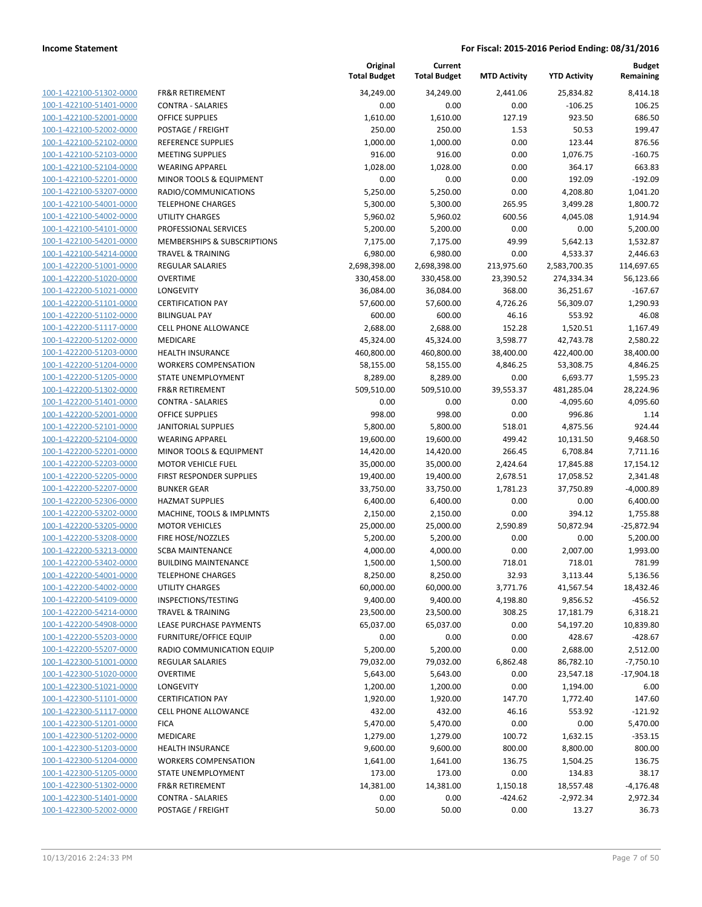100-1-422100-51302-0000 100-1-422100-51401-0000 100-1-422100-52001-0000 100-1-422100-52002-0000 100-1-422100-52102-0000 100-1-422100-52103-0000 100-1-422100-52104-0000 100-1-422100-52201-0000 100-1-422100-53207-0000 100-1-422100-54001-0000 100-1-422100-54002-0000 100-1-422100-54101-0000 100-1-422100-54201-0000 100-1-422100-54214-0000 100-1-422200-51001-0000 100-1-422200-51020-0000 100-1-422200-51021-0000 100-1-422200-51101-0000 100-1-422200-51102-0000 100-1-422200-51117-0000 100-1-422200-51202-0000 100-1-422200-51203-0000 100-1-422200-51204-0000 100-1-422200-51205-0000 100-1-422200-51302-0000 100-1-422200-51401-0000 100-1-422200-52001-0000 100-1-422200-52101-0000 100-1-422200-52104-0000 100-1-422200-52201-0000 100-1-422200-52203-0000 100-1-422200-52205-0000 100-1-422200-52207-0000 100-1-422200-52306-0000 100-1-422200-53202-0000 100-1-422200-53205-0000 100-1-422200-53208-0000 100-1-422200-53213-0000 100-1-422200-53402-0000 100-1-422200-54001-0000 100-1-422200-54002-0000 100-1-422200-54109-0000 100-1-422200-54214-0000 100-1-422200-54908-0000 100-1-422200-55203-0000 100-1-422200-55207-0000 100-1-422300-51001-0000 100-1-422300-51020-0000 100-1-422300-51021-0000 100-1-422300-51101-0000 100-1-422300-51117-0000 100-1-422300-51201-0000 100-1-422300-51202-0000 100-1-422300-51203-0000 100-1-422300-51204-0000 100-1-422300-51205-0000 100-1-422300-51302-0000 100-1-422300-51401-0000 100-1-422300-52002-0000

|                                                    | Original<br><b>Total Budget</b> | Current<br><b>Total Budget</b> | <b>MTD Activity</b> | <b>YTD Activity</b> | <b>Budget</b><br>Remaining |
|----------------------------------------------------|---------------------------------|--------------------------------|---------------------|---------------------|----------------------------|
|                                                    |                                 |                                |                     |                     |                            |
| <b>FR&amp;R RETIREMENT</b>                         | 34,249.00                       | 34,249.00                      | 2,441.06            | 25,834.82           | 8,414.18                   |
| <b>CONTRA - SALARIES</b><br><b>OFFICE SUPPLIES</b> | 0.00                            | 0.00                           | 0.00                | $-106.25$           | 106.25                     |
|                                                    | 1,610.00                        | 1,610.00                       | 127.19<br>1.53      | 923.50<br>50.53     | 686.50<br>199.47           |
| POSTAGE / FREIGHT<br>REFERENCE SUPPLIES            | 250.00<br>1,000.00              | 250.00<br>1,000.00             | 0.00                | 123.44              | 876.56                     |
| <b>MEETING SUPPLIES</b>                            | 916.00                          | 916.00                         | 0.00                | 1,076.75            | $-160.75$                  |
| <b>WEARING APPAREL</b>                             | 1,028.00                        | 1,028.00                       | 0.00                | 364.17              | 663.83                     |
| MINOR TOOLS & EQUIPMENT                            | 0.00                            | 0.00                           | 0.00                | 192.09              | $-192.09$                  |
| RADIO/COMMUNICATIONS                               | 5,250.00                        | 5,250.00                       | 0.00                | 4,208.80            | 1,041.20                   |
| <b>TELEPHONE CHARGES</b>                           | 5,300.00                        | 5,300.00                       | 265.95              | 3,499.28            | 1,800.72                   |
| <b>UTILITY CHARGES</b>                             | 5,960.02                        | 5,960.02                       | 600.56              | 4,045.08            | 1,914.94                   |
| PROFESSIONAL SERVICES                              | 5,200.00                        | 5,200.00                       | 0.00                | 0.00                | 5,200.00                   |
| MEMBERSHIPS & SUBSCRIPTIONS                        | 7,175.00                        | 7,175.00                       | 49.99               | 5,642.13            | 1,532.87                   |
| <b>TRAVEL &amp; TRAINING</b>                       | 6,980.00                        | 6,980.00                       | 0.00                | 4,533.37            | 2,446.63                   |
| <b>REGULAR SALARIES</b>                            | 2,698,398.00                    | 2,698,398.00                   | 213,975.60          | 2,583,700.35        | 114,697.65                 |
| <b>OVERTIME</b>                                    | 330,458.00                      | 330,458.00                     | 23,390.52           | 274,334.34          | 56,123.66                  |
| <b>LONGEVITY</b>                                   | 36,084.00                       | 36,084.00                      | 368.00              | 36,251.67           | $-167.67$                  |
| <b>CERTIFICATION PAY</b>                           | 57,600.00                       | 57,600.00                      | 4,726.26            | 56,309.07           | 1,290.93                   |
| <b>BILINGUAL PAY</b>                               | 600.00                          | 600.00                         | 46.16               | 553.92              | 46.08                      |
| CELL PHONE ALLOWANCE                               | 2,688.00                        | 2,688.00                       | 152.28              | 1,520.51            | 1,167.49                   |
| <b>MEDICARE</b>                                    | 45,324.00                       | 45,324.00                      | 3,598.77            | 42,743.78           | 2,580.22                   |
| <b>HEALTH INSURANCE</b>                            | 460,800.00                      | 460,800.00                     | 38,400.00           | 422,400.00          | 38,400.00                  |
| <b>WORKERS COMPENSATION</b>                        | 58,155.00                       | 58,155.00                      | 4,846.25            | 53,308.75           | 4,846.25                   |
| STATE UNEMPLOYMENT                                 | 8,289.00                        | 8,289.00                       | 0.00                | 6,693.77            | 1,595.23                   |
| <b>FR&amp;R RETIREMENT</b>                         | 509,510.00                      | 509,510.00                     | 39,553.37           | 481,285.04          | 28,224.96                  |
| <b>CONTRA - SALARIES</b>                           | 0.00                            | 0.00                           | 0.00                | $-4,095.60$         | 4,095.60                   |
| <b>OFFICE SUPPLIES</b>                             | 998.00                          | 998.00                         | 0.00                | 996.86              | 1.14                       |
| <b>JANITORIAL SUPPLIES</b>                         | 5,800.00                        | 5,800.00                       | 518.01              | 4,875.56            | 924.44                     |
| <b>WEARING APPAREL</b>                             | 19,600.00                       | 19,600.00                      | 499.42              | 10,131.50           | 9,468.50                   |
| MINOR TOOLS & EQUIPMENT                            | 14,420.00                       | 14,420.00                      | 266.45              | 6,708.84            | 7,711.16                   |
| <b>MOTOR VEHICLE FUEL</b>                          | 35,000.00                       | 35,000.00                      | 2,424.64            | 17,845.88           | 17,154.12                  |
| FIRST RESPONDER SUPPLIES                           | 19,400.00                       | 19,400.00                      | 2,678.51            | 17,058.52           | 2,341.48                   |
| <b>BUNKER GEAR</b>                                 | 33,750.00                       | 33,750.00                      | 1,781.23            | 37,750.89           | $-4,000.89$                |
| <b>HAZMAT SUPPLIES</b>                             | 6,400.00                        | 6,400.00                       | 0.00                | 0.00                | 6,400.00                   |
| MACHINE, TOOLS & IMPLMNTS                          | 2,150.00                        | 2,150.00                       | 0.00                | 394.12              | 1,755.88                   |
| <b>MOTOR VEHICLES</b>                              | 25,000.00                       | 25,000.00                      | 2,590.89            | 50,872.94           | $-25,872.94$               |
| FIRE HOSE/NOZZLES                                  | 5,200.00                        | 5,200.00                       | 0.00                | 0.00                | 5,200.00                   |
| <b>SCBA MAINTENANCE</b>                            | 4,000.00                        | 4,000.00                       | 0.00                | 2,007.00            | 1,993.00                   |
| <b>BUILDING MAINTENANCE</b>                        | 1,500.00                        | 1,500.00                       | 718.01              | 718.01              | 781.99                     |
| TELEPHONE CHARGES                                  | 8,250.00                        | 8,250.00                       | 32.93               | 3,113.44            | 5,136.56                   |
| <b>UTILITY CHARGES</b>                             | 60,000.00                       | 60,000.00                      | 3,771.76            | 41,567.54           | 18,432.46                  |
| INSPECTIONS/TESTING                                | 9,400.00                        | 9,400.00                       | 4,198.80            | 9,856.52            | $-456.52$                  |
| <b>TRAVEL &amp; TRAINING</b>                       | 23,500.00                       | 23,500.00                      | 308.25              | 17,181.79           | 6,318.21                   |
| LEASE PURCHASE PAYMENTS                            | 65,037.00                       | 65,037.00                      | 0.00                | 54,197.20           | 10,839.80                  |
| <b>FURNITURE/OFFICE EQUIP</b>                      | 0.00                            | 0.00                           | 0.00                | 428.67              | $-428.67$                  |
| RADIO COMMUNICATION EQUIP                          | 5,200.00                        | 5,200.00                       | 0.00                | 2,688.00            | 2,512.00                   |
| <b>REGULAR SALARIES</b>                            | 79,032.00                       | 79,032.00                      | 6,862.48            | 86,782.10           | $-7,750.10$                |
| <b>OVERTIME</b>                                    | 5,643.00                        | 5,643.00                       | 0.00                | 23,547.18           | $-17,904.18$               |
| LONGEVITY                                          | 1,200.00                        | 1,200.00                       | 0.00                | 1,194.00            | 6.00                       |
| <b>CERTIFICATION PAY</b>                           | 1,920.00                        | 1,920.00                       | 147.70              | 1,772.40            | 147.60                     |
| CELL PHONE ALLOWANCE                               | 432.00                          | 432.00                         | 46.16               | 553.92              | $-121.92$                  |
| <b>FICA</b>                                        | 5,470.00                        | 5,470.00                       | 0.00                | 0.00                | 5,470.00                   |
| MEDICARE                                           | 1,279.00                        | 1,279.00                       | 100.72              | 1,632.15            | $-353.15$                  |
| <b>HEALTH INSURANCE</b>                            | 9,600.00                        | 9,600.00                       | 800.00              | 8,800.00            | 800.00                     |
| <b>WORKERS COMPENSATION</b>                        | 1,641.00                        | 1,641.00                       | 136.75              | 1,504.25            | 136.75                     |
| STATE UNEMPLOYMENT                                 | 173.00                          | 173.00                         | 0.00                | 134.83              | 38.17                      |
| FR&R RETIREMENT                                    | 14,381.00                       | 14,381.00                      | 1,150.18            | 18,557.48           | $-4,176.48$                |
| <b>CONTRA - SALARIES</b>                           | 0.00                            | 0.00                           | $-424.62$           | $-2,972.34$         | 2,972.34                   |
| POSTAGE / FREIGHT                                  | 50.00                           | 50.00                          | 0.00                | 13.27               | 36.73                      |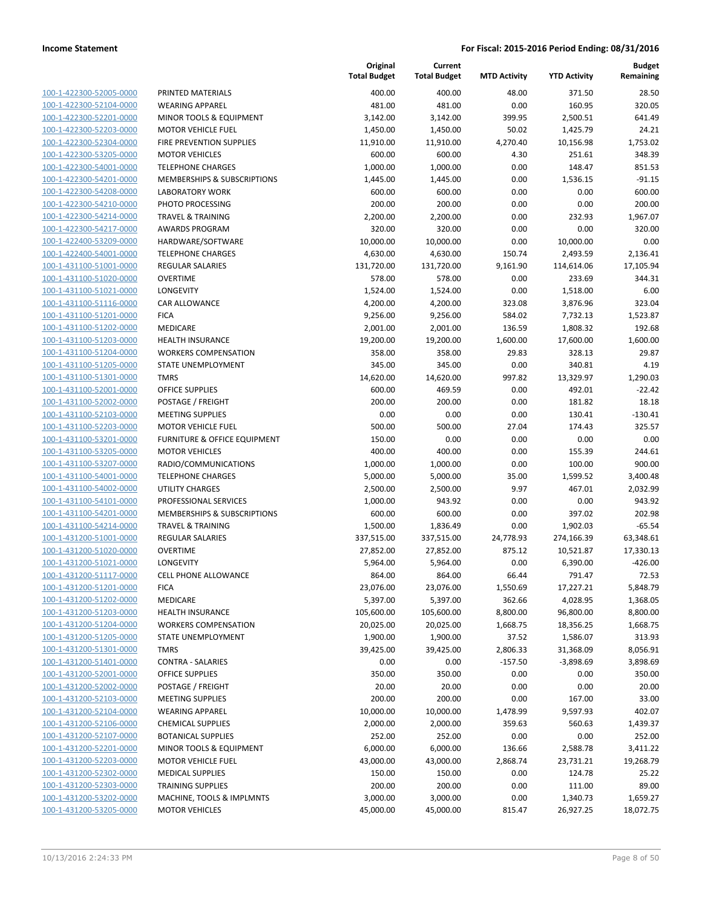| 100-1-422300-52005-0000        |
|--------------------------------|
| 100-1-422300-52104-0000        |
| 100-1-422300-52201-0000        |
| <u>100-1-422300-52203-0000</u> |
| 100-1-422300-52304-0000        |
| 100-1-422300-53205-0000        |
| 100-1-422300-54001-0000        |
| 100-1-422300-54201-0000        |
| 100-1-422300-54208-0000        |
| 100-1-422300-54210-0000        |
| 100-1-422300-54214-0000        |
| 100-1-422300-54217-0000        |
| 100-1-422400-53209-0000        |
|                                |
| <u>100-1-422400-54001-0000</u> |
| 100-1-431100-51001-0000        |
| 100-1-431100-51020-0000        |
| 100-1-431100-51021-0000        |
| 100-1-431100-51116-0000        |
| 100-1-431100-51201-0000        |
| 100-1-431100-51202-0000        |
| 100-1-431100-51203-0000        |
| 100-1-431100-51204-0000        |
| 100-1-431100-51205-0000        |
| 100-1-431100-51301-0000        |
| 100-1-431100-52001-0000        |
| 100-1-431100-52002-0000        |
| 100-1-431100-52103-0000        |
| 100-1-431100-52203-0000        |
| 100-1-431100-53201-0000        |
| 100-1-431100-53205-0000        |
| 100-1-431100-53207-0000        |
| 100-1-431100-54001-0000        |
| 100-1-431100-54002-0000        |
|                                |
| <u>100-1-431100-54101-0000</u> |
| 100-1-431100-54201-0000        |
| 100-1-431100-54214-0000        |
| 100-1-431200-51001-0000        |
| 100-1-431200-51020-0000        |
| 100-1-431200-51021-0000        |
| 100-1-431200-51117-0000        |
| 100-1-431200-51201-0000        |
| 100-1-431200-51202-0000        |
| <u>100-1-431200-51203-0000</u> |
| 100-1-431200-51204-0000        |
| 100-1-431200-51205-0000        |
| 100-1-431200-51301-0000        |
| 100-1-431200-51401-0000        |
| <u>100-1-431200-52001-0000</u> |
| <u>100-1-431200-52002-0000</u> |
| 100-1-431200-52103-0000        |
| 100-1-431200-52104-0000        |
| 100-1-431200-52106-0000        |
| <u>100-1-431200-52107-0000</u> |
|                                |
| <u>100-1-431200-52201-0000</u> |
| <u>100-1-431200-52203-0000</u> |
| 100-1-431200-52302-0000        |
| 100-1-431200-52303-0000        |
| <u>100-1-431200-53202-0000</u> |
| <u>100-1-431200-53205-0000</u> |
|                                |

|                                                    |                                               | Original<br><b>Total Budget</b> | Current<br><b>Total Budget</b> | <b>MTD Activity</b> | <b>YTD Activity</b> | <b>Budget</b><br>Remaining |
|----------------------------------------------------|-----------------------------------------------|---------------------------------|--------------------------------|---------------------|---------------------|----------------------------|
| 100-1-422300-52005-0000                            | PRINTED MATERIALS                             | 400.00                          | 400.00                         | 48.00               | 371.50              | 28.50                      |
| 100-1-422300-52104-0000                            | <b>WEARING APPAREL</b>                        | 481.00                          | 481.00                         | 0.00                | 160.95              | 320.05                     |
| 100-1-422300-52201-0000                            | MINOR TOOLS & EQUIPMENT                       | 3,142.00                        | 3,142.00                       | 399.95              | 2,500.51            | 641.49                     |
| 100-1-422300-52203-0000                            | <b>MOTOR VEHICLE FUEL</b>                     | 1,450.00                        | 1,450.00                       | 50.02               | 1,425.79            | 24.21                      |
| 100-1-422300-52304-0000                            | FIRE PREVENTION SUPPLIES                      | 11,910.00                       | 11,910.00                      | 4,270.40            | 10,156.98           | 1,753.02                   |
| 100-1-422300-53205-0000                            | <b>MOTOR VEHICLES</b>                         | 600.00                          | 600.00                         | 4.30                | 251.61              | 348.39                     |
| 100-1-422300-54001-0000                            | <b>TELEPHONE CHARGES</b>                      | 1,000.00                        | 1,000.00                       | 0.00                | 148.47              | 851.53                     |
| 100-1-422300-54201-0000                            | MEMBERSHIPS & SUBSCRIPTIONS                   | 1,445.00                        | 1,445.00                       | 0.00                | 1,536.15            | $-91.15$                   |
| 100-1-422300-54208-0000                            | <b>LABORATORY WORK</b>                        | 600.00                          | 600.00                         | 0.00                | 0.00                | 600.00                     |
| 100-1-422300-54210-0000                            | PHOTO PROCESSING                              | 200.00                          | 200.00                         | 0.00                | 0.00                | 200.00                     |
| 100-1-422300-54214-0000                            | <b>TRAVEL &amp; TRAINING</b>                  | 2,200.00                        | 2,200.00                       | 0.00                | 232.93              | 1,967.07                   |
| 100-1-422300-54217-0000                            | <b>AWARDS PROGRAM</b>                         | 320.00                          | 320.00                         | 0.00                | 0.00                | 320.00                     |
| 100-1-422400-53209-0000                            | HARDWARE/SOFTWARE                             | 10,000.00                       | 10,000.00                      | 0.00                | 10,000.00           | 0.00                       |
| 100-1-422400-54001-0000                            | <b>TELEPHONE CHARGES</b>                      | 4,630.00                        | 4,630.00                       | 150.74              | 2,493.59            | 2,136.41                   |
| 100-1-431100-51001-0000                            | <b>REGULAR SALARIES</b>                       | 131,720.00                      | 131,720.00                     | 9,161.90            | 114,614.06          | 17,105.94                  |
| 100-1-431100-51020-0000                            | <b>OVERTIME</b>                               | 578.00                          | 578.00                         | 0.00                | 233.69              | 344.31                     |
| 100-1-431100-51021-0000                            | <b>LONGEVITY</b>                              | 1,524.00                        | 1,524.00                       | 0.00                | 1,518.00            | 6.00                       |
| 100-1-431100-51116-0000                            | CAR ALLOWANCE                                 | 4,200.00                        | 4,200.00                       | 323.08              | 3,876.96            | 323.04                     |
| 100-1-431100-51201-0000                            | <b>FICA</b>                                   | 9,256.00                        | 9,256.00                       | 584.02              | 7,732.13            | 1,523.87                   |
| 100-1-431100-51202-0000                            | MEDICARE                                      | 2,001.00                        | 2,001.00                       | 136.59              | 1,808.32            | 192.68                     |
| 100-1-431100-51203-0000                            | <b>HEALTH INSURANCE</b>                       | 19,200.00                       | 19,200.00                      | 1,600.00            | 17,600.00           | 1.600.00                   |
| 100-1-431100-51204-0000                            | <b>WORKERS COMPENSATION</b>                   | 358.00                          | 358.00                         | 29.83               | 328.13              | 29.87                      |
| 100-1-431100-51205-0000                            | STATE UNEMPLOYMENT                            | 345.00                          | 345.00                         | 0.00                | 340.81              | 4.19                       |
| 100-1-431100-51301-0000                            | <b>TMRS</b>                                   | 14,620.00                       | 14,620.00                      | 997.82              | 13,329.97           | 1,290.03                   |
| 100-1-431100-52001-0000                            | <b>OFFICE SUPPLIES</b>                        | 600.00                          | 469.59                         | 0.00                | 492.01              | $-22.42$                   |
| 100-1-431100-52002-0000                            | POSTAGE / FREIGHT                             | 200.00                          | 200.00                         | 0.00                | 181.82              | 18.18                      |
| 100-1-431100-52103-0000                            | <b>MEETING SUPPLIES</b>                       | 0.00                            | 0.00                           | 0.00                | 130.41              | $-130.41$                  |
| 100-1-431100-52203-0000                            | <b>MOTOR VEHICLE FUEL</b>                     | 500.00                          | 500.00                         | 27.04               | 174.43              | 325.57                     |
| 100-1-431100-53201-0000                            | FURNITURE & OFFICE EQUIPMENT                  | 150.00                          | 0.00                           | 0.00                | 0.00                | 0.00                       |
| 100-1-431100-53205-0000<br>100-1-431100-53207-0000 | <b>MOTOR VEHICLES</b><br>RADIO/COMMUNICATIONS | 400.00<br>1,000.00              | 400.00<br>1,000.00             | 0.00<br>0.00        | 155.39<br>100.00    | 244.61<br>900.00           |
| 100-1-431100-54001-0000                            | <b>TELEPHONE CHARGES</b>                      | 5,000.00                        | 5,000.00                       | 35.00               | 1,599.52            | 3,400.48                   |
| 100-1-431100-54002-0000                            | <b>UTILITY CHARGES</b>                        | 2,500.00                        | 2,500.00                       | 9.97                | 467.01              | 2,032.99                   |
| 100-1-431100-54101-0000                            | PROFESSIONAL SERVICES                         | 1,000.00                        | 943.92                         | 0.00                | 0.00                | 943.92                     |
| 100-1-431100-54201-0000                            | MEMBERSHIPS & SUBSCRIPTIONS                   | 600.00                          | 600.00                         | 0.00                | 397.02              | 202.98                     |
| 100-1-431100-54214-0000                            | <b>TRAVEL &amp; TRAINING</b>                  | 1,500.00                        | 1,836.49                       | 0.00                | 1,902.03            | $-65.54$                   |
| 100-1-431200-51001-0000                            | <b>REGULAR SALARIES</b>                       | 337,515.00                      | 337,515.00                     | 24,778.93           | 274,166.39          | 63,348.61                  |
| 100-1-431200-51020-0000                            | <b>OVERTIME</b>                               | 27,852.00                       | 27,852.00                      | 875.12              | 10,521.87           | 17,330.13                  |
| 100-1-431200-51021-0000                            | LONGEVITY                                     | 5,964.00                        | 5,964.00                       | 0.00                | 6,390.00            | $-426.00$                  |
| 100-1-431200-51117-0000                            | CELL PHONE ALLOWANCE                          | 864.00                          | 864.00                         | 66.44               | 791.47              | 72.53                      |
| 100-1-431200-51201-0000                            | <b>FICA</b>                                   | 23,076.00                       | 23,076.00                      | 1,550.69            | 17,227.21           | 5,848.79                   |
| 100-1-431200-51202-0000                            | MEDICARE                                      | 5,397.00                        | 5,397.00                       | 362.66              | 4,028.95            | 1,368.05                   |
| 100-1-431200-51203-0000                            | <b>HEALTH INSURANCE</b>                       | 105,600.00                      | 105,600.00                     | 8,800.00            | 96,800.00           | 8,800.00                   |
| 100-1-431200-51204-0000                            | <b>WORKERS COMPENSATION</b>                   | 20,025.00                       | 20,025.00                      | 1,668.75            | 18,356.25           | 1,668.75                   |
| 100-1-431200-51205-0000                            | STATE UNEMPLOYMENT                            | 1,900.00                        | 1,900.00                       | 37.52               | 1,586.07            | 313.93                     |
| 100-1-431200-51301-0000                            | <b>TMRS</b>                                   | 39,425.00                       | 39,425.00                      | 2,806.33            | 31,368.09           | 8,056.91                   |
| 100-1-431200-51401-0000                            | <b>CONTRA - SALARIES</b>                      | 0.00                            | 0.00                           | $-157.50$           | $-3,898.69$         | 3,898.69                   |
| 100-1-431200-52001-0000                            | <b>OFFICE SUPPLIES</b>                        | 350.00                          | 350.00                         | 0.00                | 0.00                | 350.00                     |
| 100-1-431200-52002-0000                            | POSTAGE / FREIGHT                             | 20.00                           | 20.00                          | 0.00                | 0.00                | 20.00                      |
| 100-1-431200-52103-0000                            | <b>MEETING SUPPLIES</b>                       | 200.00                          | 200.00                         | 0.00                | 167.00              | 33.00                      |
| 100-1-431200-52104-0000                            | <b>WEARING APPAREL</b>                        | 10,000.00                       | 10,000.00                      | 1,478.99            | 9,597.93            | 402.07                     |
| 100-1-431200-52106-0000                            | <b>CHEMICAL SUPPLIES</b>                      | 2,000.00                        | 2,000.00                       | 359.63              | 560.63              | 1,439.37                   |
| 100-1-431200-52107-0000                            | <b>BOTANICAL SUPPLIES</b>                     | 252.00                          | 252.00                         | 0.00                | 0.00                | 252.00                     |
| 100-1-431200-52201-0000                            | MINOR TOOLS & EQUIPMENT                       | 6,000.00                        | 6,000.00                       | 136.66              | 2,588.78            | 3,411.22                   |
| 100-1-431200-52203-0000                            | MOTOR VEHICLE FUEL                            | 43,000.00                       | 43,000.00                      | 2,868.74            | 23,731.21           | 19,268.79                  |
| 100-1-431200-52302-0000                            | <b>MEDICAL SUPPLIES</b>                       | 150.00                          | 150.00                         | 0.00                | 124.78              | 25.22                      |
| 100-1-431200-52303-0000                            | <b>TRAINING SUPPLIES</b>                      | 200.00                          | 200.00                         | 0.00                | 111.00              | 89.00                      |
| 100-1-431200-53202-0000<br>100-1-431200-53205-0000 | MACHINE, TOOLS & IMPLMNTS                     | 3,000.00                        | 3,000.00                       | 0.00                | 1,340.73            | 1,659.27                   |
|                                                    | <b>MOTOR VEHICLES</b>                         | 45,000.00                       | 45,000.00                      | 815.47              | 26,927.25           | 18,072.75                  |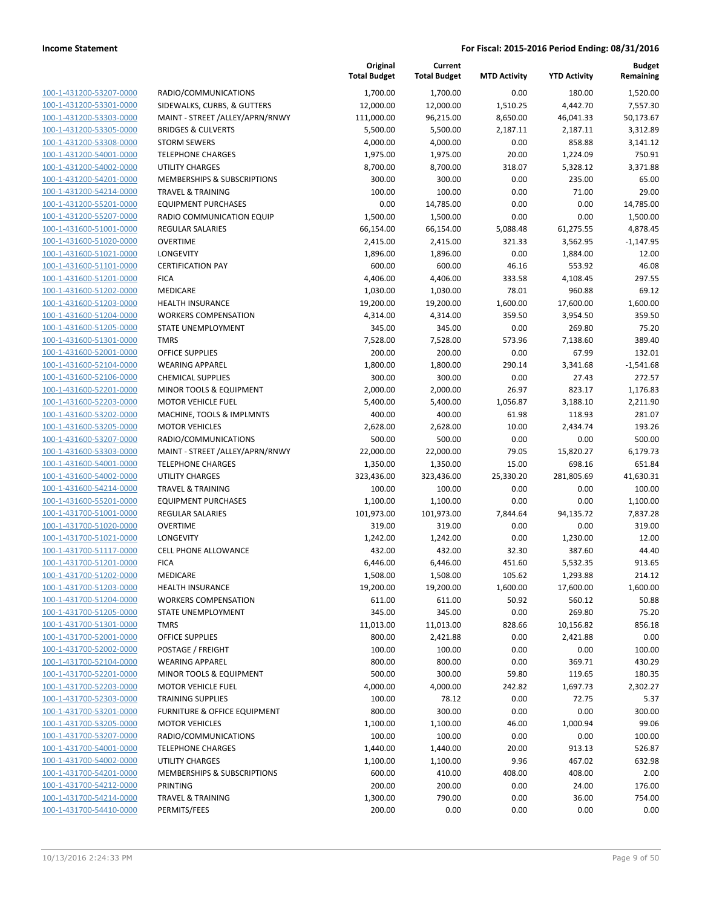|                                                    |                                                    | Original<br><b>Total Budget</b> | Current<br><b>Total Budget</b> | <b>MTD Activity</b> | <b>YTD Activity</b> | <b>Budget</b><br>Remaining |
|----------------------------------------------------|----------------------------------------------------|---------------------------------|--------------------------------|---------------------|---------------------|----------------------------|
| 100-1-431200-53207-0000                            | RADIO/COMMUNICATIONS                               | 1,700.00                        | 1,700.00                       | 0.00                | 180.00              | 1,520.00                   |
| 100-1-431200-53301-0000                            | SIDEWALKS, CURBS, & GUTTERS                        | 12,000.00                       | 12,000.00                      | 1,510.25            | 4,442.70            | 7,557.30                   |
| 100-1-431200-53303-0000                            | MAINT - STREET /ALLEY/APRN/RNWY                    | 111,000.00                      | 96,215.00                      | 8,650.00            | 46,041.33           | 50,173.67                  |
| 100-1-431200-53305-0000                            | <b>BRIDGES &amp; CULVERTS</b>                      | 5,500.00                        | 5,500.00                       | 2,187.11            | 2,187.11            | 3,312.89                   |
| 100-1-431200-53308-0000                            | <b>STORM SEWERS</b>                                | 4,000.00                        | 4,000.00                       | 0.00                | 858.88              | 3,141.12                   |
| 100-1-431200-54001-0000                            | <b>TELEPHONE CHARGES</b>                           | 1,975.00                        | 1,975.00                       | 20.00               | 1,224.09            | 750.91                     |
| 100-1-431200-54002-0000                            | <b>UTILITY CHARGES</b>                             | 8,700.00                        | 8,700.00                       | 318.07              | 5,328.12            | 3,371.88                   |
| 100-1-431200-54201-0000                            | <b>MEMBERSHIPS &amp; SUBSCRIPTIONS</b>             | 300.00                          | 300.00                         | 0.00                | 235.00              | 65.00                      |
| 100-1-431200-54214-0000                            | <b>TRAVEL &amp; TRAINING</b>                       | 100.00                          | 100.00                         | 0.00                | 71.00               | 29.00                      |
| 100-1-431200-55201-0000                            | <b>EQUIPMENT PURCHASES</b>                         | 0.00                            | 14,785.00                      | 0.00                | 0.00                | 14,785.00                  |
| 100-1-431200-55207-0000                            | RADIO COMMUNICATION EQUIP                          | 1,500.00                        | 1,500.00                       | 0.00                | 0.00                | 1,500.00                   |
| 100-1-431600-51001-0000                            | <b>REGULAR SALARIES</b>                            | 66,154.00                       | 66,154.00                      | 5,088.48            | 61,275.55           | 4,878.45                   |
| 100-1-431600-51020-0000                            | <b>OVERTIME</b>                                    | 2,415.00                        | 2,415.00                       | 321.33              | 3,562.95            | $-1,147.95$                |
| 100-1-431600-51021-0000                            | LONGEVITY                                          | 1,896.00                        | 1,896.00                       | 0.00                | 1,884.00            | 12.00                      |
| 100-1-431600-51101-0000                            | <b>CERTIFICATION PAY</b>                           | 600.00                          | 600.00                         | 46.16               | 553.92              | 46.08                      |
| 100-1-431600-51201-0000                            | <b>FICA</b>                                        | 4,406.00                        | 4,406.00                       | 333.58              | 4,108.45            | 297.55                     |
| 100-1-431600-51202-0000                            | MEDICARE                                           | 1,030.00                        | 1,030.00                       | 78.01               | 960.88              | 69.12                      |
| 100-1-431600-51203-0000                            | <b>HEALTH INSURANCE</b>                            | 19,200.00                       | 19,200.00                      | 1,600.00            | 17,600.00           | 1,600.00                   |
| 100-1-431600-51204-0000                            | <b>WORKERS COMPENSATION</b>                        | 4,314.00                        | 4,314.00                       | 359.50              | 3,954.50            | 359.50                     |
| 100-1-431600-51205-0000                            | STATE UNEMPLOYMENT                                 | 345.00                          | 345.00                         | 0.00                | 269.80              | 75.20                      |
| 100-1-431600-51301-0000                            | <b>TMRS</b>                                        | 7,528.00                        | 7,528.00                       | 573.96              | 7,138.60            | 389.40                     |
| 100-1-431600-52001-0000<br>100-1-431600-52104-0000 | <b>OFFICE SUPPLIES</b>                             | 200.00                          | 200.00                         | 0.00                | 67.99               | 132.01                     |
| 100-1-431600-52106-0000                            | <b>WEARING APPAREL</b><br><b>CHEMICAL SUPPLIES</b> | 1,800.00                        | 1,800.00                       | 290.14              | 3,341.68<br>27.43   | $-1,541.68$                |
| 100-1-431600-52201-0000                            | MINOR TOOLS & EQUIPMENT                            | 300.00<br>2,000.00              | 300.00<br>2,000.00             | 0.00<br>26.97       | 823.17              | 272.57<br>1,176.83         |
| 100-1-431600-52203-0000                            | <b>MOTOR VEHICLE FUEL</b>                          | 5,400.00                        | 5,400.00                       | 1,056.87            | 3,188.10            | 2,211.90                   |
| 100-1-431600-53202-0000                            | MACHINE, TOOLS & IMPLMNTS                          | 400.00                          | 400.00                         | 61.98               | 118.93              | 281.07                     |
| 100-1-431600-53205-0000                            | <b>MOTOR VEHICLES</b>                              | 2,628.00                        | 2,628.00                       | 10.00               | 2,434.74            | 193.26                     |
| 100-1-431600-53207-0000                            | RADIO/COMMUNICATIONS                               | 500.00                          | 500.00                         | 0.00                | 0.00                | 500.00                     |
| 100-1-431600-53303-0000                            | MAINT - STREET /ALLEY/APRN/RNWY                    | 22,000.00                       | 22,000.00                      | 79.05               | 15,820.27           | 6,179.73                   |
| 100-1-431600-54001-0000                            | <b>TELEPHONE CHARGES</b>                           | 1,350.00                        | 1,350.00                       | 15.00               | 698.16              | 651.84                     |
| 100-1-431600-54002-0000                            | UTILITY CHARGES                                    | 323,436.00                      | 323,436.00                     | 25,330.20           | 281,805.69          | 41,630.31                  |
| 100-1-431600-54214-0000                            | <b>TRAVEL &amp; TRAINING</b>                       | 100.00                          | 100.00                         | 0.00                | 0.00                | 100.00                     |
| 100-1-431600-55201-0000                            | <b>EQUIPMENT PURCHASES</b>                         | 1,100.00                        | 1,100.00                       | 0.00                | 0.00                | 1,100.00                   |
| 100-1-431700-51001-0000                            | REGULAR SALARIES                                   | 101,973.00                      | 101,973.00                     | 7,844.64            | 94,135.72           | 7,837.28                   |
| 100-1-431700-51020-0000                            | <b>OVERTIME</b>                                    | 319.00                          | 319.00                         | 0.00                | 0.00                | 319.00                     |
| 100-1-431700-51021-0000                            | LONGEVITY                                          | 1,242.00                        | 1,242.00                       | 0.00                | 1,230.00            | 12.00                      |
| 100-1-431700-51117-0000                            | <b>CELL PHONE ALLOWANCE</b>                        | 432.00                          | 432.00                         | 32.30               | 387.60              | 44.40                      |
| 100-1-431700-51201-0000                            | <b>FICA</b>                                        | 6,446.00                        | 6,446.00                       | 451.60              | 5,532.35            | 913.65                     |
| 100-1-431700-51202-0000                            | MEDICARE                                           | 1,508.00                        | 1,508.00                       | 105.62              | 1,293.88            | 214.12                     |
| 100-1-431700-51203-0000                            | <b>HEALTH INSURANCE</b>                            | 19,200.00                       | 19,200.00                      | 1,600.00            | 17,600.00           | 1,600.00                   |
| 100-1-431700-51204-0000                            | <b>WORKERS COMPENSATION</b>                        | 611.00                          | 611.00                         | 50.92               | 560.12              | 50.88                      |
| 100-1-431700-51205-0000                            | STATE UNEMPLOYMENT                                 | 345.00                          | 345.00                         | 0.00                | 269.80              | 75.20                      |
| 100-1-431700-51301-0000                            | <b>TMRS</b>                                        | 11,013.00                       | 11,013.00                      | 828.66              | 10,156.82           | 856.18                     |
| 100-1-431700-52001-0000                            | <b>OFFICE SUPPLIES</b>                             | 800.00                          | 2,421.88                       | 0.00                | 2,421.88            | 0.00                       |
| 100-1-431700-52002-0000                            | POSTAGE / FREIGHT                                  | 100.00                          | 100.00                         | 0.00                | 0.00                | 100.00                     |
| 100-1-431700-52104-0000                            | <b>WEARING APPAREL</b>                             | 800.00                          | 800.00                         | 0.00                | 369.71              | 430.29                     |
| 100-1-431700-52201-0000                            | MINOR TOOLS & EQUIPMENT                            | 500.00                          | 300.00                         | 59.80               | 119.65              | 180.35                     |
| 100-1-431700-52203-0000                            | <b>MOTOR VEHICLE FUEL</b>                          | 4,000.00                        | 4,000.00                       | 242.82              | 1,697.73            | 2,302.27                   |
| 100-1-431700-52303-0000                            | <b>TRAINING SUPPLIES</b>                           | 100.00                          | 78.12                          | 0.00                | 72.75               | 5.37                       |
| 100-1-431700-53201-0000                            | <b>FURNITURE &amp; OFFICE EQUIPMENT</b>            | 800.00                          | 300.00                         | 0.00                | 0.00                | 300.00                     |
| 100-1-431700-53205-0000                            | <b>MOTOR VEHICLES</b>                              | 1,100.00                        | 1,100.00                       | 46.00               | 1,000.94            | 99.06                      |
| 100-1-431700-53207-0000                            | RADIO/COMMUNICATIONS                               | 100.00                          | 100.00                         | 0.00                | 0.00                | 100.00                     |
| 100-1-431700-54001-0000                            | <b>TELEPHONE CHARGES</b>                           | 1,440.00                        | 1,440.00                       | 20.00               | 913.13              | 526.87                     |
| 100-1-431700-54002-0000                            | UTILITY CHARGES                                    | 1,100.00                        | 1,100.00                       | 9.96                | 467.02              | 632.98                     |
| 100-1-431700-54201-0000                            | MEMBERSHIPS & SUBSCRIPTIONS                        | 600.00                          | 410.00                         | 408.00              | 408.00              | 2.00                       |
| 100-1-431700-54212-0000                            | <b>PRINTING</b>                                    | 200.00                          | 200.00                         | 0.00                | 24.00               | 176.00                     |
| 100-1-431700-54214-0000                            | <b>TRAVEL &amp; TRAINING</b>                       | 1,300.00                        | 790.00                         | 0.00                | 36.00               | 754.00                     |
| 100-1-431700-54410-0000                            | PERMITS/FEES                                       | 200.00                          | 0.00                           | 0.00                | 0.00                | 0.00                       |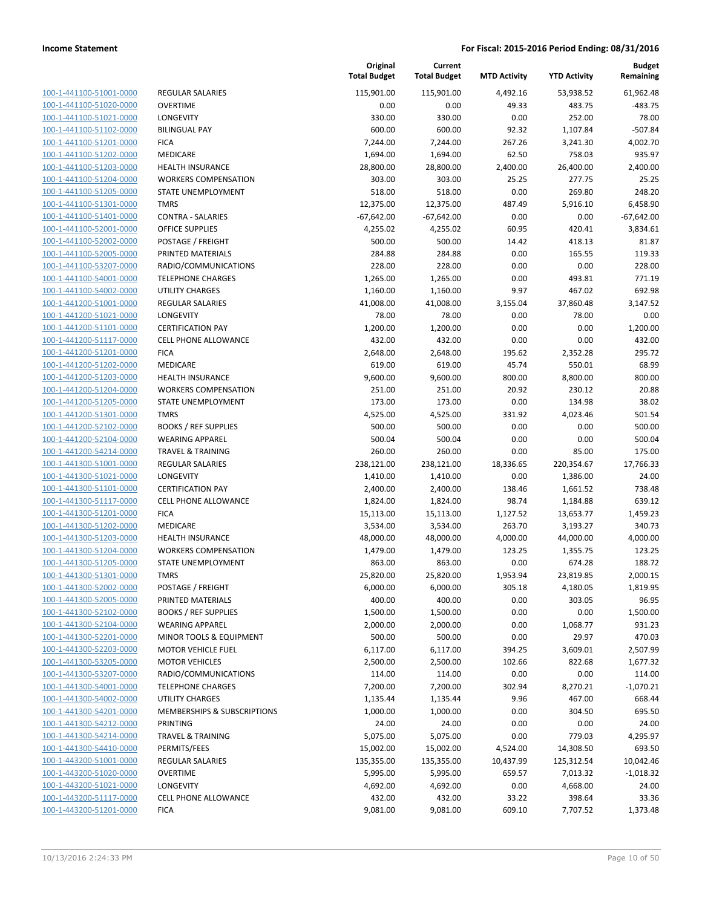| 100-1-441100-51001-0000        |
|--------------------------------|
| 100-1-441100-51020-0000        |
| 100-1-441100-51021-0000        |
| 100-1-441100-51102-0000        |
| 100-1-441100-51201-0000        |
| 100-1-441100-51202-0000        |
| 100-1-441100-51203-0000        |
| 100-1-441100-51204-0000        |
| <u>100-1-441100-51205-0000</u> |
| 100-1-441100-51301-0000        |
| 100-1-441100-51401-0000        |
| 100-1-441100-52001-0000        |
| 100-1-441100-52002-0000        |
| 100-1-441100-52005-0000        |
| 100-1-441100-53207-0000        |
| 100-1-441100-54001-0000        |
| 100-1-441100-54002-0000        |
| 100-1-441200-51001-0000        |
| <u>100-1-441200-51021-0000</u> |
| 100-1-441200-51101-0000        |
| 100-1-441200-51117-0000        |
| 100-1-441200-51201-0000        |
| 100-1-441200-51202-0000        |
| <u>100-1-441200-51203-0000</u> |
| 100-1-441200-51204-0000        |
| 100-1-441200-51205-0000        |
| 100-1-441200-51301-0000        |
| 100-1-441200-52102-0000        |
| 100-1-441200-52104-0000        |
| 100-1-441200-54214-0000        |
| 100-1-441300-51001-0000        |
| 100-1-441300-51021-0000        |
| 100-1-441300-51101-0000        |
| 100-1-441300-51117-0000        |
| 100-1-441300-51201-0000        |
| 100-1-441300-51202-0000        |
| 100-1-441300-51203-0000        |
| 100-1-441300-51204-0000        |
| 100-1-441300-51205-0000        |
| 100-1-441300-51301-0000        |
| 100-1-441300-52002-0000        |
| <u>100-1-441300-52005-0000</u> |
| 100-1-441300-52102-0000        |
| 100-1-441300-52104-0000        |
| <u>100-1-441300-52201-0000</u> |
| <u>100-1-441300-52203-0000</u> |
| 100-1-441300-53205-0000        |
| 100-1-441300-53207-0000        |
| 100-1-441300-54001-0000        |
|                                |
| <u>100-1-441300-54002-0000</u> |
| 100-1-441300-54201-0000        |
| 100-1-441300-54212-0000        |
| 100-1-441300-54214-0000        |
| 100-1-441300-54410-0000        |
| <u>100-1-443200-51001-0000</u> |
| 100-1-443200-51020-0000        |
| 100-1-443200-51021-0000        |
| 100-1-443200-51117-0000        |
| <u>100-1-443200-51201-0000</u> |

|                                                    |                                                        | Original<br><b>Total Budget</b> | Current<br><b>Total Budget</b> | <b>MTD Activity</b> | <b>YTD Activity</b> | <b>Budget</b><br>Remaining |
|----------------------------------------------------|--------------------------------------------------------|---------------------------------|--------------------------------|---------------------|---------------------|----------------------------|
| 100-1-441100-51001-0000                            | <b>REGULAR SALARIES</b>                                | 115,901.00                      | 115,901.00                     | 4,492.16            | 53,938.52           | 61,962.48                  |
| 100-1-441100-51020-0000                            | <b>OVERTIME</b>                                        | 0.00                            | 0.00                           | 49.33               | 483.75              | $-483.75$                  |
| 100-1-441100-51021-0000                            | LONGEVITY                                              | 330.00                          | 330.00                         | 0.00                | 252.00              | 78.00                      |
| 100-1-441100-51102-0000                            | <b>BILINGUAL PAY</b>                                   | 600.00                          | 600.00                         | 92.32               | 1,107.84            | $-507.84$                  |
| 100-1-441100-51201-0000                            | <b>FICA</b>                                            | 7,244.00                        | 7,244.00                       | 267.26              | 3,241.30            | 4,002.70                   |
| 100-1-441100-51202-0000                            | MEDICARE                                               | 1,694.00                        | 1,694.00                       | 62.50               | 758.03              | 935.97                     |
| 100-1-441100-51203-0000                            | <b>HEALTH INSURANCE</b>                                | 28,800.00                       | 28,800.00                      | 2,400.00            | 26,400.00           | 2,400.00                   |
| 100-1-441100-51204-0000                            | <b>WORKERS COMPENSATION</b>                            | 303.00                          | 303.00                         | 25.25               | 277.75              | 25.25                      |
| 100-1-441100-51205-0000                            | STATE UNEMPLOYMENT                                     | 518.00                          | 518.00                         | 0.00                | 269.80              | 248.20                     |
| 100-1-441100-51301-0000                            | <b>TMRS</b>                                            | 12,375.00                       | 12,375.00                      | 487.49              | 5,916.10            | 6,458.90                   |
| 100-1-441100-51401-0000                            | <b>CONTRA - SALARIES</b>                               | $-67,642.00$                    | $-67,642.00$                   | 0.00                | 0.00                | $-67,642.00$               |
| 100-1-441100-52001-0000                            | <b>OFFICE SUPPLIES</b>                                 | 4,255.02                        | 4,255.02                       | 60.95               | 420.41              | 3,834.61                   |
| 100-1-441100-52002-0000                            | POSTAGE / FREIGHT                                      | 500.00                          | 500.00                         | 14.42               | 418.13              | 81.87                      |
| 100-1-441100-52005-0000                            | PRINTED MATERIALS                                      | 284.88                          | 284.88                         | 0.00                | 165.55              | 119.33                     |
| 100-1-441100-53207-0000                            | RADIO/COMMUNICATIONS                                   | 228.00                          | 228.00                         | 0.00                | 0.00                | 228.00                     |
| 100-1-441100-54001-0000                            | <b>TELEPHONE CHARGES</b>                               | 1,265.00                        | 1,265.00                       | 0.00                | 493.81              | 771.19                     |
| 100-1-441100-54002-0000                            | UTILITY CHARGES                                        | 1,160.00                        | 1,160.00                       | 9.97                | 467.02              | 692.98                     |
| 100-1-441200-51001-0000                            | <b>REGULAR SALARIES</b>                                | 41,008.00                       | 41,008.00                      | 3,155.04            | 37,860.48           | 3,147.52                   |
| 100-1-441200-51021-0000                            | LONGEVITY                                              | 78.00                           | 78.00                          | 0.00                | 78.00               | 0.00                       |
| 100-1-441200-51101-0000                            | <b>CERTIFICATION PAY</b>                               | 1,200.00                        | 1,200.00                       | 0.00                | 0.00                | 1,200.00                   |
| 100-1-441200-51117-0000<br>100-1-441200-51201-0000 | <b>CELL PHONE ALLOWANCE</b>                            | 432.00                          | 432.00                         | 0.00                | 0.00                | 432.00                     |
|                                                    | <b>FICA</b>                                            | 2,648.00                        | 2,648.00                       | 195.62              | 2,352.28            | 295.72                     |
| 100-1-441200-51202-0000<br>100-1-441200-51203-0000 | MEDICARE                                               | 619.00                          | 619.00                         | 45.74               | 550.01              | 68.99                      |
| 100-1-441200-51204-0000                            | <b>HEALTH INSURANCE</b><br><b>WORKERS COMPENSATION</b> | 9,600.00<br>251.00              | 9,600.00<br>251.00             | 800.00<br>20.92     | 8,800.00<br>230.12  | 800.00<br>20.88            |
| 100-1-441200-51205-0000                            | STATE UNEMPLOYMENT                                     | 173.00                          | 173.00                         | 0.00                | 134.98              | 38.02                      |
| 100-1-441200-51301-0000                            | <b>TMRS</b>                                            | 4,525.00                        | 4,525.00                       | 331.92              | 4,023.46            | 501.54                     |
| 100-1-441200-52102-0000                            | <b>BOOKS / REF SUPPLIES</b>                            | 500.00                          | 500.00                         | 0.00                | 0.00                | 500.00                     |
| 100-1-441200-52104-0000                            | <b>WEARING APPAREL</b>                                 | 500.04                          | 500.04                         | 0.00                | 0.00                | 500.04                     |
| 100-1-441200-54214-0000                            | <b>TRAVEL &amp; TRAINING</b>                           | 260.00                          | 260.00                         | 0.00                | 85.00               | 175.00                     |
| 100-1-441300-51001-0000                            | REGULAR SALARIES                                       | 238,121.00                      | 238,121.00                     | 18,336.65           | 220,354.67          | 17,766.33                  |
| 100-1-441300-51021-0000                            | LONGEVITY                                              | 1,410.00                        | 1,410.00                       | 0.00                | 1,386.00            | 24.00                      |
| 100-1-441300-51101-0000                            | <b>CERTIFICATION PAY</b>                               | 2,400.00                        | 2,400.00                       | 138.46              | 1,661.52            | 738.48                     |
| 100-1-441300-51117-0000                            | <b>CELL PHONE ALLOWANCE</b>                            | 1,824.00                        | 1,824.00                       | 98.74               | 1,184.88            | 639.12                     |
| 100-1-441300-51201-0000                            | <b>FICA</b>                                            | 15,113.00                       | 15,113.00                      | 1,127.52            | 13,653.77           | 1,459.23                   |
| 100-1-441300-51202-0000                            | MEDICARE                                               | 3,534.00                        | 3,534.00                       | 263.70              | 3,193.27            | 340.73                     |
| 100-1-441300-51203-0000                            | <b>HEALTH INSURANCE</b>                                | 48,000.00                       | 48,000.00                      | 4,000.00            | 44,000.00           | 4,000.00                   |
| 100-1-441300-51204-0000                            | <b>WORKERS COMPENSATION</b>                            | 1,479.00                        | 1,479.00                       | 123.25              | 1,355.75            | 123.25                     |
| 100-1-441300-51205-0000                            | STATE UNEMPLOYMENT                                     | 863.00                          | 863.00                         | 0.00                | 674.28              | 188.72                     |
| 100-1-441300-51301-0000                            | TMRS                                                   | 25,820.00                       | 25,820.00                      | 1,953.94            | 23,819.85           | 2,000.15                   |
| 100-1-441300-52002-0000                            | POSTAGE / FREIGHT                                      | 6,000.00                        | 6,000.00                       | 305.18              | 4,180.05            | 1,819.95                   |
| 100-1-441300-52005-0000                            | PRINTED MATERIALS                                      | 400.00                          | 400.00                         | 0.00                | 303.05              | 96.95                      |
| 100-1-441300-52102-0000                            | <b>BOOKS / REF SUPPLIES</b>                            | 1,500.00                        | 1,500.00                       | 0.00                | 0.00                | 1,500.00                   |
| 100-1-441300-52104-0000                            | <b>WEARING APPAREL</b>                                 | 2,000.00                        | 2,000.00                       | 0.00                | 1,068.77            | 931.23                     |
| 100-1-441300-52201-0000                            | MINOR TOOLS & EQUIPMENT                                | 500.00                          | 500.00                         | 0.00                | 29.97               | 470.03                     |
| 100-1-441300-52203-0000                            | <b>MOTOR VEHICLE FUEL</b>                              | 6,117.00                        | 6,117.00                       | 394.25              | 3,609.01            | 2,507.99                   |
| 100-1-441300-53205-0000                            | <b>MOTOR VEHICLES</b>                                  | 2,500.00                        | 2,500.00                       | 102.66              | 822.68              | 1,677.32                   |
| 100-1-441300-53207-0000                            | RADIO/COMMUNICATIONS                                   | 114.00                          | 114.00                         | 0.00                | 0.00                | 114.00                     |
| 100-1-441300-54001-0000                            | <b>TELEPHONE CHARGES</b>                               | 7,200.00                        | 7,200.00                       | 302.94              | 8,270.21            | $-1,070.21$                |
| 100-1-441300-54002-0000                            | <b>UTILITY CHARGES</b>                                 | 1,135.44                        | 1,135.44                       | 9.96                | 467.00              | 668.44                     |
| 100-1-441300-54201-0000                            | <b>MEMBERSHIPS &amp; SUBSCRIPTIONS</b>                 | 1,000.00                        | 1,000.00                       | 0.00                | 304.50              | 695.50                     |
| 100-1-441300-54212-0000                            | PRINTING                                               | 24.00                           | 24.00                          | 0.00                | 0.00                | 24.00                      |
| 100-1-441300-54214-0000                            | <b>TRAVEL &amp; TRAINING</b>                           | 5,075.00                        | 5,075.00                       | 0.00                | 779.03              | 4,295.97                   |
| 100-1-441300-54410-0000                            | PERMITS/FEES                                           | 15,002.00                       | 15,002.00                      | 4,524.00            | 14,308.50           | 693.50                     |
| 100-1-443200-51001-0000                            | REGULAR SALARIES                                       | 135,355.00                      | 135,355.00                     | 10,437.99           | 125,312.54          | 10,042.46                  |
| 100-1-443200-51020-0000                            | <b>OVERTIME</b>                                        | 5,995.00                        | 5,995.00                       | 659.57              | 7,013.32            | $-1,018.32$                |
| 100-1-443200-51021-0000                            | LONGEVITY                                              | 4,692.00                        | 4,692.00                       | 0.00                | 4,668.00            | 24.00                      |
| 100-1-443200-51117-0000                            | CELL PHONE ALLOWANCE                                   | 432.00                          | 432.00                         | 33.22               | 398.64              | 33.36                      |
| 100-1-443200-51201-0000                            | <b>FICA</b>                                            | 9,081.00                        | 9,081.00                       | 609.10              | 7,707.52            | 1,373.48                   |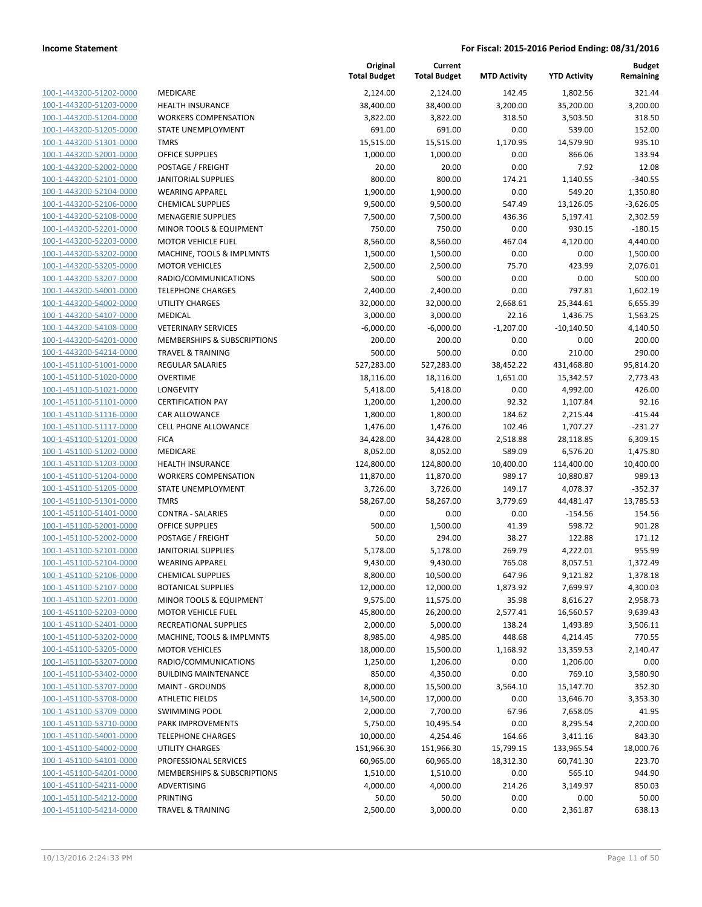| 100-1-443200-51202-0000        | MEDICAI            |
|--------------------------------|--------------------|
| 100-1-443200-51203-0000        | <b>HEALTH</b>      |
| 100-1-443200-51204-0000        | <b>WORKER</b>      |
| 100-1-443200-51205-0000        | <b>STATE UI</b>    |
| 100-1-443200-51301-0000        | TMRS               |
| 100-1-443200-52001-0000        | <b>OFFICE S</b>    |
| 100-1-443200-52002-0000        | POSTAGI            |
| 100-1-443200-52101-0000        | <b>JANITOR</b>     |
| 100-1-443200-52104-0000        | <b>WEARIN</b>      |
| 100-1-443200-52106-0000        | <b>CHEMICA</b>     |
| 100-1-443200-52108-0000        | MENAGE             |
| 100-1-443200-52201-0000        | <b>MINOR T</b>     |
| 100-1-443200-52203-0000        | MOTOR <sup>'</sup> |
| 100-1-443200-53202-0000        | <b>MACHIN</b>      |
| 100-1-443200-53205-0000        | MOTOR <sup>'</sup> |
| 100-1-443200-53207-0000        | RADIO/C            |
| 100-1-443200-54001-0000        | <b>TELEPHO</b>     |
| 100-1-443200-54002-0000        | UTILITY (          |
| 100-1-443200-54107-0000        | <b>MEDICAL</b>     |
| 100-1-443200-54108-0000        | <b>VETERIN.</b>    |
| 100-1-443200-54201-0000        | <b>MEMBEF</b>      |
| 100-1-443200-54214-0000        | TRAVEL &           |
| 100-1-451100-51001-0000        | <b>REGULAR</b>     |
| 100-1-451100-51020-0000        | OVERTIN            |
| 100-1-451100-51021-0000        | LONGEVI            |
| 100-1-451100-51101-0000        | <b>CERTIFIC</b>    |
| 100-1-451100-51116-0000        | <b>CAR ALLO</b>    |
| 100-1-451100-51117-0000        | <b>CELL PHO</b>    |
| 100-1-451100-51201-0000        | <b>FICA</b>        |
| 100-1-451100-51202-0000        | <b>MEDICAR</b>     |
| 100-1-451100-51203-0000        | <b>HEALTH</b>      |
| 100-1-451100-51204-0000        | <b>WORKER</b>      |
| 100-1-451100-51205-0000        | <b>STATE UI</b>    |
| 100-1-451100-51301-0000        | TMRS               |
| 100-1-451100-51401-0000        | <b>CONTRA</b>      |
| 100-1-451100-52001-0000        | OFFICE S           |
| 100-1-451100-52002-0000        | POSTAGI            |
| 100-1-451100-52101-0000        | <b>JANITOR</b>     |
| 100-1-451100-52104-0000        | <b>WEARIN</b>      |
| 100-1-451100-52106-0000        | <b>CHEMICA</b>     |
| 100-1-451100-52107-0000        | <b>BOTANIC</b>     |
| 100-1-451100-52201-0000        | MINOR T            |
| 100-1-451100-52203-0000        | MOTOR <sup>'</sup> |
| 100-1-451100-52401-0000        | <b>RECREAT</b>     |
| 100-1-451100-53202-0000        | <b>MACHIN</b>      |
| 100-1-451100-53205-0000        | MOTOR <sup>'</sup> |
| 100-1-451100-53207-0000        | RADIO/C            |
| 100-1-451100-53402-0000        | <b>BUILDING</b>    |
| 100-1-451100-53707-0000        | MAINT-             |
| 100-1-451100-53708-0000        | ATHLETI            |
| 100-1-451100-53709-0000        | SWIMMI             |
| 100-1-451100-53710-0000        | PARK IM            |
| 100-1-451100-54001-0000        | <b>TELEPHO</b>     |
| 100-1-451100-54002-0000        | UTILITY (          |
| 100-1-451100-54101-0000        | <b>PROFESS</b>     |
| 100-1-451100-54201-0000        | <b>MEMBEF</b>      |
| 100-1-451100-54211-0000        | ADVERTI            |
| <u>100-1-451100-54212-0000</u> | PRINTING           |
| 100-1-451100-54214-0000        | TRAVEL 8           |
|                                |                    |

|                         |                              | Original<br><b>Total Budget</b> | Current<br><b>Total Budget</b> | <b>MTD Activity</b> | <b>YTD Activity</b> | <b>Budget</b><br>Remaining |
|-------------------------|------------------------------|---------------------------------|--------------------------------|---------------------|---------------------|----------------------------|
| 100-1-443200-51202-0000 | MEDICARE                     | 2,124.00                        | 2,124.00                       | 142.45              | 1,802.56            | 321.44                     |
| 100-1-443200-51203-0000 | HEALTH INSURANCE             | 38,400.00                       | 38,400.00                      | 3,200.00            | 35,200.00           | 3,200.00                   |
| 100-1-443200-51204-0000 | <b>WORKERS COMPENSATION</b>  | 3,822.00                        | 3,822.00                       | 318.50              | 3,503.50            | 318.50                     |
| 100-1-443200-51205-0000 | STATE UNEMPLOYMENT           | 691.00                          | 691.00                         | 0.00                | 539.00              | 152.00                     |
| 100-1-443200-51301-0000 | <b>TMRS</b>                  | 15,515.00                       | 15,515.00                      | 1,170.95            | 14,579.90           | 935.10                     |
| 100-1-443200-52001-0000 | <b>OFFICE SUPPLIES</b>       | 1,000.00                        | 1,000.00                       | 0.00                | 866.06              | 133.94                     |
| 100-1-443200-52002-0000 | POSTAGE / FREIGHT            | 20.00                           | 20.00                          | 0.00                | 7.92                | 12.08                      |
| 100-1-443200-52101-0000 | <b>JANITORIAL SUPPLIES</b>   | 800.00                          | 800.00                         | 174.21              | 1,140.55            | $-340.55$                  |
| 100-1-443200-52104-0000 | <b>WEARING APPAREL</b>       | 1,900.00                        | 1,900.00                       | 0.00                | 549.20              | 1,350.80                   |
| 100-1-443200-52106-0000 | <b>CHEMICAL SUPPLIES</b>     | 9,500.00                        | 9,500.00                       | 547.49              | 13,126.05           | $-3,626.05$                |
| 100-1-443200-52108-0000 | <b>MENAGERIE SUPPLIES</b>    | 7,500.00                        | 7,500.00                       | 436.36              | 5,197.41            | 2,302.59                   |
| 100-1-443200-52201-0000 | MINOR TOOLS & EQUIPMENT      | 750.00                          | 750.00                         | 0.00                | 930.15              | $-180.15$                  |
| 100-1-443200-52203-0000 | <b>MOTOR VEHICLE FUEL</b>    | 8,560.00                        | 8,560.00                       | 467.04              | 4,120.00            | 4,440.00                   |
| 100-1-443200-53202-0000 | MACHINE, TOOLS & IMPLMNTS    | 1,500.00                        | 1,500.00                       | 0.00                | 0.00                | 1,500.00                   |
| 100-1-443200-53205-0000 | <b>MOTOR VEHICLES</b>        | 2,500.00                        | 2,500.00                       | 75.70               | 423.99              | 2,076.01                   |
| 100-1-443200-53207-0000 | RADIO/COMMUNICATIONS         | 500.00                          | 500.00                         | 0.00                | 0.00                | 500.00                     |
| 100-1-443200-54001-0000 | <b>TELEPHONE CHARGES</b>     | 2,400.00                        | 2,400.00                       | 0.00                | 797.81              | 1,602.19                   |
| 100-1-443200-54002-0000 | <b>UTILITY CHARGES</b>       | 32,000.00                       | 32,000.00                      | 2,668.61            | 25,344.61           | 6,655.39                   |
| 100-1-443200-54107-0000 | <b>MEDICAL</b>               | 3,000.00                        | 3,000.00                       | 22.16               | 1,436.75            | 1,563.25                   |
| 100-1-443200-54108-0000 | <b>VETERINARY SERVICES</b>   | $-6,000.00$                     | $-6,000.00$                    | $-1,207.00$         | $-10,140.50$        | 4,140.50                   |
| 100-1-443200-54201-0000 | MEMBERSHIPS & SUBSCRIPTIONS  | 200.00                          | 200.00                         | 0.00                | 0.00                | 200.00                     |
| 100-1-443200-54214-0000 | <b>TRAVEL &amp; TRAINING</b> | 500.00                          | 500.00                         | 0.00                | 210.00              | 290.00                     |
| 100-1-451100-51001-0000 | REGULAR SALARIES             | 527,283.00                      | 527,283.00                     | 38,452.22           | 431,468.80          | 95,814.20                  |
| 100-1-451100-51020-0000 | <b>OVERTIME</b>              | 18,116.00                       | 18,116.00                      | 1,651.00            | 15,342.57           | 2,773.43                   |
| 100-1-451100-51021-0000 | LONGEVITY                    | 5,418.00                        | 5,418.00                       | 0.00                | 4,992.00            | 426.00                     |
| 100-1-451100-51101-0000 | <b>CERTIFICATION PAY</b>     | 1,200.00                        | 1,200.00                       | 92.32               | 1,107.84            | 92.16                      |
| 100-1-451100-51116-0000 | CAR ALLOWANCE                | 1,800.00                        | 1,800.00                       | 184.62              | 2,215.44            | $-415.44$                  |
| 100-1-451100-51117-0000 | <b>CELL PHONE ALLOWANCE</b>  | 1,476.00                        | 1,476.00                       | 102.46              | 1,707.27            | $-231.27$                  |
| 100-1-451100-51201-0000 | <b>FICA</b>                  | 34,428.00                       | 34,428.00                      | 2,518.88            | 28,118.85           | 6,309.15                   |
| 100-1-451100-51202-0000 | MEDICARE                     | 8,052.00                        | 8,052.00                       | 589.09              | 6,576.20            | 1,475.80                   |
| 100-1-451100-51203-0000 | <b>HEALTH INSURANCE</b>      | 124,800.00                      | 124,800.00                     | 10,400.00           | 114,400.00          | 10,400.00                  |
| 100-1-451100-51204-0000 | <b>WORKERS COMPENSATION</b>  | 11,870.00                       | 11,870.00                      | 989.17              | 10,880.87           | 989.13                     |
| 100-1-451100-51205-0000 | STATE UNEMPLOYMENT           | 3,726.00                        | 3,726.00                       | 149.17              | 4,078.37            | $-352.37$                  |
| 100-1-451100-51301-0000 | <b>TMRS</b>                  | 58,267.00                       | 58,267.00                      | 3,779.69            | 44,481.47           | 13,785.53                  |
| 100-1-451100-51401-0000 | <b>CONTRA - SALARIES</b>     | 0.00                            | 0.00                           | 0.00                | $-154.56$           | 154.56                     |
| 100-1-451100-52001-0000 | <b>OFFICE SUPPLIES</b>       | 500.00                          | 1,500.00                       | 41.39               | 598.72              | 901.28                     |
| 100-1-451100-52002-0000 | POSTAGE / FREIGHT            | 50.00                           | 294.00                         | 38.27               | 122.88              | 171.12                     |
| 100-1-451100-52101-0000 | <b>JANITORIAL SUPPLIES</b>   | 5,178.00                        | 5,178.00                       | 269.79              | 4,222.01            | 955.99                     |
| 100-1-451100-52104-0000 | <b>WEARING APPAREL</b>       | 9,430.00                        | 9,430.00                       | 765.08              | 8,057.51            | 1,372.49                   |
| 100-1-451100-52106-0000 | <b>CHEMICAL SUPPLIES</b>     | 8,800.00                        | 10,500.00                      | 647.96              | 9,121.82            | 1,378.18                   |
| 100-1-451100-52107-0000 | <b>BOTANICAL SUPPLIES</b>    | 12,000.00                       | 12,000.00                      | 1,873.92            | 7,699.97            | 4,300.03                   |
| 100-1-451100-52201-0000 | MINOR TOOLS & EQUIPMENT      | 9,575.00                        | 11,575.00                      | 35.98               | 8,616.27            | 2,958.73                   |
| 100-1-451100-52203-0000 | <b>MOTOR VEHICLE FUEL</b>    | 45,800.00                       | 26,200.00                      | 2,577.41            | 16,560.57           | 9,639.43                   |
| 100-1-451100-52401-0000 | <b>RECREATIONAL SUPPLIES</b> | 2,000.00                        | 5,000.00                       | 138.24              | 1,493.89            | 3,506.11                   |
| 100-1-451100-53202-0000 | MACHINE, TOOLS & IMPLMNTS    | 8,985.00                        | 4,985.00                       | 448.68              | 4,214.45            | 770.55                     |
| 100-1-451100-53205-0000 | <b>MOTOR VEHICLES</b>        | 18,000.00                       | 15,500.00                      | 1,168.92            | 13,359.53           | 2,140.47                   |
| 100-1-451100-53207-0000 | RADIO/COMMUNICATIONS         | 1,250.00                        | 1,206.00                       | 0.00                | 1,206.00            | 0.00                       |
| 100-1-451100-53402-0000 | <b>BUILDING MAINTENANCE</b>  | 850.00                          | 4,350.00                       | 0.00                | 769.10              | 3,580.90                   |
| 100-1-451100-53707-0000 | <b>MAINT - GROUNDS</b>       | 8,000.00                        | 15,500.00                      | 3,564.10            | 15,147.70           | 352.30                     |
| 100-1-451100-53708-0000 | <b>ATHLETIC FIELDS</b>       | 14,500.00                       | 17,000.00                      | 0.00                | 13,646.70           | 3,353.30                   |
| 100-1-451100-53709-0000 | SWIMMING POOL                | 2,000.00                        | 7,700.00                       | 67.96               | 7,658.05            | 41.95                      |
| 100-1-451100-53710-0000 | PARK IMPROVEMENTS            | 5,750.00                        | 10,495.54                      | 0.00                | 8,295.54            | 2,200.00                   |
| 100-1-451100-54001-0000 | <b>TELEPHONE CHARGES</b>     | 10,000.00                       | 4,254.46                       | 164.66              | 3,411.16            | 843.30                     |
| 100-1-451100-54002-0000 | <b>UTILITY CHARGES</b>       | 151,966.30                      | 151,966.30                     | 15,799.15           | 133,965.54          | 18,000.76                  |
| 100-1-451100-54101-0000 | PROFESSIONAL SERVICES        | 60,965.00                       | 60,965.00                      | 18,312.30           | 60,741.30           | 223.70                     |
| 100-1-451100-54201-0000 | MEMBERSHIPS & SUBSCRIPTIONS  | 1,510.00                        | 1,510.00                       | 0.00                | 565.10              | 944.90                     |
| 100-1-451100-54211-0000 | ADVERTISING                  | 4,000.00                        | 4,000.00                       | 214.26              | 3,149.97            | 850.03                     |
| 100-1-451100-54212-0000 | PRINTING                     | 50.00                           | 50.00                          | 0.00                | 0.00                | 50.00                      |
| 100-1-451100-54214-0000 | <b>TRAVEL &amp; TRAINING</b> | 2,500.00                        | 3,000.00                       | 0.00                | 2,361.87            | 638.13                     |
|                         |                              |                                 |                                |                     |                     |                            |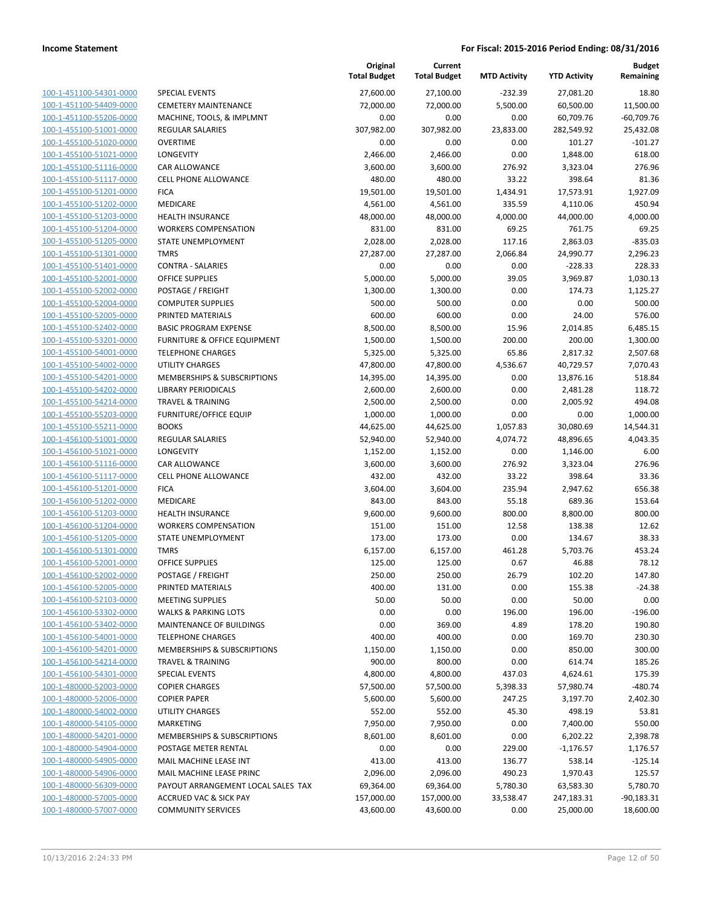|                         |                                    | Original<br><b>Total Budget</b> | Current<br><b>Total Budget</b> | <b>MTD Activity</b> | <b>YTD Activity</b> | <b>Budget</b><br>Remaining |
|-------------------------|------------------------------------|---------------------------------|--------------------------------|---------------------|---------------------|----------------------------|
| 100-1-451100-54301-0000 | <b>SPECIAL EVENTS</b>              | 27,600.00                       | 27,100.00                      | $-232.39$           | 27,081.20           | 18.80                      |
| 100-1-451100-54409-0000 | <b>CEMETERY MAINTENANCE</b>        | 72,000.00                       | 72,000.00                      | 5,500.00            | 60,500.00           | 11,500.00                  |
| 100-1-451100-55206-0000 | MACHINE, TOOLS, & IMPLMNT          | 0.00                            | 0.00                           | 0.00                | 60,709.76           | $-60,709.76$               |
| 100-1-455100-51001-0000 | REGULAR SALARIES                   | 307,982.00                      | 307,982.00                     | 23,833.00           | 282,549.92          | 25,432.08                  |
| 100-1-455100-51020-0000 | <b>OVERTIME</b>                    | 0.00                            | 0.00                           | 0.00                | 101.27              | $-101.27$                  |
| 100-1-455100-51021-0000 | LONGEVITY                          | 2,466.00                        | 2,466.00                       | 0.00                | 1,848.00            | 618.00                     |
| 100-1-455100-51116-0000 | CAR ALLOWANCE                      | 3,600.00                        | 3,600.00                       | 276.92              | 3,323.04            | 276.96                     |
| 100-1-455100-51117-0000 | <b>CELL PHONE ALLOWANCE</b>        | 480.00                          | 480.00                         | 33.22               | 398.64              | 81.36                      |
| 100-1-455100-51201-0000 | <b>FICA</b>                        | 19,501.00                       | 19,501.00                      | 1,434.91            | 17,573.91           | 1,927.09                   |
| 100-1-455100-51202-0000 | MEDICARE                           | 4,561.00                        | 4,561.00                       | 335.59              | 4,110.06            | 450.94                     |
| 100-1-455100-51203-0000 | <b>HEALTH INSURANCE</b>            | 48,000.00                       | 48,000.00                      | 4,000.00            | 44,000.00           | 4,000.00                   |
| 100-1-455100-51204-0000 | <b>WORKERS COMPENSATION</b>        | 831.00                          | 831.00                         | 69.25               | 761.75              | 69.25                      |
| 100-1-455100-51205-0000 | STATE UNEMPLOYMENT                 | 2,028.00                        | 2,028.00                       | 117.16              | 2,863.03            | $-835.03$                  |
| 100-1-455100-51301-0000 | <b>TMRS</b>                        | 27,287.00                       | 27,287.00                      | 2,066.84            | 24,990.77           | 2,296.23                   |
| 100-1-455100-51401-0000 | <b>CONTRA - SALARIES</b>           | 0.00                            | 0.00                           | 0.00                | $-228.33$           | 228.33                     |
| 100-1-455100-52001-0000 | <b>OFFICE SUPPLIES</b>             | 5,000.00                        | 5,000.00                       | 39.05               | 3,969.87            | 1,030.13                   |
| 100-1-455100-52002-0000 | POSTAGE / FREIGHT                  | 1,300.00                        | 1,300.00                       | 0.00                | 174.73              | 1,125.27                   |
| 100-1-455100-52004-0000 | <b>COMPUTER SUPPLIES</b>           | 500.00                          | 500.00                         | 0.00                | 0.00                | 500.00                     |
| 100-1-455100-52005-0000 | PRINTED MATERIALS                  | 600.00                          | 600.00                         | 0.00                | 24.00               | 576.00                     |
| 100-1-455100-52402-0000 | <b>BASIC PROGRAM EXPENSE</b>       | 8,500.00                        | 8,500.00                       | 15.96               | 2,014.85            | 6,485.15                   |
| 100-1-455100-53201-0000 | FURNITURE & OFFICE EQUIPMENT       | 1,500.00                        | 1,500.00                       | 200.00              | 200.00              | 1,300.00                   |
| 100-1-455100-54001-0000 | <b>TELEPHONE CHARGES</b>           | 5,325.00                        | 5,325.00                       | 65.86               | 2,817.32            | 2,507.68                   |
| 100-1-455100-54002-0000 | <b>UTILITY CHARGES</b>             | 47,800.00                       | 47,800.00                      | 4,536.67            | 40,729.57           | 7,070.43                   |
| 100-1-455100-54201-0000 | MEMBERSHIPS & SUBSCRIPTIONS        | 14,395.00                       | 14,395.00                      | 0.00                | 13,876.16           | 518.84                     |
| 100-1-455100-54202-0000 | <b>LIBRARY PERIODICALS</b>         | 2,600.00                        | 2,600.00                       | 0.00                | 2,481.28            | 118.72                     |
| 100-1-455100-54214-0000 | <b>TRAVEL &amp; TRAINING</b>       | 2,500.00                        | 2,500.00                       | 0.00                | 2,005.92            | 494.08                     |
| 100-1-455100-55203-0000 | <b>FURNITURE/OFFICE EQUIP</b>      | 1,000.00                        | 1,000.00                       | 0.00                | 0.00                | 1,000.00                   |
| 100-1-455100-55211-0000 | <b>BOOKS</b>                       | 44,625.00                       | 44,625.00                      | 1,057.83            | 30,080.69           | 14,544.31                  |
| 100-1-456100-51001-0000 | <b>REGULAR SALARIES</b>            | 52,940.00                       | 52,940.00                      | 4,074.72            | 48,896.65           | 4,043.35                   |
| 100-1-456100-51021-0000 | LONGEVITY                          | 1,152.00                        | 1,152.00                       | 0.00                | 1,146.00            | 6.00                       |
| 100-1-456100-51116-0000 | CAR ALLOWANCE                      | 3,600.00                        | 3,600.00                       | 276.92              | 3,323.04            | 276.96                     |
| 100-1-456100-51117-0000 | <b>CELL PHONE ALLOWANCE</b>        | 432.00                          | 432.00                         | 33.22               | 398.64              | 33.36                      |
| 100-1-456100-51201-0000 | <b>FICA</b>                        | 3,604.00                        | 3,604.00                       | 235.94              | 2,947.62            | 656.38                     |
| 100-1-456100-51202-0000 | <b>MEDICARE</b>                    | 843.00                          | 843.00                         | 55.18               | 689.36              | 153.64                     |
| 100-1-456100-51203-0000 | <b>HEALTH INSURANCE</b>            | 9,600.00                        | 9,600.00                       | 800.00              | 8,800.00            | 800.00                     |
| 100-1-456100-51204-0000 | <b>WORKERS COMPENSATION</b>        | 151.00                          | 151.00                         | 12.58               | 138.38              | 12.62                      |
| 100-1-456100-51205-0000 | STATE UNEMPLOYMENT                 | 173.00                          | 173.00                         | 0.00                | 134.67              | 38.33                      |
| 100-1-456100-51301-0000 | <b>TMRS</b>                        | 6,157.00                        | 6,157.00                       | 461.28              | 5,703.76            | 453.24                     |
| 100-1-456100-52001-0000 | <b>OFFICE SUPPLIES</b>             | 125.00                          | 125.00                         | 0.67                | 46.88               | 78.12                      |
| 100-1-456100-52002-0000 | POSTAGE / FREIGHT                  | 250.00                          | 250.00                         | 26.79               | 102.20              | 147.80                     |
| 100-1-456100-52005-0000 | PRINTED MATERIALS                  | 400.00                          | 131.00                         | 0.00                | 155.38              | $-24.38$                   |
| 100-1-456100-52103-0000 | <b>MEETING SUPPLIES</b>            | 50.00                           | 50.00                          | 0.00                | 50.00               | 0.00                       |
| 100-1-456100-53302-0000 | <b>WALKS &amp; PARKING LOTS</b>    | 0.00                            | 0.00                           | 196.00              | 196.00              | $-196.00$                  |
| 100-1-456100-53402-0000 | <b>MAINTENANCE OF BUILDINGS</b>    | 0.00                            | 369.00                         | 4.89                | 178.20              | 190.80                     |
| 100-1-456100-54001-0000 | <b>TELEPHONE CHARGES</b>           | 400.00                          | 400.00                         | 0.00                | 169.70              | 230.30                     |
| 100-1-456100-54201-0000 | MEMBERSHIPS & SUBSCRIPTIONS        | 1,150.00                        | 1,150.00                       | 0.00                | 850.00              | 300.00                     |
| 100-1-456100-54214-0000 | <b>TRAVEL &amp; TRAINING</b>       | 900.00                          | 800.00                         | 0.00                | 614.74              | 185.26                     |
| 100-1-456100-54301-0000 | <b>SPECIAL EVENTS</b>              | 4,800.00                        | 4,800.00                       | 437.03              | 4,624.61            | 175.39                     |
| 100-1-480000-52003-0000 | <b>COPIER CHARGES</b>              | 57,500.00                       | 57,500.00                      | 5,398.33            | 57,980.74           | $-480.74$                  |
| 100-1-480000-52006-0000 | <b>COPIER PAPER</b>                | 5,600.00                        | 5,600.00                       | 247.25              | 3,197.70            | 2,402.30                   |
| 100-1-480000-54002-0000 | <b>UTILITY CHARGES</b>             | 552.00                          | 552.00                         | 45.30               | 498.19              | 53.81                      |
| 100-1-480000-54105-0000 | <b>MARKETING</b>                   | 7,950.00                        | 7,950.00                       | 0.00                | 7,400.00            | 550.00                     |
| 100-1-480000-54201-0000 | MEMBERSHIPS & SUBSCRIPTIONS        | 8,601.00                        | 8,601.00                       | 0.00                | 6,202.22            | 2,398.78                   |
| 100-1-480000-54904-0000 | POSTAGE METER RENTAL               | 0.00                            | 0.00                           | 229.00              | $-1,176.57$         | 1,176.57                   |
| 100-1-480000-54905-0000 | MAIL MACHINE LEASE INT             | 413.00                          | 413.00                         | 136.77              | 538.14              | $-125.14$                  |
| 100-1-480000-54906-0000 | MAIL MACHINE LEASE PRINC           | 2,096.00                        | 2,096.00                       | 490.23              | 1,970.43            | 125.57                     |
| 100-1-480000-56309-0000 | PAYOUT ARRANGEMENT LOCAL SALES TAX | 69,364.00                       | 69,364.00                      | 5,780.30            | 63,583.30           | 5,780.70                   |
| 100-1-480000-57005-0000 | <b>ACCRUED VAC &amp; SICK PAY</b>  | 157,000.00                      | 157,000.00                     | 33,538.47           | 247,183.31          | $-90,183.31$               |
| 100-1-480000-57007-0000 | <b>COMMUNITY SERVICES</b>          | 43,600.00                       | 43,600.00                      | 0.00                | 25,000.00           | 18,600.00                  |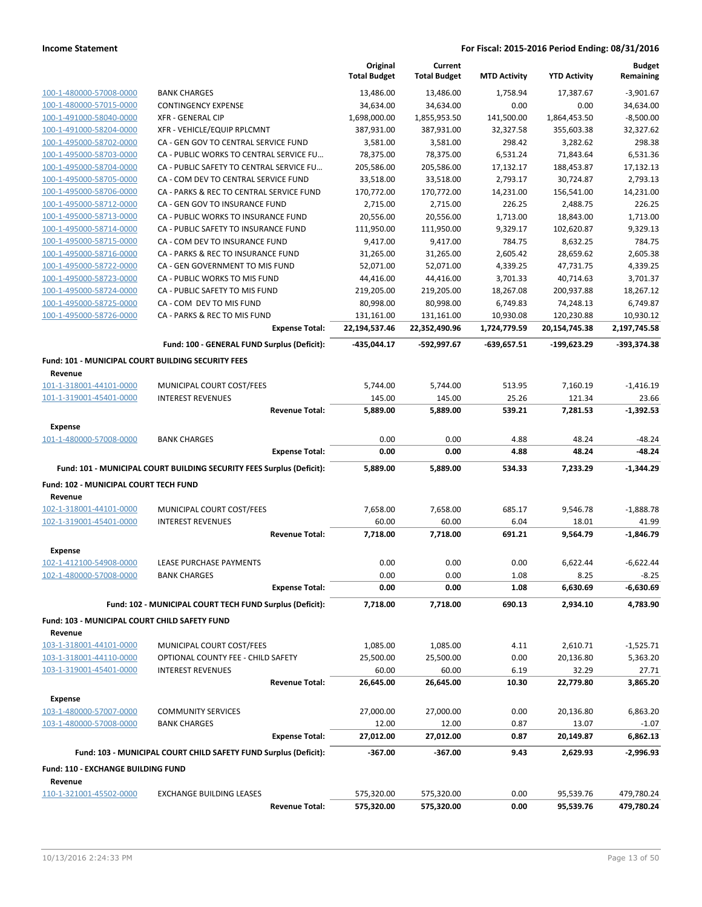|                                                               |                                                                       | Original<br><b>Total Budget</b> | Current<br><b>Total Budget</b> | <b>MTD Activity</b>   | <b>YTD Activity</b>     | <b>Budget</b><br>Remaining |
|---------------------------------------------------------------|-----------------------------------------------------------------------|---------------------------------|--------------------------------|-----------------------|-------------------------|----------------------------|
| 100-1-480000-57008-0000                                       | <b>BANK CHARGES</b>                                                   | 13,486.00                       | 13,486.00                      | 1.758.94              | 17,387.67               | $-3,901.67$                |
| 100-1-480000-57015-0000                                       | <b>CONTINGENCY EXPENSE</b>                                            | 34,634.00                       | 34,634.00                      | 0.00                  | 0.00                    | 34,634.00                  |
| 100-1-491000-58040-0000                                       | <b>XFR - GENERAL CIP</b>                                              | 1,698,000.00                    | 1,855,953.50                   | 141,500.00            | 1,864,453.50            | $-8,500.00$                |
| 100-1-491000-58204-0000                                       | XFR - VEHICLE/EQUIP RPLCMNT                                           | 387,931.00                      | 387,931.00                     | 32,327.58             | 355,603.38              | 32,327.62                  |
| 100-1-495000-58702-0000                                       | CA - GEN GOV TO CENTRAL SERVICE FUND                                  | 3,581.00                        | 3,581.00                       | 298.42                | 3,282.62                | 298.38                     |
| 100-1-495000-58703-0000                                       | CA - PUBLIC WORKS TO CENTRAL SERVICE FU                               | 78,375.00                       | 78,375.00                      | 6,531.24              | 71,843.64               | 6,531.36                   |
| 100-1-495000-58704-0000                                       | CA - PUBLIC SAFETY TO CENTRAL SERVICE FU                              | 205,586.00                      | 205,586.00                     | 17,132.17             | 188,453.87              | 17,132.13                  |
| 100-1-495000-58705-0000                                       | CA - COM DEV TO CENTRAL SERVICE FUND                                  | 33,518.00                       | 33,518.00                      | 2,793.17              | 30,724.87               | 2,793.13                   |
| 100-1-495000-58706-0000                                       | CA - PARKS & REC TO CENTRAL SERVICE FUND                              | 170,772.00                      | 170,772.00                     | 14,231.00             | 156,541.00              | 14,231.00                  |
| 100-1-495000-58712-0000                                       | CA - GEN GOV TO INSURANCE FUND                                        | 2,715.00                        | 2,715.00                       | 226.25                | 2,488.75                | 226.25                     |
| 100-1-495000-58713-0000                                       | CA - PUBLIC WORKS TO INSURANCE FUND                                   | 20,556.00                       | 20,556.00                      | 1,713.00              | 18,843.00               | 1,713.00                   |
| 100-1-495000-58714-0000                                       | CA - PUBLIC SAFETY TO INSURANCE FUND                                  | 111,950.00                      | 111,950.00                     | 9,329.17              | 102,620.87              | 9,329.13                   |
| 100-1-495000-58715-0000                                       | CA - COM DEV TO INSURANCE FUND                                        | 9,417.00                        | 9,417.00                       | 784.75                | 8,632.25                | 784.75                     |
| 100-1-495000-58716-0000                                       | CA - PARKS & REC TO INSURANCE FUND                                    | 31,265.00                       | 31,265.00                      | 2,605.42              | 28,659.62               | 2,605.38                   |
| 100-1-495000-58722-0000                                       | CA - GEN GOVERNMENT TO MIS FUND                                       | 52,071.00                       | 52,071.00                      | 4,339.25              | 47,731.75               | 4,339.25                   |
| 100-1-495000-58723-0000<br>100-1-495000-58724-0000            | CA - PUBLIC WORKS TO MIS FUND                                         | 44,416.00                       | 44,416.00<br>219,205.00        | 3,701.33              | 40,714.63               | 3,701.37                   |
|                                                               | CA - PUBLIC SAFETY TO MIS FUND<br>CA - COM DEV TO MIS FUND            | 219,205.00                      |                                | 18,267.08             | 200,937.88              | 18,267.12                  |
| 100-1-495000-58725-0000<br>100-1-495000-58726-0000            | CA - PARKS & REC TO MIS FUND                                          | 80,998.00<br>131,161.00         | 80,998.00<br>131,161.00        | 6,749.83<br>10,930.08 | 74,248.13<br>120,230.88 | 6,749.87<br>10,930.12      |
|                                                               | <b>Expense Total:</b>                                                 | 22,194,537.46                   | 22,352,490.96                  | 1,724,779.59          | 20,154,745.38           | 2,197,745.58               |
|                                                               |                                                                       |                                 |                                |                       |                         |                            |
|                                                               | Fund: 100 - GENERAL FUND Surplus (Deficit):                           | -435,044.17                     | -592,997.67                    | $-639,657.51$         | -199,623.29             | -393,374.38                |
| Fund: 101 - MUNICIPAL COURT BUILDING SECURITY FEES<br>Revenue |                                                                       |                                 |                                |                       |                         |                            |
| 101-1-318001-44101-0000                                       | MUNICIPAL COURT COST/FEES                                             | 5,744.00                        | 5,744.00                       | 513.95                | 7,160.19                | $-1,416.19$                |
| 101-1-319001-45401-0000                                       | <b>INTEREST REVENUES</b>                                              | 145.00                          | 145.00                         | 25.26                 | 121.34                  | 23.66                      |
|                                                               | <b>Revenue Total:</b>                                                 | 5,889.00                        | 5,889.00                       | 539.21                | 7,281.53                | $-1,392.53$                |
| Expense                                                       |                                                                       |                                 |                                |                       |                         |                            |
| 101-1-480000-57008-0000                                       | <b>BANK CHARGES</b>                                                   | 0.00                            | 0.00                           | 4.88                  | 48.24                   | $-48.24$                   |
|                                                               | <b>Expense Total:</b>                                                 | 0.00                            | 0.00                           | 4.88                  | 48.24                   | $-48.24$                   |
|                                                               | Fund: 101 - MUNICIPAL COURT BUILDING SECURITY FEES Surplus (Deficit): | 5,889.00                        | 5,889.00                       | 534.33                | 7,233.29                | $-1,344.29$                |
| Fund: 102 - MUNICIPAL COURT TECH FUND                         |                                                                       |                                 |                                |                       |                         |                            |
| Revenue                                                       |                                                                       |                                 |                                |                       |                         |                            |
| 102-1-318001-44101-0000                                       | MUNICIPAL COURT COST/FEES                                             | 7,658.00                        | 7,658.00                       | 685.17                | 9,546.78                | $-1,888.78$                |
| 102-1-319001-45401-0000                                       | <b>INTEREST REVENUES</b>                                              | 60.00                           | 60.00                          | 6.04                  | 18.01                   | 41.99                      |
|                                                               | <b>Revenue Total:</b>                                                 | 7,718.00                        | 7,718.00                       | 691.21                | 9,564.79                | $-1,846.79$                |
| Expense                                                       |                                                                       |                                 |                                |                       |                         |                            |
| 102-1-412100-54908-0000                                       | <b>LEASE PURCHASE PAYMENTS</b>                                        | 0.00                            | 0.00                           | 0.00                  | 6,622.44                | $-6,622.44$                |
| 102-1-480000-57008-0000                                       | <b>BANK CHARGES</b>                                                   | 0.00                            | 0.00                           | 1.08                  | 8.25                    | $-8.25$                    |
|                                                               | <b>Expense Total:</b>                                                 | 0.00                            | 0.00                           | 1.08                  | 6,630.69                | -6,630.69                  |
|                                                               | Fund: 102 - MUNICIPAL COURT TECH FUND Surplus (Deficit):              | 7,718.00                        |                                | 690.13                |                         | 4,783.90                   |
|                                                               |                                                                       |                                 | 7,718.00                       |                       | 2,934.10                |                            |
| Fund: 103 - MUNICIPAL COURT CHILD SAFETY FUND<br>Revenue      |                                                                       |                                 |                                |                       |                         |                            |
| 103-1-318001-44101-0000                                       | MUNICIPAL COURT COST/FEES                                             | 1,085.00                        | 1,085.00                       | 4.11                  | 2,610.71                | $-1,525.71$                |
| 103-1-318001-44110-0000                                       | OPTIONAL COUNTY FEE - CHILD SAFETY                                    | 25,500.00                       | 25,500.00                      | 0.00                  | 20,136.80               | 5,363.20                   |
| 103-1-319001-45401-0000                                       | <b>INTEREST REVENUES</b>                                              | 60.00                           | 60.00                          | 6.19                  | 32.29                   | 27.71                      |
|                                                               | <b>Revenue Total:</b>                                                 | 26,645.00                       | 26,645.00                      | 10.30                 | 22,779.80               | 3,865.20                   |
| <b>Expense</b>                                                |                                                                       |                                 |                                |                       |                         |                            |
| 103-1-480000-57007-0000                                       | <b>COMMUNITY SERVICES</b>                                             | 27,000.00                       | 27,000.00                      | 0.00                  | 20,136.80               | 6,863.20                   |
| 103-1-480000-57008-0000                                       | BANK CHARGES                                                          | 12.00                           | 12.00                          | 0.87                  | 13.07                   | $-1.07$                    |
|                                                               | <b>Expense Total:</b>                                                 | 27,012.00                       | 27,012.00                      | 0.87                  | 20,149.87               | 6,862.13                   |
|                                                               | Fund: 103 - MUNICIPAL COURT CHILD SAFETY FUND Surplus (Deficit):      | $-367.00$                       | -367.00                        | 9.43                  | 2,629.93                | -2,996.93                  |
| Fund: 110 - EXCHANGE BUILDING FUND                            |                                                                       |                                 |                                |                       |                         |                            |
| Revenue                                                       |                                                                       |                                 |                                |                       |                         |                            |
| 110-1-321001-45502-0000                                       | <b>EXCHANGE BUILDING LEASES</b>                                       | 575,320.00                      | 575,320.00                     | 0.00                  | 95,539.76               | 479,780.24                 |
|                                                               | <b>Revenue Total:</b>                                                 | 575,320.00                      | 575,320.00                     | 0.00                  | 95,539.76               | 479,780.24                 |
|                                                               |                                                                       |                                 |                                |                       |                         |                            |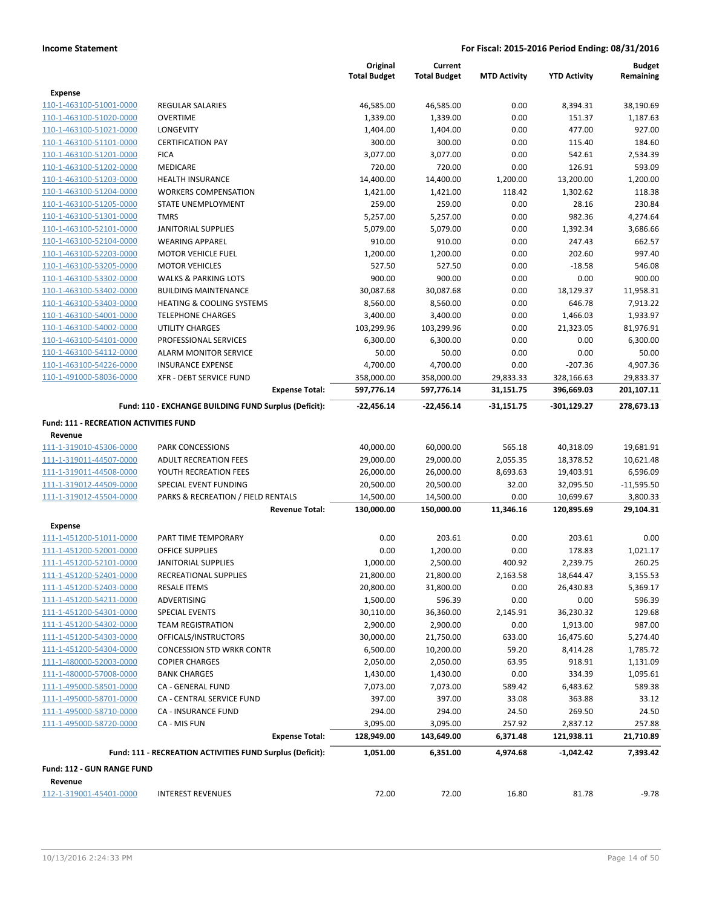|                                                           |                                                           | Original               | Current                |                     |                        | <b>Budget</b>        |
|-----------------------------------------------------------|-----------------------------------------------------------|------------------------|------------------------|---------------------|------------------------|----------------------|
|                                                           |                                                           | <b>Total Budget</b>    | <b>Total Budget</b>    | <b>MTD Activity</b> | <b>YTD Activity</b>    | Remaining            |
| Expense                                                   |                                                           |                        |                        |                     |                        |                      |
| 110-1-463100-51001-0000                                   | <b>REGULAR SALARIES</b>                                   | 46,585.00              | 46,585.00              | 0.00                | 8,394.31               | 38,190.69            |
| 110-1-463100-51020-0000                                   | <b>OVERTIME</b>                                           | 1,339.00               | 1,339.00               | 0.00                | 151.37                 | 1,187.63             |
| 110-1-463100-51021-0000                                   | <b>LONGEVITY</b>                                          | 1,404.00               | 1,404.00               | 0.00                | 477.00                 | 927.00               |
| 110-1-463100-51101-0000                                   | <b>CERTIFICATION PAY</b>                                  | 300.00                 | 300.00                 | 0.00                | 115.40                 | 184.60               |
| 110-1-463100-51201-0000                                   | <b>FICA</b>                                               | 3,077.00               | 3,077.00               | 0.00                | 542.61                 | 2,534.39             |
| 110-1-463100-51202-0000                                   | <b>MEDICARE</b>                                           | 720.00                 | 720.00                 | 0.00                | 126.91                 | 593.09               |
| 110-1-463100-51203-0000                                   | <b>HEALTH INSURANCE</b>                                   | 14,400.00              | 14,400.00              | 1,200.00            | 13,200.00              | 1,200.00             |
| 110-1-463100-51204-0000                                   | <b>WORKERS COMPENSATION</b>                               | 1,421.00               | 1,421.00               | 118.42              | 1,302.62               | 118.38               |
| 110-1-463100-51205-0000                                   | STATE UNEMPLOYMENT                                        | 259.00                 | 259.00                 | 0.00                | 28.16                  | 230.84               |
| 110-1-463100-51301-0000                                   | <b>TMRS</b>                                               | 5,257.00               | 5,257.00               | 0.00                | 982.36                 | 4,274.64             |
| 110-1-463100-52101-0000                                   | <b>JANITORIAL SUPPLIES</b>                                | 5,079.00               | 5,079.00               | 0.00                | 1,392.34               | 3,686.66             |
| 110-1-463100-52104-0000                                   | <b>WEARING APPAREL</b>                                    | 910.00                 | 910.00                 | 0.00                | 247.43                 | 662.57               |
| 110-1-463100-52203-0000                                   | <b>MOTOR VEHICLE FUEL</b>                                 | 1,200.00               | 1,200.00               | 0.00                | 202.60                 | 997.40               |
| 110-1-463100-53205-0000                                   | <b>MOTOR VEHICLES</b>                                     | 527.50                 | 527.50                 | 0.00                | $-18.58$               | 546.08               |
| 110-1-463100-53302-0000                                   | <b>WALKS &amp; PARKING LOTS</b>                           | 900.00                 | 900.00                 | 0.00                | 0.00                   | 900.00               |
| 110-1-463100-53402-0000                                   | <b>BUILDING MAINTENANCE</b>                               | 30,087.68              | 30,087.68              | 0.00                | 18,129.37              | 11,958.31            |
| 110-1-463100-53403-0000                                   | <b>HEATING &amp; COOLING SYSTEMS</b>                      | 8,560.00               | 8,560.00               | 0.00                | 646.78                 | 7,913.22             |
| 110-1-463100-54001-0000                                   | <b>TELEPHONE CHARGES</b>                                  | 3,400.00               | 3,400.00               | 0.00                | 1,466.03               | 1,933.97             |
| 110-1-463100-54002-0000                                   | UTILITY CHARGES                                           | 103,299.96             | 103,299.96             | 0.00                | 21,323.05              | 81,976.91            |
| 110-1-463100-54101-0000                                   | PROFESSIONAL SERVICES                                     | 6,300.00               | 6,300.00               | 0.00                | 0.00                   | 6,300.00             |
| 110-1-463100-54112-0000                                   | <b>ALARM MONITOR SERVICE</b>                              | 50.00                  | 50.00                  | 0.00                | 0.00                   | 50.00                |
| 110-1-463100-54226-0000                                   | <b>INSURANCE EXPENSE</b>                                  | 4,700.00               | 4,700.00               | 0.00                | $-207.36$              | 4,907.36             |
| 110-1-491000-58036-0000                                   | <b>XFR - DEBT SERVICE FUND</b>                            | 358,000.00             | 358,000.00             | 29,833.33           | 328,166.63             | 29,833.37            |
|                                                           | <b>Expense Total:</b>                                     | 597,776.14             | 597,776.14             | 31,151.75           | 396,669.03             | 201,107.11           |
|                                                           | Fund: 110 - EXCHANGE BUILDING FUND Surplus (Deficit):     | -22,456.14             | -22,456.14             | $-31,151.75$        | -301,129.27            | 278,673.13           |
| <b>Fund: 111 - RECREATION ACTIVITIES FUND</b>             |                                                           |                        |                        |                     |                        |                      |
| Revenue                                                   |                                                           |                        |                        |                     |                        |                      |
| 111-1-319010-45306-0000                                   | <b>PARK CONCESSIONS</b>                                   | 40,000.00              | 60,000.00              | 565.18              | 40,318.09              | 19,681.91            |
| 111-1-319011-44507-0000                                   | <b>ADULT RECREATION FEES</b>                              | 29,000.00              | 29,000.00              | 2,055.35            | 18,378.52              | 10,621.48            |
| 111-1-319011-44508-0000                                   | YOUTH RECREATION FEES                                     | 26,000.00              | 26,000.00              | 8,693.63            | 19,403.91              | 6,596.09             |
| 111-1-319012-44509-0000                                   | SPECIAL EVENT FUNDING                                     | 20,500.00              | 20,500.00              | 32.00               | 32,095.50              | $-11,595.50$         |
| 111-1-319012-45504-0000                                   | PARKS & RECREATION / FIELD RENTALS                        | 14,500.00              | 14,500.00              | 0.00                | 10,699.67              | 3,800.33             |
|                                                           | <b>Revenue Total:</b>                                     | 130,000.00             | 150,000.00             | 11,346.16           | 120,895.69             | 29,104.31            |
| <b>Expense</b>                                            |                                                           |                        |                        |                     |                        |                      |
| 111-1-451200-51011-0000                                   | PART TIME TEMPORARY                                       | 0.00                   | 203.61                 | 0.00                | 203.61                 | 0.00                 |
| 111-1-451200-52001-0000                                   | <b>OFFICE SUPPLIES</b>                                    | 0.00                   | 1,200.00               | 0.00                | 178.83                 | 1,021.17             |
| 111-1-451200-52101-0000                                   | <b>JANITORIAL SUPPLIES</b>                                | 1,000.00               | 2,500.00               | 400.92              | 2,239.75               | 260.25               |
|                                                           |                                                           |                        |                        | 2,163.58            |                        |                      |
| <u>111-1-451200-52401-0000</u><br>111-1-451200-52403-0000 | RECREATIONAL SUPPLIES<br><b>RESALE ITEMS</b>              | 21,800.00<br>20,800.00 | 21,800.00<br>31,800.00 | 0.00                | 18,644.47<br>26,430.83 | 3,155.53<br>5,369.17 |
| 111-1-451200-54211-0000                                   |                                                           |                        |                        |                     |                        |                      |
|                                                           | ADVERTISING                                               | 1,500.00               | 596.39                 | 0.00                | 0.00                   | 596.39               |
| 111-1-451200-54301-0000                                   | <b>SPECIAL EVENTS</b>                                     | 30,110.00              | 36,360.00              | 2,145.91            | 36,230.32              | 129.68               |
| 111-1-451200-54302-0000                                   | <b>TEAM REGISTRATION</b>                                  | 2,900.00               | 2,900.00               | 0.00                | 1,913.00               | 987.00               |
| 111-1-451200-54303-0000                                   | OFFICALS/INSTRUCTORS                                      | 30,000.00              | 21,750.00              | 633.00              | 16,475.60              | 5,274.40             |
| 111-1-451200-54304-0000                                   | <b>CONCESSION STD WRKR CONTR</b>                          | 6,500.00               | 10,200.00              | 59.20               | 8,414.28               | 1,785.72             |
| 111-1-480000-52003-0000                                   | <b>COPIER CHARGES</b>                                     | 2,050.00               | 2,050.00               | 63.95               | 918.91                 | 1,131.09             |
| 111-1-480000-57008-0000                                   | <b>BANK CHARGES</b>                                       | 1,430.00               | 1,430.00               | 0.00                | 334.39                 | 1,095.61             |
| 111-1-495000-58501-0000                                   | CA - GENERAL FUND                                         | 7,073.00               | 7,073.00               | 589.42              | 6,483.62               | 589.38               |
| 111-1-495000-58701-0000                                   | CA - CENTRAL SERVICE FUND                                 | 397.00                 | 397.00                 | 33.08               | 363.88                 | 33.12                |
| 111-1-495000-58710-0000                                   | <b>CA - INSURANCE FUND</b>                                | 294.00                 | 294.00                 | 24.50               | 269.50                 | 24.50                |
| 111-1-495000-58720-0000                                   | CA - MIS FUN                                              | 3,095.00               | 3,095.00               | 257.92              | 2,837.12               | 257.88               |
|                                                           | <b>Expense Total:</b>                                     | 128,949.00             | 143,649.00             | 6,371.48            | 121,938.11             | 21,710.89            |
|                                                           | Fund: 111 - RECREATION ACTIVITIES FUND Surplus (Deficit): | 1,051.00               | 6,351.00               | 4,974.68            | $-1,042.42$            | 7,393.42             |
| Fund: 112 - GUN RANGE FUND                                |                                                           |                        |                        |                     |                        |                      |
| Revenue                                                   |                                                           |                        |                        |                     |                        |                      |
| 112-1-319001-45401-0000                                   | <b>INTEREST REVENUES</b>                                  | 72.00                  | 72.00                  | 16.80               | 81.78                  | $-9.78$              |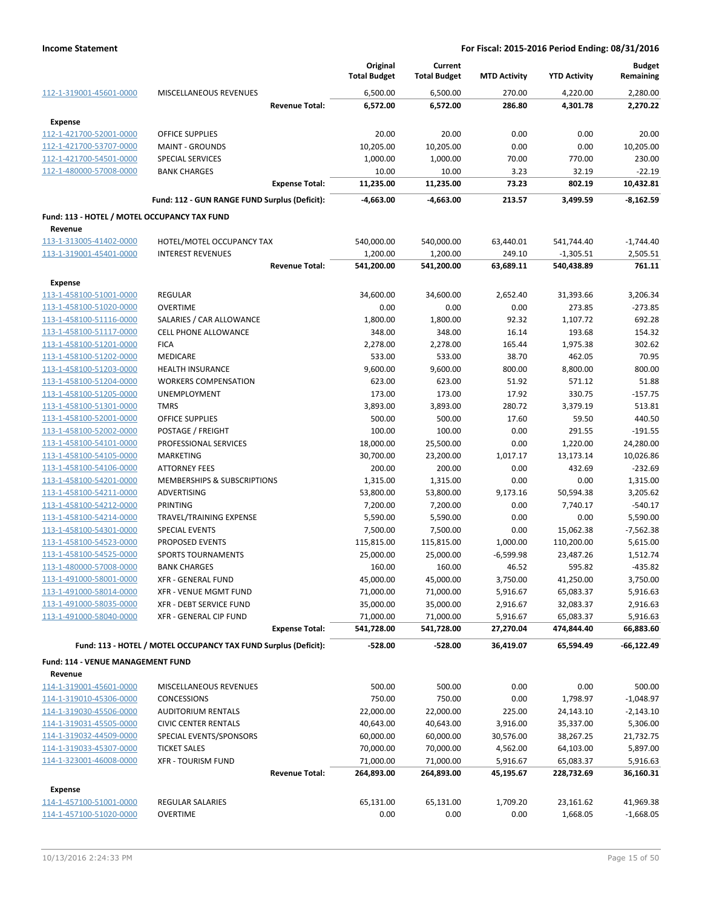|                                                    |                                                                 | Original<br><b>Total Budget</b> | Current<br><b>Total Budget</b> | <b>MTD Activity</b>  | <b>YTD Activity</b>    | <b>Budget</b><br>Remaining |
|----------------------------------------------------|-----------------------------------------------------------------|---------------------------------|--------------------------------|----------------------|------------------------|----------------------------|
| 112-1-319001-45601-0000                            | MISCELLANEOUS REVENUES                                          | 6,500.00                        | 6,500.00                       | 270.00               | 4,220.00               | 2,280.00                   |
|                                                    | <b>Revenue Total:</b>                                           | 6,572.00                        | 6,572.00                       | 286.80               | 4,301.78               | 2,270.22                   |
| <b>Expense</b>                                     |                                                                 |                                 |                                |                      |                        |                            |
| 112-1-421700-52001-0000                            | <b>OFFICE SUPPLIES</b>                                          | 20.00                           | 20.00                          | 0.00                 | 0.00                   | 20.00                      |
| 112-1-421700-53707-0000                            | <b>MAINT - GROUNDS</b>                                          | 10,205.00                       | 10,205.00                      | 0.00                 | 0.00                   | 10,205.00                  |
| 112-1-421700-54501-0000                            | <b>SPECIAL SERVICES</b>                                         | 1,000.00                        | 1,000.00                       | 70.00                | 770.00                 | 230.00                     |
| 112-1-480000-57008-0000                            | <b>BANK CHARGES</b>                                             | 10.00                           | 10.00                          | 3.23                 | 32.19                  | $-22.19$                   |
|                                                    | <b>Expense Total:</b>                                           | 11,235.00                       | 11,235.00                      | 73.23                | 802.19                 | 10,432.81                  |
|                                                    | Fund: 112 - GUN RANGE FUND Surplus (Deficit):                   | -4,663.00                       | -4,663.00                      | 213.57               | 3,499.59               | $-8,162.59$                |
| Fund: 113 - HOTEL / MOTEL OCCUPANCY TAX FUND       |                                                                 |                                 |                                |                      |                        |                            |
| Revenue                                            |                                                                 |                                 |                                |                      |                        |                            |
| 113-1-313005-41402-0000                            | HOTEL/MOTEL OCCUPANCY TAX                                       | 540,000.00                      | 540,000.00                     | 63,440.01            | 541,744.40             | $-1,744.40$                |
| 113-1-319001-45401-0000                            | <b>INTEREST REVENUES</b>                                        | 1,200.00                        | 1,200.00                       | 249.10               | $-1,305.51$            | 2,505.51                   |
|                                                    | <b>Revenue Total:</b>                                           | 541,200.00                      | 541,200.00                     | 63,689.11            | 540,438.89             | 761.11                     |
| Expense                                            |                                                                 |                                 |                                |                      |                        |                            |
| 113-1-458100-51001-0000                            | <b>REGULAR</b>                                                  | 34,600.00                       | 34,600.00                      | 2,652.40             | 31,393.66              | 3,206.34                   |
| 113-1-458100-51020-0000                            | <b>OVERTIME</b>                                                 | 0.00                            | 0.00                           | 0.00                 | 273.85                 | $-273.85$                  |
| 113-1-458100-51116-0000                            | SALARIES / CAR ALLOWANCE                                        | 1,800.00                        | 1,800.00                       | 92.32                | 1,107.72               | 692.28                     |
| 113-1-458100-51117-0000                            | <b>CELL PHONE ALLOWANCE</b>                                     | 348.00                          | 348.00                         | 16.14                | 193.68                 | 154.32                     |
| 113-1-458100-51201-0000                            | <b>FICA</b>                                                     | 2,278.00                        | 2,278.00                       | 165.44               | 1,975.38               | 302.62                     |
| 113-1-458100-51202-0000                            | <b>MEDICARE</b>                                                 | 533.00                          | 533.00                         | 38.70                | 462.05                 | 70.95                      |
| 113-1-458100-51203-0000                            | <b>HEALTH INSURANCE</b>                                         | 9,600.00                        | 9,600.00                       | 800.00               | 8,800.00               | 800.00                     |
| 113-1-458100-51204-0000                            | <b>WORKERS COMPENSATION</b>                                     | 623.00                          | 623.00                         | 51.92                | 571.12                 | 51.88                      |
| 113-1-458100-51205-0000                            | UNEMPLOYMENT                                                    | 173.00                          | 173.00                         | 17.92                | 330.75                 | $-157.75$                  |
| 113-1-458100-51301-0000                            | <b>TMRS</b>                                                     | 3,893.00                        | 3,893.00                       | 280.72               | 3,379.19               | 513.81                     |
| 113-1-458100-52001-0000                            | <b>OFFICE SUPPLIES</b>                                          | 500.00                          | 500.00                         | 17.60                | 59.50                  | 440.50                     |
| 113-1-458100-52002-0000                            | POSTAGE / FREIGHT                                               | 100.00                          | 100.00                         | 0.00                 | 291.55                 | $-191.55$                  |
| 113-1-458100-54101-0000                            | PROFESSIONAL SERVICES                                           | 18,000.00                       | 25,500.00                      | 0.00                 | 1,220.00               | 24,280.00                  |
| 113-1-458100-54105-0000                            | <b>MARKETING</b>                                                | 30,700.00                       | 23,200.00                      | 1,017.17             | 13,173.14              | 10,026.86                  |
| 113-1-458100-54106-0000                            | <b>ATTORNEY FEES</b>                                            | 200.00                          | 200.00                         | 0.00                 | 432.69                 | $-232.69$                  |
| 113-1-458100-54201-0000                            | MEMBERSHIPS & SUBSCRIPTIONS                                     | 1,315.00                        | 1,315.00                       | 0.00                 | 0.00                   | 1,315.00                   |
| 113-1-458100-54211-0000                            | ADVERTISING                                                     | 53,800.00                       | 53,800.00                      | 9,173.16             | 50,594.38              | 3,205.62                   |
| 113-1-458100-54212-0000                            | PRINTING                                                        | 7,200.00                        | 7,200.00                       | 0.00                 | 7,740.17               | $-540.17$                  |
| 113-1-458100-54214-0000                            | TRAVEL/TRAINING EXPENSE                                         | 5,590.00                        | 5,590.00                       | 0.00                 | 0.00                   | 5,590.00                   |
| 113-1-458100-54301-0000                            | SPECIAL EVENTS                                                  | 7,500.00                        | 7,500.00                       | 0.00                 | 15,062.38              | $-7,562.38$                |
| 113-1-458100-54523-0000                            | <b>PROPOSED EVENTS</b>                                          | 115,815.00                      | 115,815.00                     | 1,000.00             | 110,200.00             | 5,615.00                   |
| 113-1-458100-54525-0000                            | <b>SPORTS TOURNAMENTS</b>                                       | 25,000.00                       | 25,000.00                      | $-6,599.98$          | 23,487.26              | 1,512.74                   |
| 113-1-480000-57008-0000<br>113-1-491000-58001-0000 | <b>BANK CHARGES</b>                                             | 160.00                          | 160.00                         | 46.52                | 595.82                 | $-435.82$                  |
| 113-1-491000-58014-0000                            | XFR - GENERAL FUND<br>XFR - VENUE MGMT FUND                     | 45,000.00<br>71,000.00          | 45,000.00                      | 3,750.00             | 41,250.00<br>65,083.37 | 3,750.00                   |
| 113-1-491000-58035-0000                            | <b>XFR - DEBT SERVICE FUND</b>                                  | 35,000.00                       | 71,000.00<br>35,000.00         | 5,916.67<br>2,916.67 | 32,083.37              | 5,916.63<br>2,916.63       |
| 113-1-491000-58040-0000                            | XFR - GENERAL CIP FUND                                          | 71,000.00                       | 71,000.00                      | 5,916.67             | 65,083.37              | 5,916.63                   |
|                                                    | <b>Expense Total:</b>                                           | 541,728.00                      | 541,728.00                     | 27,270.04            | 474,844.40             | 66,883.60                  |
|                                                    |                                                                 |                                 |                                |                      |                        |                            |
|                                                    | Fund: 113 - HOTEL / MOTEL OCCUPANCY TAX FUND Surplus (Deficit): | $-528.00$                       | $-528.00$                      | 36,419.07            | 65,594.49              | -66,122.49                 |
| Fund: 114 - VENUE MANAGEMENT FUND                  |                                                                 |                                 |                                |                      |                        |                            |
| Revenue                                            |                                                                 |                                 |                                |                      |                        |                            |
| 114-1-319001-45601-0000                            | MISCELLANEOUS REVENUES                                          | 500.00                          | 500.00                         | 0.00                 | 0.00                   | 500.00                     |
| 114-1-319010-45306-0000                            | <b>CONCESSIONS</b>                                              | 750.00                          | 750.00                         | 0.00                 | 1,798.97               | $-1,048.97$                |
| 114-1-319030-45506-0000                            | <b>AUDITORIUM RENTALS</b>                                       | 22,000.00                       | 22,000.00                      | 225.00               | 24,143.10              | $-2,143.10$                |
| 114-1-319031-45505-0000                            | <b>CIVIC CENTER RENTALS</b>                                     | 40,643.00                       | 40,643.00                      | 3,916.00             | 35,337.00              | 5,306.00                   |
| 114-1-319032-44509-0000                            | SPECIAL EVENTS/SPONSORS                                         | 60,000.00                       | 60,000.00                      | 30,576.00            | 38,267.25              | 21,732.75                  |
| 114-1-319033-45307-0000                            | <b>TICKET SALES</b>                                             | 70,000.00                       | 70,000.00                      | 4,562.00             | 64,103.00              | 5,897.00                   |
| 114-1-323001-46008-0000                            | <b>XFR - TOURISM FUND</b>                                       | 71,000.00                       | 71,000.00                      | 5,916.67             | 65,083.37              | 5,916.63                   |
|                                                    | <b>Revenue Total:</b>                                           | 264,893.00                      | 264,893.00                     | 45,195.67            | 228,732.69             | 36,160.31                  |
| Expense                                            |                                                                 |                                 |                                |                      |                        |                            |
| 114-1-457100-51001-0000                            | REGULAR SALARIES                                                | 65,131.00                       | 65,131.00                      | 1,709.20             | 23,161.62              | 41,969.38                  |
| 114-1-457100-51020-0000                            | <b>OVERTIME</b>                                                 | 0.00                            | 0.00                           | 0.00                 | 1,668.05               | $-1,668.05$                |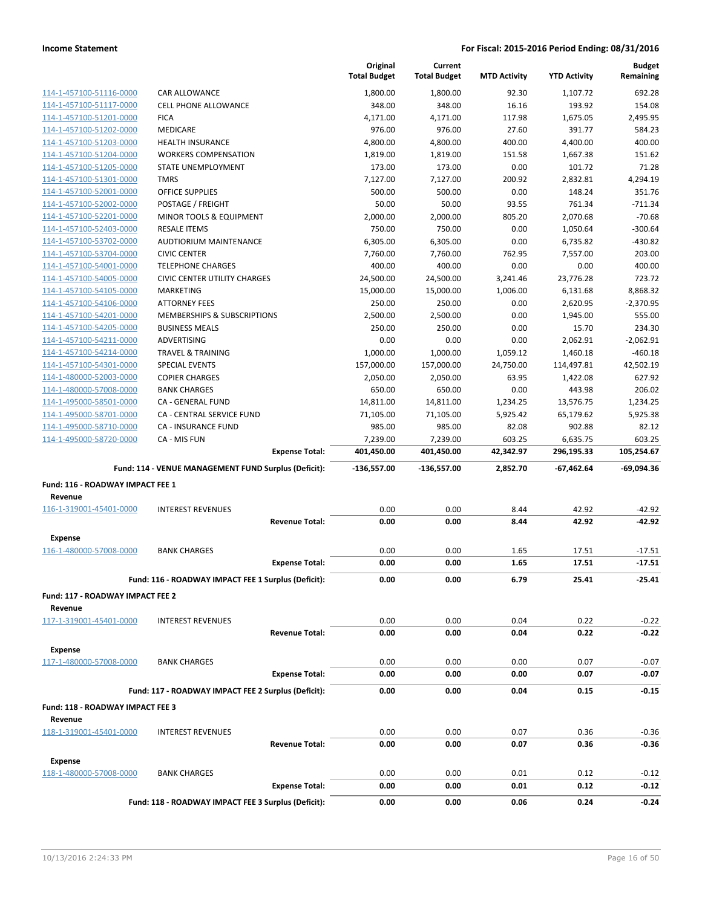|                                                    |                                                                              | Original<br><b>Total Budget</b> | Current<br><b>Total Budget</b> | <b>MTD Activity</b> | <b>YTD Activity</b> | <b>Budget</b><br>Remaining |
|----------------------------------------------------|------------------------------------------------------------------------------|---------------------------------|--------------------------------|---------------------|---------------------|----------------------------|
|                                                    |                                                                              |                                 |                                |                     |                     | 692.28                     |
| 114-1-457100-51116-0000                            | <b>CAR ALLOWANCE</b><br>CELL PHONE ALLOWANCE                                 | 1,800.00<br>348.00              | 1,800.00<br>348.00             | 92.30<br>16.16      | 1,107.72<br>193.92  | 154.08                     |
| 114-1-457100-51117-0000<br>114-1-457100-51201-0000 | <b>FICA</b>                                                                  | 4,171.00                        | 4,171.00                       | 117.98              | 1,675.05            | 2,495.95                   |
| 114-1-457100-51202-0000                            | <b>MEDICARE</b>                                                              | 976.00                          | 976.00                         | 27.60               | 391.77              | 584.23                     |
| 114-1-457100-51203-0000                            | <b>HEALTH INSURANCE</b>                                                      | 4,800.00                        | 4,800.00                       | 400.00              | 4,400.00            | 400.00                     |
| 114-1-457100-51204-0000                            | <b>WORKERS COMPENSATION</b>                                                  | 1,819.00                        | 1,819.00                       | 151.58              | 1,667.38            | 151.62                     |
| 114-1-457100-51205-0000                            | STATE UNEMPLOYMENT                                                           | 173.00                          | 173.00                         | 0.00                | 101.72              | 71.28                      |
| 114-1-457100-51301-0000                            | <b>TMRS</b>                                                                  | 7,127.00                        | 7,127.00                       | 200.92              | 2,832.81            | 4,294.19                   |
| 114-1-457100-52001-0000                            | <b>OFFICE SUPPLIES</b>                                                       | 500.00                          | 500.00                         | 0.00                | 148.24              | 351.76                     |
| 114-1-457100-52002-0000                            | POSTAGE / FREIGHT                                                            | 50.00                           | 50.00                          | 93.55               | 761.34              | $-711.34$                  |
| 114-1-457100-52201-0000                            | MINOR TOOLS & EQUIPMENT                                                      | 2,000.00                        | 2,000.00                       | 805.20              | 2,070.68            | $-70.68$                   |
| 114-1-457100-52403-0000                            | <b>RESALE ITEMS</b>                                                          | 750.00                          | 750.00                         | 0.00                | 1,050.64            | $-300.64$                  |
| 114-1-457100-53702-0000                            | AUDTIORIUM MAINTENANCE                                                       | 6,305.00                        | 6,305.00                       | 0.00                | 6,735.82            | $-430.82$                  |
| 114-1-457100-53704-0000                            | <b>CIVIC CENTER</b>                                                          | 7,760.00                        | 7,760.00                       | 762.95              | 7,557.00            | 203.00                     |
| 114-1-457100-54001-0000                            | <b>TELEPHONE CHARGES</b>                                                     | 400.00                          | 400.00                         | 0.00                | 0.00                | 400.00                     |
| 114-1-457100-54005-0000                            | <b>CIVIC CENTER UTILITY CHARGES</b>                                          | 24,500.00                       | 24,500.00                      | 3,241.46            | 23,776.28           | 723.72                     |
| 114-1-457100-54105-0000                            | MARKETING                                                                    | 15,000.00                       | 15,000.00                      | 1,006.00            | 6,131.68            | 8,868.32                   |
| 114-1-457100-54106-0000                            | <b>ATTORNEY FEES</b>                                                         | 250.00                          | 250.00                         | 0.00                | 2,620.95            | $-2,370.95$                |
| 114-1-457100-54201-0000                            | MEMBERSHIPS & SUBSCRIPTIONS                                                  | 2,500.00                        | 2,500.00                       | 0.00                | 1,945.00            | 555.00                     |
| 114-1-457100-54205-0000                            | <b>BUSINESS MEALS</b>                                                        | 250.00                          | 250.00                         | 0.00                | 15.70               | 234.30                     |
| 114-1-457100-54211-0000                            | <b>ADVERTISING</b>                                                           | 0.00                            | 0.00                           | 0.00                | 2,062.91            | $-2,062.91$                |
| 114-1-457100-54214-0000                            | <b>TRAVEL &amp; TRAINING</b>                                                 | 1,000.00                        | 1,000.00                       | 1,059.12            | 1,460.18            | $-460.18$                  |
| 114-1-457100-54301-0000                            | <b>SPECIAL EVENTS</b>                                                        | 157,000.00                      | 157,000.00                     | 24,750.00           | 114,497.81          | 42,502.19                  |
| 114-1-480000-52003-0000                            | <b>COPIER CHARGES</b>                                                        | 2,050.00                        | 2,050.00                       | 63.95               | 1,422.08            | 627.92                     |
| 114-1-480000-57008-0000                            | <b>BANK CHARGES</b>                                                          | 650.00                          | 650.00                         | 0.00                | 443.98              | 206.02                     |
| 114-1-495000-58501-0000                            | CA - GENERAL FUND                                                            | 14,811.00                       | 14,811.00                      | 1,234.25            | 13,576.75           | 1,234.25                   |
| 114-1-495000-58701-0000                            | CA - CENTRAL SERVICE FUND                                                    | 71,105.00                       | 71,105.00                      | 5,925.42            | 65,179.62           | 5,925.38                   |
| 114-1-495000-58710-0000                            | <b>CA - INSURANCE FUND</b>                                                   | 985.00                          | 985.00                         | 82.08               | 902.88              | 82.12                      |
|                                                    |                                                                              |                                 |                                |                     |                     |                            |
| 114-1-495000-58720-0000                            | CA - MIS FUN                                                                 | 7,239.00                        | 7,239.00                       | 603.25              | 6,635.75            | 603.25                     |
|                                                    | <b>Expense Total:</b>                                                        | 401,450.00                      | 401,450.00                     | 42,342.97           | 296,195.33          | 105,254.67                 |
|                                                    | Fund: 114 - VENUE MANAGEMENT FUND Surplus (Deficit):                         | $-136,557.00$                   | $-136,557.00$                  | 2,852.70            | -67,462.64          | $-69,094.36$               |
| Fund: 116 - ROADWAY IMPACT FEE 1                   |                                                                              |                                 |                                |                     |                     |                            |
| Revenue                                            |                                                                              |                                 |                                |                     |                     |                            |
| 116-1-319001-45401-0000                            | <b>INTEREST REVENUES</b>                                                     | 0.00                            | 0.00                           | 8.44                | 42.92               | $-42.92$                   |
|                                                    | <b>Revenue Total:</b>                                                        | 0.00                            | 0.00                           | 8.44                | 42.92               | $-42.92$                   |
| Expense                                            |                                                                              |                                 |                                |                     |                     |                            |
| 116-1-480000-57008-0000                            | <b>BANK CHARGES</b>                                                          | 0.00                            | 0.00                           | 1.65                | 17.51               | $-17.51$                   |
|                                                    | <b>Expense Total:</b>                                                        | 0.00                            | 0.00                           | 1.65                | 17.51               | $-17.51$                   |
|                                                    |                                                                              |                                 |                                |                     |                     |                            |
|                                                    | Fund: 116 - ROADWAY IMPACT FEE 1 Surplus (Deficit):                          | 0.00                            | 0.00                           | 6.79                | 25.41               | $-25.41$                   |
| Fund: 117 - ROADWAY IMPACT FEE 2                   |                                                                              |                                 |                                |                     |                     |                            |
| Revenue                                            |                                                                              |                                 |                                |                     |                     |                            |
| 117-1-319001-45401-0000                            | <b>INTEREST REVENUES</b>                                                     | 0.00                            | 0.00                           | 0.04                | 0.22                | $-0.22$                    |
|                                                    | <b>Revenue Total:</b>                                                        | 0.00                            | 0.00                           | 0.04                | 0.22                | $-0.22$                    |
| <b>Expense</b>                                     |                                                                              |                                 |                                |                     |                     |                            |
| 117-1-480000-57008-0000                            | <b>BANK CHARGES</b>                                                          | 0.00                            | 0.00                           | 0.00                | 0.07                | $-0.07$                    |
|                                                    | <b>Expense Total:</b>                                                        | 0.00                            | 0.00                           | 0.00                | 0.07                | $-0.07$                    |
|                                                    | Fund: 117 - ROADWAY IMPACT FEE 2 Surplus (Deficit):                          | 0.00                            | 0.00                           | 0.04                | 0.15                | $-0.15$                    |
|                                                    |                                                                              |                                 |                                |                     |                     |                            |
| Fund: 118 - ROADWAY IMPACT FEE 3<br>Revenue        |                                                                              |                                 |                                |                     |                     |                            |
| 118-1-319001-45401-0000                            | <b>INTEREST REVENUES</b>                                                     | 0.00                            | 0.00                           | 0.07                | 0.36                | $-0.36$                    |
|                                                    | <b>Revenue Total:</b>                                                        | 0.00                            | 0.00                           | 0.07                | 0.36                | $-0.36$                    |
|                                                    |                                                                              |                                 |                                |                     |                     |                            |
| Expense                                            |                                                                              |                                 |                                |                     |                     |                            |
| 118-1-480000-57008-0000                            | <b>BANK CHARGES</b>                                                          | 0.00                            | 0.00                           | 0.01                | 0.12                | $-0.12$                    |
|                                                    | <b>Expense Total:</b><br>Fund: 118 - ROADWAY IMPACT FEE 3 Surplus (Deficit): | 0.00<br>0.00                    | 0.00<br>0.00                   | 0.01<br>0.06        | 0.12<br>0.24        | $-0.12$<br>$-0.24$         |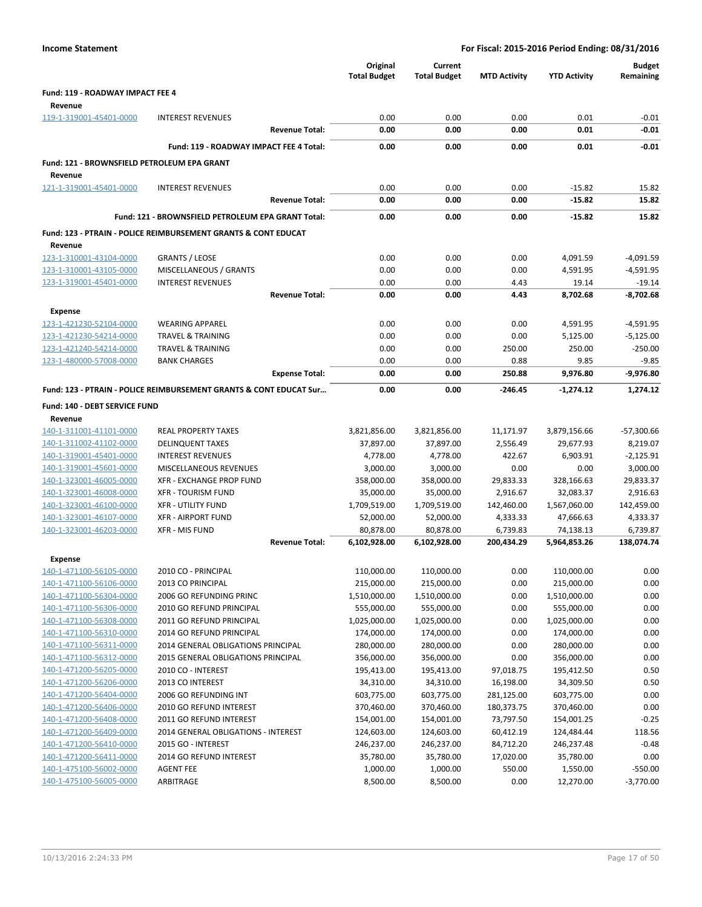| <b>Income Statement</b>                            |                                                                           |                       |                                 | For Fiscal: 2015-2016 Period Ending: 08/31/2016 |                     |                       |                            |  |  |
|----------------------------------------------------|---------------------------------------------------------------------------|-----------------------|---------------------------------|-------------------------------------------------|---------------------|-----------------------|----------------------------|--|--|
|                                                    |                                                                           |                       | Original<br><b>Total Budget</b> | Current<br><b>Total Budget</b>                  | <b>MTD Activity</b> | <b>YTD Activity</b>   | <b>Budget</b><br>Remaining |  |  |
| Fund: 119 - ROADWAY IMPACT FEE 4                   |                                                                           |                       |                                 |                                                 |                     |                       |                            |  |  |
| Revenue                                            |                                                                           |                       |                                 |                                                 |                     |                       |                            |  |  |
| 119-1-319001-45401-0000                            | <b>INTEREST REVENUES</b>                                                  |                       | 0.00                            | 0.00                                            | 0.00                | 0.01                  | $-0.01$                    |  |  |
|                                                    |                                                                           | <b>Revenue Total:</b> | 0.00                            | 0.00                                            | 0.00                | 0.01                  | $-0.01$                    |  |  |
|                                                    | Fund: 119 - ROADWAY IMPACT FEE 4 Total:                                   |                       | 0.00                            | 0.00                                            | 0.00                | 0.01                  | $-0.01$                    |  |  |
|                                                    |                                                                           |                       |                                 |                                                 |                     |                       |                            |  |  |
| Fund: 121 - BROWNSFIELD PETROLEUM EPA GRANT        |                                                                           |                       |                                 |                                                 |                     |                       |                            |  |  |
| Revenue                                            |                                                                           |                       |                                 |                                                 |                     |                       |                            |  |  |
| 121-1-319001-45401-0000                            | <b>INTEREST REVENUES</b>                                                  |                       | 0.00                            | 0.00                                            | 0.00                | $-15.82$              | 15.82                      |  |  |
|                                                    |                                                                           | <b>Revenue Total:</b> | 0.00                            | 0.00                                            | 0.00                | $-15.82$              | 15.82                      |  |  |
|                                                    | Fund: 121 - BROWNSFIELD PETROLEUM EPA GRANT Total:                        |                       | 0.00                            | 0.00                                            | 0.00                | $-15.82$              | 15.82                      |  |  |
|                                                    | <b>Fund: 123 - PTRAIN - POLICE REIMBURSEMENT GRANTS &amp; CONT EDUCAT</b> |                       |                                 |                                                 |                     |                       |                            |  |  |
| Revenue                                            |                                                                           |                       |                                 |                                                 |                     |                       |                            |  |  |
| 123-1-310001-43104-0000                            | <b>GRANTS / LEOSE</b>                                                     |                       | 0.00                            | 0.00                                            | 0.00                | 4,091.59              | $-4,091.59$                |  |  |
| 123-1-310001-43105-0000                            | MISCELLANEOUS / GRANTS                                                    |                       | 0.00                            | 0.00                                            | 0.00                | 4,591.95              | $-4,591.95$                |  |  |
| 123-1-319001-45401-0000                            | <b>INTEREST REVENUES</b>                                                  |                       | 0.00                            | 0.00                                            | 4.43                | 19.14                 | $-19.14$                   |  |  |
|                                                    |                                                                           | <b>Revenue Total:</b> | 0.00                            | 0.00                                            | 4.43                | 8,702.68              | $-8,702.68$                |  |  |
| <b>Expense</b>                                     |                                                                           |                       |                                 |                                                 |                     |                       |                            |  |  |
| 123-1-421230-52104-0000                            | <b>WEARING APPAREL</b>                                                    |                       | 0.00                            | 0.00                                            | 0.00                | 4,591.95              | $-4,591.95$                |  |  |
| 123-1-421230-54214-0000                            | <b>TRAVEL &amp; TRAINING</b>                                              |                       | 0.00                            | 0.00                                            | 0.00                | 5,125.00              | $-5,125.00$                |  |  |
| 123-1-421240-54214-0000                            | <b>TRAVEL &amp; TRAINING</b>                                              |                       | 0.00                            | 0.00                                            | 250.00              | 250.00                | $-250.00$                  |  |  |
| 123-1-480000-57008-0000                            | <b>BANK CHARGES</b>                                                       |                       | 0.00                            | 0.00                                            | 0.88                | 9.85                  | $-9.85$                    |  |  |
|                                                    |                                                                           | <b>Expense Total:</b> | 0.00                            | 0.00                                            | 250.88              | 9,976.80              | $-9,976.80$                |  |  |
|                                                    | Fund: 123 - PTRAIN - POLICE REIMBURSEMENT GRANTS & CONT EDUCAT Sur        |                       | 0.00                            | 0.00                                            | -246.45             | $-1,274.12$           | 1,274.12                   |  |  |
| Fund: 140 - DEBT SERVICE FUND                      |                                                                           |                       |                                 |                                                 |                     |                       |                            |  |  |
| Revenue                                            |                                                                           |                       |                                 |                                                 |                     |                       |                            |  |  |
| 140-1-311001-41101-0000                            | <b>REAL PROPERTY TAXES</b>                                                |                       | 3,821,856.00                    | 3,821,856.00                                    | 11,171.97           | 3,879,156.66          | $-57,300.66$               |  |  |
| 140-1-311002-41102-0000                            | <b>DELINQUENT TAXES</b>                                                   |                       | 37,897.00                       | 37,897.00                                       | 2,556.49            | 29,677.93             | 8,219.07                   |  |  |
| 140-1-319001-45401-0000                            | <b>INTEREST REVENUES</b>                                                  |                       | 4,778.00                        | 4,778.00                                        | 422.67              | 6,903.91              | $-2,125.91$                |  |  |
| 140-1-319001-45601-0000                            | MISCELLANEOUS REVENUES                                                    |                       | 3,000.00                        | 3,000.00                                        | 0.00                | 0.00                  | 3,000.00                   |  |  |
| 140-1-323001-46005-0000                            | XFR - EXCHANGE PROP FUND                                                  |                       | 358,000.00                      | 358,000.00                                      | 29,833.33           | 328,166.63            | 29,833.37                  |  |  |
| 140-1-323001-46008-0000                            | <b>XFR - TOURISM FUND</b>                                                 |                       | 35,000.00                       | 35,000.00                                       | 2,916.67            | 32,083.37             | 2,916.63                   |  |  |
| 140-1-323001-46100-0000                            | <b>XFR - UTILITY FUND</b>                                                 |                       | 1,709,519.00                    | 1,709,519.00                                    | 142,460.00          | 1,567,060.00          | 142,459.00                 |  |  |
| 140-1-323001-46107-0000                            | <b>XFR - AIRPORT FUND</b>                                                 |                       | 52,000.00                       | 52,000.00                                       | 4,333.33            | 47,666.63             | 4,333.37                   |  |  |
| 140-1-323001-46203-0000                            | <b>XFR - MIS FUND</b>                                                     |                       | 80,878.00                       | 80,878.00                                       | 6,739.83            | 74,138.13             | 6,739.87                   |  |  |
|                                                    |                                                                           | <b>Revenue Total:</b> | 6,102,928.00                    | 6,102,928.00                                    | 200,434.29          | 5,964,853.26          | 138,074.74                 |  |  |
| Expense                                            |                                                                           |                       |                                 |                                                 |                     |                       |                            |  |  |
| 140-1-471100-56105-0000                            | 2010 CO - PRINCIPAL                                                       |                       | 110,000.00                      | 110,000.00                                      | 0.00                | 110,000.00            | 0.00                       |  |  |
| 140-1-471100-56106-0000                            | 2013 CO PRINCIPAL                                                         |                       | 215,000.00                      | 215,000.00                                      | 0.00                | 215,000.00            | 0.00                       |  |  |
| 140-1-471100-56304-0000                            | 2006 GO REFUNDING PRINC                                                   |                       | 1,510,000.00                    | 1,510,000.00                                    | 0.00                | 1,510,000.00          | 0.00                       |  |  |
| 140-1-471100-56306-0000                            | 2010 GO REFUND PRINCIPAL                                                  |                       | 555,000.00                      | 555,000.00                                      | 0.00                | 555,000.00            | 0.00                       |  |  |
| 140-1-471100-56308-0000                            | 2011 GO REFUND PRINCIPAL                                                  |                       | 1,025,000.00                    | 1,025,000.00                                    | 0.00                | 1,025,000.00          | 0.00                       |  |  |
| 140-1-471100-56310-0000                            | 2014 GO REFUND PRINCIPAL                                                  |                       | 174,000.00                      | 174,000.00                                      | 0.00                | 174,000.00            | 0.00                       |  |  |
| 140-1-471100-56311-0000                            | 2014 GENERAL OBLIGATIONS PRINCIPAL                                        |                       | 280,000.00                      | 280,000.00                                      | 0.00                | 280,000.00            | 0.00                       |  |  |
| 140-1-471100-56312-0000                            | 2015 GENERAL OBLIGATIONS PRINCIPAL                                        |                       | 356,000.00                      | 356,000.00                                      | 0.00                | 356,000.00            | 0.00                       |  |  |
| 140-1-471200-56205-0000                            | 2010 CO - INTEREST                                                        |                       | 195,413.00                      | 195,413.00                                      | 97,018.75           | 195,412.50            | 0.50                       |  |  |
| 140-1-471200-56206-0000                            | 2013 CO INTEREST                                                          |                       | 34,310.00                       | 34,310.00                                       | 16,198.00           | 34,309.50             | 0.50                       |  |  |
| 140-1-471200-56404-0000                            | 2006 GO REFUNDING INT                                                     |                       | 603,775.00                      | 603,775.00                                      | 281,125.00          | 603,775.00            | 0.00                       |  |  |
| 140-1-471200-56406-0000                            | 2010 GO REFUND INTEREST                                                   |                       | 370,460.00                      | 370,460.00                                      | 180,373.75          | 370,460.00            | 0.00                       |  |  |
| 140-1-471200-56408-0000                            | 2011 GO REFUND INTEREST                                                   |                       | 154,001.00                      | 154,001.00                                      | 73,797.50           | 154,001.25            | $-0.25$                    |  |  |
| 140-1-471200-56409-0000                            | 2014 GENERAL OBLIGATIONS - INTEREST                                       |                       | 124,603.00                      | 124,603.00                                      | 60,412.19           | 124,484.44            | 118.56                     |  |  |
| 140-1-471200-56410-0000                            | 2015 GO - INTEREST                                                        |                       | 246,237.00                      | 246,237.00                                      | 84,712.20           | 246,237.48            | $-0.48$                    |  |  |
| 140-1-471200-56411-0000                            | 2014 GO REFUND INTEREST                                                   |                       | 35,780.00                       | 35,780.00                                       | 17,020.00           | 35,780.00             | 0.00                       |  |  |
| 140-1-475100-56002-0000<br>140-1-475100-56005-0000 | <b>AGENT FEE</b><br>ARBITRAGE                                             |                       | 1,000.00<br>8,500.00            | 1,000.00<br>8,500.00                            | 550.00<br>0.00      | 1,550.00<br>12,270.00 | $-550.00$<br>$-3,770.00$   |  |  |
|                                                    |                                                                           |                       |                                 |                                                 |                     |                       |                            |  |  |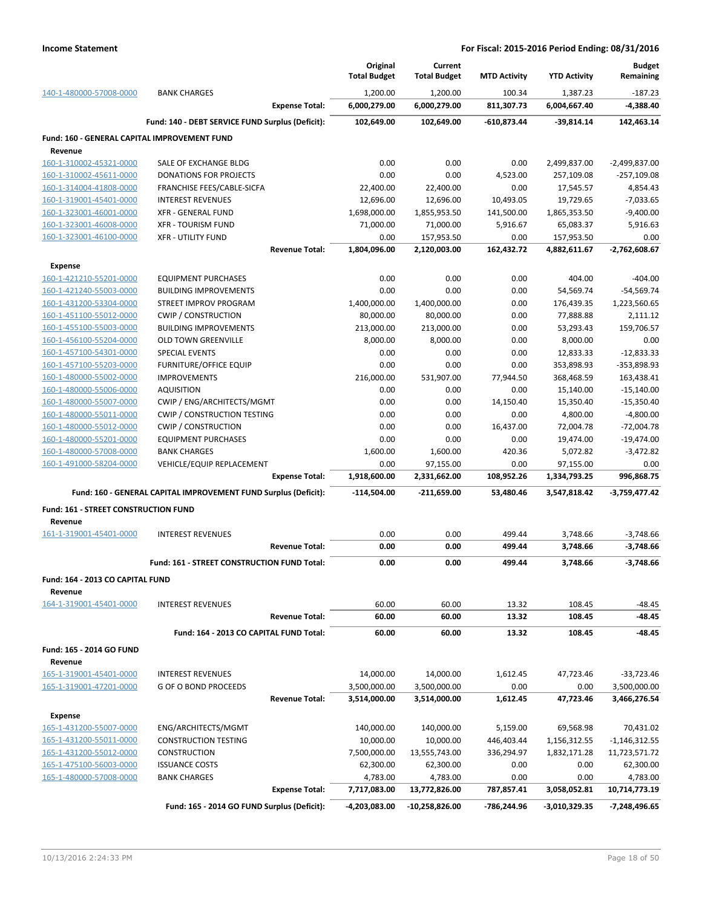|                                                         |                                                                 |                       | Original<br><b>Total Budget</b> | Current<br><b>Total Budget</b> | <b>MTD Activity</b>    | <b>YTD Activity</b>   | <b>Budget</b><br>Remaining  |
|---------------------------------------------------------|-----------------------------------------------------------------|-----------------------|---------------------------------|--------------------------------|------------------------|-----------------------|-----------------------------|
| 140-1-480000-57008-0000                                 | <b>BANK CHARGES</b>                                             |                       | 1.200.00                        | 1,200.00                       | 100.34                 | 1.387.23              | $-187.23$                   |
|                                                         |                                                                 | <b>Expense Total:</b> | 6,000,279.00                    | 6,000,279.00                   | 811,307.73             | 6,004,667.40          | $-4,388.40$                 |
|                                                         | Fund: 140 - DEBT SERVICE FUND Surplus (Deficit):                |                       | 102,649.00                      | 102,649.00                     | $-610,873.44$          | $-39,814.14$          | 142,463.14                  |
| Fund: 160 - GENERAL CAPITAL IMPROVEMENT FUND<br>Revenue |                                                                 |                       |                                 |                                |                        |                       |                             |
| 160-1-310002-45321-0000                                 | SALE OF EXCHANGE BLDG                                           |                       | 0.00                            | 0.00                           | 0.00                   | 2,499,837.00          | $-2,499,837.00$             |
| 160-1-310002-45611-0000                                 | <b>DONATIONS FOR PROJECTS</b>                                   |                       | 0.00                            | 0.00                           | 4,523.00               | 257,109.08            | $-257,109.08$               |
| 160-1-314004-41808-0000                                 | FRANCHISE FEES/CABLE-SICFA                                      |                       | 22,400.00                       | 22,400.00                      | 0.00                   | 17,545.57             | 4,854.43                    |
| 160-1-319001-45401-0000                                 | <b>INTEREST REVENUES</b>                                        |                       | 12,696.00                       | 12,696.00                      | 10,493.05              | 19,729.65             | $-7,033.65$                 |
| 160-1-323001-46001-0000                                 | <b>XFR - GENERAL FUND</b>                                       |                       | 1,698,000.00                    | 1,855,953.50                   | 141,500.00             | 1,865,353.50          | $-9,400.00$                 |
| 160-1-323001-46008-0000                                 | <b>XFR - TOURISM FUND</b>                                       |                       | 71,000.00                       | 71,000.00                      | 5,916.67               | 65,083.37             | 5,916.63                    |
| 160-1-323001-46100-0000                                 | <b>XFR - UTILITY FUND</b>                                       |                       | 0.00                            | 157,953.50                     | 0.00                   | 157,953.50            | 0.00                        |
|                                                         |                                                                 | <b>Revenue Total:</b> | 1,804,096.00                    | 2,120,003.00                   | 162,432.72             | 4,882,611.67          | -2,762,608.67               |
| <b>Expense</b>                                          |                                                                 |                       |                                 |                                |                        |                       |                             |
| 160-1-421210-55201-0000                                 | <b>EQUIPMENT PURCHASES</b>                                      |                       | 0.00                            | 0.00                           | 0.00                   | 404.00                | $-404.00$                   |
| 160-1-421240-55003-0000                                 | <b>BUILDING IMPROVEMENTS</b>                                    |                       | 0.00                            | 0.00                           | 0.00                   | 54,569.74             | $-54,569.74$                |
| 160-1-431200-53304-0000                                 | STREET IMPROV PROGRAM                                           |                       | 1,400,000.00                    | 1,400,000.00                   | 0.00                   | 176,439.35            | 1,223,560.65                |
| 160-1-451100-55012-0000                                 | <b>CWIP / CONSTRUCTION</b>                                      |                       | 80,000.00                       | 80,000.00                      | 0.00                   | 77,888.88             | 2,111.12                    |
| 160-1-455100-55003-0000                                 | <b>BUILDING IMPROVEMENTS</b>                                    |                       | 213,000.00                      | 213,000.00                     | 0.00                   | 53,293.43             | 159,706.57                  |
| 160-1-456100-55204-0000                                 | <b>OLD TOWN GREENVILLE</b>                                      |                       | 8,000.00                        | 8,000.00                       | 0.00                   | 8,000.00              | 0.00                        |
| 160-1-457100-54301-0000                                 | <b>SPECIAL EVENTS</b>                                           |                       | 0.00                            | 0.00                           | 0.00                   | 12,833.33             | $-12,833.33$                |
| 160-1-457100-55203-0000                                 | <b>FURNITURE/OFFICE EQUIP</b>                                   |                       | 0.00                            | 0.00                           | 0.00                   | 353,898.93            | -353,898.93                 |
| 160-1-480000-55002-0000                                 | <b>IMPROVEMENTS</b>                                             |                       | 216,000.00                      | 531,907.00                     | 77,944.50              | 368,468.59            | 163,438.41                  |
| 160-1-480000-55006-0000                                 | <b>AQUISITION</b>                                               |                       | 0.00                            | 0.00                           | 0.00                   | 15,140.00             | $-15,140.00$                |
| 160-1-480000-55007-0000                                 | CWIP / ENG/ARCHITECTS/MGMT                                      |                       | 0.00                            | 0.00                           | 14,150.40              | 15,350.40             | $-15,350.40$                |
| 160-1-480000-55011-0000                                 | <b>CWIP / CONSTRUCTION TESTING</b>                              |                       | 0.00                            | 0.00                           | 0.00                   | 4,800.00              | $-4,800.00$                 |
| 160-1-480000-55012-0000<br>160-1-480000-55201-0000      | <b>CWIP / CONSTRUCTION</b><br><b>EQUIPMENT PURCHASES</b>        |                       | 0.00<br>0.00                    | 0.00<br>0.00                   | 16,437.00<br>0.00      | 72,004.78             | $-72,004.78$                |
| 160-1-480000-57008-0000                                 | <b>BANK CHARGES</b>                                             |                       | 1,600.00                        | 1,600.00                       | 420.36                 | 19,474.00<br>5,072.82 | $-19,474.00$<br>$-3,472.82$ |
| 160-1-491000-58204-0000                                 | VEHICLE/EQUIP REPLACEMENT                                       |                       | 0.00                            | 97,155.00                      | 0.00                   | 97,155.00             | 0.00                        |
|                                                         |                                                                 | <b>Expense Total:</b> | 1,918,600.00                    | 2,331,662.00                   | 108,952.26             | 1,334,793.25          | 996,868.75                  |
|                                                         | Fund: 160 - GENERAL CAPITAL IMPROVEMENT FUND Surplus (Deficit): |                       | $-114,504.00$                   | $-211,659.00$                  | 53,480.46              | 3,547,818.42          | $-3,759,477.42$             |
|                                                         |                                                                 |                       |                                 |                                |                        |                       |                             |
| Fund: 161 - STREET CONSTRUCTION FUND<br>Revenue         |                                                                 |                       |                                 |                                |                        |                       |                             |
| 161-1-319001-45401-0000                                 | <b>INTEREST REVENUES</b>                                        |                       | 0.00                            | 0.00                           | 499.44                 | 3,748.66              | $-3,748.66$                 |
|                                                         |                                                                 | <b>Revenue Total:</b> | 0.00                            | 0.00                           | 499.44                 | 3,748.66              | $-3.748.66$                 |
|                                                         | Fund: 161 - STREET CONSTRUCTION FUND Total:                     |                       | 0.00                            | 0.00                           | 499.44                 | 3,748.66              | $-3,748.66$                 |
|                                                         |                                                                 |                       |                                 |                                |                        |                       |                             |
| Fund: 164 - 2013 CO CAPITAL FUND<br>Revenue             |                                                                 |                       |                                 |                                |                        |                       |                             |
| 164-1-319001-45401-0000                                 | <b>INTEREST REVENUES</b>                                        |                       | 60.00                           | 60.00                          | 13.32                  | 108.45                | $-48.45$                    |
|                                                         |                                                                 | <b>Revenue Total:</b> | 60.00                           | 60.00                          | 13.32                  | 108.45                | -48.45                      |
|                                                         | Fund: 164 - 2013 CO CAPITAL FUND Total:                         |                       | 60.00                           | 60.00                          | 13.32                  | 108.45                | $-48.45$                    |
| Fund: 165 - 2014 GO FUND                                |                                                                 |                       |                                 |                                |                        |                       |                             |
| Revenue<br>165-1-319001-45401-0000                      | <b>INTEREST REVENUES</b>                                        |                       | 14,000.00                       | 14,000.00                      | 1,612.45               | 47,723.46             | $-33,723.46$                |
| 165-1-319001-47201-0000                                 | <b>G OF O BOND PROCEEDS</b>                                     |                       | 3,500,000.00                    | 3,500,000.00                   | 0.00                   | 0.00                  | 3,500,000.00                |
|                                                         |                                                                 | <b>Revenue Total:</b> | 3,514,000.00                    | 3,514,000.00                   | 1,612.45               | 47,723.46             | 3,466,276.54                |
|                                                         |                                                                 |                       |                                 |                                |                        |                       |                             |
| Expense<br>165-1-431200-55007-0000                      | ENG/ARCHITECTS/MGMT                                             |                       | 140,000.00                      | 140,000.00                     |                        | 69,568.98             | 70,431.02                   |
| 165-1-431200-55011-0000                                 | <b>CONSTRUCTION TESTING</b>                                     |                       | 10,000.00                       | 10,000.00                      | 5,159.00<br>446,403.44 | 1,156,312.55          | $-1,146,312.55$             |
| 165-1-431200-55012-0000                                 | <b>CONSTRUCTION</b>                                             |                       | 7,500,000.00                    | 13,555,743.00                  | 336,294.97             | 1,832,171.28          | 11,723,571.72               |
| 165-1-475100-56003-0000                                 | <b>ISSUANCE COSTS</b>                                           |                       | 62,300.00                       | 62,300.00                      | 0.00                   | 0.00                  | 62,300.00                   |
| 165-1-480000-57008-0000                                 | <b>BANK CHARGES</b>                                             |                       | 4,783.00                        | 4,783.00                       | 0.00                   | 0.00                  | 4,783.00                    |
|                                                         |                                                                 | <b>Expense Total:</b> | 7,717,083.00                    | 13,772,826.00                  | 787,857.41             | 3,058,052.81          | 10,714,773.19               |
|                                                         | Fund: 165 - 2014 GO FUND Surplus (Deficit):                     |                       | -4,203,083.00                   | -10,258,826.00                 | -786,244.96            | -3,010,329.35         | -7,248,496.65               |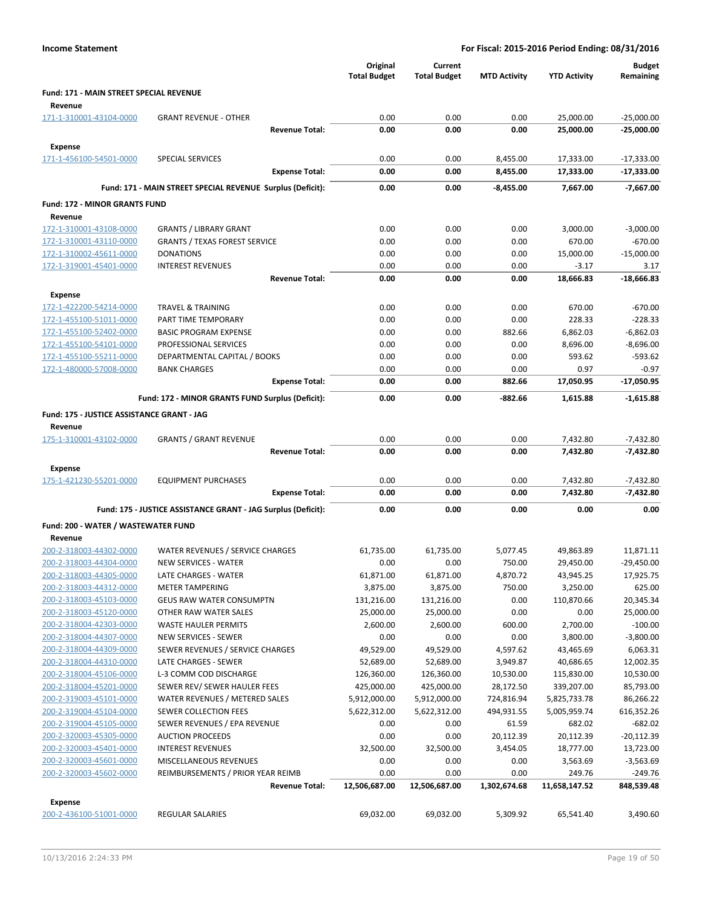|                                                    |                                                               | Original<br><b>Total Budget</b> | Current<br><b>Total Budget</b> | <b>MTD Activity</b> | <b>YTD Activity</b>  | <b>Budget</b><br>Remaining |
|----------------------------------------------------|---------------------------------------------------------------|---------------------------------|--------------------------------|---------------------|----------------------|----------------------------|
| Fund: 171 - MAIN STREET SPECIAL REVENUE            |                                                               |                                 |                                |                     |                      |                            |
| Revenue                                            |                                                               |                                 |                                |                     |                      |                            |
| 171-1-310001-43104-0000                            | <b>GRANT REVENUE - OTHER</b>                                  | 0.00                            | 0.00                           | 0.00                | 25,000.00            | $-25,000.00$               |
|                                                    | <b>Revenue Total:</b>                                         | 0.00                            | 0.00                           | 0.00                | 25,000.00            | $-25,000.00$               |
| Expense                                            |                                                               |                                 |                                |                     |                      |                            |
| 171-1-456100-54501-0000                            | <b>SPECIAL SERVICES</b>                                       | 0.00                            | 0.00                           | 8,455.00            | 17,333.00            | $-17,333.00$               |
|                                                    | <b>Expense Total:</b>                                         | 0.00                            | 0.00                           | 8,455.00            | 17,333.00            | $-17,333.00$               |
|                                                    | Fund: 171 - MAIN STREET SPECIAL REVENUE Surplus (Deficit):    | 0.00                            | 0.00                           | $-8.455.00$         | 7,667.00             | $-7,667.00$                |
|                                                    |                                                               |                                 |                                |                     |                      |                            |
| Fund: 172 - MINOR GRANTS FUND                      |                                                               |                                 |                                |                     |                      |                            |
| Revenue                                            |                                                               |                                 |                                |                     |                      |                            |
| 172-1-310001-43108-0000                            | <b>GRANTS / LIBRARY GRANT</b>                                 | 0.00<br>0.00                    | 0.00<br>0.00                   | 0.00<br>0.00        | 3,000.00<br>670.00   | $-3,000.00$<br>$-670.00$   |
| 172-1-310001-43110-0000<br>172-1-310002-45611-0000 | <b>GRANTS / TEXAS FOREST SERVICE</b><br><b>DONATIONS</b>      | 0.00                            | 0.00                           | 0.00                | 15,000.00            | $-15,000.00$               |
| 172-1-319001-45401-0000                            | <b>INTEREST REVENUES</b>                                      | 0.00                            | 0.00                           | 0.00                | $-3.17$              | 3.17                       |
|                                                    | <b>Revenue Total:</b>                                         | 0.00                            | 0.00                           | 0.00                | 18,666.83            | $-18,666.83$               |
|                                                    |                                                               |                                 |                                |                     |                      |                            |
| Expense<br>172-1-422200-54214-0000                 | <b>TRAVEL &amp; TRAINING</b>                                  | 0.00                            | 0.00                           | 0.00                | 670.00               | $-670.00$                  |
| 172-1-455100-51011-0000                            | PART TIME TEMPORARY                                           | 0.00                            | 0.00                           | 0.00                | 228.33               | $-228.33$                  |
| 172-1-455100-52402-0000                            | <b>BASIC PROGRAM EXPENSE</b>                                  | 0.00                            | 0.00                           | 882.66              | 6,862.03             | $-6,862.03$                |
| 172-1-455100-54101-0000                            | PROFESSIONAL SERVICES                                         | 0.00                            | 0.00                           | 0.00                | 8,696.00             | $-8,696.00$                |
| 172-1-455100-55211-0000                            | DEPARTMENTAL CAPITAL / BOOKS                                  | 0.00                            | 0.00                           | 0.00                | 593.62               | $-593.62$                  |
| 172-1-480000-57008-0000                            | <b>BANK CHARGES</b>                                           | 0.00                            | 0.00                           | 0.00                | 0.97                 | $-0.97$                    |
|                                                    | <b>Expense Total:</b>                                         | 0.00                            | 0.00                           | 882.66              | 17,050.95            | -17,050.95                 |
|                                                    | Fund: 172 - MINOR GRANTS FUND Surplus (Deficit):              | 0.00                            | 0.00                           | -882.66             | 1,615.88             | $-1,615.88$                |
|                                                    |                                                               |                                 |                                |                     |                      |                            |
| Fund: 175 - JUSTICE ASSISTANCE GRANT - JAG         |                                                               |                                 |                                |                     |                      |                            |
| Revenue<br>175-1-310001-43102-0000                 | <b>GRANTS / GRANT REVENUE</b>                                 | 0.00                            | 0.00                           | 0.00                | 7,432.80             | $-7,432.80$                |
|                                                    | <b>Revenue Total:</b>                                         | 0.00                            | 0.00                           | 0.00                | 7,432.80             | -7,432.80                  |
|                                                    |                                                               |                                 |                                |                     |                      |                            |
| Expense                                            |                                                               |                                 |                                |                     |                      |                            |
| 175-1-421230-55201-0000                            | <b>EQUIPMENT PURCHASES</b><br><b>Expense Total:</b>           | 0.00<br>0.00                    | 0.00<br>0.00                   | 0.00<br>0.00        | 7,432.80<br>7,432.80 | $-7,432.80$<br>-7,432.80   |
|                                                    |                                                               |                                 |                                |                     |                      |                            |
|                                                    | Fund: 175 - JUSTICE ASSISTANCE GRANT - JAG Surplus (Deficit): | 0.00                            | 0.00                           | 0.00                | 0.00                 | 0.00                       |
| Fund: 200 - WATER / WASTEWATER FUND                |                                                               |                                 |                                |                     |                      |                            |
| Revenue                                            |                                                               |                                 |                                |                     |                      |                            |
| 200-2-318003-44302-0000                            | WATER REVENUES / SERVICE CHARGES                              | 61,735.00                       | 61,735.00                      | 5,077.45            | 49,863.89            | 11,871.11                  |
| 200-2-318003-44304-0000                            | <b>NEW SERVICES - WATER</b>                                   | 0.00                            | 0.00                           | 750.00              | 29,450.00            | $-29,450.00$               |
| 200-2-318003-44305-0000                            | LATE CHARGES - WATER                                          | 61,871.00                       | 61,871.00                      | 4,870.72            | 43,945.25            | 17,925.75                  |
| 200-2-318003-44312-0000                            | <b>METER TAMPERING</b>                                        | 3,875.00                        | 3,875.00                       | 750.00              | 3,250.00             | 625.00                     |
| 200-2-318003-45103-0000                            | <b>GEUS RAW WATER CONSUMPTN</b>                               | 131,216.00                      | 131,216.00                     | 0.00                | 110,870.66           | 20,345.34                  |
| 200-2-318003-45120-0000<br>200-2-318004-42303-0000 | OTHER RAW WATER SALES<br>WASTE HAULER PERMITS                 | 25,000.00<br>2,600.00           | 25,000.00<br>2,600.00          | 0.00<br>600.00      | 0.00<br>2,700.00     | 25,000.00<br>$-100.00$     |
| 200-2-318004-44307-0000                            | NEW SERVICES - SEWER                                          | 0.00                            | 0.00                           | 0.00                | 3,800.00             | $-3,800.00$                |
| 200-2-318004-44309-0000                            | SEWER REVENUES / SERVICE CHARGES                              | 49,529.00                       | 49,529.00                      | 4,597.62            | 43,465.69            | 6,063.31                   |
| 200-2-318004-44310-0000                            | LATE CHARGES - SEWER                                          | 52,689.00                       | 52,689.00                      | 3,949.87            | 40,686.65            | 12,002.35                  |
| 200-2-318004-45106-0000                            | L-3 COMM COD DISCHARGE                                        | 126,360.00                      | 126,360.00                     | 10,530.00           | 115,830.00           | 10,530.00                  |
| 200-2-318004-45201-0000                            | SEWER REV/ SEWER HAULER FEES                                  | 425,000.00                      | 425,000.00                     | 28,172.50           | 339,207.00           | 85,793.00                  |
| 200-2-319003-45101-0000                            | WATER REVENUES / METERED SALES                                | 5,912,000.00                    | 5,912,000.00                   | 724,816.94          | 5,825,733.78         | 86,266.22                  |
| 200-2-319004-45104-0000                            | SEWER COLLECTION FEES                                         | 5,622,312.00                    | 5,622,312.00                   | 494,931.55          | 5,005,959.74         | 616,352.26                 |
| 200-2-319004-45105-0000                            | SEWER REVENUES / EPA REVENUE                                  | 0.00                            | 0.00                           | 61.59               | 682.02               | $-682.02$                  |
| 200-2-320003-45305-0000                            | <b>AUCTION PROCEEDS</b>                                       | 0.00                            | 0.00                           | 20,112.39           | 20,112.39            | $-20,112.39$               |
| 200-2-320003-45401-0000                            | <b>INTEREST REVENUES</b>                                      | 32,500.00                       | 32,500.00                      | 3,454.05            | 18,777.00            | 13,723.00                  |
| 200-2-320003-45601-0000                            | MISCELLANEOUS REVENUES                                        | 0.00                            | 0.00                           | 0.00                | 3,563.69             | $-3,563.69$                |
| 200-2-320003-45602-0000                            | REIMBURSEMENTS / PRIOR YEAR REIMB                             | 0.00                            | 0.00                           | 0.00                | 249.76               | $-249.76$                  |
|                                                    | <b>Revenue Total:</b>                                         | 12,506,687.00                   | 12,506,687.00                  | 1,302,674.68        | 11,658,147.52        | 848,539.48                 |
| <b>Expense</b>                                     |                                                               |                                 |                                |                     |                      |                            |
| 200-2-436100-51001-0000                            | <b>REGULAR SALARIES</b>                                       | 69,032.00                       | 69,032.00                      | 5,309.92            | 65,541.40            | 3,490.60                   |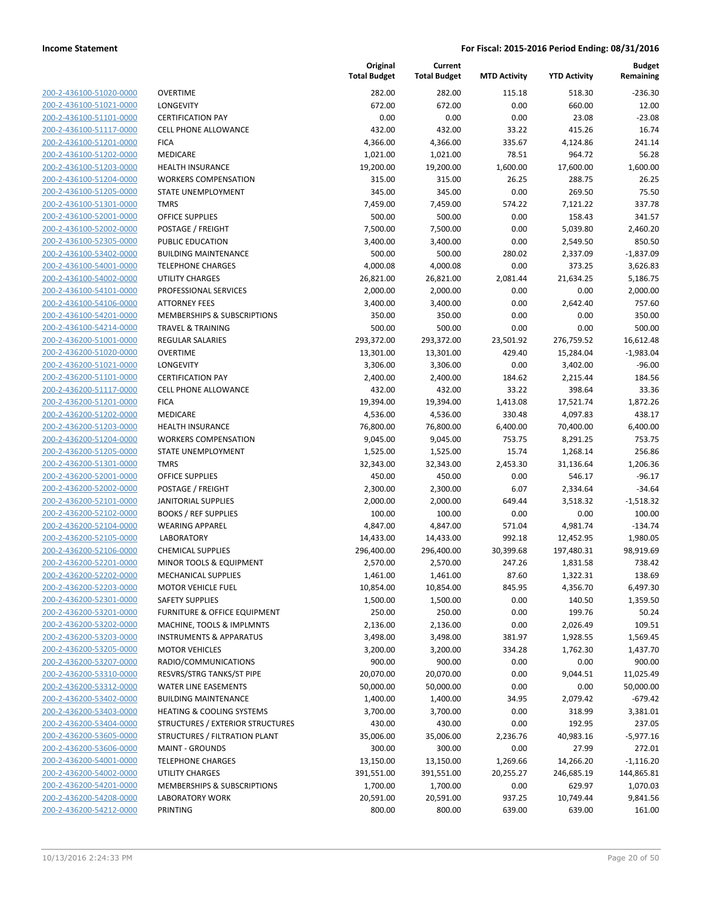| <u>200-2-436100-51020-0000</u> |
|--------------------------------|
| 200-2-436100-51021-0000        |
| 200-2-436100-51101-0000        |
| 200-2-436100-51117-0000        |
| 200-2-436100-51201-0000        |
| 200-2-436100-51202-0000        |
| 200-2-436100-51203-0000        |
| 200-2-436100-51204-0000        |
| 200-2-436100-51205-0000        |
| 200-2-436100-51301-0000        |
| <u>200-2-436100-52001-0000</u> |
| 200-2-436100-52002-0000        |
| 200-2-436100-52305-0000        |
| 200-2-436100-53402-0000        |
|                                |
| 200-2-436100-54001-0000        |
| 200-2-436100-54002-0000        |
| 200-2-436100-54101-0000        |
| 200-2-436100-54106-0000        |
| 200-2-436100-54201-0000        |
| 200-2-436100-54214-0000        |
| <u>200-2-436200-51001-0000</u> |
| 200-2-436200-51020-0000        |
| 200-2-436200-51021-0000        |
| 200-2-436200-51101-0000        |
| 200-2-436200-51117-0000        |
| 200-2-436200-51201-0000        |
| 200-2-436200-51202-0000        |
| 200-2-436200-51203-0000        |
| 200-2-436200-51204-0000        |
| 200-2-436200-51205-0000        |
| 200-2-436200-51301-0000        |
| 200-2-436200-52001-0000        |
| 200-2-436200-52002-0000        |
| 200-2-436200-52101-0000        |
| 200-2-436200-52102-0000        |
|                                |
| 200-2-436200-52104-0000        |
| 200-2-436200-52105-0000        |
| 200-2-436200-52106-0000        |
| 200-2-436200-52201-0000        |
| 200-2-436200-52202-0000        |
| 200-2-436200-52203-0000        |
| 200-2-436200-52301-0000        |
| 200-2-436200-53201-0000        |
| 200-2-436200-53202-0000        |
| <u>200-2-436200-53203-0000</u> |
| <u>200-2-436200-53205-0000</u> |
| 200-2-436200-53207-0000        |
| 200-2-436200-53310-0000        |
| 200-2-436200-53312-0000        |
| 200-2-436200-53402-0000        |
| <u>200-2-436200-53403-0000</u> |
| 200-2-436200-53404-0000        |
| 200-2-436200-53605-0000        |
| 200-2-436200-53606-0000        |
| <u>200-2-436200-54001-0000</u> |
| <u>200-2-436200-54002-0000</u> |
| 200-2-436200-54201-0000        |
|                                |
| 200-2-436200-54208-0000        |
| 200-2-436200-54212-0000        |

| VERTIME                                        |
|------------------------------------------------|
| ONGEVITY                                       |
| ERTIFICATION PAY                               |
| ELL PHONE ALLOWANCE                            |
| ICA                                            |
| <b>IEDICARE</b>                                |
| <b>EALTH INSURANCE</b>                         |
| /ORKERS COMPENSATION                           |
| TATE UNEMPLOYMENT                              |
| MRS                                            |
| <b>FFICE SUPPLIES</b>                          |
| OSTAGE / FREIGHT                               |
| UBLIC EDUCATION                                |
| UILDING MAINTENANCE                            |
| ELEPHONE CHARGES                               |
| <b>TILITY CHARGES</b>                          |
| ROFESSIONAL SERVICES                           |
| <b>TTORNEY FEES</b>                            |
| <b>IEMBERSHIPS &amp; SUBSCRIPTIONS</b>         |
| RAVEL & TRAINING                               |
| EGULAR SALARIES                                |
| VERTIME                                        |
| ONGEVITY                                       |
| ERTIFICATION PAY                               |
| ELL PHONE ALLOWANCE                            |
| <b>ICA</b>                                     |
| 1EDICARE                                       |
| <b>EALTH INSURANCE</b><br>/ORKERS COMPENSATION |
| TATE UNEMPLOYMENT                              |
| MRS                                            |
| <b>FFICE SUPPLIES</b>                          |
| OSTAGE / FREIGHT                               |
| <b><i>NITORIAL SUPPLIES</i></b>                |
| OOKS / REF SUPPLIES                            |
| /EARING APPAREL                                |
| <b>ABORATORY</b>                               |
| <b>HEMICAL SUPPLIES</b>                        |
| 1INOR TOOLS & EQUIPMENT                        |
| 1ECHANICAL SUPPLIES                            |
| 1OTOR VEHICLE FUEL                             |
| <b>AFETY SUPPLIES</b>                          |
| URNITURE & OFFICE EQUIPMENT                    |
| <b>IACHINE, TOOLS &amp; IMPLMNTS</b>           |
| <b>ISTRUMENTS &amp; APPARATUS</b>              |
| <b>IOTOR VEHICLES</b>                          |
| ADIO/COMMUNICATIONS                            |
| ESVRS/STRG TANKS/ST PIPE                       |
| <b>/ATER LINE EASEMENTS</b>                    |
| UILDING MAINTENANCE                            |
| <b>EATING &amp; COOLING SYSTEMS</b>            |
| TRUCTURES / EXTERIOR STRUCTURES                |
| TRUCTURES / FILTRATION PLANT                   |
| <b>1AINT - GROUNDS</b>                         |
| ELEPHONE CHARGES                               |
| <b>TILITY CHARGES</b>                          |
| <b>IEMBERSHIPS &amp; SUBSCRIPTIONS</b>         |
| <b>A DOD ATODY MODY</b>                        |

|                                                    |                                                             | Original<br><b>Total Budget</b> | Current<br><b>Total Budget</b> | <b>MTD Activity</b> | <b>YTD Activity</b>  | <b>Budget</b><br>Remaining |
|----------------------------------------------------|-------------------------------------------------------------|---------------------------------|--------------------------------|---------------------|----------------------|----------------------------|
| 200-2-436100-51020-0000                            | <b>OVERTIME</b>                                             | 282.00                          | 282.00                         | 115.18              | 518.30               | $-236.30$                  |
| 200-2-436100-51021-0000                            | LONGEVITY                                                   | 672.00                          | 672.00                         | 0.00                | 660.00               | 12.00                      |
| 200-2-436100-51101-0000                            | <b>CERTIFICATION PAY</b>                                    | 0.00                            | 0.00                           | 0.00                | 23.08                | $-23.08$                   |
| 200-2-436100-51117-0000                            | <b>CELL PHONE ALLOWANCE</b>                                 | 432.00                          | 432.00                         | 33.22               | 415.26               | 16.74                      |
| 200-2-436100-51201-0000                            | <b>FICA</b>                                                 | 4,366.00                        | 4,366.00                       | 335.67              | 4,124.86             | 241.14                     |
| 200-2-436100-51202-0000                            | MEDICARE                                                    | 1,021.00                        | 1,021.00                       | 78.51               | 964.72               | 56.28                      |
| 200-2-436100-51203-0000                            | <b>HEALTH INSURANCE</b>                                     | 19,200.00                       | 19,200.00                      | 1,600.00            | 17,600.00            | 1,600.00                   |
| 200-2-436100-51204-0000                            | <b>WORKERS COMPENSATION</b>                                 | 315.00                          | 315.00                         | 26.25               | 288.75               | 26.25                      |
| 200-2-436100-51205-0000                            | <b>STATE UNEMPLOYMENT</b>                                   | 345.00                          | 345.00                         | 0.00                | 269.50               | 75.50                      |
| 200-2-436100-51301-0000                            | <b>TMRS</b>                                                 | 7,459.00                        | 7,459.00                       | 574.22              | 7,121.22             | 337.78                     |
| 200-2-436100-52001-0000                            | <b>OFFICE SUPPLIES</b>                                      | 500.00                          | 500.00                         | 0.00                | 158.43               | 341.57                     |
| 200-2-436100-52002-0000                            | POSTAGE / FREIGHT                                           | 7,500.00                        | 7,500.00                       | 0.00                | 5,039.80             | 2,460.20                   |
| 200-2-436100-52305-0000                            | PUBLIC EDUCATION                                            | 3,400.00                        | 3,400.00                       | 0.00                | 2,549.50             | 850.50                     |
| 200-2-436100-53402-0000                            | <b>BUILDING MAINTENANCE</b>                                 | 500.00                          | 500.00                         | 280.02              | 2,337.09             | $-1,837.09$                |
| 200-2-436100-54001-0000                            | <b>TELEPHONE CHARGES</b>                                    | 4,000.08                        | 4,000.08                       | 0.00                | 373.25               | 3,626.83                   |
| 200-2-436100-54002-0000                            | <b>UTILITY CHARGES</b>                                      | 26,821.00                       | 26,821.00                      | 2,081.44            | 21,634.25            | 5,186.75                   |
| 200-2-436100-54101-0000                            | PROFESSIONAL SERVICES                                       | 2,000.00                        | 2,000.00                       | 0.00                | 0.00                 | 2,000.00                   |
| 200-2-436100-54106-0000                            | <b>ATTORNEY FEES</b>                                        | 3,400.00                        | 3,400.00                       | 0.00                | 2,642.40             | 757.60                     |
| 200-2-436100-54201-0000                            | MEMBERSHIPS & SUBSCRIPTIONS                                 | 350.00                          | 350.00                         | 0.00                | 0.00                 | 350.00                     |
| 200-2-436100-54214-0000                            | <b>TRAVEL &amp; TRAINING</b>                                | 500.00                          | 500.00                         | 0.00                | 0.00                 | 500.00                     |
| 200-2-436200-51001-0000                            | REGULAR SALARIES                                            | 293,372.00                      | 293,372.00                     | 23,501.92           | 276,759.52           | 16,612.48                  |
| 200-2-436200-51020-0000                            | <b>OVERTIME</b>                                             | 13,301.00                       | 13,301.00                      | 429.40              | 15,284.04            | $-1,983.04$                |
| 200-2-436200-51021-0000                            | LONGEVITY                                                   | 3,306.00                        | 3,306.00                       | 0.00                | 3,402.00             | $-96.00$                   |
| 200-2-436200-51101-0000                            | <b>CERTIFICATION PAY</b>                                    | 2,400.00                        | 2,400.00                       | 184.62              | 2,215.44             | 184.56                     |
| 200-2-436200-51117-0000                            | <b>CELL PHONE ALLOWANCE</b>                                 | 432.00                          | 432.00                         | 33.22               | 398.64               | 33.36                      |
| 200-2-436200-51201-0000                            | <b>FICA</b>                                                 | 19,394.00                       | 19,394.00                      | 1,413.08            | 17,521.74            | 1,872.26                   |
| 200-2-436200-51202-0000                            | MEDICARE                                                    | 4,536.00                        | 4,536.00                       | 330.48              | 4,097.83             | 438.17                     |
| 200-2-436200-51203-0000                            | <b>HEALTH INSURANCE</b>                                     | 76,800.00                       | 76,800.00                      | 6,400.00            | 70,400.00            | 6,400.00                   |
| 200-2-436200-51204-0000                            | <b>WORKERS COMPENSATION</b>                                 | 9,045.00                        | 9,045.00                       | 753.75              | 8,291.25             | 753.75                     |
| 200-2-436200-51205-0000                            | STATE UNEMPLOYMENT                                          | 1,525.00                        | 1,525.00                       | 15.74               | 1,268.14             | 256.86                     |
| 200-2-436200-51301-0000                            | <b>TMRS</b>                                                 | 32,343.00                       | 32,343.00                      | 2,453.30            | 31,136.64            | 1,206.36                   |
| 200-2-436200-52001-0000                            | <b>OFFICE SUPPLIES</b>                                      | 450.00                          | 450.00                         | 0.00                | 546.17               | $-96.17$                   |
| 200-2-436200-52002-0000                            | POSTAGE / FREIGHT                                           | 2,300.00                        | 2,300.00                       | 6.07                | 2,334.64             | $-34.64$                   |
| 200-2-436200-52101-0000                            | <b>JANITORIAL SUPPLIES</b>                                  | 2,000.00                        | 2,000.00                       | 649.44              | 3,518.32             | $-1,518.32$                |
| 200-2-436200-52102-0000                            | <b>BOOKS / REF SUPPLIES</b>                                 | 100.00                          | 100.00                         | 0.00                | 0.00                 | 100.00                     |
| 200-2-436200-52104-0000                            | <b>WEARING APPAREL</b>                                      | 4,847.00                        | 4,847.00                       | 571.04              | 4,981.74             | $-134.74$                  |
| 200-2-436200-52105-0000                            | <b>LABORATORY</b>                                           | 14,433.00                       | 14,433.00                      | 992.18              | 12,452.95            | 1,980.05                   |
| 200-2-436200-52106-0000                            | <b>CHEMICAL SUPPLIES</b>                                    | 296,400.00                      | 296,400.00                     | 30,399.68           | 197,480.31           | 98,919.69                  |
| 200-2-436200-52201-0000                            | <b>MINOR TOOLS &amp; EQUIPMENT</b>                          | 2,570.00                        | 2,570.00                       | 247.26              | 1,831.58             | 738.42                     |
| 200-2-436200-52202-0000                            | MECHANICAL SUPPLIES                                         | 1,461.00                        | 1,461.00                       | 87.60               | 1,322.31             | 138.69                     |
| 200-2-436200-52203-0000                            | <b>MOTOR VEHICLE FUEL</b>                                   | 10,854.00                       | 10,854.00                      | 845.95              | 4,356.70             | 6,497.30                   |
| 200-2-436200-52301-0000                            | <b>SAFETY SUPPLIES</b>                                      | 1,500.00                        | 1,500.00                       | 0.00                | 140.50               | 1,359.50                   |
| 200-2-436200-53201-0000                            | FURNITURE & OFFICE EQUIPMENT                                | 250.00                          | 250.00                         | 0.00                | 199.76               | 50.24                      |
| 200-2-436200-53202-0000<br>200-2-436200-53203-0000 | MACHINE, TOOLS & IMPLMNTS                                   | 2,136.00                        | 2,136.00                       | 0.00                | 2,026.49             | 109.51                     |
| 200-2-436200-53205-0000                            | <b>INSTRUMENTS &amp; APPARATUS</b><br><b>MOTOR VEHICLES</b> | 3,498.00                        | 3,498.00                       | 381.97<br>334.28    | 1,928.55<br>1,762.30 | 1,569.45<br>1,437.70       |
|                                                    | RADIO/COMMUNICATIONS                                        | 3,200.00                        | 3,200.00                       | 0.00                |                      | 900.00                     |
| 200-2-436200-53207-0000<br>200-2-436200-53310-0000 |                                                             | 900.00<br>20,070.00             | 900.00                         |                     | 0.00                 |                            |
| 200-2-436200-53312-0000                            | RESVRS/STRG TANKS/ST PIPE<br><b>WATER LINE EASEMENTS</b>    | 50,000.00                       | 20,070.00<br>50,000.00         | 0.00<br>0.00        | 9,044.51<br>0.00     | 11,025.49<br>50,000.00     |
| 200-2-436200-53402-0000                            | <b>BUILDING MAINTENANCE</b>                                 | 1,400.00                        | 1,400.00                       | 34.95               | 2,079.42             | $-679.42$                  |
| 200-2-436200-53403-0000                            | HEATING & COOLING SYSTEMS                                   | 3,700.00                        | 3,700.00                       | 0.00                | 318.99               | 3,381.01                   |
| 200-2-436200-53404-0000                            | STRUCTURES / EXTERIOR STRUCTURES                            | 430.00                          | 430.00                         | 0.00                | 192.95               | 237.05                     |
| 200-2-436200-53605-0000                            | STRUCTURES / FILTRATION PLANT                               | 35,006.00                       | 35,006.00                      | 2,236.76            | 40,983.16            | $-5,977.16$                |
| 200-2-436200-53606-0000                            | <b>MAINT - GROUNDS</b>                                      | 300.00                          | 300.00                         | 0.00                | 27.99                | 272.01                     |
| 200-2-436200-54001-0000                            | <b>TELEPHONE CHARGES</b>                                    | 13,150.00                       | 13,150.00                      | 1,269.66            | 14,266.20            | $-1,116.20$                |
| 200-2-436200-54002-0000                            | UTILITY CHARGES                                             | 391,551.00                      | 391,551.00                     | 20,255.27           | 246,685.19           | 144,865.81                 |
| 200-2-436200-54201-0000                            | MEMBERSHIPS & SUBSCRIPTIONS                                 | 1,700.00                        | 1,700.00                       | 0.00                | 629.97               | 1,070.03                   |
| 200-2-436200-54208-0000                            | <b>LABORATORY WORK</b>                                      | 20,591.00                       | 20,591.00                      | 937.25              | 10,749.44            | 9,841.56                   |
| 200-2-436200-54212-0000                            | PRINTING                                                    | 800.00                          | 800.00                         | 639.00              | 639.00               | 161.00                     |
|                                                    |                                                             |                                 |                                |                     |                      |                            |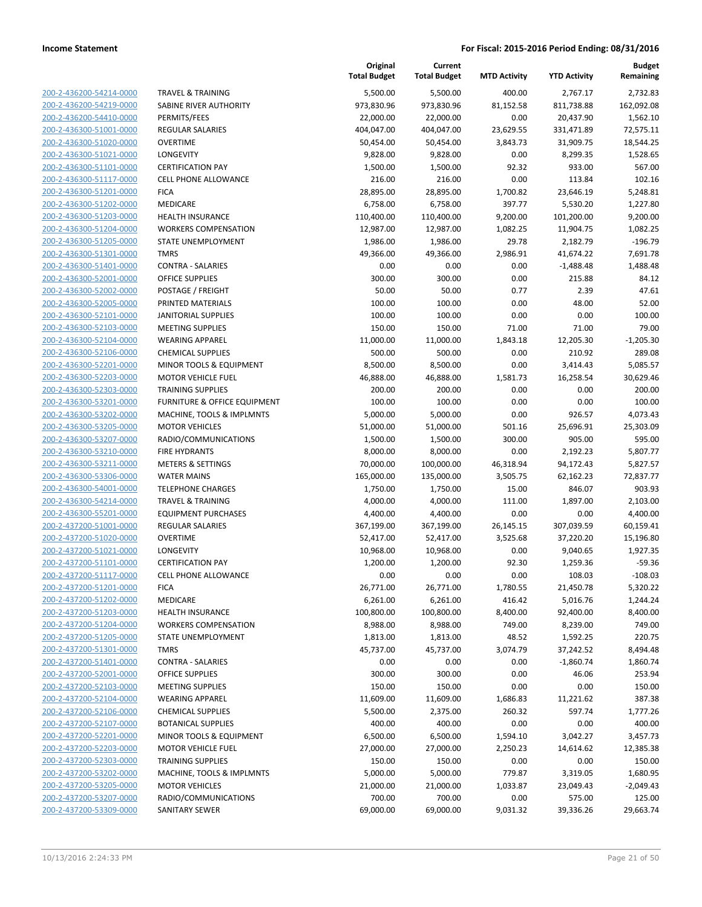| 200-2-436200-54214-0000        |
|--------------------------------|
| 200-2-436200-54219-0000        |
| 200-2-436200-54410-0000        |
| 200-2-436300-51001-0000        |
| 200-2-436300-51020-0000        |
| 200-2-436300-51021-0000        |
| 200-2-436300-51101-0000        |
| 200-2-436300-51117-0000        |
| 200-2-436300-51201-0000        |
| 200-2-436300-51202-0000        |
| 200-2-436300-51203-0000        |
| 200-2-436300-51204-0000        |
| 200-2-436300-51205-0000        |
| 200-2-436300-51301-0000        |
|                                |
| 200-2-436300-51401-0000        |
| 200-2-436300-52001-0000        |
| 200-2-436300-52002-0000        |
| 200-2-436300-52005-0000        |
| <u>200-2-436300-52101-0000</u> |
| 200-2-436300-52103-0000        |
| 200-2-436300-52104-0000        |
| 200-2-436300-52106-0000        |
| 200-2-436300-52201-0000        |
| 200-2-436300-52203-0000        |
| 200-2-436300-52303-0000        |
| 200-2-436300-53201-0000        |
| 200-2-436300-53202-0000        |
| 200-2-436300-53205-0000        |
| 200-2-436300-53207-0000        |
| 200-2-436300-53210-0000        |
| 200-2-436300-53211-0000        |
| 200-2-436300-53306-0000        |
| 200-2-436300-54001-0000        |
| 200-2-436300-54214-0000        |
|                                |
| 200-2-436300-55201-0000        |
| 200-2-437200-51001-0000        |
| 200-2-437200-51020-0000        |
| 200-2-437200-51021-0000        |
| 200-2-437200-51101-0000        |
| 200-2-437200-51117-0000        |
| 200-2-437200-51201-0000        |
| <u>200-2-437200-51202-0000</u> |
| 200-2-437200-51203-0000        |
| 200-2-437200-51204-0000        |
| 200-2-437200-51205-0000        |
| <u>200-2-437200-51301-0000</u> |
| 200-2-437200-51401-0000        |
| 200-2-437200-52001-0000        |
| 200-2-437200-52103-0000        |
| 200-2-437200-52104-0000        |
| 200-2-437200-52106-0000        |
| 200-2-437200-52107-0000        |
| 200-2-437200-52201-0000        |
|                                |
| 200-2-437200-52203-0000        |
| <u>200-2-437200-52303-0000</u> |
| <u>200-2-437200-53202-0000</u> |
| 200-2-437200-53205-0000        |
| 200-2-437200-53207-0000        |
| 200-2-437200-53309-0000        |

| <b>TRAVEL &amp; TRAINING</b>                          |
|-------------------------------------------------------|
| SABINE RIVER AUTHORITY                                |
| PERMITS/FEES                                          |
| <b>REGULAR SALARIES</b>                               |
| <b>OVERTIME</b>                                       |
| LONGEVITY                                             |
| <b>CERTIFICATION PAY</b>                              |
| <b>CELL PHONE ALLOWANCE</b>                           |
| <b>FICA</b>                                           |
| <b>MEDICARE</b>                                       |
| <b>HEALTH INSURANCE</b>                               |
| <b>WORKERS COMPENSATION</b>                           |
| STATE UNEMPLOYMENT                                    |
| <b>TMRS</b>                                           |
| <b>CONTRA - SALARIES</b>                              |
| <b>OFFICE SUPPLIES</b>                                |
| POSTAGE / FREIGHT                                     |
| PRINTED MATERIALS                                     |
| <b>JANITORIAL SUPPLIES</b>                            |
| <b>MEETING SUPPLIES</b>                               |
| <b>WEARING APPAREL</b>                                |
| <b>CHEMICAL SUPPLIES</b>                              |
| MINOR TOOLS & EQUIPMENT                               |
| <b>MOTOR VEHICLE FUEL</b><br><b>TRAINING SUPPLIES</b> |
| <b>FURNITURE &amp; OFFICE EQUIPMENT</b>               |
| MACHINE, TOOLS & IMPLMNTS                             |
| <b>MOTOR VEHICLES</b>                                 |
| RADIO/COMMUNICATIONS                                  |
| <b>FIRE HYDRANTS</b>                                  |
| <b>METERS &amp; SETTINGS</b>                          |
| <b>WATER MAINS</b>                                    |
| <b>TELEPHONE CHARGES</b>                              |
| <b>TRAVEL &amp; TRAINING</b>                          |
| <b>EQUIPMENT PURCHASES</b>                            |
| <b>REGULAR SALARIES</b>                               |
| <b>OVERTIME</b>                                       |
| LONGEVITY                                             |
| <b>CERTIFICATION PAY</b>                              |
| <b>CELL PHONE ALLOWANCE</b>                           |
| <b>FICA</b>                                           |
| <b>MEDICARE</b>                                       |
| <b>HEALTH INSURANCE</b>                               |
| <b>WORKERS COMPENSATION</b>                           |
| <b>STATE UNEMPLOYMENT</b>                             |
| <b>TMRS</b>                                           |
| <b>CONTRA - SALARIES</b>                              |
| <b>OFFICE SUPPLIES</b>                                |
| <b>MEETING SUPPLIES</b>                               |
| <b>WEARING APPAREL</b>                                |
| <b>CHEMICAL SUPPLIES</b>                              |
| <b>BOTANICAL SUPPLIES</b>                             |
| MINOR TOOLS & EQUIPMENT                               |
| <b>MOTOR VEHICLE FUEL</b>                             |
| <b>TRAINING SUPPLIES</b>                              |
| MACHINE, TOOLS & IMPLMNTS                             |
| <b>MOTOR VEHICLES</b>                                 |
| RADIO/COMMUNICATIONS                                  |
| SANITARY SEWER                                        |

|                         |                                         | Original<br><b>Total Budget</b> | Current<br><b>Total Budget</b> | <b>MTD Activity</b> | <b>YTD Activity</b> | <b>Budget</b><br>Remaining |
|-------------------------|-----------------------------------------|---------------------------------|--------------------------------|---------------------|---------------------|----------------------------|
| 200-2-436200-54214-0000 | <b>TRAVEL &amp; TRAINING</b>            | 5,500.00                        | 5,500.00                       | 400.00              | 2,767.17            | 2,732.83                   |
| 200-2-436200-54219-0000 | SABINE RIVER AUTHORITY                  | 973,830.96                      | 973,830.96                     | 81,152.58           | 811,738.88          | 162,092.08                 |
| 200-2-436200-54410-0000 | PERMITS/FEES                            | 22,000.00                       | 22,000.00                      | 0.00                | 20,437.90           | 1,562.10                   |
| 200-2-436300-51001-0000 | REGULAR SALARIES                        | 404,047.00                      | 404,047.00                     | 23,629.55           | 331,471.89          | 72,575.11                  |
| 200-2-436300-51020-0000 | <b>OVERTIME</b>                         | 50,454.00                       | 50,454.00                      | 3,843.73            | 31,909.75           | 18,544.25                  |
| 200-2-436300-51021-0000 | LONGEVITY                               | 9,828.00                        | 9,828.00                       | 0.00                | 8,299.35            | 1,528.65                   |
| 200-2-436300-51101-0000 | <b>CERTIFICATION PAY</b>                | 1,500.00                        | 1,500.00                       | 92.32               | 933.00              | 567.00                     |
| 200-2-436300-51117-0000 | <b>CELL PHONE ALLOWANCE</b>             | 216.00                          | 216.00                         | 0.00                | 113.84              | 102.16                     |
| 200-2-436300-51201-0000 | <b>FICA</b>                             | 28,895.00                       | 28,895.00                      | 1,700.82            | 23,646.19           | 5,248.81                   |
| 200-2-436300-51202-0000 | MEDICARE                                | 6,758.00                        | 6,758.00                       | 397.77              | 5,530.20            | 1,227.80                   |
| 200-2-436300-51203-0000 | <b>HEALTH INSURANCE</b>                 | 110,400.00                      | 110,400.00                     | 9,200.00            | 101,200.00          | 9,200.00                   |
| 200-2-436300-51204-0000 | <b>WORKERS COMPENSATION</b>             | 12,987.00                       | 12,987.00                      | 1,082.25            | 11,904.75           | 1,082.25                   |
| 200-2-436300-51205-0000 | STATE UNEMPLOYMENT                      | 1,986.00                        | 1,986.00                       | 29.78               | 2,182.79            | $-196.79$                  |
| 200-2-436300-51301-0000 | <b>TMRS</b>                             | 49,366.00                       | 49,366.00                      | 2,986.91            | 41,674.22           | 7,691.78                   |
| 200-2-436300-51401-0000 | <b>CONTRA - SALARIES</b>                | 0.00                            | 0.00                           | 0.00                | $-1,488.48$         | 1,488.48                   |
| 200-2-436300-52001-0000 | <b>OFFICE SUPPLIES</b>                  | 300.00                          | 300.00                         | 0.00                | 215.88              | 84.12                      |
| 200-2-436300-52002-0000 | POSTAGE / FREIGHT                       | 50.00                           | 50.00                          | 0.77                | 2.39                | 47.61                      |
| 200-2-436300-52005-0000 | PRINTED MATERIALS                       | 100.00                          | 100.00                         | 0.00                | 48.00               | 52.00                      |
| 200-2-436300-52101-0000 | <b>JANITORIAL SUPPLIES</b>              | 100.00                          | 100.00                         | 0.00                | 0.00                | 100.00                     |
| 200-2-436300-52103-0000 | <b>MEETING SUPPLIES</b>                 | 150.00                          | 150.00                         | 71.00               | 71.00               | 79.00                      |
| 200-2-436300-52104-0000 | <b>WEARING APPAREL</b>                  | 11,000.00                       | 11,000.00                      | 1,843.18            | 12,205.30           | $-1,205.30$                |
| 200-2-436300-52106-0000 | <b>CHEMICAL SUPPLIES</b>                | 500.00                          | 500.00                         | 0.00                | 210.92              | 289.08                     |
| 200-2-436300-52201-0000 | MINOR TOOLS & EQUIPMENT                 | 8,500.00                        | 8,500.00                       | 0.00                | 3,414.43            | 5,085.57                   |
| 200-2-436300-52203-0000 | <b>MOTOR VEHICLE FUEL</b>               | 46,888.00                       | 46,888.00                      | 1,581.73            | 16,258.54           | 30,629.46                  |
| 200-2-436300-52303-0000 | <b>TRAINING SUPPLIES</b>                | 200.00                          | 200.00                         | 0.00                | 0.00                | 200.00                     |
| 200-2-436300-53201-0000 | <b>FURNITURE &amp; OFFICE EQUIPMENT</b> | 100.00                          | 100.00                         | 0.00                | 0.00                | 100.00                     |
| 200-2-436300-53202-0000 | MACHINE, TOOLS & IMPLMNTS               | 5,000.00                        | 5,000.00                       | 0.00                | 926.57              | 4,073.43                   |
| 200-2-436300-53205-0000 | <b>MOTOR VEHICLES</b>                   | 51,000.00                       | 51,000.00                      | 501.16              | 25,696.91           | 25,303.09                  |
| 200-2-436300-53207-0000 | RADIO/COMMUNICATIONS                    | 1,500.00                        | 1,500.00                       | 300.00              | 905.00              | 595.00                     |
| 200-2-436300-53210-0000 | FIRE HYDRANTS                           | 8,000.00                        | 8,000.00                       | 0.00                | 2,192.23            | 5,807.77                   |
| 200-2-436300-53211-0000 | <b>METERS &amp; SETTINGS</b>            | 70,000.00                       | 100,000.00                     | 46,318.94           | 94,172.43           | 5,827.57                   |
| 200-2-436300-53306-0000 | <b>WATER MAINS</b>                      | 165,000.00                      | 135,000.00                     | 3,505.75            | 62,162.23           | 72,837.77                  |
| 200-2-436300-54001-0000 | <b>TELEPHONE CHARGES</b>                | 1,750.00                        | 1,750.00                       | 15.00               | 846.07              | 903.93                     |
| 200-2-436300-54214-0000 | <b>TRAVEL &amp; TRAINING</b>            | 4,000.00                        | 4,000.00                       | 111.00              | 1,897.00            | 2,103.00                   |
| 200-2-436300-55201-0000 | <b>EQUIPMENT PURCHASES</b>              | 4,400.00                        | 4,400.00                       | 0.00                | 0.00                | 4,400.00                   |
| 200-2-437200-51001-0000 | REGULAR SALARIES                        | 367,199.00                      | 367,199.00                     | 26,145.15           | 307,039.59          | 60,159.41                  |
| 200-2-437200-51020-0000 | <b>OVERTIME</b>                         | 52,417.00                       | 52,417.00                      | 3,525.68            | 37,220.20           | 15,196.80                  |
| 200-2-437200-51021-0000 | LONGEVITY                               | 10,968.00                       | 10,968.00                      | 0.00                | 9,040.65            | 1,927.35                   |
| 200-2-437200-51101-0000 | <b>CERTIFICATION PAY</b>                | 1,200.00                        | 1,200.00                       | 92.30               | 1,259.36            | $-59.36$                   |
| 200-2-437200-51117-0000 | CELL PHONE ALLOWANCE                    | 0.00                            | 0.00                           | 0.00                | 108.03              | $-108.03$                  |
| 200-2-437200-51201-0000 | <b>FICA</b>                             | 26,771.00                       | 26,771.00                      | 1,780.55            | 21,450.78           | 5,320.22                   |
| 200-2-437200-51202-0000 | MEDICARE                                | 6,261.00                        | 6,261.00                       | 416.42              | 5,016.76            | 1,244.24                   |
| 200-2-437200-51203-0000 | <b>HEALTH INSURANCE</b>                 | 100,800.00                      | 100,800.00                     | 8,400.00            | 92,400.00           | 8,400.00                   |
| 200-2-437200-51204-0000 | <b>WORKERS COMPENSATION</b>             | 8,988.00                        | 8,988.00                       | 749.00              | 8,239.00            | 749.00                     |
| 200-2-437200-51205-0000 | STATE UNEMPLOYMENT                      | 1,813.00                        | 1,813.00                       | 48.52               | 1,592.25            | 220.75                     |
| 200-2-437200-51301-0000 | <b>TMRS</b>                             | 45,737.00                       | 45,737.00                      | 3,074.79            | 37,242.52           | 8,494.48                   |
| 200-2-437200-51401-0000 | <b>CONTRA - SALARIES</b>                | 0.00                            | 0.00                           | 0.00                | $-1,860.74$         | 1,860.74                   |
| 200-2-437200-52001-0000 | <b>OFFICE SUPPLIES</b>                  | 300.00                          | 300.00                         | 0.00                | 46.06               | 253.94                     |
| 200-2-437200-52103-0000 | <b>MEETING SUPPLIES</b>                 | 150.00                          | 150.00                         | 0.00                | 0.00                | 150.00                     |
| 200-2-437200-52104-0000 | <b>WEARING APPAREL</b>                  | 11,609.00                       | 11,609.00                      | 1,686.83            | 11,221.62           | 387.38                     |
| 200-2-437200-52106-0000 | <b>CHEMICAL SUPPLIES</b>                | 5,500.00                        | 2,375.00                       | 260.32              | 597.74              | 1,777.26                   |
| 200-2-437200-52107-0000 | <b>BOTANICAL SUPPLIES</b>               | 400.00                          | 400.00                         | 0.00                | 0.00                | 400.00                     |
| 200-2-437200-52201-0000 | MINOR TOOLS & EQUIPMENT                 | 6,500.00                        | 6,500.00                       | 1,594.10            | 3,042.27            | 3,457.73                   |
| 200-2-437200-52203-0000 | <b>MOTOR VEHICLE FUEL</b>               | 27,000.00                       | 27,000.00                      | 2,250.23            | 14,614.62           | 12,385.38                  |
| 200-2-437200-52303-0000 | <b>TRAINING SUPPLIES</b>                | 150.00                          | 150.00                         | 0.00                | 0.00                | 150.00                     |
| 200-2-437200-53202-0000 | MACHINE, TOOLS & IMPLMNTS               | 5,000.00                        | 5,000.00                       | 779.87              | 3,319.05            | 1,680.95                   |
| 200-2-437200-53205-0000 | <b>MOTOR VEHICLES</b>                   | 21,000.00                       | 21,000.00                      | 1,033.87            | 23,049.43           | $-2,049.43$                |
| 200-2-437200-53207-0000 | RADIO/COMMUNICATIONS                    | 700.00                          | 700.00                         | 0.00                | 575.00              | 125.00                     |
| 200-2-437200-53309-0000 | SANITARY SEWER                          | 69,000.00                       | 69,000.00                      | 9,031.32            | 39,336.26           | 29,663.74                  |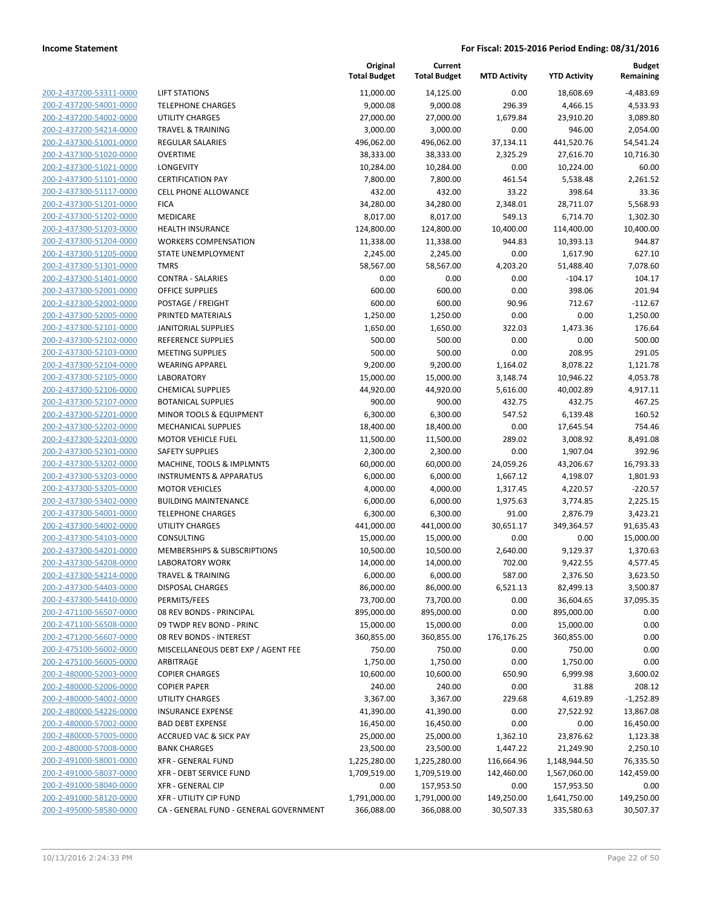| 200-2-437200-53311-0000        |
|--------------------------------|
| 200-2-437200-54001-0000        |
| 200-2-437200-54002-0000        |
| 200-2-437200-54214-0000        |
| 200-2-437300-51001-0000        |
| 200-2-437300-51020-0000        |
| 200-2-437300-51021-0000        |
| 200-2-437300-51101-0000        |
|                                |
| 200-2-437300-51117-0000        |
| 200-2-437300-51201-0000        |
| 200-2-437300-51202-0000        |
| 200-2-437300-51203-0000        |
| 200-2-437300-51204-0000        |
| 200-2-437300-51205-0000        |
| 200-2-437300-51301-0000        |
| 200-2-437300-51401-0000        |
| 200-2-437300-52001-0000        |
| 200-2-437300-52002-0000        |
| 200-2-437300-52005-0000        |
| 200-2-437300-52101-0000        |
| 200-2-437300-52102-0000        |
|                                |
| 200-2-437300-52103-0000        |
| 200-2-437300-52104-0000        |
| 200-2-437300-52105-0000        |
| 200-2-437300-52106-0000        |
| 200-2-437300-52107-0000        |
| 200-2-437300-52201-0000        |
| 200-2-437300-52202-0000        |
| 200-2-437300-52203-0000        |
| 200-2-437300-52301-0000        |
| 200-2-437300-53202-0000        |
| 200-2-437300-53203-0000        |
| 200-2-437300-53205-0000        |
| 200-2-437300-53402-0000        |
| 200-2-437300-54001-0000        |
| 200-2-437300-54002-0000        |
|                                |
| 200-2-437300-54103-0000        |
| 200-2-437300-54201-0000        |
| 200-2-437300-54208-0000        |
| 200-2-437300-54214-0000        |
| 200-2-437300-54403-0000        |
| 200-2-437300-54410-0000        |
| <u>200-2-471100-56507-0000</u> |
| <u>200-2-471100-56508-0000</u> |
| 200-2-471200-56607-0000        |
| 200-2-475100-56002-0000        |
| 200-2-475100-56005-0000        |
| 200-2-480000-52003-0000        |
| <u>200-2-480000-52006-0000</u> |
|                                |
| 200-2-480000-54002-0000        |
| 200-2-480000-54226-0000        |
| 200-2-480000-57002-0000        |
| 200-2-480000-57005-0000        |
| <u>200-2-480000-57008-0000</u> |
| 200-2-491000-58001-0000        |
| 200-2-491000-58037-0000        |
| 200-2-491000-58040-0000        |
| 200-2-491000-58120-0000        |
| 200-2-495000-58580-0000        |
|                                |

| IFT STATIONS.                                   |
|-------------------------------------------------|
| <b>ELEPHONE CHARGES</b>                         |
| JTILITY CHARGES                                 |
| <b>RAVEL &amp; TRAINING</b>                     |
| REGULAR SALARIES                                |
| <b>DVERTIME</b>                                 |
| ONGEVITY.                                       |
| <b>CERTIFICATION PAY</b>                        |
| CELL PHONE ALLOWANCE                            |
| <b>ICA</b>                                      |
| <b>MEDICARE</b>                                 |
| HEALTH INSURANCE                                |
| <b>NORKERS COMPENSATION</b>                     |
| <b>TATE UNEMPLOYMENT</b>                        |
| <b>MRS</b>                                      |
| CONTRA - SALARIES                               |
| DFFICE SUPPLIES                                 |
| OSTAGE / FREIGHT                                |
| PRINTED MATERIALS                               |
| <b>ANITORIAL SUPPLIES</b>                       |
| REFERENCE SUPPLIES                              |
| <b>MEETING SUPPLIES</b>                         |
| VEARING APPAREL                                 |
| ABORATORY                                       |
| <b>CHEMICAL SUPPLIES</b>                        |
| BOTANICAL SUPPLIES                              |
| MINOR TOOLS & EQUIPMENT                         |
| <b>MECHANICAL SUPPLIES</b>                      |
| MOTOR VEHICLE FUEL                              |
| <b>AFETY SUPPLIES</b>                           |
| MACHINE, TOOLS & IMPLMNTS                       |
| NSTRUMENTS & APPARATUS                          |
| <b>MOTOR VEHICLES</b>                           |
|                                                 |
| BUILDING MAINTENANCE<br><b>ELEPHONE CHARGES</b> |
|                                                 |
| JTILITY CHARGES                                 |
| CONSULTING                                      |
| MEMBERSHIPS & SUBSCRIPTIONS                     |
| <b>ABORATORY WORK</b>                           |
| <b>RAVEL &amp; TRAINING</b>                     |
| <b>DISPOSAL CHARGES</b>                         |
| PERMITS/FEES                                    |
| 08 REV BONDS - PRINCIPAL                        |
| 9 TWDP REV BOND - PRINC                         |
| <b>08 REV BONDS - INTEREST</b>                  |
| MISCELLANEOUS DEBT EXP / AGENT FEE              |
| <b>ARBITRAGE</b>                                |
| <b>COPIER CHARGES</b>                           |
| <b>COPIER PAPER</b>                             |
| JTILITY CHARGES                                 |
| <b>NSURANCE EXPENSE</b>                         |
| <b>BAD DEBT EXPENSE</b>                         |
| <b>ACCRUED VAC &amp; SICK PAY</b>               |
| <b>BANK CHARGES</b>                             |
| (FR - GENERAL FUND                              |
| (FR - DEBT SERVICE FUND                         |
| (FR - GENERAL CIP                               |
| (FR - UTILITY CIP FUND                          |

|                         |                                        | Original<br><b>Total Budget</b> | Current<br><b>Total Budget</b> | <b>MTD Activity</b> | <b>YTD Activity</b> | <b>Budget</b><br>Remaining |
|-------------------------|----------------------------------------|---------------------------------|--------------------------------|---------------------|---------------------|----------------------------|
| 200-2-437200-53311-0000 | <b>LIFT STATIONS</b>                   | 11,000.00                       | 14,125.00                      | 0.00                | 18,608.69           | $-4,483.69$                |
| 200-2-437200-54001-0000 | <b>TELEPHONE CHARGES</b>               | 9,000.08                        | 9,000.08                       | 296.39              | 4,466.15            | 4,533.93                   |
| 200-2-437200-54002-0000 | <b>UTILITY CHARGES</b>                 | 27,000.00                       | 27,000.00                      | 1,679.84            | 23,910.20           | 3,089.80                   |
| 200-2-437200-54214-0000 | <b>TRAVEL &amp; TRAINING</b>           | 3,000.00                        | 3,000.00                       | 0.00                | 946.00              | 2,054.00                   |
| 200-2-437300-51001-0000 | <b>REGULAR SALARIES</b>                | 496,062.00                      | 496,062.00                     | 37,134.11           | 441,520.76          | 54,541.24                  |
| 200-2-437300-51020-0000 | <b>OVERTIME</b>                        | 38,333.00                       | 38,333.00                      | 2,325.29            | 27,616.70           | 10,716.30                  |
| 200-2-437300-51021-0000 | LONGEVITY                              | 10,284.00                       | 10,284.00                      | 0.00                | 10,224.00           | 60.00                      |
| 200-2-437300-51101-0000 | <b>CERTIFICATION PAY</b>               | 7,800.00                        | 7,800.00                       | 461.54              | 5,538.48            | 2,261.52                   |
| 200-2-437300-51117-0000 | <b>CELL PHONE ALLOWANCE</b>            | 432.00                          | 432.00                         | 33.22               | 398.64              | 33.36                      |
| 200-2-437300-51201-0000 | <b>FICA</b>                            | 34,280.00                       | 34,280.00                      | 2,348.01            | 28,711.07           | 5,568.93                   |
| 200-2-437300-51202-0000 | MEDICARE                               | 8,017.00                        | 8,017.00                       | 549.13              | 6,714.70            | 1,302.30                   |
| 200-2-437300-51203-0000 | <b>HEALTH INSURANCE</b>                | 124,800.00                      | 124,800.00                     | 10,400.00           | 114,400.00          | 10,400.00                  |
| 200-2-437300-51204-0000 | <b>WORKERS COMPENSATION</b>            | 11,338.00                       | 11,338.00                      | 944.83              | 10,393.13           | 944.87                     |
| 200-2-437300-51205-0000 | STATE UNEMPLOYMENT                     | 2,245.00                        | 2,245.00                       | 0.00                | 1,617.90            | 627.10                     |
| 200-2-437300-51301-0000 | <b>TMRS</b>                            | 58,567.00                       | 58,567.00                      | 4,203.20            | 51,488.40           | 7,078.60                   |
| 200-2-437300-51401-0000 | <b>CONTRA - SALARIES</b>               | 0.00                            | 0.00                           | 0.00                | $-104.17$           | 104.17                     |
| 200-2-437300-52001-0000 | <b>OFFICE SUPPLIES</b>                 | 600.00                          | 600.00                         | 0.00                | 398.06              | 201.94                     |
| 200-2-437300-52002-0000 | POSTAGE / FREIGHT                      | 600.00                          | 600.00                         | 90.96               | 712.67              | $-112.67$                  |
| 200-2-437300-52005-0000 | PRINTED MATERIALS                      | 1,250.00                        | 1,250.00                       | 0.00                | 0.00                | 1,250.00                   |
| 200-2-437300-52101-0000 | <b>JANITORIAL SUPPLIES</b>             | 1,650.00                        | 1,650.00                       | 322.03              | 1,473.36            | 176.64                     |
| 200-2-437300-52102-0000 | <b>REFERENCE SUPPLIES</b>              | 500.00                          | 500.00                         | 0.00                | 0.00                | 500.00                     |
| 200-2-437300-52103-0000 | <b>MEETING SUPPLIES</b>                | 500.00                          | 500.00                         | 0.00                | 208.95              | 291.05                     |
| 200-2-437300-52104-0000 | <b>WEARING APPAREL</b>                 | 9,200.00                        | 9,200.00                       | 1,164.02            | 8,078.22            | 1,121.78                   |
| 200-2-437300-52105-0000 | <b>LABORATORY</b>                      | 15,000.00                       | 15,000.00                      | 3,148.74            | 10,946.22           | 4,053.78                   |
| 200-2-437300-52106-0000 | <b>CHEMICAL SUPPLIES</b>               | 44,920.00                       | 44,920.00                      | 5,616.00            | 40,002.89           | 4,917.11                   |
| 200-2-437300-52107-0000 | <b>BOTANICAL SUPPLIES</b>              | 900.00                          | 900.00                         | 432.75              | 432.75              | 467.25                     |
| 200-2-437300-52201-0000 | MINOR TOOLS & EQUIPMENT                | 6,300.00                        | 6,300.00                       | 547.52              | 6,139.48            | 160.52                     |
| 200-2-437300-52202-0000 | <b>MECHANICAL SUPPLIES</b>             | 18,400.00                       | 18,400.00                      | 0.00                | 17,645.54           | 754.46                     |
| 200-2-437300-52203-0000 | <b>MOTOR VEHICLE FUEL</b>              | 11,500.00                       | 11,500.00                      | 289.02              | 3,008.92            | 8,491.08                   |
| 200-2-437300-52301-0000 | <b>SAFETY SUPPLIES</b>                 | 2,300.00                        | 2,300.00                       | 0.00                | 1,907.04            | 392.96                     |
| 200-2-437300-53202-0000 | MACHINE, TOOLS & IMPLMNTS              | 60,000.00                       | 60,000.00                      | 24,059.26           | 43,206.67           | 16,793.33                  |
| 200-2-437300-53203-0000 | <b>INSTRUMENTS &amp; APPARATUS</b>     | 6,000.00                        | 6,000.00                       | 1,667.12            | 4,198.07            | 1,801.93                   |
| 200-2-437300-53205-0000 | <b>MOTOR VEHICLES</b>                  | 4,000.00                        | 4,000.00                       | 1,317.45            | 4,220.57            | $-220.57$                  |
| 200-2-437300-53402-0000 | <b>BUILDING MAINTENANCE</b>            | 6,000.00                        | 6,000.00                       | 1,975.63            | 3,774.85            | 2,225.15                   |
| 200-2-437300-54001-0000 | <b>TELEPHONE CHARGES</b>               | 6,300.00                        | 6,300.00                       | 91.00               | 2,876.79            | 3,423.21                   |
| 200-2-437300-54002-0000 | <b>UTILITY CHARGES</b>                 | 441,000.00                      | 441,000.00                     | 30,651.17           | 349,364.57          | 91,635.43                  |
| 200-2-437300-54103-0000 | <b>CONSULTING</b>                      | 15,000.00                       | 15,000.00                      | 0.00                | 0.00                | 15,000.00                  |
| 200-2-437300-54201-0000 | <b>MEMBERSHIPS &amp; SUBSCRIPTIONS</b> | 10,500.00                       | 10,500.00                      | 2,640.00            | 9,129.37            | 1,370.63                   |
| 200-2-437300-54208-0000 | <b>LABORATORY WORK</b>                 | 14,000.00                       | 14,000.00                      | 702.00              | 9,422.55            | 4,577.45                   |
| 200-2-437300-54214-0000 | <b>TRAVEL &amp; TRAINING</b>           | 6,000.00                        | 6,000.00                       | 587.00              | 2,376.50            | 3,623.50                   |
| 200-2-437300-54403-0000 | <b>DISPOSAL CHARGES</b>                | 86,000.00                       | 86,000.00                      | 6,521.13            | 82,499.13           | 3,500.87                   |
| 200-2-437300-54410-0000 | PERMITS/FEES                           | 73,700.00                       | 73,700.00                      | 0.00                | 36,604.65           | 37,095.35                  |
| 200-2-471100-56507-0000 | 08 REV BONDS - PRINCIPAL               | 895,000.00                      | 895,000.00                     | 0.00                | 895,000.00          | 0.00                       |
| 200-2-471100-56508-0000 | 09 TWDP REV BOND - PRINC               | 15,000.00                       | 15,000.00                      | 0.00                | 15,000.00           | 0.00                       |
| 200-2-471200-56607-0000 | 08 REV BONDS - INTEREST                | 360,855.00                      | 360,855.00                     | 176,176.25          | 360,855.00          | 0.00                       |
| 200-2-475100-56002-0000 | MISCELLANEOUS DEBT EXP / AGENT FEE     | 750.00                          | 750.00                         | 0.00                | 750.00              | 0.00                       |
| 200-2-475100-56005-0000 | ARBITRAGE                              | 1,750.00                        | 1,750.00                       | 0.00                | 1,750.00            | 0.00                       |
| 200-2-480000-52003-0000 | <b>COPIER CHARGES</b>                  | 10,600.00                       | 10,600.00                      | 650.90              | 6,999.98            | 3,600.02                   |
| 200-2-480000-52006-0000 | <b>COPIER PAPER</b>                    | 240.00                          | 240.00                         | 0.00                | 31.88               | 208.12                     |
| 200-2-480000-54002-0000 | UTILITY CHARGES                        | 3,367.00                        | 3,367.00                       | 229.68              | 4,619.89            | $-1,252.89$                |
| 200-2-480000-54226-0000 | <b>INSURANCE EXPENSE</b>               | 41,390.00                       | 41,390.00                      | 0.00                | 27,522.92           | 13,867.08                  |
| 200-2-480000-57002-0000 | <b>BAD DEBT EXPENSE</b>                | 16,450.00                       | 16,450.00                      | 0.00                | 0.00                | 16,450.00                  |
| 200-2-480000-57005-0000 | <b>ACCRUED VAC &amp; SICK PAY</b>      | 25,000.00                       | 25,000.00                      | 1,362.10            | 23,876.62           | 1,123.38                   |
| 200-2-480000-57008-0000 | <b>BANK CHARGES</b>                    | 23,500.00                       | 23,500.00                      | 1,447.22            | 21,249.90           | 2,250.10                   |
| 200-2-491000-58001-0000 | <b>XFR - GENERAL FUND</b>              | 1,225,280.00                    | 1,225,280.00                   | 116,664.96          | 1,148,944.50        | 76,335.50                  |
| 200-2-491000-58037-0000 | XFR - DEBT SERVICE FUND                | 1,709,519.00                    | 1,709,519.00                   | 142,460.00          | 1,567,060.00        | 142,459.00                 |
| 200-2-491000-58040-0000 | <b>XFR - GENERAL CIP</b>               | 0.00                            | 157,953.50                     | 0.00                | 157,953.50          | 0.00                       |
| 200-2-491000-58120-0000 | <b>XFR - UTILITY CIP FUND</b>          | 1,791,000.00                    | 1,791,000.00                   | 149,250.00          | 1,641,750.00        | 149,250.00                 |
| 200-2-495000-58580-0000 | CA - GENERAL FUND - GENERAL GOVERNMENT | 366,088.00                      | 366,088.00                     | 30,507.33           | 335,580.63          | 30,507.37                  |
|                         |                                        |                                 |                                |                     |                     |                            |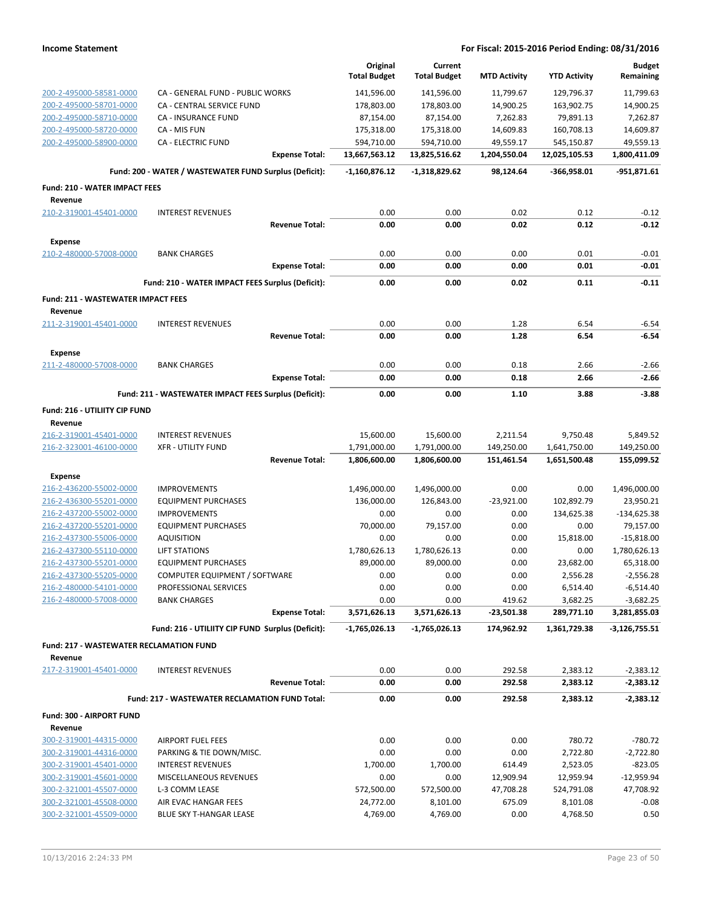|                                                           |                                                        |                       | Original<br><b>Total Budget</b> | Current<br><b>Total Budget</b> | <b>MTD Activity</b> | <b>YTD Activity</b> | <b>Budget</b><br>Remaining |
|-----------------------------------------------------------|--------------------------------------------------------|-----------------------|---------------------------------|--------------------------------|---------------------|---------------------|----------------------------|
| 200-2-495000-58581-0000                                   | CA - GENERAL FUND - PUBLIC WORKS                       |                       | 141,596.00                      | 141,596.00                     | 11,799.67           | 129,796.37          | 11,799.63                  |
| 200-2-495000-58701-0000                                   | CA - CENTRAL SERVICE FUND                              |                       | 178,803.00                      | 178,803.00                     | 14,900.25           | 163,902.75          | 14,900.25                  |
| 200-2-495000-58710-0000                                   | <b>CA - INSURANCE FUND</b>                             |                       | 87,154.00                       | 87,154.00                      | 7,262.83            | 79,891.13           | 7,262.87                   |
| 200-2-495000-58720-0000                                   | CA - MIS FUN                                           |                       | 175,318.00                      | 175,318.00                     | 14,609.83           | 160,708.13          | 14,609.87                  |
| 200-2-495000-58900-0000                                   | <b>CA - ELECTRIC FUND</b>                              |                       | 594,710.00                      | 594,710.00                     | 49,559.17           | 545,150.87          | 49,559.13                  |
|                                                           |                                                        | <b>Expense Total:</b> | 13,667,563.12                   | 13,825,516.62                  | 1,204,550.04        | 12,025,105.53       | 1,800,411.09               |
|                                                           | Fund: 200 - WATER / WASTEWATER FUND Surplus (Deficit): |                       | $-1,160,876.12$                 | $-1,318,829.62$                | 98,124.64           | -366,958.01         | $-951,871.61$              |
| <b>Fund: 210 - WATER IMPACT FEES</b>                      |                                                        |                       |                                 |                                |                     |                     |                            |
| Revenue                                                   |                                                        |                       |                                 |                                |                     |                     |                            |
| 210-2-319001-45401-0000                                   | <b>INTEREST REVENUES</b>                               | <b>Revenue Total:</b> | 0.00<br>0.00                    | 0.00<br>0.00                   | 0.02<br>0.02        | 0.12<br>0.12        | $-0.12$<br>$-0.12$         |
|                                                           |                                                        |                       |                                 |                                |                     |                     |                            |
| <b>Expense</b>                                            |                                                        |                       |                                 |                                |                     |                     |                            |
| 210-2-480000-57008-0000                                   | <b>BANK CHARGES</b>                                    | <b>Expense Total:</b> | 0.00<br>0.00                    | 0.00<br>0.00                   | 0.00<br>0.00        | 0.01<br>0.01        | $-0.01$<br>$-0.01$         |
|                                                           |                                                        |                       |                                 |                                |                     |                     |                            |
|                                                           | Fund: 210 - WATER IMPACT FEES Surplus (Deficit):       |                       | 0.00                            | 0.00                           | 0.02                | 0.11                | $-0.11$                    |
| <b>Fund: 211 - WASTEWATER IMPACT FEES</b><br>Revenue      |                                                        |                       |                                 |                                |                     |                     |                            |
| 211-2-319001-45401-0000                                   | <b>INTEREST REVENUES</b>                               |                       | 0.00                            | 0.00                           | 1.28                | 6.54                | $-6.54$                    |
|                                                           |                                                        | <b>Revenue Total:</b> | 0.00                            | 0.00                           | 1.28                | 6.54                | $-6.54$                    |
| <b>Expense</b>                                            |                                                        |                       |                                 |                                |                     |                     |                            |
| 211-2-480000-57008-0000                                   | <b>BANK CHARGES</b>                                    |                       | 0.00                            | 0.00                           | 0.18                | 2.66                | $-2.66$                    |
|                                                           |                                                        | <b>Expense Total:</b> | 0.00                            | 0.00                           | 0.18                | 2.66                | $-2.66$                    |
|                                                           | Fund: 211 - WASTEWATER IMPACT FEES Surplus (Deficit):  |                       | 0.00                            | 0.00                           | 1.10                | 3.88                | $-3.88$                    |
| Fund: 216 - UTILIITY CIP FUND                             |                                                        |                       |                                 |                                |                     |                     |                            |
| Revenue<br>216-2-319001-45401-0000                        | <b>INTEREST REVENUES</b>                               |                       | 15,600.00                       | 15,600.00                      | 2,211.54            | 9,750.48            | 5,849.52                   |
| 216-2-323001-46100-0000                                   | <b>XFR - UTILITY FUND</b>                              |                       | 1,791,000.00                    | 1,791,000.00                   | 149,250.00          | 1,641,750.00        | 149,250.00                 |
|                                                           |                                                        | <b>Revenue Total:</b> | 1,806,600.00                    | 1,806,600.00                   | 151,461.54          | 1,651,500.48        | 155,099.52                 |
| <b>Expense</b>                                            |                                                        |                       |                                 |                                |                     |                     |                            |
| 216-2-436200-55002-0000                                   | <b>IMPROVEMENTS</b>                                    |                       | 1,496,000.00                    | 1,496,000.00                   | 0.00                | 0.00                | 1,496,000.00               |
| 216-2-436300-55201-0000                                   | <b>EQUIPMENT PURCHASES</b>                             |                       | 136,000.00                      | 126,843.00                     | $-23,921.00$        | 102,892.79          | 23,950.21                  |
| 216-2-437200-55002-0000                                   | <b>IMPROVEMENTS</b>                                    |                       | 0.00                            | 0.00                           | 0.00                | 134,625.38          | $-134,625.38$              |
| 216-2-437200-55201-0000                                   | <b>EQUIPMENT PURCHASES</b>                             |                       | 70,000.00                       | 79,157.00                      | 0.00                | 0.00                | 79,157.00                  |
| 216-2-437300-55006-0000                                   | <b>AQUISITION</b>                                      |                       | 0.00                            | 0.00                           | 0.00                | 15,818.00           | $-15,818.00$               |
| 216-2-437300-55110-0000                                   | <b>LIFT STATIONS</b>                                   |                       | 1,780,626.13                    | 1,780,626.13                   | 0.00                | 0.00                | 1,780,626.13               |
| 216-2-437300-55201-0000                                   | <b>EQUIPMENT PURCHASES</b>                             |                       | 89,000.00                       | 89,000.00                      | 0.00                | 23,682.00           | 65,318.00                  |
| 216-2-437300-55205-0000                                   | COMPUTER EQUIPMENT / SOFTWARE                          |                       | 0.00                            | 0.00                           | 0.00                | 2,556.28            | $-2,556.28$                |
| 216-2-480000-54101-0000                                   | PROFESSIONAL SERVICES                                  |                       | 0.00                            | 0.00                           | 0.00                | 6,514.40            | $-6,514.40$                |
| 216-2-480000-57008-0000                                   | <b>BANK CHARGES</b>                                    |                       | 0.00                            | 0.00                           | 419.62              | 3,682.25            | $-3,682.25$                |
|                                                           |                                                        | <b>Expense Total:</b> | 3,571,626.13                    | 3,571,626.13                   | -23,501.38          | 289,771.10          | 3,281,855.03               |
|                                                           | Fund: 216 - UTILIITY CIP FUND Surplus (Deficit):       |                       | -1,765,026.13                   | -1,765,026.13                  | 174,962.92          | 1,361,729.38        | $-3,126,755.51$            |
| <b>Fund: 217 - WASTEWATER RECLAMATION FUND</b><br>Revenue |                                                        |                       |                                 |                                |                     |                     |                            |
| 217-2-319001-45401-0000                                   | <b>INTEREST REVENUES</b>                               |                       | 0.00                            | 0.00                           | 292.58              | 2,383.12            | $-2,383.12$                |
|                                                           |                                                        | <b>Revenue Total:</b> | 0.00                            | 0.00                           | 292.58              | 2,383.12            | $-2,383.12$                |
|                                                           | Fund: 217 - WASTEWATER RECLAMATION FUND Total:         |                       | 0.00                            | 0.00                           | 292.58              | 2,383.12            | $-2,383.12$                |
| Fund: 300 - AIRPORT FUND                                  |                                                        |                       |                                 |                                |                     |                     |                            |
| Revenue                                                   |                                                        |                       |                                 |                                |                     |                     |                            |
| 300-2-319001-44315-0000                                   | <b>AIRPORT FUEL FEES</b>                               |                       | 0.00                            | 0.00                           | 0.00                | 780.72              | -780.72                    |
| 300-2-319001-44316-0000                                   | PARKING & TIE DOWN/MISC.                               |                       | 0.00                            | 0.00                           | 0.00                | 2,722.80            | $-2,722.80$                |
| 300-2-319001-45401-0000                                   | <b>INTEREST REVENUES</b>                               |                       | 1,700.00                        | 1,700.00                       | 614.49              | 2,523.05            | $-823.05$                  |
| 300-2-319001-45601-0000                                   | MISCELLANEOUS REVENUES                                 |                       | 0.00                            | 0.00                           | 12,909.94           | 12,959.94           | $-12,959.94$               |
| 300-2-321001-45507-0000                                   | L-3 COMM LEASE                                         |                       | 572,500.00                      | 572,500.00                     | 47,708.28           | 524,791.08          | 47,708.92                  |
| 300-2-321001-45508-0000                                   | AIR EVAC HANGAR FEES                                   |                       | 24,772.00                       | 8,101.00                       | 675.09              | 8,101.08            | $-0.08$                    |
| 300-2-321001-45509-0000                                   | BLUE SKY T-HANGAR LEASE                                |                       | 4,769.00                        | 4,769.00                       | 0.00                | 4,768.50            | 0.50                       |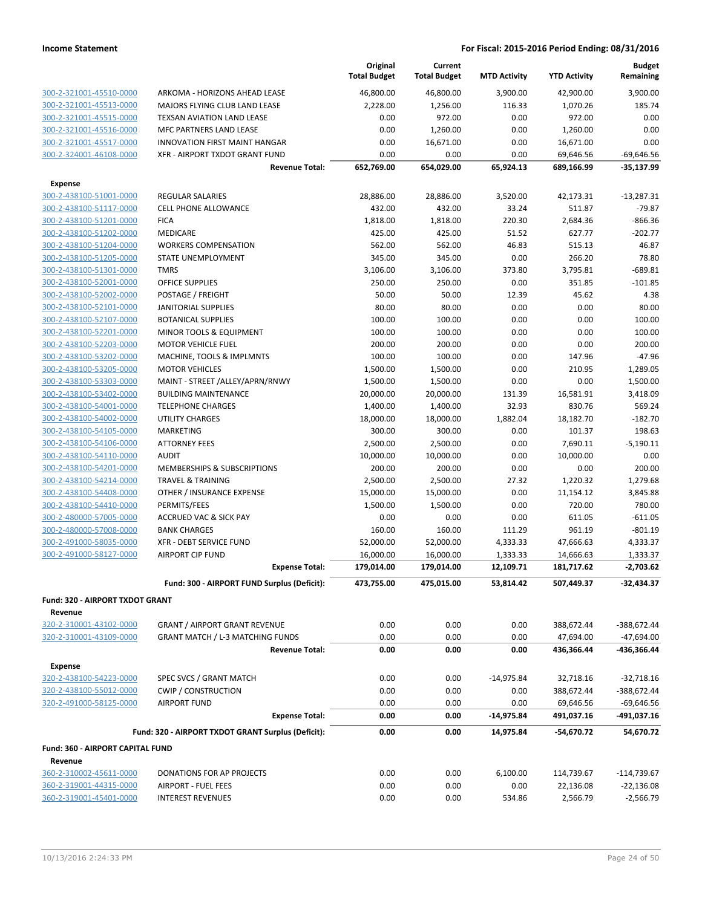|                                            |                                                    | Original<br><b>Total Budget</b> | Current<br><b>Total Budget</b> | <b>MTD Activity</b>   | <b>YTD Activity</b>     | <b>Budget</b><br>Remaining |
|--------------------------------------------|----------------------------------------------------|---------------------------------|--------------------------------|-----------------------|-------------------------|----------------------------|
| 300-2-321001-45510-0000                    | ARKOMA - HORIZONS AHEAD LEASE                      | 46,800.00                       | 46,800.00                      | 3,900.00              | 42,900.00               | 3,900.00                   |
| 300-2-321001-45513-0000                    | MAJORS FLYING CLUB LAND LEASE                      | 2,228.00                        | 1,256.00                       | 116.33                | 1,070.26                | 185.74                     |
| 300-2-321001-45515-0000                    | TEXSAN AVIATION LAND LEASE                         | 0.00                            | 972.00                         | 0.00                  | 972.00                  | 0.00                       |
| 300-2-321001-45516-0000                    | MFC PARTNERS LAND LEASE                            | 0.00                            | 1,260.00                       | 0.00                  | 1,260.00                | 0.00                       |
| 300-2-321001-45517-0000                    | <b>INNOVATION FIRST MAINT HANGAR</b>               | 0.00                            | 16,671.00                      | 0.00                  | 16,671.00               | 0.00                       |
| 300-2-324001-46108-0000                    | XFR - AIRPORT TXDOT GRANT FUND                     | 0.00                            | 0.00                           | 0.00                  | 69,646.56               | $-69,646.56$               |
|                                            | <b>Revenue Total:</b>                              | 652,769.00                      | 654,029.00                     | 65,924.13             | 689,166.99              | $-35,137.99$               |
| <b>Expense</b>                             |                                                    |                                 |                                |                       |                         |                            |
| 300-2-438100-51001-0000                    | <b>REGULAR SALARIES</b>                            | 28,886.00                       | 28,886.00                      | 3,520.00              | 42,173.31               | $-13,287.31$               |
| 300-2-438100-51117-0000                    | <b>CELL PHONE ALLOWANCE</b>                        | 432.00                          | 432.00                         | 33.24                 | 511.87                  | $-79.87$                   |
| 300-2-438100-51201-0000                    | <b>FICA</b>                                        | 1,818.00                        | 1,818.00                       | 220.30                | 2,684.36                | $-866.36$                  |
| 300-2-438100-51202-0000                    | MEDICARE                                           | 425.00                          | 425.00                         | 51.52                 | 627.77                  | $-202.77$                  |
| 300-2-438100-51204-0000                    | <b>WORKERS COMPENSATION</b>                        | 562.00                          | 562.00                         | 46.83                 | 515.13                  | 46.87                      |
| 300-2-438100-51205-0000                    | STATE UNEMPLOYMENT                                 | 345.00                          | 345.00                         | 0.00                  | 266.20                  | 78.80                      |
| 300-2-438100-51301-0000                    | <b>TMRS</b>                                        | 3,106.00                        | 3,106.00                       | 373.80                | 3,795.81                | $-689.81$                  |
| 300-2-438100-52001-0000                    | <b>OFFICE SUPPLIES</b>                             | 250.00                          | 250.00                         | 0.00                  | 351.85                  | $-101.85$                  |
| 300-2-438100-52002-0000                    | POSTAGE / FREIGHT                                  | 50.00                           | 50.00                          | 12.39                 | 45.62                   | 4.38                       |
| 300-2-438100-52101-0000                    | <b>JANITORIAL SUPPLIES</b>                         | 80.00                           | 80.00                          | 0.00                  | 0.00                    | 80.00                      |
| 300-2-438100-52107-0000                    | <b>BOTANICAL SUPPLIES</b>                          | 100.00                          | 100.00                         | 0.00                  | 0.00                    | 100.00                     |
| 300-2-438100-52201-0000                    | MINOR TOOLS & EQUIPMENT                            | 100.00                          | 100.00                         | 0.00                  | 0.00                    | 100.00                     |
| 300-2-438100-52203-0000                    | <b>MOTOR VEHICLE FUEL</b>                          | 200.00                          | 200.00                         | 0.00                  | 0.00                    | 200.00                     |
| 300-2-438100-53202-0000                    | MACHINE, TOOLS & IMPLMNTS                          | 100.00                          | 100.00                         | 0.00                  | 147.96                  | $-47.96$                   |
| 300-2-438100-53205-0000                    | <b>MOTOR VEHICLES</b>                              | 1,500.00                        | 1,500.00                       | 0.00                  | 210.95                  | 1.289.05                   |
| 300-2-438100-53303-0000                    | MAINT - STREET /ALLEY/APRN/RNWY                    | 1,500.00                        | 1,500.00                       | 0.00                  | 0.00                    | 1,500.00                   |
| 300-2-438100-53402-0000                    | <b>BUILDING MAINTENANCE</b>                        | 20,000.00                       | 20,000.00                      | 131.39                | 16,581.91               | 3,418.09                   |
| 300-2-438100-54001-0000                    | <b>TELEPHONE CHARGES</b>                           | 1,400.00                        | 1,400.00                       | 32.93                 | 830.76                  | 569.24                     |
| 300-2-438100-54002-0000                    | <b>UTILITY CHARGES</b>                             | 18,000.00                       | 18,000.00                      | 1,882.04              | 18,182.70               | $-182.70$                  |
| 300-2-438100-54105-0000                    | <b>MARKETING</b>                                   | 300.00                          | 300.00                         | 0.00                  | 101.37                  | 198.63                     |
| 300-2-438100-54106-0000                    | <b>ATTORNEY FEES</b>                               | 2,500.00                        | 2,500.00                       | 0.00                  | 7,690.11                | $-5,190.11$                |
| 300-2-438100-54110-0000                    | <b>AUDIT</b>                                       | 10,000.00                       | 10,000.00                      | 0.00                  | 10,000.00               | 0.00                       |
| 300-2-438100-54201-0000                    | <b>MEMBERSHIPS &amp; SUBSCRIPTIONS</b>             | 200.00                          | 200.00                         | 0.00                  | 0.00                    | 200.00                     |
| 300-2-438100-54214-0000                    | <b>TRAVEL &amp; TRAINING</b>                       | 2,500.00                        | 2,500.00                       | 27.32                 | 1,220.32                | 1,279.68                   |
| 300-2-438100-54408-0000                    | OTHER / INSURANCE EXPENSE                          | 15,000.00                       | 15,000.00                      | 0.00                  | 11,154.12               | 3,845.88                   |
| 300-2-438100-54410-0000                    | PERMITS/FEES                                       | 1,500.00                        | 1,500.00                       | 0.00                  | 720.00                  | 780.00                     |
| 300-2-480000-57005-0000                    | <b>ACCRUED VAC &amp; SICK PAY</b>                  | 0.00                            | 0.00                           | 0.00                  | 611.05                  | $-611.05$                  |
| 300-2-480000-57008-0000                    | <b>BANK CHARGES</b>                                | 160.00                          | 160.00                         | 111.29                | 961.19                  | $-801.19$                  |
| 300-2-491000-58035-0000                    | <b>XFR - DEBT SERVICE FUND</b>                     | 52,000.00                       | 52,000.00                      | 4,333.33              | 47,666.63               | 4,333.37                   |
| 300-2-491000-58127-0000                    | <b>AIRPORT CIP FUND</b><br><b>Expense Total:</b>   | 16,000.00<br>179,014.00         | 16,000.00<br>179,014.00        | 1,333.33<br>12,109.71 | 14,666.63<br>181,717.62 | 1,333.37<br>$-2,703.62$    |
|                                            |                                                    |                                 |                                | 53,814.42             |                         |                            |
|                                            | Fund: 300 - AIRPORT FUND Surplus (Deficit):        | 473,755.00                      | 475,015.00                     |                       | 507,449.37              | -32,434.37                 |
| Fund: 320 - AIRPORT TXDOT GRANT<br>Revenue |                                                    |                                 |                                |                       |                         |                            |
| 320-2-310001-43102-0000                    | <b>GRANT / AIRPORT GRANT REVENUE</b>               | 0.00                            | 0.00                           | 0.00                  | 388,672.44              | -388,672.44                |
| 320-2-310001-43109-0000                    | <b>GRANT MATCH / L-3 MATCHING FUNDS</b>            | 0.00                            | 0.00                           | 0.00                  | 47,694.00               | $-47,694.00$               |
|                                            | <b>Revenue Total:</b>                              | 0.00                            | 0.00                           | 0.00                  | 436,366.44              | -436,366.44                |
| <b>Expense</b>                             |                                                    |                                 |                                |                       |                         |                            |
| 320-2-438100-54223-0000                    | SPEC SVCS / GRANT MATCH                            | 0.00                            | 0.00                           | $-14,975.84$          | 32,718.16               | $-32,718.16$               |
| 320-2-438100-55012-0000                    | <b>CWIP / CONSTRUCTION</b>                         | 0.00                            | 0.00                           | 0.00                  | 388,672.44              | $-388,672.44$              |
| 320-2-491000-58125-0000                    | <b>AIRPORT FUND</b>                                | 0.00                            | 0.00                           | 0.00                  | 69,646.56               | $-69,646.56$               |
|                                            | <b>Expense Total:</b>                              | 0.00                            | 0.00                           | -14,975.84            | 491,037.16              | -491,037.16                |
|                                            | Fund: 320 - AIRPORT TXDOT GRANT Surplus (Deficit): | 0.00                            | 0.00                           | 14,975.84             | -54,670.72              | 54,670.72                  |
| Fund: 360 - AIRPORT CAPITAL FUND           |                                                    |                                 |                                |                       |                         |                            |
| Revenue                                    |                                                    |                                 |                                |                       |                         |                            |
| 360-2-310002-45611-0000                    | DONATIONS FOR AP PROJECTS                          | 0.00                            | 0.00                           | 6,100.00              | 114,739.67              | $-114,739.67$              |
| 360-2-319001-44315-0000                    | <b>AIRPORT - FUEL FEES</b>                         | 0.00                            | 0.00                           | 0.00                  | 22,136.08               | $-22,136.08$               |
| 360-2-319001-45401-0000                    | <b>INTEREST REVENUES</b>                           | 0.00                            | 0.00                           | 534.86                | 2,566.79                | $-2,566.79$                |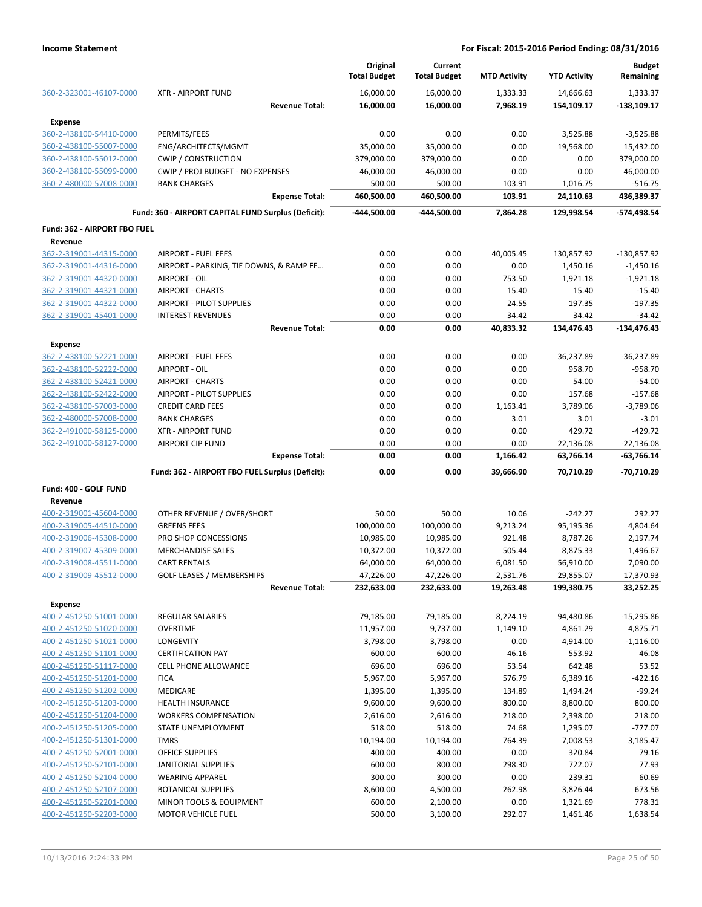|                                           |                                                     |                       | Original<br><b>Total Budget</b> | Current<br><b>Total Budget</b> | <b>MTD Activity</b> | <b>YTD Activity</b>    | <b>Budget</b><br>Remaining   |
|-------------------------------------------|-----------------------------------------------------|-----------------------|---------------------------------|--------------------------------|---------------------|------------------------|------------------------------|
| 360-2-323001-46107-0000                   | <b>XFR - AIRPORT FUND</b>                           |                       | 16,000.00                       | 16,000.00                      | 1,333.33            | 14,666.63              | 1,333.37                     |
|                                           |                                                     | <b>Revenue Total:</b> | 16,000.00                       | 16,000.00                      | 7,968.19            | 154,109.17             | $-138,109.17$                |
| <b>Expense</b>                            |                                                     |                       |                                 |                                |                     |                        |                              |
| 360-2-438100-54410-0000                   | PERMITS/FEES                                        |                       | 0.00                            | 0.00                           | 0.00                | 3,525.88               | $-3,525.88$                  |
| 360-2-438100-55007-0000                   | ENG/ARCHITECTS/MGMT                                 |                       | 35,000.00                       | 35,000.00                      | 0.00                | 19,568.00              | 15,432.00                    |
| 360-2-438100-55012-0000                   | <b>CWIP / CONSTRUCTION</b>                          |                       | 379,000.00                      | 379,000.00                     | 0.00                | 0.00                   | 379,000.00                   |
| 360-2-438100-55099-0000                   | CWIP / PROJ BUDGET - NO EXPENSES                    |                       | 46,000.00                       | 46,000.00                      | 0.00                | 0.00                   | 46,000.00                    |
| 360-2-480000-57008-0000                   | <b>BANK CHARGES</b>                                 |                       | 500.00                          | 500.00                         | 103.91              | 1,016.75               | $-516.75$                    |
|                                           |                                                     | <b>Expense Total:</b> | 460,500.00                      | 460,500.00                     | 103.91              | 24,110.63              | 436,389.37                   |
|                                           | Fund: 360 - AIRPORT CAPITAL FUND Surplus (Deficit): |                       | -444,500.00                     | -444,500.00                    | 7,864.28            | 129,998.54             | -574,498.54                  |
| Fund: 362 - AIRPORT FBO FUEL              |                                                     |                       |                                 |                                |                     |                        |                              |
| Revenue                                   |                                                     |                       |                                 |                                |                     |                        |                              |
| 362-2-319001-44315-0000                   | <b>AIRPORT - FUEL FEES</b>                          |                       | 0.00                            | 0.00                           | 40,005.45           | 130,857.92             | -130,857.92                  |
| 362-2-319001-44316-0000                   | AIRPORT - PARKING, TIE DOWNS, & RAMP FE             |                       | 0.00                            | 0.00                           | 0.00                | 1,450.16               | $-1,450.16$                  |
| 362-2-319001-44320-0000                   | AIRPORT - OIL                                       |                       | 0.00                            | 0.00                           | 753.50              | 1,921.18               | $-1,921.18$                  |
| 362-2-319001-44321-0000                   | <b>AIRPORT - CHARTS</b>                             |                       | 0.00                            | 0.00                           | 15.40               | 15.40                  | $-15.40$                     |
| 362-2-319001-44322-0000                   | <b>AIRPORT - PILOT SUPPLIES</b>                     |                       | 0.00                            | 0.00                           | 24.55               | 197.35                 | $-197.35$                    |
| 362-2-319001-45401-0000                   | <b>INTEREST REVENUES</b>                            |                       | 0.00                            | 0.00                           | 34.42               | 34.42                  | $-34.42$                     |
|                                           |                                                     | <b>Revenue Total:</b> | 0.00                            | 0.00                           | 40,833.32           | 134,476.43             | $-134,476.43$                |
| <b>Expense</b><br>362-2-438100-52221-0000 | <b>AIRPORT - FUEL FEES</b>                          |                       | 0.00                            | 0.00                           | 0.00                | 36,237.89              | -36,237.89                   |
| 362-2-438100-52222-0000                   | AIRPORT - OIL                                       |                       | 0.00                            | 0.00                           | 0.00                | 958.70                 | $-958.70$                    |
| 362-2-438100-52421-0000                   | <b>AIRPORT - CHARTS</b>                             |                       | 0.00                            | 0.00                           | 0.00                | 54.00                  | $-54.00$                     |
|                                           | <b>AIRPORT - PILOT SUPPLIES</b>                     |                       | 0.00                            | 0.00                           | 0.00                | 157.68                 | $-157.68$                    |
| 362-2-438100-52422-0000                   |                                                     |                       |                                 |                                |                     |                        |                              |
| 362-2-438100-57003-0000                   | <b>CREDIT CARD FEES</b>                             |                       | 0.00                            | 0.00                           | 1,163.41            | 3,789.06               | $-3,789.06$                  |
| 362-2-480000-57008-0000                   | <b>BANK CHARGES</b>                                 |                       | 0.00                            | 0.00                           | 3.01                | 3.01                   | $-3.01$                      |
| 362-2-491000-58125-0000                   | <b>XFR - AIRPORT FUND</b>                           |                       | 0.00                            | 0.00                           | 0.00                | 429.72                 | $-429.72$                    |
| 362-2-491000-58127-0000                   | <b>AIRPORT CIP FUND</b>                             | <b>Expense Total:</b> | 0.00<br>0.00                    | 0.00<br>0.00                   | 0.00<br>1,166.42    | 22,136.08<br>63,766.14 | $-22,136.08$<br>$-63,766.14$ |
|                                           | Fund: 362 - AIRPORT FBO FUEL Surplus (Deficit):     |                       | 0.00                            | 0.00                           | 39,666.90           | 70,710.29              | -70,710.29                   |
| Fund: 400 - GOLF FUND                     |                                                     |                       |                                 |                                |                     |                        |                              |
| Revenue                                   |                                                     |                       |                                 |                                |                     |                        |                              |
| 400-2-319001-45604-0000                   | OTHER REVENUE / OVER/SHORT                          |                       | 50.00                           | 50.00                          | 10.06               | $-242.27$              | 292.27                       |
| 400-2-319005-44510-0000                   | <b>GREENS FEES</b>                                  |                       | 100,000.00                      | 100,000.00                     | 9,213.24            | 95,195.36              | 4,804.64                     |
| 400-2-319006-45308-0000                   | PRO SHOP CONCESSIONS                                |                       | 10,985.00                       | 10,985.00                      | 921.48              | 8,787.26               | 2,197.74                     |
| 400-2-319007-45309-0000                   | <b>MERCHANDISE SALES</b>                            |                       | 10,372.00                       | 10,372.00                      | 505.44              | 8,875.33               | 1,496.67                     |
| 400-2-319008-45511-0000                   | <b>CART RENTALS</b>                                 |                       | 64,000.00                       | 64,000.00                      | 6,081.50            | 56,910.00              | 7,090.00                     |
| 400-2-319009-45512-0000                   | GOLF LEASES / MEMBERSHIPS                           |                       | 47,226.00                       | 47,226.00                      | 2,531.76            | 29,855.07              | 17,370.93                    |
|                                           |                                                     | <b>Revenue Total:</b> | 232,633.00                      | 232,633.00                     | 19,263.48           | 199,380.75             | 33,252.25                    |
| <b>Expense</b>                            |                                                     |                       |                                 |                                |                     |                        |                              |
| 400-2-451250-51001-0000                   | <b>REGULAR SALARIES</b>                             |                       | 79,185.00                       | 79,185.00                      | 8,224.19            | 94,480.86              | $-15,295.86$                 |
| 400-2-451250-51020-0000                   | <b>OVERTIME</b>                                     |                       | 11,957.00                       | 9,737.00                       | 1,149.10            | 4,861.29               | 4,875.71                     |
| 400-2-451250-51021-0000                   | LONGEVITY                                           |                       | 3,798.00                        | 3,798.00                       | 0.00                | 4,914.00               | $-1,116.00$                  |
| 400-2-451250-51101-0000                   | <b>CERTIFICATION PAY</b>                            |                       | 600.00                          | 600.00                         | 46.16               | 553.92                 | 46.08                        |
| 400-2-451250-51117-0000                   | CELL PHONE ALLOWANCE                                |                       | 696.00                          | 696.00                         | 53.54               | 642.48                 | 53.52                        |
| 400-2-451250-51201-0000                   | <b>FICA</b>                                         |                       | 5,967.00                        | 5,967.00                       | 576.79              | 6,389.16               | $-422.16$                    |
| 400-2-451250-51202-0000                   | MEDICARE                                            |                       | 1,395.00                        | 1,395.00                       | 134.89              | 1,494.24               | $-99.24$                     |
| 400-2-451250-51203-0000                   | HEALTH INSURANCE                                    |                       | 9,600.00                        | 9,600.00                       | 800.00              | 8,800.00               | 800.00                       |
| 400-2-451250-51204-0000                   | <b>WORKERS COMPENSATION</b>                         |                       |                                 |                                | 218.00              |                        | 218.00                       |
|                                           |                                                     |                       | 2,616.00                        | 2,616.00                       |                     | 2,398.00               |                              |
| 400-2-451250-51205-0000                   | STATE UNEMPLOYMENT                                  |                       | 518.00                          | 518.00                         | 74.68               | 1,295.07               | $-777.07$                    |
| 400-2-451250-51301-0000                   | <b>TMRS</b>                                         |                       | 10,194.00                       | 10,194.00                      | 764.39              | 7,008.53               | 3,185.47                     |
| 400-2-451250-52001-0000                   | OFFICE SUPPLIES                                     |                       | 400.00                          | 400.00                         | 0.00                | 320.84                 | 79.16                        |
| 400-2-451250-52101-0000                   | JANITORIAL SUPPLIES                                 |                       | 600.00                          | 800.00                         | 298.30              | 722.07                 | 77.93                        |
| 400-2-451250-52104-0000                   | <b>WEARING APPAREL</b>                              |                       | 300.00                          | 300.00                         | 0.00                | 239.31                 | 60.69                        |
| 400-2-451250-52107-0000                   | <b>BOTANICAL SUPPLIES</b>                           |                       | 8,600.00                        | 4,500.00                       | 262.98              | 3,826.44               | 673.56                       |
| 400-2-451250-52201-0000                   | MINOR TOOLS & EQUIPMENT                             |                       | 600.00                          | 2,100.00                       | 0.00                | 1,321.69               | 778.31                       |
| 400-2-451250-52203-0000                   | MOTOR VEHICLE FUEL                                  |                       | 500.00                          | 3,100.00                       | 292.07              | 1,461.46               | 1,638.54                     |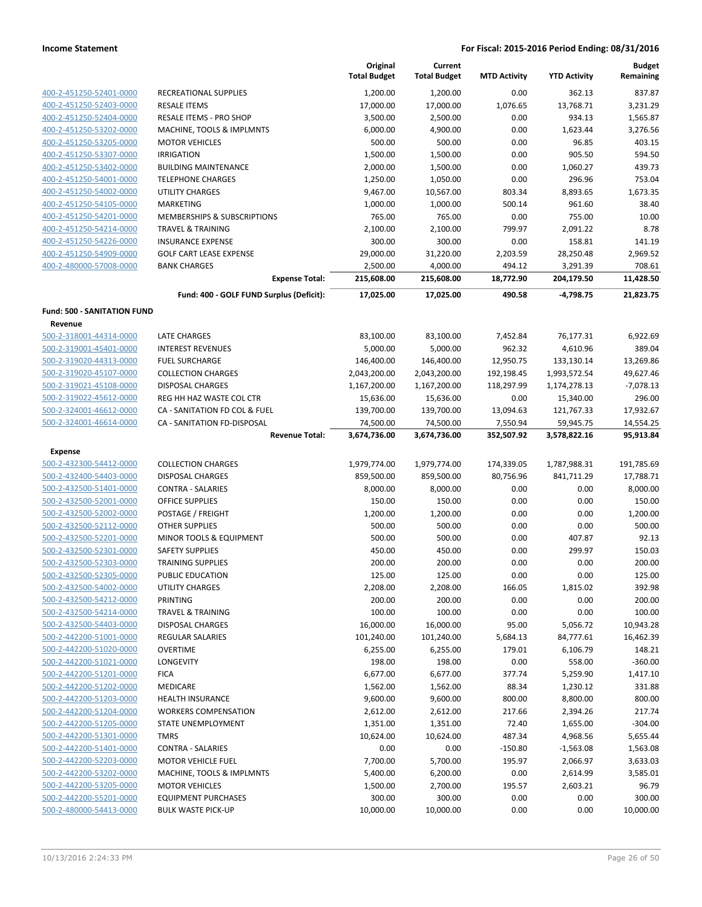|                                                    |                                                              | Original<br><b>Total Budget</b> | Current<br><b>Total Budget</b> | <b>MTD Activity</b>   | <b>YTD Activity</b>       | <b>Budget</b><br>Remaining |
|----------------------------------------------------|--------------------------------------------------------------|---------------------------------|--------------------------------|-----------------------|---------------------------|----------------------------|
| 400-2-451250-52401-0000                            | RECREATIONAL SUPPLIES                                        | 1,200.00                        | 1,200.00                       | 0.00                  | 362.13                    | 837.87                     |
| 400-2-451250-52403-0000                            | <b>RESALE ITEMS</b>                                          | 17,000.00                       | 17,000.00                      | 1,076.65              | 13,768.71                 | 3,231.29                   |
| 400-2-451250-52404-0000                            | <b>RESALE ITEMS - PRO SHOP</b>                               | 3,500.00                        | 2,500.00                       | 0.00                  | 934.13                    | 1,565.87                   |
| 400-2-451250-53202-0000                            | MACHINE, TOOLS & IMPLMNTS                                    | 6,000.00                        | 4,900.00                       | 0.00                  | 1,623.44                  | 3,276.56                   |
| 400-2-451250-53205-0000                            | <b>MOTOR VEHICLES</b>                                        | 500.00                          | 500.00                         | 0.00                  | 96.85                     | 403.15                     |
| 400-2-451250-53307-0000                            | <b>IRRIGATION</b>                                            | 1,500.00                        | 1,500.00                       | 0.00                  | 905.50                    | 594.50                     |
| 400-2-451250-53402-0000                            | <b>BUILDING MAINTENANCE</b>                                  | 2,000.00                        | 1,500.00                       | 0.00                  | 1,060.27                  | 439.73                     |
| 400-2-451250-54001-0000                            | <b>TELEPHONE CHARGES</b>                                     | 1,250.00                        | 1,050.00                       | 0.00                  | 296.96                    | 753.04                     |
| 400-2-451250-54002-0000                            | UTILITY CHARGES                                              | 9,467.00                        | 10,567.00                      | 803.34                | 8,893.65                  | 1,673.35                   |
| 400-2-451250-54105-0000                            | MARKETING                                                    | 1,000.00                        | 1,000.00                       | 500.14                | 961.60                    | 38.40                      |
| 400-2-451250-54201-0000                            | MEMBERSHIPS & SUBSCRIPTIONS                                  | 765.00                          | 765.00                         | 0.00                  | 755.00                    | 10.00                      |
| 400-2-451250-54214-0000                            | <b>TRAVEL &amp; TRAINING</b>                                 | 2,100.00                        | 2,100.00                       | 799.97                | 2,091.22                  | 8.78                       |
| 400-2-451250-54226-0000                            | <b>INSURANCE EXPENSE</b>                                     | 300.00                          | 300.00                         | 0.00                  | 158.81                    | 141.19                     |
| 400-2-451250-54909-0000                            | <b>GOLF CART LEASE EXPENSE</b>                               | 29,000.00                       | 31,220.00                      | 2,203.59              | 28,250.48                 | 2,969.52                   |
| 400-2-480000-57008-0000                            | <b>BANK CHARGES</b>                                          | 2,500.00                        | 4,000.00                       | 494.12                | 3,291.39                  | 708.61                     |
|                                                    | <b>Expense Total:</b>                                        | 215,608.00                      | 215,608.00                     | 18,772.90             | 204,179.50                | 11,428.50                  |
|                                                    | Fund: 400 - GOLF FUND Surplus (Deficit):                     | 17,025.00                       | 17,025.00                      | 490.58                | -4,798.75                 | 21,823.75                  |
| <b>Fund: 500 - SANITATION FUND</b>                 |                                                              |                                 |                                |                       |                           |                            |
| Revenue                                            |                                                              |                                 |                                |                       |                           |                            |
| 500-2-318001-44314-0000                            | <b>LATE CHARGES</b>                                          | 83,100.00                       | 83,100.00                      | 7,452.84              | 76,177.31                 | 6,922.69                   |
| 500-2-319001-45401-0000                            | <b>INTEREST REVENUES</b>                                     | 5,000.00                        | 5,000.00                       | 962.32                | 4,610.96                  | 389.04                     |
| 500-2-319020-44313-0000                            | <b>FUEL SURCHARGE</b>                                        | 146,400.00                      | 146,400.00                     | 12,950.75             | 133,130.14                | 13,269.86                  |
| 500-2-319020-45107-0000                            | <b>COLLECTION CHARGES</b>                                    | 2,043,200.00                    | 2,043,200.00                   | 192,198.45            | 1,993,572.54              | 49,627.46                  |
| 500-2-319021-45108-0000                            | <b>DISPOSAL CHARGES</b>                                      | 1,167,200.00                    | 1,167,200.00                   | 118,297.99            | 1,174,278.13              | $-7,078.13$                |
| 500-2-319022-45612-0000                            | REG HH HAZ WASTE COL CTR                                     | 15,636.00                       | 15,636.00                      | 0.00                  | 15,340.00                 | 296.00                     |
| 500-2-324001-46612-0000<br>500-2-324001-46614-0000 | CA - SANITATION FD COL & FUEL<br>CA - SANITATION FD-DISPOSAL | 139,700.00<br>74,500.00         | 139,700.00<br>74,500.00        | 13,094.63<br>7,550.94 | 121,767.33                | 17,932.67                  |
|                                                    | <b>Revenue Total:</b>                                        | 3,674,736.00                    | 3,674,736.00                   | 352,507.92            | 59,945.75<br>3,578,822.16 | 14,554.25<br>95,913.84     |
| <b>Expense</b>                                     |                                                              |                                 |                                |                       |                           |                            |
| 500-2-432300-54412-0000                            | <b>COLLECTION CHARGES</b>                                    | 1,979,774.00                    | 1,979,774.00                   | 174,339.05            | 1,787,988.31              | 191,785.69                 |
| 500-2-432400-54403-0000                            | <b>DISPOSAL CHARGES</b>                                      | 859,500.00                      | 859,500.00                     | 80,756.96             | 841,711.29                | 17,788.71                  |
| 500-2-432500-51401-0000                            | <b>CONTRA - SALARIES</b>                                     | 8,000.00                        | 8,000.00                       | 0.00                  | 0.00                      | 8,000.00                   |
| 500-2-432500-52001-0000                            | OFFICE SUPPLIES                                              | 150.00                          | 150.00                         | 0.00                  | 0.00                      | 150.00                     |
| 500-2-432500-52002-0000                            | POSTAGE / FREIGHT                                            | 1,200.00                        | 1,200.00                       | 0.00                  | 0.00                      | 1,200.00                   |
| 500-2-432500-52112-0000                            | <b>OTHER SUPPLIES</b>                                        | 500.00                          | 500.00                         | 0.00                  | 0.00                      | 500.00                     |
| 500-2-432500-52201-0000                            | MINOR TOOLS & EQUIPMENT                                      | 500.00                          | 500.00                         | 0.00                  | 407.87                    | 92.13                      |
| 500-2-432500-52301-0000                            | <b>SAFETY SUPPLIES</b>                                       | 450.00                          | 450.00                         | 0.00                  | 299.97                    | 150.03                     |
| 500-2-432500-52303-0000                            | <b>TRAINING SUPPLIES</b>                                     | 200.00                          | 200.00                         | 0.00                  | 0.00                      | 200.00                     |
| 500-2-432500-52305-0000                            | PUBLIC EDUCATION                                             | 125.00                          | 125.00                         | 0.00                  | 0.00                      | 125.00                     |
| 500-2-432500-54002-0000                            | UTILITY CHARGES                                              | 2,208.00                        | 2,208.00                       | 166.05                | 1,815.02                  | 392.98                     |
| 500-2-432500-54212-0000                            | PRINTING                                                     | 200.00                          | 200.00                         | 0.00                  | 0.00                      | 200.00                     |
| 500-2-432500-54214-0000                            | <b>TRAVEL &amp; TRAINING</b>                                 | 100.00                          | 100.00                         | 0.00                  | 0.00                      | 100.00                     |
| 500-2-432500-54403-0000                            | <b>DISPOSAL CHARGES</b>                                      | 16,000.00                       | 16,000.00                      | 95.00                 | 5,056.72                  | 10,943.28                  |
| 500-2-442200-51001-0000                            | <b>REGULAR SALARIES</b>                                      | 101,240.00                      | 101,240.00                     | 5,684.13              | 84,777.61                 | 16,462.39                  |
| 500-2-442200-51020-0000                            | <b>OVERTIME</b>                                              | 6,255.00                        | 6,255.00                       | 179.01                | 6,106.79                  | 148.21                     |
| 500-2-442200-51021-0000                            | <b>LONGEVITY</b>                                             | 198.00                          | 198.00                         | 0.00                  | 558.00                    | $-360.00$                  |
| 500-2-442200-51201-0000                            | <b>FICA</b>                                                  | 6,677.00                        | 6,677.00                       | 377.74                | 5,259.90                  | 1,417.10                   |
| 500-2-442200-51202-0000                            | <b>MEDICARE</b>                                              | 1,562.00                        | 1,562.00                       | 88.34                 | 1,230.12                  | 331.88                     |
| 500-2-442200-51203-0000                            | <b>HEALTH INSURANCE</b>                                      | 9,600.00                        | 9,600.00                       | 800.00                | 8,800.00                  | 800.00                     |
| 500-2-442200-51204-0000                            | <b>WORKERS COMPENSATION</b>                                  | 2,612.00                        | 2,612.00                       | 217.66                | 2,394.26                  | 217.74                     |
| 500-2-442200-51205-0000                            | STATE UNEMPLOYMENT                                           | 1,351.00                        | 1,351.00                       | 72.40                 | 1,655.00                  | $-304.00$                  |
| 500-2-442200-51301-0000                            | TMRS                                                         | 10,624.00                       | 10,624.00                      | 487.34                | 4,968.56                  | 5,655.44                   |
| 500-2-442200-51401-0000                            | <b>CONTRA - SALARIES</b>                                     | 0.00                            | 0.00                           | $-150.80$             | $-1,563.08$               | 1,563.08                   |
| 500-2-442200-52203-0000                            | MOTOR VEHICLE FUEL                                           | 7,700.00                        | 5,700.00                       | 195.97                | 2,066.97                  | 3,633.03                   |
| 500-2-442200-53202-0000                            | MACHINE, TOOLS & IMPLMNTS                                    | 5,400.00                        | 6,200.00                       | 0.00                  | 2,614.99                  | 3,585.01                   |
| 500-2-442200-53205-0000                            | <b>MOTOR VEHICLES</b>                                        | 1,500.00                        | 2,700.00                       | 195.57                | 2,603.21                  | 96.79                      |
| 500-2-442200-55201-0000                            | <b>EQUIPMENT PURCHASES</b>                                   | 300.00                          | 300.00                         | 0.00                  | 0.00                      | 300.00                     |
| 500-2-480000-54413-0000                            | <b>BULK WASTE PICK-UP</b>                                    | 10,000.00                       | 10,000.00                      | 0.00                  | 0.00                      | 10,000.00                  |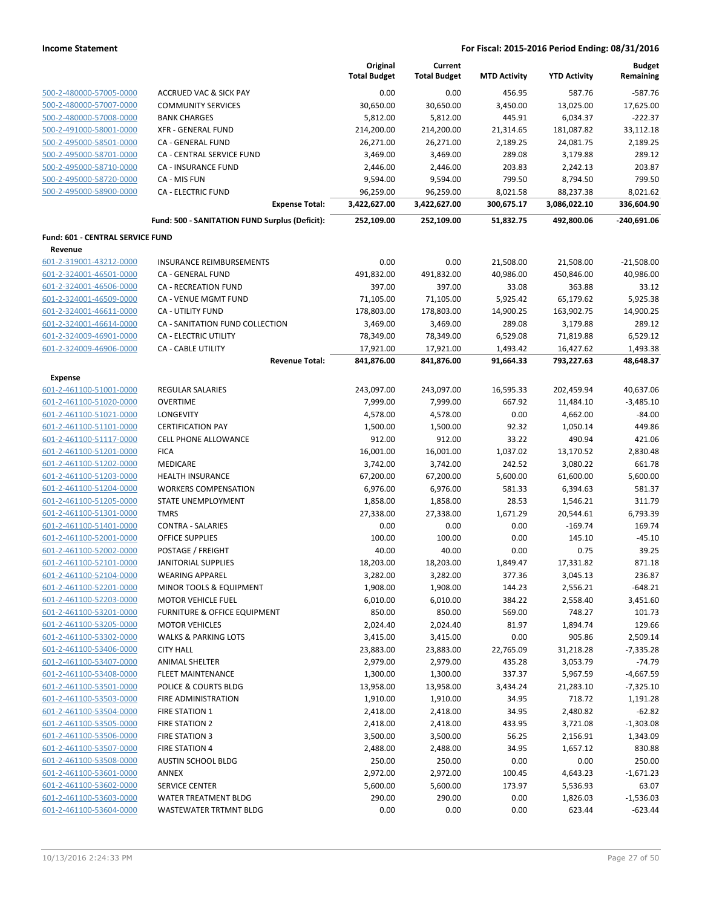|                                                    |                                                | Original<br><b>Total Budget</b> | Current<br><b>Total Budget</b> | <b>MTD Activity</b> | <b>YTD Activity</b> | <b>Budget</b><br>Remaining |
|----------------------------------------------------|------------------------------------------------|---------------------------------|--------------------------------|---------------------|---------------------|----------------------------|
| 500-2-480000-57005-0000                            | <b>ACCRUED VAC &amp; SICK PAY</b>              | 0.00                            | 0.00                           | 456.95              | 587.76              | $-587.76$                  |
| 500-2-480000-57007-0000                            | <b>COMMUNITY SERVICES</b>                      | 30,650.00                       | 30,650.00                      | 3,450.00            | 13,025.00           | 17,625.00                  |
| 500-2-480000-57008-0000                            | <b>BANK CHARGES</b>                            | 5,812.00                        | 5,812.00                       | 445.91              | 6,034.37            | $-222.37$                  |
| 500-2-491000-58001-0000                            | <b>XFR - GENERAL FUND</b>                      | 214,200.00                      | 214,200.00                     | 21,314.65           | 181,087.82          | 33,112.18                  |
| 500-2-495000-58501-0000                            | <b>CA - GENERAL FUND</b>                       | 26,271.00                       | 26,271.00                      | 2,189.25            | 24,081.75           | 2,189.25                   |
| 500-2-495000-58701-0000                            | CA - CENTRAL SERVICE FUND                      | 3,469.00                        | 3,469.00                       | 289.08              | 3,179.88            | 289.12                     |
| 500-2-495000-58710-0000                            | <b>CA - INSURANCE FUND</b>                     | 2,446.00                        | 2,446.00                       | 203.83              | 2,242.13            | 203.87                     |
| 500-2-495000-58720-0000                            | CA - MIS FUN                                   | 9,594.00                        | 9,594.00                       | 799.50              | 8,794.50            | 799.50                     |
| 500-2-495000-58900-0000                            | <b>CA - ELECTRIC FUND</b>                      | 96,259.00                       | 96,259.00                      | 8,021.58            | 88,237.38           | 8,021.62                   |
|                                                    | <b>Expense Total:</b>                          | 3,422,627.00                    | 3,422,627.00                   | 300,675.17          | 3,086,022.10        | 336,604.90                 |
|                                                    | Fund: 500 - SANITATION FUND Surplus (Deficit): | 252,109.00                      | 252,109.00                     | 51,832.75           | 492,800.06          | -240,691.06                |
| Fund: 601 - CENTRAL SERVICE FUND                   |                                                |                                 |                                |                     |                     |                            |
| Revenue                                            |                                                |                                 |                                |                     |                     |                            |
| 601-2-319001-43212-0000                            | <b>INSURANCE REIMBURSEMENTS</b>                | 0.00                            | 0.00                           | 21,508.00           | 21,508.00           | $-21,508.00$               |
| 601-2-324001-46501-0000                            | CA - GENERAL FUND                              | 491,832.00                      | 491,832.00                     | 40,986.00           | 450,846.00          | 40,986.00                  |
| 601-2-324001-46506-0000                            | CA - RECREATION FUND                           | 397.00                          | 397.00                         | 33.08               | 363.88              | 33.12                      |
| 601-2-324001-46509-0000                            | CA - VENUE MGMT FUND                           | 71,105.00                       | 71,105.00                      | 5,925.42            | 65,179.62           | 5,925.38                   |
| 601-2-324001-46611-0000                            | CA - UTILITY FUND                              | 178,803.00                      | 178,803.00                     | 14,900.25           | 163,902.75          | 14,900.25                  |
| 601-2-324001-46614-0000                            | CA - SANITATION FUND COLLECTION                | 3,469.00                        | 3,469.00                       | 289.08              | 3,179.88            | 289.12                     |
| 601-2-324009-46901-0000                            | CA - ELECTRIC UTILITY                          | 78,349.00                       | 78,349.00                      | 6,529.08            | 71,819.88           | 6,529.12                   |
| 601-2-324009-46906-0000                            | <b>CA - CABLE UTILITY</b>                      | 17,921.00                       | 17,921.00                      | 1,493.42            | 16,427.62           | 1,493.38                   |
|                                                    | <b>Revenue Total:</b>                          | 841,876.00                      | 841,876.00                     | 91,664.33           | 793,227.63          | 48,648.37                  |
| <b>Expense</b>                                     |                                                |                                 |                                |                     |                     |                            |
| 601-2-461100-51001-0000                            | REGULAR SALARIES                               | 243,097.00                      | 243,097.00                     | 16,595.33           | 202,459.94          | 40,637.06                  |
| 601-2-461100-51020-0000                            | <b>OVERTIME</b>                                | 7,999.00                        | 7,999.00                       | 667.92              | 11,484.10           | $-3,485.10$                |
| 601-2-461100-51021-0000                            | <b>LONGEVITY</b>                               | 4,578.00                        | 4,578.00                       | 0.00                | 4,662.00            | $-84.00$                   |
| 601-2-461100-51101-0000                            | <b>CERTIFICATION PAY</b>                       | 1,500.00                        | 1,500.00                       | 92.32               | 1,050.14            | 449.86                     |
| 601-2-461100-51117-0000                            | CELL PHONE ALLOWANCE                           | 912.00                          | 912.00                         | 33.22               | 490.94              | 421.06                     |
| 601-2-461100-51201-0000                            | <b>FICA</b>                                    | 16,001.00                       | 16,001.00                      | 1,037.02            | 13,170.52           | 2,830.48                   |
| 601-2-461100-51202-0000                            | MEDICARE                                       | 3,742.00                        | 3,742.00                       | 242.52              | 3,080.22            | 661.78                     |
| 601-2-461100-51203-0000                            | <b>HEALTH INSURANCE</b>                        | 67,200.00                       | 67,200.00                      | 5,600.00            | 61,600.00           | 5,600.00                   |
| 601-2-461100-51204-0000                            | <b>WORKERS COMPENSATION</b>                    | 6,976.00                        | 6,976.00                       | 581.33              | 6,394.63            | 581.37                     |
| 601-2-461100-51205-0000                            | STATE UNEMPLOYMENT                             | 1,858.00                        | 1,858.00                       | 28.53               | 1,546.21            | 311.79                     |
| 601-2-461100-51301-0000                            | <b>TMRS</b>                                    | 27,338.00                       | 27,338.00                      | 1,671.29            | 20,544.61           | 6,793.39                   |
| 601-2-461100-51401-0000                            | <b>CONTRA - SALARIES</b>                       | 0.00                            | 0.00                           | 0.00                | $-169.74$           | 169.74                     |
| 601-2-461100-52001-0000                            | <b>OFFICE SUPPLIES</b>                         | 100.00                          | 100.00                         | 0.00                | 145.10              | $-45.10$                   |
| 601-2-461100-52002-0000                            | POSTAGE / FREIGHT                              | 40.00                           | 40.00                          | 0.00                | 0.75                | 39.25                      |
| 601-2-461100-52101-0000                            | <b>JANITORIAL SUPPLIES</b>                     | 18,203.00                       | 18,203.00                      | 1,849.47            | 17,331.82           | 871.18                     |
| 601-2-461100-52104-0000                            | <b>WEARING APPAREL</b>                         | 3,282.00                        | 3,282.00                       | 377.36              | 3,045.13            | 236.87                     |
| 601-2-461100-52201-0000                            | MINOR TOOLS & EQUIPMENT                        | 1,908.00                        | 1,908.00                       | 144.23              | 2,556.21            | $-648.21$                  |
| 601-2-461100-52203-0000                            | <b>MOTOR VEHICLE FUEL</b>                      | 6,010.00                        | 6,010.00                       | 384.22              | 2,558.40            | 3,451.60                   |
| 601-2-461100-53201-0000                            | <b>FURNITURE &amp; OFFICE EQUIPMENT</b>        | 850.00                          | 850.00                         | 569.00              | 748.27              | 101.73                     |
| 601-2-461100-53205-0000                            | <b>MOTOR VEHICLES</b>                          | 2,024.40                        | 2,024.40                       | 81.97               | 1,894.74            | 129.66                     |
| 601-2-461100-53302-0000                            | <b>WALKS &amp; PARKING LOTS</b>                | 3,415.00                        | 3,415.00                       | 0.00                | 905.86              | 2,509.14                   |
| 601-2-461100-53406-0000                            | <b>CITY HALL</b>                               | 23,883.00                       | 23,883.00                      | 22,765.09           | 31,218.28           | $-7,335.28$                |
| 601-2-461100-53407-0000                            | <b>ANIMAL SHELTER</b>                          | 2,979.00                        | 2,979.00                       | 435.28              | 3,053.79            | $-74.79$                   |
| 601-2-461100-53408-0000                            | <b>FLEET MAINTENANCE</b>                       | 1,300.00                        | 1,300.00                       | 337.37              | 5,967.59            | $-4,667.59$                |
| 601-2-461100-53501-0000                            | POLICE & COURTS BLDG                           | 13,958.00                       | 13,958.00                      | 3,434.24            | 21,283.10           | $-7,325.10$                |
| 601-2-461100-53503-0000                            | FIRE ADMINISTRATION                            | 1,910.00                        | 1,910.00                       | 34.95               | 718.72              | 1,191.28                   |
| 601-2-461100-53504-0000                            | <b>FIRE STATION 1</b>                          | 2,418.00                        | 2,418.00                       | 34.95               | 2,480.82            | $-62.82$                   |
| 601-2-461100-53505-0000                            | FIRE STATION 2                                 | 2,418.00                        | 2,418.00                       | 433.95              | 3,721.08            | $-1,303.08$                |
| 601-2-461100-53506-0000                            | FIRE STATION 3                                 | 3,500.00                        | 3,500.00                       | 56.25               | 2,156.91            | 1,343.09                   |
| 601-2-461100-53507-0000                            | <b>FIRE STATION 4</b>                          | 2,488.00                        | 2,488.00                       | 34.95               | 1,657.12            | 830.88                     |
| 601-2-461100-53508-0000                            | <b>AUSTIN SCHOOL BLDG</b>                      | 250.00                          | 250.00                         | 0.00                | 0.00                | 250.00                     |
| 601-2-461100-53601-0000                            | <b>ANNEX</b>                                   | 2,972.00                        | 2,972.00                       | 100.45              | 4,643.23            | $-1,671.23$                |
|                                                    | <b>SERVICE CENTER</b>                          |                                 |                                |                     |                     |                            |
| 601-2-461100-53602-0000<br>601-2-461100-53603-0000 |                                                | 5,600.00                        | 5,600.00                       | 173.97              | 5,536.93            | 63.07                      |
|                                                    | <b>WATER TREATMENT BLDG</b>                    | 290.00                          | 290.00                         | 0.00                | 1,826.03            | $-1,536.03$                |
| 601-2-461100-53604-0000                            | WASTEWATER TRTMNT BLDG                         | 0.00                            | 0.00                           | 0.00                | 623.44              | $-623.44$                  |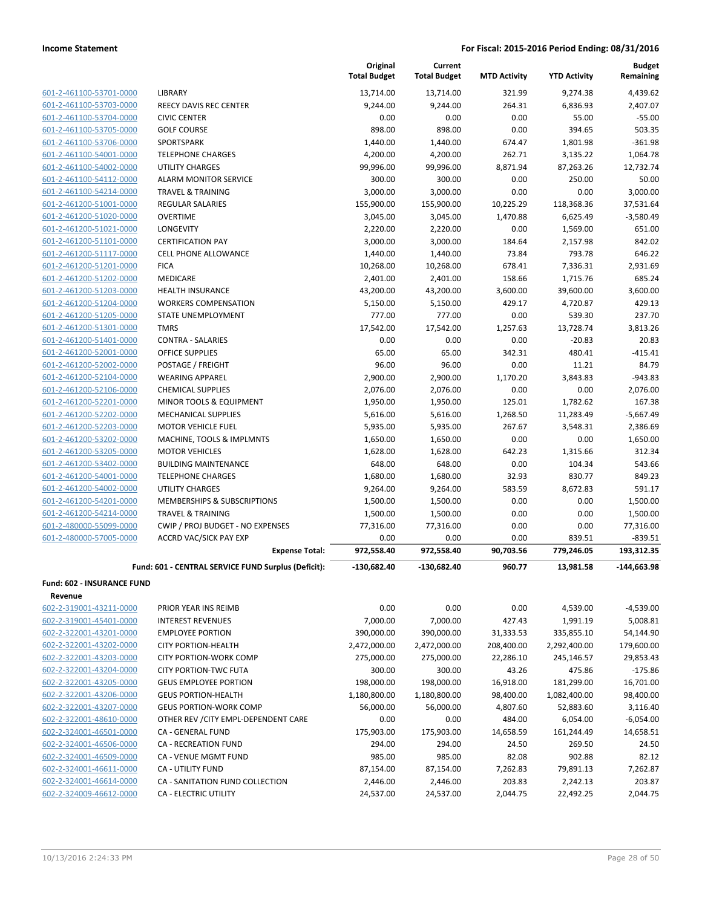|                            |                                                     | Original<br><b>Total Budget</b> | Current<br><b>Total Budget</b> | <b>MTD Activity</b> | <b>YTD Activity</b> | <b>Budget</b><br>Remaining |
|----------------------------|-----------------------------------------------------|---------------------------------|--------------------------------|---------------------|---------------------|----------------------------|
| 601-2-461100-53701-0000    | <b>LIBRARY</b>                                      | 13,714.00                       | 13,714.00                      | 321.99              | 9,274.38            | 4,439.62                   |
| 601-2-461100-53703-0000    | REECY DAVIS REC CENTER                              | 9,244.00                        | 9,244.00                       | 264.31              | 6,836.93            | 2,407.07                   |
| 601-2-461100-53704-0000    | <b>CIVIC CENTER</b>                                 | 0.00                            | 0.00                           | 0.00                | 55.00               | $-55.00$                   |
| 601-2-461100-53705-0000    | <b>GOLF COURSE</b>                                  | 898.00                          | 898.00                         | 0.00                | 394.65              | 503.35                     |
| 601-2-461100-53706-0000    | <b>SPORTSPARK</b>                                   | 1,440.00                        | 1,440.00                       | 674.47              | 1,801.98            | $-361.98$                  |
| 601-2-461100-54001-0000    | <b>TELEPHONE CHARGES</b>                            | 4,200.00                        | 4,200.00                       | 262.71              | 3,135.22            | 1,064.78                   |
| 601-2-461100-54002-0000    | <b>UTILITY CHARGES</b>                              | 99,996.00                       | 99,996.00                      | 8,871.94            | 87,263.26           | 12,732.74                  |
| 601-2-461100-54112-0000    | <b>ALARM MONITOR SERVICE</b>                        | 300.00                          | 300.00                         | 0.00                | 250.00              | 50.00                      |
| 601-2-461100-54214-0000    | <b>TRAVEL &amp; TRAINING</b>                        | 3,000.00                        | 3,000.00                       | 0.00                | 0.00                | 3,000.00                   |
| 601-2-461200-51001-0000    | REGULAR SALARIES                                    | 155,900.00                      | 155,900.00                     | 10,225.29           | 118,368.36          | 37,531.64                  |
| 601-2-461200-51020-0000    | <b>OVERTIME</b>                                     | 3,045.00                        | 3,045.00                       | 1,470.88            | 6,625.49            | $-3,580.49$                |
| 601-2-461200-51021-0000    | <b>LONGEVITY</b>                                    | 2,220.00                        | 2,220.00                       | 0.00                | 1,569.00            | 651.00                     |
| 601-2-461200-51101-0000    | <b>CERTIFICATION PAY</b>                            | 3,000.00                        | 3,000.00                       | 184.64              | 2,157.98            | 842.02                     |
| 601-2-461200-51117-0000    | <b>CELL PHONE ALLOWANCE</b>                         | 1,440.00                        | 1,440.00                       | 73.84               | 793.78              | 646.22                     |
| 601-2-461200-51201-0000    | <b>FICA</b>                                         | 10,268.00                       | 10,268.00                      | 678.41              | 7,336.31            | 2,931.69                   |
| 601-2-461200-51202-0000    | MEDICARE                                            | 2,401.00                        | 2,401.00                       | 158.66              | 1,715.76            | 685.24                     |
| 601-2-461200-51203-0000    | <b>HEALTH INSURANCE</b>                             | 43,200.00                       | 43,200.00                      | 3,600.00            | 39,600.00           | 3,600.00                   |
| 601-2-461200-51204-0000    | <b>WORKERS COMPENSATION</b>                         | 5,150.00                        | 5,150.00                       | 429.17              | 4,720.87            | 429.13                     |
| 601-2-461200-51205-0000    | STATE UNEMPLOYMENT                                  | 777.00                          | 777.00                         | 0.00                | 539.30              | 237.70                     |
| 601-2-461200-51301-0000    | <b>TMRS</b>                                         | 17,542.00                       | 17,542.00                      | 1,257.63            | 13,728.74           | 3,813.26                   |
| 601-2-461200-51401-0000    | <b>CONTRA - SALARIES</b>                            | 0.00                            | 0.00                           | 0.00                | $-20.83$            | 20.83                      |
| 601-2-461200-52001-0000    | OFFICE SUPPLIES                                     | 65.00                           | 65.00                          | 342.31              | 480.41              | $-415.41$                  |
| 601-2-461200-52002-0000    | POSTAGE / FREIGHT                                   | 96.00                           | 96.00                          | 0.00                | 11.21               | 84.79                      |
| 601-2-461200-52104-0000    | <b>WEARING APPAREL</b>                              | 2,900.00                        | 2,900.00                       | 1,170.20            | 3,843.83            | $-943.83$                  |
| 601-2-461200-52106-0000    | <b>CHEMICAL SUPPLIES</b>                            | 2,076.00                        | 2,076.00                       | 0.00                | 0.00                | 2,076.00                   |
| 601-2-461200-52201-0000    | MINOR TOOLS & EQUIPMENT                             | 1,950.00                        | 1,950.00                       | 125.01              | 1,782.62            | 167.38                     |
| 601-2-461200-52202-0000    | <b>MECHANICAL SUPPLIES</b>                          | 5,616.00                        | 5,616.00                       | 1,268.50            | 11,283.49           | $-5,667.49$                |
| 601-2-461200-52203-0000    | <b>MOTOR VEHICLE FUEL</b>                           | 5,935.00                        | 5,935.00                       | 267.67              | 3,548.31            | 2,386.69                   |
| 601-2-461200-53202-0000    | MACHINE, TOOLS & IMPLMNTS                           | 1,650.00                        | 1,650.00                       | 0.00                | 0.00                | 1,650.00                   |
| 601-2-461200-53205-0000    | <b>MOTOR VEHICLES</b>                               | 1,628.00                        | 1,628.00                       | 642.23              | 1,315.66            | 312.34                     |
| 601-2-461200-53402-0000    | <b>BUILDING MAINTENANCE</b>                         | 648.00                          | 648.00                         | 0.00                | 104.34              | 543.66                     |
| 601-2-461200-54001-0000    | <b>TELEPHONE CHARGES</b>                            | 1,680.00                        | 1,680.00                       | 32.93               | 830.77              | 849.23                     |
| 601-2-461200-54002-0000    | <b>UTILITY CHARGES</b>                              | 9,264.00                        | 9,264.00                       | 583.59              | 8,672.83            | 591.17                     |
| 601-2-461200-54201-0000    | MEMBERSHIPS & SUBSCRIPTIONS                         | 1,500.00                        | 1,500.00                       | 0.00                | 0.00                | 1,500.00                   |
| 601-2-461200-54214-0000    | <b>TRAVEL &amp; TRAINING</b>                        | 1,500.00                        | 1,500.00                       | 0.00                | 0.00                | 1,500.00                   |
| 601-2-480000-55099-0000    | CWIP / PROJ BUDGET - NO EXPENSES                    | 77,316.00                       | 77,316.00                      | 0.00                | 0.00                | 77,316.00                  |
| 601-2-480000-57005-0000    | ACCRD VAC/SICK PAY EXP                              | 0.00                            | 0.00                           | 0.00                | 839.51              | $-839.51$                  |
|                            | <b>Expense Total:</b>                               | 972,558.40                      | 972,558.40                     | 90,703.56           | 779,246.05          | 193,312.35                 |
|                            | Fund: 601 - CENTRAL SERVICE FUND Surplus (Deficit): | -130,682.40                     | $-130,682.40$                  | 960.77              | 13,981.58           | $-144,663.98$              |
|                            |                                                     |                                 |                                |                     |                     |                            |
| Fund: 602 - INSURANCE FUND |                                                     |                                 |                                |                     |                     |                            |
| Revenue                    |                                                     |                                 |                                |                     |                     |                            |
| 602-2-319001-43211-0000    | PRIOR YEAR INS REIMB                                | 0.00                            | 0.00                           | 0.00                | 4,539.00            | $-4,539.00$                |
| 602-2-319001-45401-0000    | <b>INTEREST REVENUES</b>                            | 7,000.00                        | 7,000.00                       | 427.43              | 1,991.19            | 5,008.81                   |
| 602-2-322001-43201-0000    | <b>EMPLOYEE PORTION</b>                             | 390,000.00                      | 390,000.00                     | 31,333.53           | 335,855.10          | 54,144.90                  |
| 602-2-322001-43202-0000    | <b>CITY PORTION-HEALTH</b>                          | 2,472,000.00                    | 2,472,000.00                   | 208,400.00          | 2,292,400.00        | 179,600.00                 |
| 602-2-322001-43203-0000    | <b>CITY PORTION-WORK COMP</b>                       | 275,000.00                      | 275,000.00                     | 22,286.10           | 245,146.57          | 29,853.43                  |
| 602-2-322001-43204-0000    | <b>CITY PORTION-TWC FUTA</b>                        | 300.00                          | 300.00                         | 43.26               | 475.86              | $-175.86$                  |
| 602-2-322001-43205-0000    | <b>GEUS EMPLOYEE PORTION</b>                        | 198,000.00                      | 198,000.00                     | 16,918.00           | 181,299.00          | 16,701.00                  |
| 602-2-322001-43206-0000    | <b>GEUS PORTION-HEALTH</b>                          | 1,180,800.00                    | 1,180,800.00                   | 98,400.00           | 1,082,400.00        | 98,400.00                  |
| 602-2-322001-43207-0000    | <b>GEUS PORTION-WORK COMP</b>                       | 56,000.00                       | 56,000.00                      | 4,807.60            | 52,883.60           | 3,116.40                   |
| 602-2-322001-48610-0000    | OTHER REV / CITY EMPL-DEPENDENT CARE                | 0.00                            | 0.00                           | 484.00              | 6,054.00            | $-6,054.00$                |
| 602-2-324001-46501-0000    | CA - GENERAL FUND                                   | 175,903.00                      | 175,903.00                     | 14,658.59           | 161,244.49          | 14,658.51                  |
| 602-2-324001-46506-0000    | CA - RECREATION FUND                                | 294.00                          | 294.00                         | 24.50               | 269.50              | 24.50                      |
| 602-2-324001-46509-0000    | CA - VENUE MGMT FUND                                | 985.00                          | 985.00                         | 82.08               | 902.88              | 82.12                      |
| 602-2-324001-46611-0000    | CA - UTILITY FUND                                   | 87,154.00                       | 87,154.00                      | 7,262.83            | 79,891.13           | 7,262.87                   |
| 602-2-324001-46614-0000    | CA - SANITATION FUND COLLECTION                     | 2,446.00                        | 2,446.00                       | 203.83              | 2,242.13            | 203.87                     |

602-2-324001-46614-0000 CA - SANITATION FUND COLLECTION 2,446.00 2,446.00

602-2-324009-46612-0000 CA - ELECTRIC UTILITY 24,537.00 24,537.00 2,044.75 22,492.25 2,044.75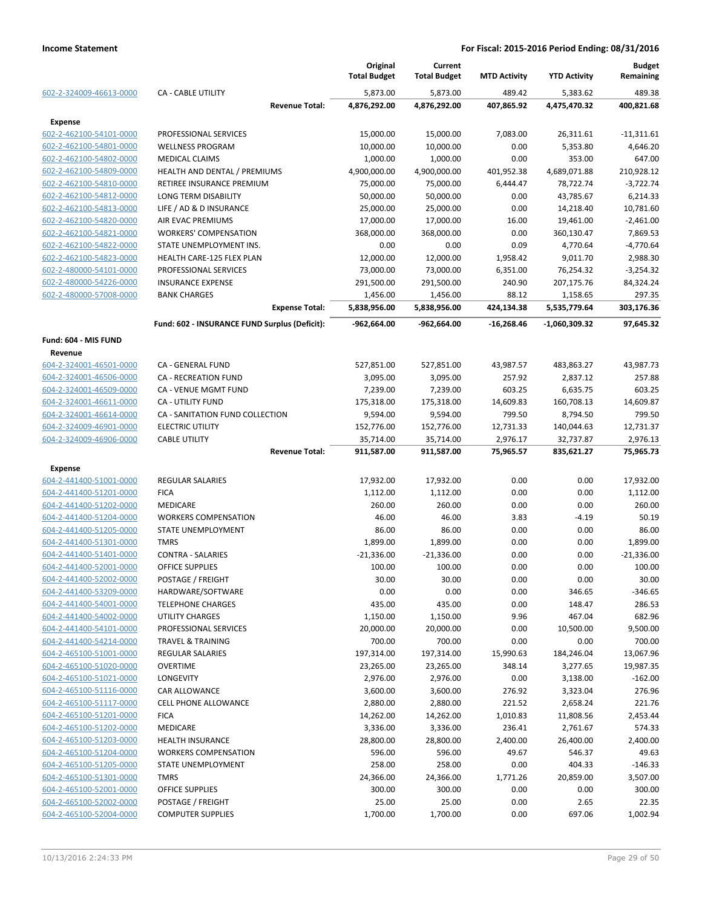|                                                    |                                               | Original<br><b>Total Budget</b> | Current<br><b>Total Budget</b> | <b>MTD Activity</b>   | <b>YTD Activity</b>     | <b>Budget</b><br>Remaining |
|----------------------------------------------------|-----------------------------------------------|---------------------------------|--------------------------------|-----------------------|-------------------------|----------------------------|
| 602-2-324009-46613-0000                            | <b>CA - CABLE UTILITY</b>                     | 5,873.00                        | 5,873.00                       | 489.42                | 5,383.62                | 489.38                     |
|                                                    | <b>Revenue Total:</b>                         | 4,876,292.00                    | 4,876,292.00                   | 407,865.92            | 4,475,470.32            | 400,821.68                 |
| <b>Expense</b>                                     |                                               |                                 |                                |                       |                         |                            |
| 602-2-462100-54101-0000                            | PROFESSIONAL SERVICES                         | 15,000.00                       | 15,000.00                      | 7,083.00              | 26,311.61               | $-11,311.61$               |
| 602-2-462100-54801-0000                            | <b>WELLNESS PROGRAM</b>                       | 10,000.00                       | 10,000.00                      | 0.00                  | 5,353.80                | 4,646.20                   |
| 602-2-462100-54802-0000                            | <b>MEDICAL CLAIMS</b>                         | 1,000.00                        | 1,000.00                       | 0.00                  | 353.00                  | 647.00                     |
| 602-2-462100-54809-0000                            | HEALTH AND DENTAL / PREMIUMS                  | 4,900,000.00                    | 4,900,000.00                   | 401,952.38            | 4,689,071.88            | 210,928.12                 |
| 602-2-462100-54810-0000                            | RETIREE INSURANCE PREMIUM                     | 75,000.00                       | 75,000.00                      | 6,444.47              | 78,722.74               | $-3,722.74$                |
| 602-2-462100-54812-0000                            | LONG TERM DISABILITY                          | 50,000.00                       | 50,000.00                      | 0.00                  | 43,785.67               | 6,214.33                   |
| 602-2-462100-54813-0000                            | LIFE / AD & D INSURANCE                       | 25,000.00                       | 25,000.00                      | 0.00                  | 14,218.40               | 10,781.60                  |
| 602-2-462100-54820-0000                            | AIR EVAC PREMIUMS                             | 17,000.00                       | 17,000.00                      | 16.00                 | 19,461.00               | $-2,461.00$                |
| 602-2-462100-54821-0000                            | <b>WORKERS' COMPENSATION</b>                  | 368,000.00                      | 368,000.00                     | 0.00                  | 360,130.47              | 7,869.53                   |
| 602-2-462100-54822-0000                            | STATE UNEMPLOYMENT INS.                       | 0.00                            | 0.00                           | 0.09                  | 4,770.64                | $-4,770.64$                |
| 602-2-462100-54823-0000                            | HEALTH CARE-125 FLEX PLAN                     | 12,000.00                       | 12,000.00                      | 1,958.42              | 9,011.70                | 2,988.30                   |
| 602-2-480000-54101-0000                            | PROFESSIONAL SERVICES                         | 73,000.00                       | 73,000.00                      | 6,351.00              | 76,254.32               | $-3,254.32$                |
| 602-2-480000-54226-0000                            | <b>INSURANCE EXPENSE</b>                      | 291,500.00                      | 291,500.00                     | 240.90                | 207,175.76              | 84,324.24                  |
| 602-2-480000-57008-0000                            | <b>BANK CHARGES</b>                           | 1,456.00                        | 1,456.00                       | 88.12                 | 1,158.65                | 297.35                     |
|                                                    | <b>Expense Total:</b>                         | 5,838,956.00                    | 5,838,956.00                   | 424,134.38            | 5,535,779.64            | 303,176.36                 |
|                                                    | Fund: 602 - INSURANCE FUND Surplus (Deficit): | -962,664.00                     | -962,664.00                    | $-16,268.46$          | -1,060,309.32           | 97,645.32                  |
| Fund: 604 - MIS FUND                               |                                               |                                 |                                |                       |                         |                            |
| Revenue                                            |                                               |                                 |                                |                       |                         |                            |
| 604-2-324001-46501-0000                            | CA - GENERAL FUND                             | 527,851.00                      | 527,851.00                     | 43,987.57             | 483,863.27              | 43,987.73                  |
| 604-2-324001-46506-0000                            | <b>CA - RECREATION FUND</b>                   | 3,095.00                        | 3,095.00                       | 257.92                | 2,837.12                | 257.88                     |
| 604-2-324001-46509-0000                            | CA - VENUE MGMT FUND                          | 7,239.00                        | 7,239.00                       | 603.25                | 6,635.75                | 603.25                     |
| 604-2-324001-46611-0000                            | <b>CA - UTILITY FUND</b>                      | 175,318.00                      | 175,318.00                     | 14,609.83             | 160,708.13              | 14,609.87                  |
| 604-2-324001-46614-0000                            | CA - SANITATION FUND COLLECTION               | 9,594.00                        | 9,594.00                       | 799.50                | 8,794.50                | 799.50                     |
| 604-2-324009-46901-0000                            | <b>ELECTRIC UTILITY</b>                       | 152,776.00                      | 152,776.00                     | 12,731.33             | 140,044.63              | 12,731.37                  |
| 604-2-324009-46906-0000                            | <b>CABLE UTILITY</b><br><b>Revenue Total:</b> | 35,714.00<br>911,587.00         | 35,714.00<br>911,587.00        | 2,976.17<br>75,965.57 | 32,737.87<br>835,621.27 | 2,976.13<br>75,965.73      |
|                                                    |                                               |                                 |                                |                       |                         |                            |
| <b>Expense</b>                                     |                                               |                                 |                                |                       |                         |                            |
| 604-2-441400-51001-0000                            | <b>REGULAR SALARIES</b>                       | 17,932.00                       | 17,932.00                      | 0.00                  | 0.00                    | 17,932.00                  |
| 604-2-441400-51201-0000                            | <b>FICA</b>                                   | 1,112.00                        | 1,112.00                       | 0.00                  | 0.00                    | 1,112.00                   |
| 604-2-441400-51202-0000                            | <b>MEDICARE</b>                               | 260.00                          | 260.00                         | 0.00                  | 0.00                    | 260.00                     |
| 604-2-441400-51204-0000                            | <b>WORKERS COMPENSATION</b>                   | 46.00                           | 46.00                          | 3.83                  | -4.19                   | 50.19                      |
| 604-2-441400-51205-0000                            | STATE UNEMPLOYMENT                            | 86.00                           | 86.00                          | 0.00                  | 0.00                    | 86.00                      |
| 604-2-441400-51301-0000                            | <b>TMRS</b><br><b>CONTRA - SALARIES</b>       | 1,899.00                        | 1,899.00                       | 0.00                  | 0.00                    | 1,899.00                   |
| 604-2-441400-51401-0000                            | <b>OFFICE SUPPLIES</b>                        | $-21,336.00$                    | $-21,336.00$                   | 0.00                  | 0.00<br>0.00            | $-21,336.00$<br>100.00     |
| 604-2-441400-52001-0000                            |                                               | 100.00                          | 100.00                         | 0.00                  |                         |                            |
| 604-2-441400-52002-0000                            | POSTAGE / FREIGHT                             | 30.00                           | 30.00<br>0.00                  | 0.00                  | 0.00                    | 30.00                      |
| 604-2-441400-53209-0000<br>604-2-441400-54001-0000 | HARDWARE/SOFTWARE<br><b>TELEPHONE CHARGES</b> | 0.00<br>435.00                  | 435.00                         | 0.00<br>0.00          | 346.65<br>148.47        | $-346.65$<br>286.53        |
| 604-2-441400-54002-0000                            | UTILITY CHARGES                               | 1,150.00                        | 1,150.00                       | 9.96                  | 467.04                  | 682.96                     |
| 604-2-441400-54101-0000                            | PROFESSIONAL SERVICES                         | 20,000.00                       | 20,000.00                      | 0.00                  | 10,500.00               | 9,500.00                   |
| 604-2-441400-54214-0000                            | <b>TRAVEL &amp; TRAINING</b>                  | 700.00                          | 700.00                         | 0.00                  | 0.00                    | 700.00                     |
| 604-2-465100-51001-0000                            | <b>REGULAR SALARIES</b>                       | 197,314.00                      | 197,314.00                     | 15,990.63             | 184,246.04              | 13,067.96                  |
| 604-2-465100-51020-0000                            | <b>OVERTIME</b>                               | 23,265.00                       | 23,265.00                      | 348.14                | 3,277.65                | 19,987.35                  |
| 604-2-465100-51021-0000                            | LONGEVITY                                     | 2,976.00                        | 2,976.00                       | 0.00                  | 3,138.00                | $-162.00$                  |
| 604-2-465100-51116-0000                            | CAR ALLOWANCE                                 | 3,600.00                        | 3,600.00                       | 276.92                | 3,323.04                | 276.96                     |
| 604-2-465100-51117-0000                            | CELL PHONE ALLOWANCE                          | 2,880.00                        | 2,880.00                       | 221.52                | 2,658.24                | 221.76                     |
| 604-2-465100-51201-0000                            | <b>FICA</b>                                   | 14,262.00                       | 14,262.00                      | 1,010.83              | 11,808.56               | 2,453.44                   |
| 604-2-465100-51202-0000                            | MEDICARE                                      | 3,336.00                        | 3,336.00                       | 236.41                | 2,761.67                | 574.33                     |
| 604-2-465100-51203-0000                            | <b>HEALTH INSURANCE</b>                       | 28,800.00                       | 28,800.00                      | 2,400.00              | 26,400.00               | 2,400.00                   |
| 604-2-465100-51204-0000                            | <b>WORKERS COMPENSATION</b>                   | 596.00                          | 596.00                         | 49.67                 | 546.37                  | 49.63                      |
| 604-2-465100-51205-0000                            | STATE UNEMPLOYMENT                            | 258.00                          | 258.00                         | 0.00                  | 404.33                  | $-146.33$                  |
| 604-2-465100-51301-0000                            | <b>TMRS</b>                                   | 24,366.00                       | 24,366.00                      | 1,771.26              | 20,859.00               | 3,507.00                   |
| 604-2-465100-52001-0000                            | OFFICE SUPPLIES                               | 300.00                          | 300.00                         | 0.00                  | 0.00                    | 300.00                     |
| 604-2-465100-52002-0000                            | POSTAGE / FREIGHT                             | 25.00                           | 25.00                          | 0.00                  | 2.65                    | 22.35                      |
| 604-2-465100-52004-0000                            | <b>COMPUTER SUPPLIES</b>                      | 1,700.00                        | 1,700.00                       | 0.00                  | 697.06                  | 1,002.94                   |
|                                                    |                                               |                                 |                                |                       |                         |                            |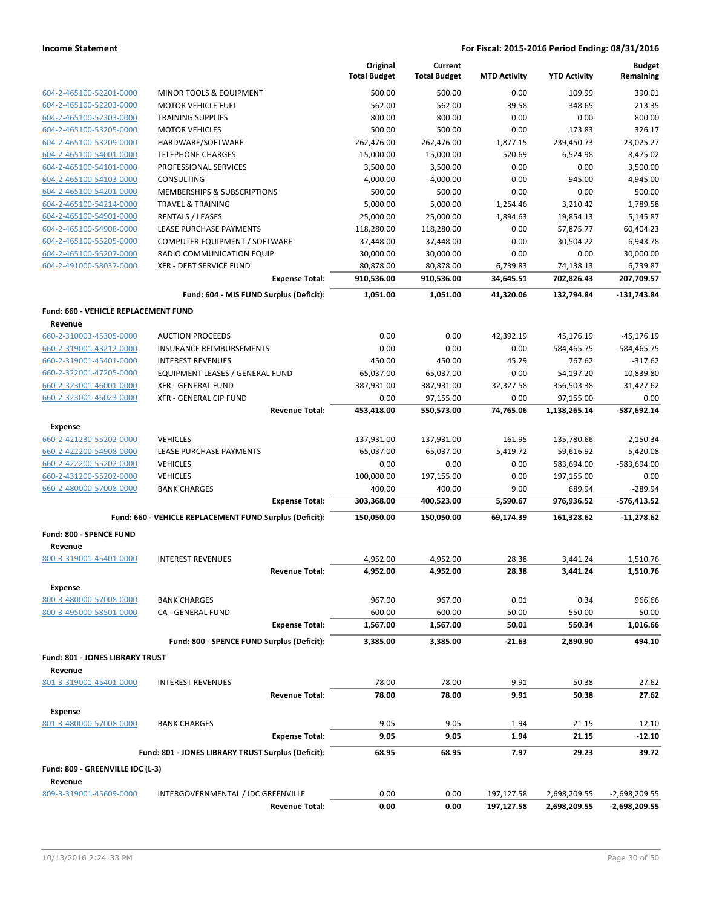|                                                    |                                                              | Original<br><b>Total Budget</b> | Current<br><b>Total Budget</b> | <b>MTD Activity</b> | <b>YTD Activity</b>     | <b>Budget</b><br>Remaining |
|----------------------------------------------------|--------------------------------------------------------------|---------------------------------|--------------------------------|---------------------|-------------------------|----------------------------|
|                                                    |                                                              |                                 |                                |                     |                         |                            |
| 604-2-465100-52201-0000                            | MINOR TOOLS & EQUIPMENT                                      | 500.00                          | 500.00                         | 0.00                | 109.99                  | 390.01                     |
| 604-2-465100-52203-0000                            | <b>MOTOR VEHICLE FUEL</b>                                    | 562.00                          | 562.00                         | 39.58               | 348.65                  | 213.35                     |
| 604-2-465100-52303-0000                            | <b>TRAINING SUPPLIES</b>                                     | 800.00                          | 800.00                         | 0.00                | 0.00                    | 800.00                     |
| 604-2-465100-53205-0000                            | <b>MOTOR VEHICLES</b>                                        | 500.00                          | 500.00                         | 0.00                | 173.83                  | 326.17                     |
| 604-2-465100-53209-0000                            | HARDWARE/SOFTWARE                                            | 262,476.00                      | 262,476.00                     | 1,877.15            | 239,450.73              | 23,025.27                  |
| 604-2-465100-54001-0000                            | <b>TELEPHONE CHARGES</b>                                     | 15,000.00                       | 15,000.00                      | 520.69              | 6,524.98                | 8,475.02                   |
| 604-2-465100-54101-0000                            | PROFESSIONAL SERVICES                                        | 3,500.00                        | 3,500.00                       | 0.00                | 0.00                    | 3,500.00                   |
| 604-2-465100-54103-0000                            | CONSULTING                                                   | 4,000.00                        | 4,000.00                       | 0.00                | $-945.00$               | 4,945.00                   |
| 604-2-465100-54201-0000                            | MEMBERSHIPS & SUBSCRIPTIONS                                  | 500.00                          | 500.00                         | 0.00                | 0.00                    | 500.00                     |
| 604-2-465100-54214-0000                            | <b>TRAVEL &amp; TRAINING</b>                                 | 5,000.00                        | 5,000.00                       | 1,254.46            | 3,210.42                | 1,789.58                   |
| 604-2-465100-54901-0000                            | <b>RENTALS / LEASES</b>                                      | 25,000.00                       | 25,000.00                      | 1,894.63            | 19,854.13               | 5,145.87                   |
| 604-2-465100-54908-0000                            | LEASE PURCHASE PAYMENTS                                      | 118,280.00                      | 118,280.00                     | 0.00                | 57,875.77               | 60,404.23                  |
| 604-2-465100-55205-0000                            | COMPUTER EQUIPMENT / SOFTWARE                                | 37,448.00                       | 37,448.00                      | 0.00                | 30,504.22               | 6,943.78                   |
| 604-2-465100-55207-0000                            | RADIO COMMUNICATION EQUIP                                    | 30,000.00                       | 30,000.00                      | 0.00                | 0.00                    | 30,000.00                  |
| 604-2-491000-58037-0000                            | <b>XFR - DEBT SERVICE FUND</b>                               | 80,878.00                       | 80,878.00                      | 6,739.83            | 74,138.13               | 6,739.87                   |
|                                                    | <b>Expense Total:</b>                                        | 910,536.00                      | 910,536.00                     | 34,645.51           | 702,826.43              | 207,709.57                 |
|                                                    | Fund: 604 - MIS FUND Surplus (Deficit):                      | 1,051.00                        | 1,051.00                       | 41,320.06           | 132.794.84              | $-131,743.84$              |
| Fund: 660 - VEHICLE REPLACEMENT FUND               |                                                              |                                 |                                |                     |                         |                            |
| Revenue                                            |                                                              |                                 |                                |                     |                         |                            |
| 660-2-310003-45305-0000                            | <b>AUCTION PROCEEDS</b>                                      | 0.00<br>0.00                    | 0.00<br>0.00                   | 42,392.19           | 45,176.19<br>584,465.75 | $-45,176.19$               |
| 660-2-319001-43212-0000                            | <b>INSURANCE REIMBURSEMENTS</b><br><b>INTEREST REVENUES</b>  |                                 |                                | 0.00                |                         | -584,465.75                |
| 660-2-319001-45401-0000                            |                                                              | 450.00                          | 450.00                         | 45.29               | 767.62<br>54,197.20     | $-317.62$                  |
| 660-2-322001-47205-0000                            | EQUIPMENT LEASES / GENERAL FUND<br><b>XFR - GENERAL FUND</b> | 65,037.00                       | 65,037.00                      | 0.00                |                         | 10,839.80                  |
| 660-2-323001-46001-0000<br>660-2-323001-46023-0000 | XFR - GENERAL CIP FUND                                       | 387,931.00<br>0.00              | 387,931.00<br>97,155.00        | 32,327.58<br>0.00   | 356,503.38<br>97,155.00 | 31,427.62                  |
|                                                    | <b>Revenue Total:</b>                                        | 453,418.00                      | 550,573.00                     | 74,765.06           | 1,138,265.14            | 0.00<br>$-587,692.14$      |
|                                                    |                                                              |                                 |                                |                     |                         |                            |
| <b>Expense</b>                                     |                                                              |                                 |                                |                     |                         |                            |
| 660-2-421230-55202-0000                            | <b>VEHICLES</b>                                              | 137,931.00                      | 137,931.00                     | 161.95              | 135,780.66              | 2,150.34                   |
| 660-2-422200-54908-0000                            | LEASE PURCHASE PAYMENTS                                      | 65,037.00                       | 65,037.00                      | 5,419.72            | 59,616.92               | 5,420.08                   |
| 660-2-422200-55202-0000                            | <b>VEHICLES</b>                                              | 0.00                            | 0.00                           | 0.00                | 583,694.00              | -583,694.00                |
| 660-2-431200-55202-0000                            | <b>VEHICLES</b>                                              | 100,000.00                      | 197,155.00                     | 0.00                | 197,155.00              | 0.00                       |
| 660-2-480000-57008-0000                            | <b>BANK CHARGES</b><br><b>Expense Total:</b>                 | 400.00<br>303,368.00            | 400.00<br>400,523.00           | 9.00                | 689.94<br>976,936.52    | $-289.94$<br>$-576,413.52$ |
|                                                    |                                                              |                                 |                                | 5,590.67            |                         |                            |
| Fund: 800 - SPENCE FUND                            | Fund: 660 - VEHICLE REPLACEMENT FUND Surplus (Deficit):      | 150,050.00                      | 150,050.00                     | 69,174.39           | 161,328.62              | $-11,278.62$               |
| Revenue                                            |                                                              |                                 |                                |                     |                         |                            |
| 800-3-319001-45401-0000                            | <b>INTEREST REVENUES</b>                                     | 4,952.00                        | 4,952.00                       | 28.38               | 3,441.24                | 1,510.76                   |
|                                                    | <b>Revenue Total:</b>                                        | 4,952.00                        | 4,952.00                       | 28.38               | 3,441.24                | 1,510.76                   |
|                                                    |                                                              |                                 |                                |                     |                         |                            |
| <b>Expense</b>                                     |                                                              |                                 |                                |                     |                         |                            |
| 800-3-480000-57008-0000                            | <b>BANK CHARGES</b>                                          | 967.00                          | 967.00                         | 0.01                | 0.34                    | 966.66                     |
| 800-3-495000-58501-0000                            | CA - GENERAL FUND<br><b>Expense Total:</b>                   | 600.00<br>1,567.00              | 600.00<br>1,567.00             | 50.00<br>50.01      | 550.00<br>550.34        | 50.00<br>1,016.66          |
|                                                    | Fund: 800 - SPENCE FUND Surplus (Deficit):                   | 3,385.00                        | 3,385.00                       | $-21.63$            | 2,890.90                | 494.10                     |
|                                                    |                                                              |                                 |                                |                     |                         |                            |
| Fund: 801 - JONES LIBRARY TRUST                    |                                                              |                                 |                                |                     |                         |                            |
| Revenue                                            | <b>INTEREST REVENUES</b>                                     |                                 |                                |                     |                         |                            |
| 801-3-319001-45401-0000                            | <b>Revenue Total:</b>                                        | 78.00<br>78.00                  | 78.00<br>78.00                 | 9.91<br>9.91        | 50.38<br>50.38          | 27.62<br>27.62             |
|                                                    |                                                              |                                 |                                |                     |                         |                            |
| <b>Expense</b>                                     |                                                              |                                 |                                |                     |                         |                            |
| 801-3-480000-57008-0000                            | <b>BANK CHARGES</b>                                          | 9.05                            | 9.05                           | 1.94                | 21.15                   | $-12.10$                   |
|                                                    | <b>Expense Total:</b>                                        | 9.05                            | 9.05                           | 1.94                | 21.15                   | $-12.10$                   |
|                                                    | Fund: 801 - JONES LIBRARY TRUST Surplus (Deficit):           | 68.95                           | 68.95                          | 7.97                | 29.23                   | 39.72                      |
| Fund: 809 - GREENVILLE IDC (L-3)                   |                                                              |                                 |                                |                     |                         |                            |
| Revenue                                            |                                                              |                                 |                                |                     |                         |                            |
| 809-3-319001-45609-0000                            | INTERGOVERNMENTAL / IDC GREENVILLE                           | 0.00                            | 0.00                           | 197,127.58          | 2,698,209.55            | -2,698,209.55              |
|                                                    | <b>Revenue Total:</b>                                        | 0.00                            | 0.00                           | 197,127.58          | 2,698,209.55            | -2,698,209.55              |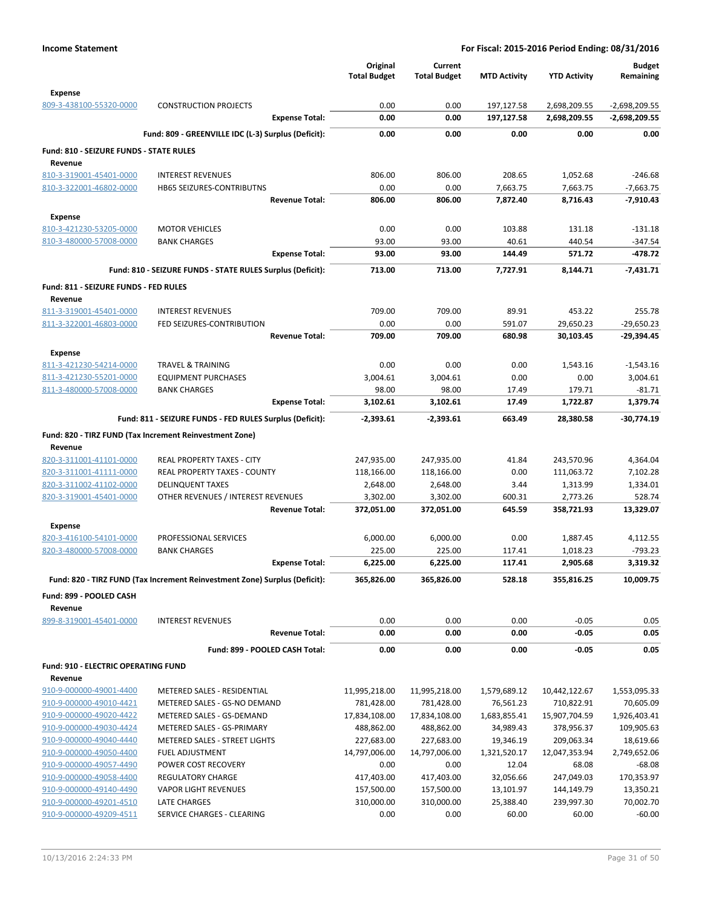|                                                    |                                                                            | Original<br><b>Total Budget</b> | Current<br><b>Total Budget</b> | <b>MTD Activity</b>       | <b>YTD Activity</b>         | <b>Budget</b><br>Remaining |
|----------------------------------------------------|----------------------------------------------------------------------------|---------------------------------|--------------------------------|---------------------------|-----------------------------|----------------------------|
| <b>Expense</b><br>809-3-438100-55320-0000          | <b>CONSTRUCTION PROJECTS</b>                                               | 0.00                            | 0.00                           | 197,127.58                | 2,698,209.55                | $-2,698,209.55$            |
|                                                    | <b>Expense Total:</b>                                                      | 0.00                            | 0.00                           | 197,127.58                | 2,698,209.55                | -2,698,209.55              |
|                                                    | Fund: 809 - GREENVILLE IDC (L-3) Surplus (Deficit):                        | 0.00                            | 0.00                           | 0.00                      | 0.00                        | 0.00                       |
| Fund: 810 - SEIZURE FUNDS - STATE RULES<br>Revenue |                                                                            |                                 |                                |                           |                             |                            |
| 810-3-319001-45401-0000                            | <b>INTEREST REVENUES</b>                                                   | 806.00                          | 806.00                         | 208.65                    | 1,052.68                    | $-246.68$                  |
| 810-3-322001-46802-0000                            | <b>HB65 SEIZURES-CONTRIBUTNS</b>                                           | 0.00                            | 0.00                           | 7,663.75                  | 7,663.75                    | $-7,663.75$                |
|                                                    | <b>Revenue Total:</b>                                                      | 806.00                          | 806.00                         | 7,872.40                  | 8,716.43                    | $-7.910.43$                |
| Expense                                            |                                                                            |                                 |                                |                           |                             |                            |
| 810-3-421230-53205-0000                            | <b>MOTOR VEHICLES</b>                                                      | 0.00                            | 0.00                           | 103.88                    | 131.18                      | $-131.18$                  |
| 810-3-480000-57008-0000                            | <b>BANK CHARGES</b>                                                        | 93.00                           | 93.00                          | 40.61                     | 440.54                      | $-347.54$                  |
|                                                    | <b>Expense Total:</b>                                                      | 93.00                           | 93.00                          | 144.49                    | 571.72                      | -478.72                    |
|                                                    | Fund: 810 - SEIZURE FUNDS - STATE RULES Surplus (Deficit):                 | 713.00                          | 713.00                         | 7,727.91                  | 8,144.71                    | $-7,431.71$                |
| Fund: 811 - SEIZURE FUNDS - FED RULES<br>Revenue   |                                                                            |                                 |                                |                           |                             |                            |
| 811-3-319001-45401-0000                            | <b>INTEREST REVENUES</b>                                                   | 709.00                          | 709.00                         | 89.91                     | 453.22                      | 255.78                     |
| 811-3-322001-46803-0000                            | FED SEIZURES-CONTRIBUTION                                                  | 0.00                            | 0.00                           | 591.07                    | 29,650.23                   | $-29,650.23$               |
|                                                    | <b>Revenue Total:</b>                                                      | 709.00                          | 709.00                         | 680.98                    | 30,103.45                   | -29,394.45                 |
| Expense                                            |                                                                            |                                 |                                |                           |                             |                            |
| 811-3-421230-54214-0000                            | TRAVEL & TRAINING                                                          | 0.00                            | 0.00                           | 0.00                      | 1,543.16                    | $-1,543.16$                |
| 811-3-421230-55201-0000                            | <b>EQUIPMENT PURCHASES</b>                                                 | 3,004.61                        | 3,004.61                       | 0.00                      | 0.00                        | 3,004.61                   |
| 811-3-480000-57008-0000                            | <b>BANK CHARGES</b>                                                        | 98.00                           | 98.00                          | 17.49                     | 179.71                      | -81.71                     |
|                                                    | <b>Expense Total:</b>                                                      | 3,102.61                        | 3,102.61                       | 17.49                     | 1,722.87                    | 1,379.74                   |
|                                                    | Fund: 811 - SEIZURE FUNDS - FED RULES Surplus (Deficit):                   | -2,393.61                       | -2,393.61                      | 663.49                    | 28,380.58                   | -30,774.19                 |
|                                                    | Fund: 820 - TIRZ FUND (Tax Increment Reinvestment Zone)                    |                                 |                                |                           |                             |                            |
| Revenue                                            |                                                                            |                                 |                                |                           |                             |                            |
| 820-3-311001-41101-0000                            | REAL PROPERTY TAXES - CITY                                                 | 247,935.00                      | 247,935.00                     | 41.84<br>0.00             | 243,570.96                  | 4,364.04                   |
| 820-3-311001-41111-0000<br>820-3-311002-41102-0000 | REAL PROPERTY TAXES - COUNTY<br><b>DELINQUENT TAXES</b>                    | 118,166.00<br>2,648.00          | 118,166.00<br>2,648.00         | 3.44                      | 111,063.72<br>1,313.99      | 7,102.28<br>1,334.01       |
| 820-3-319001-45401-0000                            | OTHER REVENUES / INTEREST REVENUES                                         | 3,302.00                        | 3,302.00                       | 600.31                    | 2,773.26                    | 528.74                     |
|                                                    | <b>Revenue Total:</b>                                                      | 372,051.00                      | 372,051.00                     | 645.59                    | 358,721.93                  | 13,329.07                  |
| <b>Expense</b>                                     |                                                                            |                                 |                                |                           |                             |                            |
| 820-3-416100-54101-0000                            | PROFESSIONAL SERVICES                                                      | 6,000.00                        | 6,000.00                       | 0.00                      | 1,887.45                    | 4,112.55                   |
| 820-3-480000-57008-0000                            | <b>BANK CHARGES</b>                                                        | 225.00                          | 225.00                         | 117.41                    | 1,018.23                    | $-793.23$                  |
|                                                    | <b>Expense Total:</b>                                                      | 6,225.00                        | 6,225.00                       | 117.41                    | 2,905.68                    | 3,319.32                   |
|                                                    | Fund: 820 - TIRZ FUND (Tax Increment Reinvestment Zone) Surplus (Deficit): | 365,826.00                      | 365,826.00                     | 528.18                    | 355,816.25                  | 10,009.75                  |
| Fund: 899 - POOLED CASH<br>Revenue                 |                                                                            |                                 |                                |                           |                             |                            |
| 899-8-319001-45401-0000                            | <b>INTEREST REVENUES</b>                                                   | 0.00                            | 0.00                           | 0.00                      | $-0.05$                     | 0.05                       |
|                                                    | <b>Revenue Total:</b>                                                      | 0.00                            | 0.00                           | 0.00                      | $-0.05$                     | 0.05                       |
|                                                    | Fund: 899 - POOLED CASH Total:                                             | 0.00                            | 0.00                           | 0.00                      | $-0.05$                     | 0.05                       |
| <b>Fund: 910 - ELECTRIC OPERATING FUND</b>         |                                                                            |                                 |                                |                           |                             |                            |
| Revenue                                            |                                                                            |                                 |                                |                           |                             |                            |
| 910-9-000000-49001-4400<br>910-9-000000-49010-4421 | METERED SALES - RESIDENTIAL<br>METERED SALES - GS-NO DEMAND                | 11,995,218.00<br>781,428.00     | 11,995,218.00<br>781,428.00    | 1,579,689.12<br>76,561.23 | 10,442,122.67<br>710,822.91 | 1,553,095.33<br>70,605.09  |
| 910-9-000000-49020-4422                            | METERED SALES - GS-DEMAND                                                  | 17,834,108.00                   | 17,834,108.00                  | 1,683,855.41              | 15,907,704.59               | 1,926,403.41               |
| 910-9-000000-49030-4424                            | METERED SALES - GS-PRIMARY                                                 | 488,862.00                      | 488,862.00                     | 34,989.43                 | 378,956.37                  | 109,905.63                 |
| 910-9-000000-49040-4440                            | METERED SALES - STREET LIGHTS                                              | 227,683.00                      | 227,683.00                     | 19,346.19                 | 209,063.34                  | 18,619.66                  |
| 910-9-000000-49050-4400                            | <b>FUEL ADJUSTMENT</b>                                                     | 14,797,006.00                   | 14,797,006.00                  | 1,321,520.17              | 12,047,353.94               | 2,749,652.06               |
| 910-9-000000-49057-4490                            | POWER COST RECOVERY                                                        | 0.00                            | 0.00                           | 12.04                     | 68.08                       | $-68.08$                   |
| 910-9-000000-49058-4400                            | REGULATORY CHARGE                                                          | 417,403.00                      | 417,403.00                     | 32,056.66                 | 247,049.03                  | 170,353.97                 |
| 910-9-000000-49140-4490                            | <b>VAPOR LIGHT REVENUES</b>                                                | 157,500.00                      | 157,500.00                     | 13,101.97                 | 144,149.79                  | 13,350.21                  |
| 910-9-000000-49201-4510                            | LATE CHARGES                                                               | 310,000.00                      | 310,000.00                     | 25,388.40                 | 239,997.30                  | 70,002.70                  |
| 910-9-000000-49209-4511                            | SERVICE CHARGES - CLEARING                                                 | 0.00                            | 0.00                           | 60.00                     | 60.00                       | $-60.00$                   |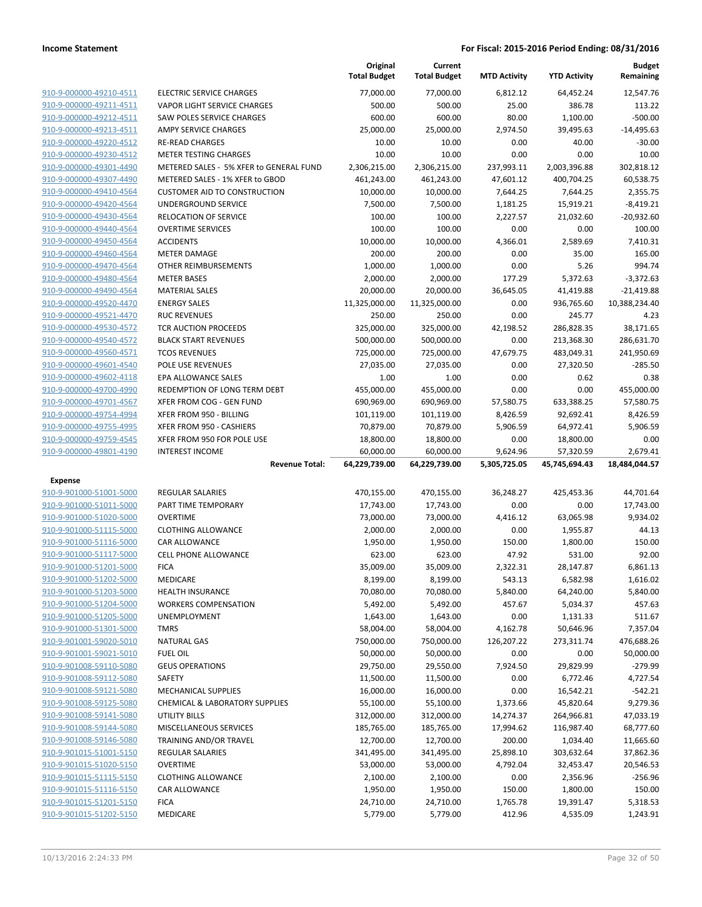|                                                    |                                                        | Original<br><b>Total Budget</b> | Current<br><b>Total Budget</b> | <b>MTD Activity</b> | <b>YTD Activity</b>    | <b>Budget</b><br>Remaining |
|----------------------------------------------------|--------------------------------------------------------|---------------------------------|--------------------------------|---------------------|------------------------|----------------------------|
| 910-9-000000-49210-4511                            | <b>ELECTRIC SERVICE CHARGES</b>                        | 77,000.00                       | 77,000.00                      | 6,812.12            | 64,452.24              | 12,547.76                  |
| 910-9-000000-49211-4511                            | VAPOR LIGHT SERVICE CHARGES                            | 500.00                          | 500.00                         | 25.00               | 386.78                 | 113.22                     |
| 910-9-000000-49212-4511                            | SAW POLES SERVICE CHARGES                              | 600.00                          | 600.00                         | 80.00               | 1,100.00               | $-500.00$                  |
| 910-9-000000-49213-4511                            | <b>AMPY SERVICE CHARGES</b>                            | 25,000.00                       | 25,000.00                      | 2,974.50            | 39,495.63              | $-14,495.63$               |
| 910-9-000000-49220-4512                            | <b>RE-READ CHARGES</b>                                 | 10.00                           | 10.00                          | 0.00                | 40.00                  | $-30.00$                   |
| 910-9-000000-49230-4512                            | <b>METER TESTING CHARGES</b>                           | 10.00                           | 10.00                          | 0.00                | 0.00                   | 10.00                      |
| 910-9-000000-49301-4490                            | METERED SALES - 5% XFER to GENERAL FUND                | 2,306,215.00                    | 2,306,215.00                   | 237,993.11          | 2,003,396.88           | 302,818.12                 |
| 910-9-000000-49307-4490                            | METERED SALES - 1% XFER to GBOD                        | 461,243.00                      | 461,243.00                     | 47,601.12           | 400,704.25             | 60,538.75                  |
| 910-9-000000-49410-4564                            | <b>CUSTOMER AID TO CONSTRUCTION</b>                    | 10,000.00                       | 10,000.00                      | 7,644.25            | 7,644.25               | 2,355.75                   |
| 910-9-000000-49420-4564                            | UNDERGROUND SERVICE                                    | 7,500.00                        | 7,500.00                       | 1,181.25            | 15,919.21              | $-8,419.21$                |
| 910-9-000000-49430-4564                            | <b>RELOCATION OF SERVICE</b>                           | 100.00                          | 100.00                         | 2,227.57            | 21,032.60              | $-20,932.60$               |
| 910-9-000000-49440-4564                            | <b>OVERTIME SERVICES</b>                               | 100.00                          | 100.00                         | 0.00                | 0.00                   | 100.00                     |
| 910-9-000000-49450-4564                            | <b>ACCIDENTS</b>                                       | 10,000.00                       | 10,000.00                      | 4,366.01            | 2,589.69               | 7,410.31                   |
| 910-9-000000-49460-4564                            | <b>METER DAMAGE</b>                                    | 200.00                          | 200.00                         | 0.00                | 35.00                  | 165.00                     |
| 910-9-000000-49470-4564                            | OTHER REIMBURSEMENTS                                   | 1,000.00                        | 1,000.00                       | 0.00                | 5.26                   | 994.74                     |
| 910-9-000000-49480-4564                            | <b>METER BASES</b><br><b>MATERIAL SALES</b>            | 2,000.00                        | 2,000.00                       | 177.29<br>36,645.05 | 5,372.63               | $-3,372.63$                |
| 910-9-000000-49490-4564<br>910-9-000000-49520-4470 | <b>ENERGY SALES</b>                                    | 20,000.00                       | 20,000.00                      | 0.00                | 41,419.88              | $-21,419.88$               |
| 910-9-000000-49521-4470                            | <b>RUC REVENUES</b>                                    | 11,325,000.00<br>250.00         | 11,325,000.00<br>250.00        | 0.00                | 936,765.60<br>245.77   | 10,388,234.40<br>4.23      |
| 910-9-000000-49530-4572                            | <b>TCR AUCTION PROCEEDS</b>                            | 325,000.00                      | 325,000.00                     | 42,198.52           | 286,828.35             | 38,171.65                  |
| 910-9-000000-49540-4572                            | <b>BLACK START REVENUES</b>                            | 500,000.00                      | 500,000.00                     | 0.00                | 213,368.30             | 286,631.70                 |
| 910-9-000000-49560-4571                            | <b>TCOS REVENUES</b>                                   | 725,000.00                      | 725,000.00                     | 47,679.75           | 483,049.31             | 241,950.69                 |
| 910-9-000000-49601-4540                            | POLE USE REVENUES                                      | 27,035.00                       | 27,035.00                      | 0.00                | 27,320.50              | $-285.50$                  |
| 910-9-000000-49602-4118                            | <b>EPA ALLOWANCE SALES</b>                             | 1.00                            | 1.00                           | 0.00                | 0.62                   | 0.38                       |
| 910-9-000000-49700-4990                            | REDEMPTION OF LONG TERM DEBT                           | 455,000.00                      | 455,000.00                     | 0.00                | 0.00                   | 455,000.00                 |
| 910-9-000000-49701-4567                            | XFER FROM COG - GEN FUND                               | 690,969.00                      | 690,969.00                     | 57,580.75           | 633,388.25             | 57,580.75                  |
| 910-9-000000-49754-4994                            | XFER FROM 950 - BILLING                                | 101,119.00                      | 101,119.00                     | 8,426.59            | 92,692.41              | 8,426.59                   |
| 910-9-000000-49755-4995                            | XFER FROM 950 - CASHIERS                               | 70,879.00                       | 70,879.00                      | 5,906.59            | 64,972.41              | 5,906.59                   |
| 910-9-000000-49759-4545                            | XFER FROM 950 FOR POLE USE                             | 18,800.00                       | 18,800.00                      | 0.00                | 18,800.00              | 0.00                       |
| 910-9-000000-49801-4190                            | <b>INTEREST INCOME</b>                                 | 60,000.00                       | 60,000.00                      | 9,624.96            | 57,320.59              | 2,679.41                   |
|                                                    | <b>Revenue Total:</b>                                  | 64,229,739.00                   | 64,229,739.00                  | 5,305,725.05        | 45,745,694.43          | 18,484,044.57              |
| Expense                                            |                                                        |                                 |                                |                     |                        |                            |
|                                                    |                                                        |                                 |                                |                     |                        |                            |
| 910-9-901000-51001-5000                            | <b>REGULAR SALARIES</b>                                | 470,155.00                      | 470,155.00                     | 36,248.27           | 425,453.36             | 44,701.64                  |
| 910-9-901000-51011-5000                            | PART TIME TEMPORARY                                    | 17,743.00                       | 17,743.00                      | 0.00                | 0.00                   | 17,743.00                  |
|                                                    | <b>OVERTIME</b>                                        | 73,000.00                       | 73,000.00                      | 4,416.12            | 63,065.98              | 9,934.02                   |
| 910-9-901000-51020-5000<br>910-9-901000-51115-5000 | <b>CLOTHING ALLOWANCE</b>                              | 2,000.00                        | 2,000.00                       | 0.00                | 1,955.87               | 44.13                      |
| 910-9-901000-51116-5000                            | <b>CAR ALLOWANCE</b>                                   | 1,950.00                        | 1,950.00                       | 150.00              | 1,800.00               | 150.00                     |
| 910-9-901000-51117-5000                            | <b>CELL PHONE ALLOWANCE</b>                            | 623.00                          | 623.00                         | 47.92               | 531.00                 | 92.00                      |
| 910-9-901000-51201-5000                            | <b>FICA</b>                                            | 35,009.00                       | 35,009.00                      | 2,322.31            | 28,147.87              | 6,861.13                   |
| <u>910-9-901000-51202-5000</u>                     | MEDICARE                                               | 8,199.00                        | 8,199.00                       | 543.13              | 6,582.98               | 1,616.02                   |
| 910-9-901000-51203-5000                            | <b>HEALTH INSURANCE</b>                                | 70,080.00                       | 70,080.00                      | 5,840.00            | 64,240.00              | 5,840.00                   |
| 910-9-901000-51204-5000                            | <b>WORKERS COMPENSATION</b>                            | 5,492.00                        | 5,492.00                       | 457.67              | 5,034.37               | 457.63                     |
| 910-9-901000-51205-5000                            | <b>UNEMPLOYMENT</b>                                    | 1,643.00                        | 1,643.00                       | 0.00                | 1,131.33               | 511.67                     |
| 910-9-901000-51301-5000                            | <b>TMRS</b>                                            | 58,004.00                       | 58,004.00                      | 4,162.78            | 50,646.96              | 7,357.04                   |
| 910-9-901001-59020-5010                            | <b>NATURAL GAS</b>                                     | 750,000.00                      | 750,000.00                     | 126,207.22          | 273,311.74             | 476,688.26                 |
| 910-9-901001-59021-5010                            | <b>FUEL OIL</b>                                        | 50,000.00                       | 50,000.00                      | 0.00                | 0.00                   | 50,000.00                  |
| 910-9-901008-59110-5080                            | <b>GEUS OPERATIONS</b>                                 | 29,750.00                       | 29,550.00                      | 7,924.50            | 29,829.99              | $-279.99$                  |
| 910-9-901008-59112-5080                            | SAFETY                                                 | 11,500.00                       | 11,500.00                      | 0.00                | 6,772.46               | 4,727.54                   |
| 910-9-901008-59121-5080                            | <b>MECHANICAL SUPPLIES</b>                             | 16,000.00                       | 16,000.00                      | 0.00                | 16,542.21              | $-542.21$                  |
| 910-9-901008-59125-5080                            | CHEMICAL & LABORATORY SUPPLIES<br><b>UTILITY BILLS</b> | 55,100.00                       | 55,100.00                      | 1,373.66            | 45,820.64              | 9,279.36                   |
| 910-9-901008-59141-5080<br>910-9-901008-59144-5080 | MISCELLANEOUS SERVICES                                 | 312,000.00                      | 312,000.00                     | 14,274.37           | 264,966.81             | 47,033.19                  |
| 910-9-901008-59146-5080                            | TRAINING AND/OR TRAVEL                                 | 185,765.00<br>12,700.00         | 185,765.00<br>12,700.00        | 17,994.62<br>200.00 | 116,987.40<br>1,034.40 | 68,777.60<br>11,665.60     |
| 910-9-901015-51001-5150                            | REGULAR SALARIES                                       | 341,495.00                      | 341,495.00                     | 25,898.10           | 303,632.64             | 37,862.36                  |
| 910-9-901015-51020-5150                            | <b>OVERTIME</b>                                        | 53,000.00                       | 53,000.00                      | 4,792.04            | 32,453.47              | 20,546.53                  |
| 910-9-901015-51115-5150                            | <b>CLOTHING ALLOWANCE</b>                              | 2,100.00                        | 2,100.00                       | 0.00                | 2,356.96               | $-256.96$                  |
| 910-9-901015-51116-5150                            | CAR ALLOWANCE                                          | 1,950.00                        | 1,950.00                       | 150.00              | 1,800.00               | 150.00                     |
| 910-9-901015-51201-5150                            | <b>FICA</b>                                            | 24,710.00                       | 24,710.00                      | 1,765.78            | 19,391.47              | 5,318.53                   |
| 910-9-901015-51202-5150                            | MEDICARE                                               | 5,779.00                        | 5,779.00                       | 412.96              | 4,535.09               | 1,243.91                   |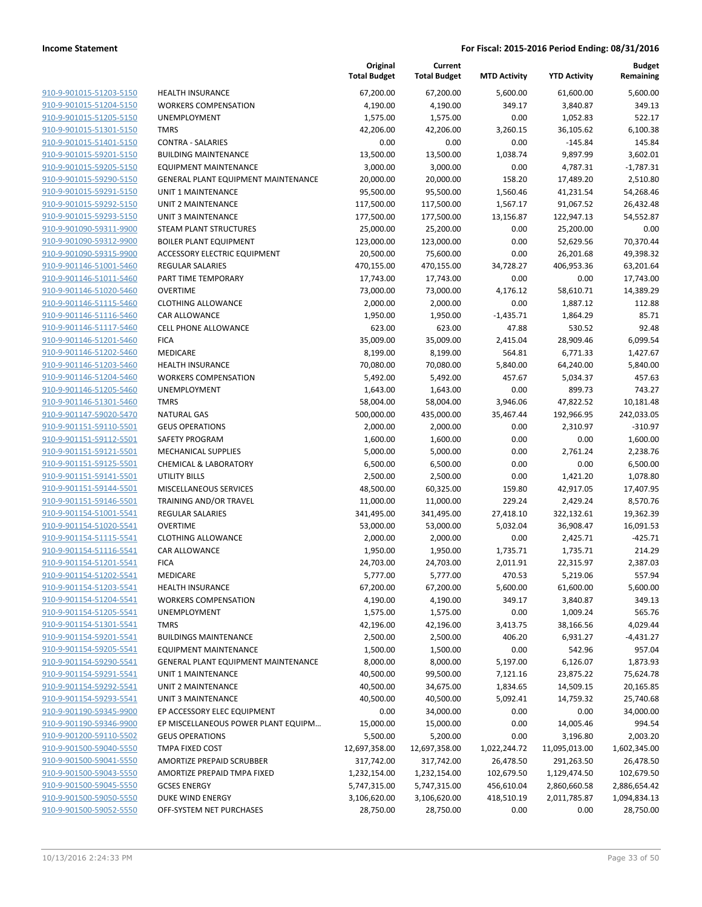|                         |                                     | Original<br><b>Total Budget</b> | Current<br><b>Total Budget</b> | <b>MTD Activity</b> | <b>YTD Activity</b> | <b>Budget</b><br>Remaining |
|-------------------------|-------------------------------------|---------------------------------|--------------------------------|---------------------|---------------------|----------------------------|
| 910-9-901015-51203-5150 | <b>HEALTH INSURANCE</b>             | 67,200.00                       | 67,200.00                      | 5,600.00            | 61,600.00           | 5,600.00                   |
| 910-9-901015-51204-5150 | <b>WORKERS COMPENSATION</b>         | 4,190.00                        | 4,190.00                       | 349.17              | 3,840.87            | 349.13                     |
| 910-9-901015-51205-5150 | <b>UNEMPLOYMENT</b>                 | 1,575.00                        | 1,575.00                       | 0.00                | 1,052.83            | 522.17                     |
| 910-9-901015-51301-5150 | <b>TMRS</b>                         | 42,206.00                       | 42,206.00                      | 3,260.15            | 36,105.62           | 6,100.38                   |
| 910-9-901015-51401-5150 | <b>CONTRA - SALARIES</b>            | 0.00                            | 0.00                           | 0.00                | $-145.84$           | 145.84                     |
| 910-9-901015-59201-5150 | <b>BUILDING MAINTENANCE</b>         | 13,500.00                       | 13,500.00                      | 1,038.74            | 9,897.99            | 3,602.01                   |
| 910-9-901015-59205-5150 | <b>EQUIPMENT MAINTENANCE</b>        | 3,000.00                        | 3,000.00                       | 0.00                | 4,787.31            | $-1,787.31$                |
| 910-9-901015-59290-5150 | GENERAL PLANT EQUIPMENT MAINTENANCE | 20,000.00                       | 20,000.00                      | 158.20              | 17,489.20           | 2,510.80                   |
| 910-9-901015-59291-5150 | <b>UNIT 1 MAINTENANCE</b>           | 95,500.00                       | 95,500.00                      | 1,560.46            | 41,231.54           | 54,268.46                  |
| 910-9-901015-59292-5150 | <b>UNIT 2 MAINTENANCE</b>           | 117,500.00                      | 117,500.00                     | 1,567.17            | 91,067.52           | 26,432.48                  |
| 910-9-901015-59293-5150 | <b>UNIT 3 MAINTENANCE</b>           | 177,500.00                      | 177,500.00                     | 13,156.87           | 122,947.13          | 54,552.87                  |
| 910-9-901090-59311-9900 | STEAM PLANT STRUCTURES              | 25,000.00                       | 25,200.00                      | 0.00                | 25,200.00           | 0.00                       |
| 910-9-901090-59312-9900 | <b>BOILER PLANT EQUIPMENT</b>       | 123,000.00                      | 123,000.00                     | 0.00                | 52,629.56           | 70,370.44                  |
| 910-9-901090-59315-9900 | <b>ACCESSORY ELECTRIC EQUIPMENT</b> | 20,500.00                       | 75,600.00                      | 0.00                | 26,201.68           | 49,398.32                  |
| 910-9-901146-51001-5460 | <b>REGULAR SALARIES</b>             | 470,155.00                      | 470,155.00                     | 34,728.27           | 406,953.36          | 63,201.64                  |
| 910-9-901146-51011-5460 | PART TIME TEMPORARY                 | 17,743.00                       | 17,743.00                      | 0.00                | 0.00                | 17,743.00                  |
| 910-9-901146-51020-5460 | <b>OVERTIME</b>                     | 73,000.00                       | 73,000.00                      | 4,176.12            | 58,610.71           | 14,389.29                  |
| 910-9-901146-51115-5460 | <b>CLOTHING ALLOWANCE</b>           | 2,000.00                        | 2,000.00                       | 0.00                | 1,887.12            | 112.88                     |
| 910-9-901146-51116-5460 | <b>CAR ALLOWANCE</b>                | 1,950.00                        | 1,950.00                       | $-1,435.71$         | 1,864.29            | 85.71                      |
| 910-9-901146-51117-5460 | <b>CELL PHONE ALLOWANCE</b>         | 623.00                          | 623.00                         | 47.88               | 530.52              | 92.48                      |
| 910-9-901146-51201-5460 | <b>FICA</b>                         | 35,009.00                       | 35,009.00                      | 2,415.04            | 28,909.46           | 6,099.54                   |
| 910-9-901146-51202-5460 | MEDICARE                            | 8,199.00                        | 8,199.00                       | 564.81              | 6,771.33            | 1,427.67                   |
| 910-9-901146-51203-5460 | <b>HEALTH INSURANCE</b>             | 70,080.00                       | 70,080.00                      | 5,840.00            | 64,240.00           | 5,840.00                   |
| 910-9-901146-51204-5460 | <b>WORKERS COMPENSATION</b>         | 5,492.00                        | 5,492.00                       | 457.67              | 5,034.37            | 457.63                     |
| 910-9-901146-51205-5460 | <b>UNEMPLOYMENT</b>                 | 1,643.00                        | 1,643.00                       | 0.00                | 899.73              | 743.27                     |
| 910-9-901146-51301-5460 | <b>TMRS</b>                         | 58,004.00                       | 58,004.00                      | 3,946.06            | 47,822.52           | 10,181.48                  |
| 910-9-901147-59020-5470 | <b>NATURAL GAS</b>                  | 500,000.00                      | 435,000.00                     | 35,467.44           | 192,966.95          | 242,033.05                 |
| 910-9-901151-59110-5501 | <b>GEUS OPERATIONS</b>              | 2,000.00                        | 2,000.00                       | 0.00                | 2,310.97            | $-310.97$                  |
| 910-9-901151-59112-5501 | SAFETY PROGRAM                      | 1,600.00                        | 1,600.00                       | 0.00                | 0.00                | 1,600.00                   |
| 910-9-901151-59121-5501 | <b>MECHANICAL SUPPLIES</b>          | 5,000.00                        | 5,000.00                       | 0.00                | 2,761.24            | 2,238.76                   |
| 910-9-901151-59125-5501 | <b>CHEMICAL &amp; LABORATORY</b>    | 6,500.00                        | 6,500.00                       | 0.00                | 0.00                | 6,500.00                   |
| 910-9-901151-59141-5501 | UTILITY BILLS                       | 2,500.00                        | 2,500.00                       | 0.00                | 1,421.20            | 1,078.80                   |
| 910-9-901151-59144-5501 | MISCELLANEOUS SERVICES              | 48,500.00                       | 60,325.00                      | 159.80              | 42,917.05           | 17,407.95                  |
| 910-9-901151-59146-5501 | TRAINING AND/OR TRAVEL              | 11,000.00                       | 11,000.00                      | 229.24              | 2,429.24            | 8,570.76                   |
| 910-9-901154-51001-5541 | REGULAR SALARIES                    | 341,495.00                      | 341,495.00                     | 27,418.10           | 322,132.61          | 19,362.39                  |
| 910-9-901154-51020-5541 | <b>OVERTIME</b>                     | 53,000.00                       | 53,000.00                      | 5,032.04            | 36,908.47           | 16,091.53                  |
| 910-9-901154-51115-5541 | <b>CLOTHING ALLOWANCE</b>           | 2,000.00                        | 2,000.00                       | 0.00                | 2,425.71            | $-425.71$                  |
| 910-9-901154-51116-5541 | <b>CAR ALLOWANCE</b>                | 1,950.00                        | 1,950.00                       | 1,735.71            | 1,735.71            | 214.29                     |
| 910-9-901154-51201-5541 | <b>FICA</b>                         | 24,703.00                       | 24,703.00                      | 2,011.91            | 22,315.97           | 2,387.03                   |
| 910-9-901154-51202-5541 | MEDICARE                            | 5,777.00                        | 5,777.00                       | 470.53              | 5,219.06            | 557.94                     |
| 910-9-901154-51203-5541 | <b>HEALTH INSURANCE</b>             | 67,200.00                       | 67,200.00                      | 5,600.00            | 61,600.00           | 5,600.00                   |
| 910-9-901154-51204-5541 | <b>WORKERS COMPENSATION</b>         | 4,190.00                        | 4,190.00                       | 349.17              | 3,840.87            | 349.13                     |
| 910-9-901154-51205-5541 | UNEMPLOYMENT                        | 1,575.00                        | 1,575.00                       | 0.00                | 1,009.24            | 565.76                     |
| 910-9-901154-51301-5541 | <b>TMRS</b>                         | 42,196.00                       | 42,196.00                      | 3,413.75            | 38,166.56           | 4,029.44                   |
| 910-9-901154-59201-5541 | <b>BUILDINGS MAINTENANCE</b>        | 2,500.00                        | 2,500.00                       | 406.20              | 6,931.27            | -4,431.27                  |
| 910-9-901154-59205-5541 | EQUIPMENT MAINTENANCE               | 1,500.00                        | 1,500.00                       | 0.00                | 542.96              | 957.04                     |
| 910-9-901154-59290-5541 | GENERAL PLANT EQUIPMENT MAINTENANCE | 8,000.00                        | 8,000.00                       | 5,197.00            | 6,126.07            | 1,873.93                   |
| 910-9-901154-59291-5541 | UNIT 1 MAINTENANCE                  | 40,500.00                       | 99,500.00                      | 7,121.16            | 23,875.22           | 75,624.78                  |
| 910-9-901154-59292-5541 | UNIT 2 MAINTENANCE                  | 40,500.00                       | 34,675.00                      | 1,834.65            | 14,509.15           | 20,165.85                  |
| 910-9-901154-59293-5541 | <b>UNIT 3 MAINTENANCE</b>           | 40,500.00                       | 40,500.00                      | 5,092.41            | 14,759.32           | 25,740.68                  |
| 910-9-901190-59345-9900 | EP ACCESSORY ELEC EQUIPMENT         | 0.00                            | 34,000.00                      | 0.00                | 0.00                | 34,000.00                  |
| 910-9-901190-59346-9900 | EP MISCELLANEOUS POWER PLANT EQUIPM | 15,000.00                       | 15,000.00                      | 0.00                | 14,005.46           | 994.54                     |
| 910-9-901200-59110-5502 | <b>GEUS OPERATIONS</b>              | 5,500.00                        | 5,200.00                       | 0.00                | 3,196.80            | 2,003.20                   |
| 910-9-901500-59040-5550 | TMPA FIXED COST                     | 12,697,358.00                   | 12,697,358.00                  | 1,022,244.72        | 11,095,013.00       | 1,602,345.00               |
| 910-9-901500-59041-5550 | AMORTIZE PREPAID SCRUBBER           | 317,742.00                      | 317,742.00                     | 26,478.50           | 291,263.50          | 26,478.50                  |
| 910-9-901500-59043-5550 | AMORTIZE PREPAID TMPA FIXED         | 1,232,154.00                    | 1,232,154.00                   | 102,679.50          | 1,129,474.50        | 102,679.50                 |
| 910-9-901500-59045-5550 | <b>GCSES ENERGY</b>                 | 5,747,315.00                    | 5,747,315.00                   | 456,610.04          | 2,860,660.58        | 2,886,654.42               |
| 910-9-901500-59050-5550 | DUKE WIND ENERGY                    | 3,106,620.00                    | 3,106,620.00                   | 418,510.19          | 2,011,785.87        | 1,094,834.13               |
| 910-9-901500-59052-5550 | OFF-SYSTEM NET PURCHASES            | 28,750.00                       | 28,750.00                      | 0.00                | 0.00                | 28,750.00                  |
|                         |                                     |                                 |                                |                     |                     |                            |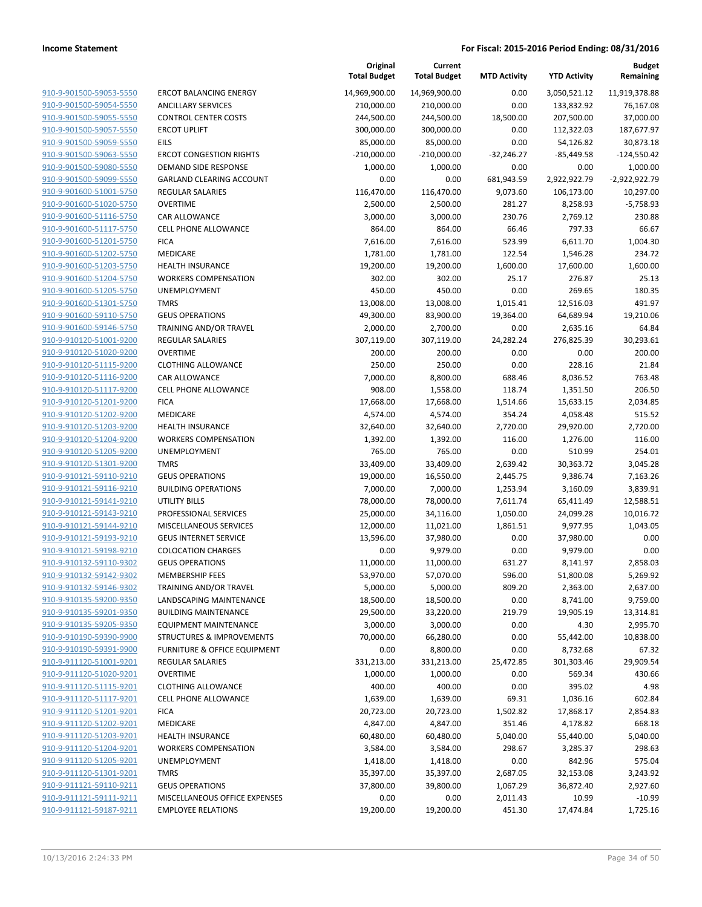| 910-9-901500-59053-5550        | ER <sub>C</sub> |
|--------------------------------|-----------------|
| 910-9-901500-59054-5550        | AN              |
| 910-9-901500-59055-5550        | CO              |
| 910-9-901500-59057-5550        | ER(             |
| 910-9-901500-59059-5550        | EIL:            |
| 910-9-901500-59063-5550        | ER(             |
| 910-9-901500-59080-5550        | DEI             |
| 910-9-901500-59099-5550        | GА              |
| 910-9-901600-51001-5750        | RE <sub>C</sub> |
| 910-9-901600-51020-5750        | OV              |
| 910-9-901600-51116-5750        | CAI             |
| 910-9-901600-51117-5750        | CEL             |
| 910-9-901600-51201-5750        | <b>FIC</b>      |
| 910-9-901600-51202-5750        | ME              |
| 910-9-901600-51203-5750        | HE,             |
| 910-9-901600-51204-5750        | wc              |
| 910-9-901600-51205-5750        | UN              |
| 910-9-901600-51301-5750        | TM              |
| 910-9-901600-59110-5750        | GEI             |
| 910-9-901600-59146-5750        | TR/             |
| 910-9-910120-51001-9200        | RE              |
| 910-9-910120-51020-9200        | OV              |
| 910-9-910120-51115-9200        | <b>CLC</b>      |
| 910-9-910120-51116-9200        | CAI             |
| 910-9-910120-51117-9200        | CEL             |
| 910-9-910120-51201-9200        | FIC             |
| 910-9-910120-51202-9200        | ME              |
| 910-9-910120-51203-9200        | HE,             |
| 910-9-910120-51204-9200        | WC              |
| 910-9-910120-51205-9200        | UN              |
| 910-9-910120-51301-9200        | ТM              |
| 910-9-910121-59110-9210        | GEI             |
| 910-9-910121-59116-9210        | <b>BU</b>       |
| 910-9-910121-59141-9210        | UTI             |
| 910-9-910121-59143-9210        | PR(             |
| 910-9-910121-59144-9210        | MIS             |
| 910-9-910121-59193-9210        | GEI             |
| 910-9-910121-59198-9210        | CO              |
| 910-9-910132-59110-9302        | GEI             |
| 910-9-910132-59142-9302        | ME              |
| 910-9-910132-59146-9302        | TR/             |
| 910-9-910135-59200-9350        | LA١             |
| 910-9-910135-59201-9350        | BU              |
| 910-9-910135-59205-9350        | EQ              |
| 910-9-910190-59390-9900        | STF             |
| 910-9-910190-59391-9900        | FUI             |
| 910-9-911120-51001-9201        | RE              |
| 910-9-911120-51020-9201        | ov              |
| 910-9-911120-51115-9201        | <b>CLC</b>      |
| 910-9-911120-51117-9201        | CEL             |
| 910-9-911120-51201-9201        | FIC             |
| 910-9-911120-51202-9201        | ME              |
| 910-9-911120-51203-9201        | HE,             |
| 910-9-911120-51204-9201        | WC              |
| <u>910-9-911120-51205-9201</u> | UN              |
| 910-9-911120-51301-9201        | ТM              |
| 910-9-911121-59110-9211        | GEI             |
| 910-9-911121-59111-9211        | MI.             |
| <u>910-9-911121-59187-9211</u> | EM              |
|                                |                 |

|                         |                                 | Original            | Current             |                     |                     | <b>Budget</b>   |
|-------------------------|---------------------------------|---------------------|---------------------|---------------------|---------------------|-----------------|
|                         |                                 | <b>Total Budget</b> | <b>Total Budget</b> | <b>MTD Activity</b> | <b>YTD Activity</b> | Remaining       |
| 910-9-901500-59053-5550 | <b>ERCOT BALANCING ENERGY</b>   | 14,969,900.00       | 14,969,900.00       | 0.00                | 3,050,521.12        | 11,919,378.88   |
| 910-9-901500-59054-5550 | <b>ANCILLARY SERVICES</b>       | 210,000.00          | 210,000.00          | 0.00                | 133,832.92          | 76,167.08       |
| 910-9-901500-59055-5550 | <b>CONTROL CENTER COSTS</b>     | 244,500.00          | 244,500.00          | 18,500.00           | 207,500.00          | 37,000.00       |
| 910-9-901500-59057-5550 | <b>ERCOT UPLIFT</b>             | 300,000.00          | 300,000.00          | 0.00                | 112,322.03          | 187,677.97      |
| 910-9-901500-59059-5550 | EILS                            | 85,000.00           | 85,000.00           | 0.00                | 54,126.82           | 30,873.18       |
| 910-9-901500-59063-5550 | <b>ERCOT CONGESTION RIGHTS</b>  | $-210,000.00$       | $-210,000.00$       | $-32,246.27$        | $-85,449.58$        | $-124,550.42$   |
| 910-9-901500-59080-5550 | DEMAND SIDE RESPONSE            | 1,000.00            | 1,000.00            | 0.00                | 0.00                | 1,000.00        |
| 910-9-901500-59099-5550 | <b>GARLAND CLEARING ACCOUNT</b> | 0.00                | 0.00                | 681,943.59          | 2,922,922.79        | $-2,922,922.79$ |
| 910-9-901600-51001-5750 | <b>REGULAR SALARIES</b>         | 116,470.00          | 116,470.00          | 9,073.60            | 106,173.00          | 10,297.00       |
| 910-9-901600-51020-5750 | <b>OVERTIME</b>                 | 2,500.00            | 2,500.00            | 281.27              | 8,258.93            | $-5,758.93$     |
| 910-9-901600-51116-5750 | <b>CAR ALLOWANCE</b>            | 3,000.00            | 3,000.00            | 230.76              | 2,769.12            | 230.88          |
| 910-9-901600-51117-5750 | <b>CELL PHONE ALLOWANCE</b>     | 864.00              | 864.00              | 66.46               | 797.33              | 66.67           |
| 910-9-901600-51201-5750 | <b>FICA</b>                     | 7,616.00            | 7,616.00            | 523.99              | 6,611.70            | 1,004.30        |
| 910-9-901600-51202-5750 | <b>MEDICARE</b>                 | 1,781.00            | 1,781.00            | 122.54              | 1,546.28            | 234.72          |
| 910-9-901600-51203-5750 | <b>HEALTH INSURANCE</b>         | 19,200.00           | 19,200.00           | 1,600.00            | 17,600.00           | 1,600.00        |
| 910-9-901600-51204-5750 | <b>WORKERS COMPENSATION</b>     | 302.00              | 302.00              | 25.17               | 276.87              | 25.13           |
| 910-9-901600-51205-5750 | <b>UNEMPLOYMENT</b>             | 450.00              | 450.00              | 0.00                | 269.65              | 180.35          |
| 910-9-901600-51301-5750 | <b>TMRS</b>                     | 13,008.00           | 13,008.00           | 1,015.41            | 12,516.03           | 491.97          |
| 910-9-901600-59110-5750 | <b>GEUS OPERATIONS</b>          | 49,300.00           | 83,900.00           | 19,364.00           | 64,689.94           | 19,210.06       |
| 910-9-901600-59146-5750 | <b>TRAINING AND/OR TRAVEL</b>   | 2,000.00            | 2,700.00            | 0.00                | 2,635.16            | 64.84           |
| 910-9-910120-51001-9200 | <b>REGULAR SALARIES</b>         | 307,119.00          | 307,119.00          | 24,282.24           | 276,825.39          | 30,293.61       |
| 910-9-910120-51020-9200 | <b>OVERTIME</b>                 | 200.00              | 200.00              | 0.00                | 0.00                | 200.00          |
| 910-9-910120-51115-9200 | <b>CLOTHING ALLOWANCE</b>       | 250.00              | 250.00              | 0.00                | 228.16              | 21.84           |
| 910-9-910120-51116-9200 | <b>CAR ALLOWANCE</b>            | 7,000.00            | 8,800.00            | 688.46              | 8,036.52            | 763.48          |
| 910-9-910120-51117-9200 | <b>CELL PHONE ALLOWANCE</b>     | 908.00              | 1,558.00            | 118.74              | 1,351.50            | 206.50          |
| 910-9-910120-51201-9200 | <b>FICA</b>                     | 17,668.00           | 17,668.00           | 1,514.66            | 15,633.15           | 2,034.85        |
| 910-9-910120-51202-9200 | <b>MEDICARE</b>                 | 4,574.00            | 4,574.00            | 354.24              | 4,058.48            | 515.52          |
| 910-9-910120-51203-9200 | <b>HEALTH INSURANCE</b>         | 32,640.00           | 32,640.00           | 2,720.00            | 29,920.00           | 2,720.00        |
| 910-9-910120-51204-9200 | <b>WORKERS COMPENSATION</b>     | 1,392.00            | 1,392.00            | 116.00              | 1,276.00            | 116.00          |
| 910-9-910120-51205-9200 | <b>UNEMPLOYMENT</b>             | 765.00              | 765.00              | 0.00                | 510.99              | 254.01          |
| 910-9-910120-51301-9200 | <b>TMRS</b>                     | 33,409.00           | 33,409.00           | 2,639.42            | 30,363.72           | 3,045.28        |
| 910-9-910121-59110-9210 | <b>GEUS OPERATIONS</b>          | 19,000.00           | 16,550.00           | 2,445.75            | 9,386.74            | 7,163.26        |
| 910-9-910121-59116-9210 | <b>BUILDING OPERATIONS</b>      | 7,000.00            | 7,000.00            | 1,253.94            | 3,160.09            | 3,839.91        |
| 910-9-910121-59141-9210 | <b>UTILITY BILLS</b>            | 78,000.00           | 78,000.00           | 7,611.74            | 65,411.49           | 12,588.51       |
| 910-9-910121-59143-9210 | PROFESSIONAL SERVICES           | 25,000.00           | 34,116.00           | 1,050.00            | 24,099.28           | 10,016.72       |
| 910-9-910121-59144-9210 | MISCELLANEOUS SERVICES          | 12,000.00           | 11,021.00           | 1,861.51            | 9,977.95            | 1,043.05        |
| 910-9-910121-59193-9210 | <b>GEUS INTERNET SERVICE</b>    | 13,596.00           | 37,980.00           | 0.00                | 37,980.00           | 0.00            |
| 910-9-910121-59198-9210 | <b>COLOCATION CHARGES</b>       | 0.00                | 9,979.00            | 0.00                | 9,979.00            | 0.00            |
| 910-9-910132-59110-9302 | <b>GEUS OPERATIONS</b>          | 11,000.00           | 11,000.00           | 631.27              | 8,141.97            | 2,858.03        |
| 910-9-910132-59142-9302 | <b>MEMBERSHIP FEES</b>          | 53,970.00           | 57,070.00           | 596.00              | 51,800.08           | 5,269.92        |
| 910-9-910132-59146-9302 | <b>TRAINING AND/OR TRAVEL</b>   | 5,000.00            | 5,000.00            | 809.20              | 2,363.00            | 2,637.00        |
| 910-9-910135-59200-9350 | LANDSCAPING MAINTENANCE         | 18,500.00           | 18,500.00           | 0.00                | 8,741.00            | 9,759.00        |
| 910-9-910135-59201-9350 | <b>BUILDING MAINTENANCE</b>     | 29,500.00           | 33,220.00           | 219.79              | 19,905.19           | 13,314.81       |
| 910-9-910135-59205-9350 | <b>EQUIPMENT MAINTENANCE</b>    | 3,000.00            | 3,000.00            | 0.00                | 4.30                | 2,995.70        |
| 910-9-910190-59390-9900 | STRUCTURES & IMPROVEMENTS       | 70,000.00           | 66,280.00           | 0.00                | 55,442.00           | 10,838.00       |
| 910-9-910190-59391-9900 | FURNITURE & OFFICE EQUIPMENT    | 0.00                | 8,800.00            | 0.00                | 8,732.68            | 67.32           |
| 910-9-911120-51001-9201 | <b>REGULAR SALARIES</b>         | 331,213.00          | 331,213.00          | 25,472.85           | 301,303.46          | 29,909.54       |
| 910-9-911120-51020-9201 | <b>OVERTIME</b>                 | 1,000.00            | 1,000.00            | 0.00                | 569.34              | 430.66          |
| 910-9-911120-51115-9201 | <b>CLOTHING ALLOWANCE</b>       | 400.00              | 400.00              | 0.00                | 395.02              | 4.98            |
| 910-9-911120-51117-9201 | <b>CELL PHONE ALLOWANCE</b>     | 1,639.00            | 1,639.00            | 69.31               | 1,036.16            | 602.84          |
| 910-9-911120-51201-9201 | <b>FICA</b>                     | 20,723.00           | 20,723.00           | 1,502.82            | 17,868.17           | 2,854.83        |
| 910-9-911120-51202-9201 | MEDICARE                        | 4,847.00            | 4,847.00            | 351.46              | 4,178.82            | 668.18          |
| 910-9-911120-51203-9201 | <b>HEALTH INSURANCE</b>         | 60,480.00           | 60,480.00           | 5,040.00            | 55,440.00           | 5,040.00        |
| 910-9-911120-51204-9201 | <b>WORKERS COMPENSATION</b>     | 3,584.00            | 3,584.00            | 298.67              | 3,285.37            | 298.63          |
| 910-9-911120-51205-9201 | UNEMPLOYMENT                    | 1,418.00            | 1,418.00            | 0.00                | 842.96              | 575.04          |
| 910-9-911120-51301-9201 | <b>TMRS</b>                     | 35,397.00           | 35,397.00           | 2,687.05            | 32,153.08           | 3,243.92        |
| 910-9-911121-59110-9211 | <b>GEUS OPERATIONS</b>          | 37,800.00           | 39,800.00           | 1,067.29            | 36,872.40           | 2,927.60        |
| 910-9-911121-59111-9211 | MISCELLANEOUS OFFICE EXPENSES   | 0.00                | 0.00                | 2,011.43            | 10.99               | $-10.99$        |
| 910-9-911121-59187-9211 | <b>EMPLOYEE RELATIONS</b>       | 19,200.00           | 19,200.00           | 451.30              | 17,474.84           | 1,725.16        |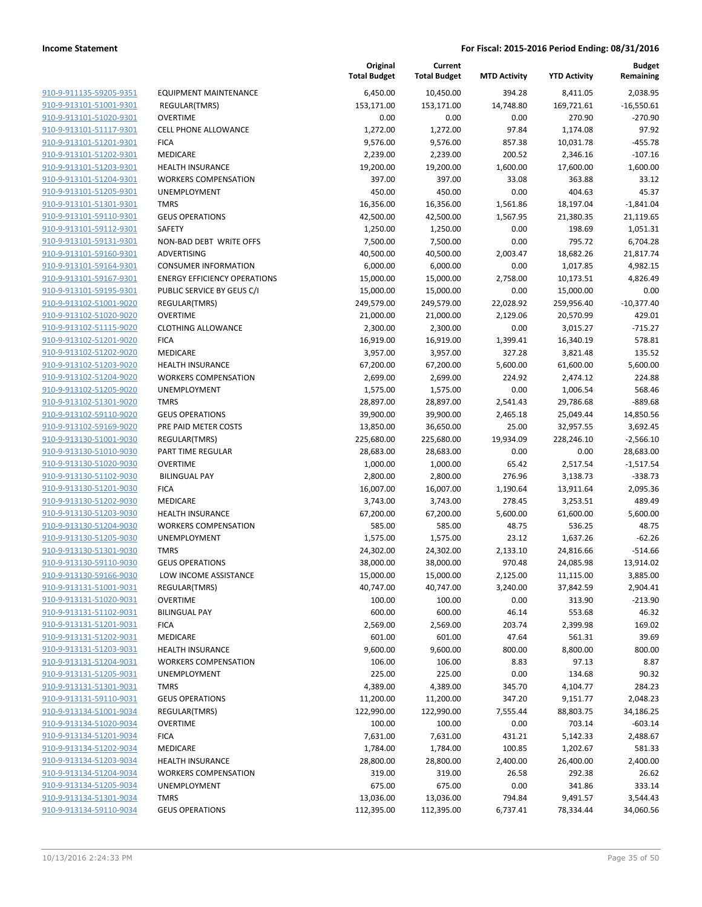|                                                    |                                             | Original<br><b>Total Budget</b> | Current<br><b>Total Budget</b> | <b>MTD Activity</b> | <b>YTD Activity</b> | <b>Budget</b><br>Remaining |
|----------------------------------------------------|---------------------------------------------|---------------------------------|--------------------------------|---------------------|---------------------|----------------------------|
| 910-9-911135-59205-9351                            | <b>EQUIPMENT MAINTENANCE</b>                | 6,450.00                        | 10,450.00                      | 394.28              | 8,411.05            | 2,038.95                   |
| 910-9-913101-51001-9301                            | REGULAR(TMRS)                               | 153,171.00                      | 153,171.00                     | 14,748.80           | 169,721.61          | $-16,550.61$               |
| 910-9-913101-51020-9301                            | <b>OVERTIME</b>                             | 0.00                            | 0.00                           | 0.00                | 270.90              | $-270.90$                  |
| 910-9-913101-51117-9301                            | <b>CELL PHONE ALLOWANCE</b>                 | 1,272.00                        | 1,272.00                       | 97.84               | 1,174.08            | 97.92                      |
| 910-9-913101-51201-9301                            | <b>FICA</b>                                 | 9,576.00                        | 9,576.00                       | 857.38              | 10,031.78           | $-455.78$                  |
| 910-9-913101-51202-9301                            | MEDICARE                                    | 2,239.00                        | 2,239.00                       | 200.52              | 2,346.16            | $-107.16$                  |
| 910-9-913101-51203-9301                            | <b>HEALTH INSURANCE</b>                     | 19,200.00                       | 19,200.00                      | 1,600.00            | 17,600.00           | 1,600.00                   |
| 910-9-913101-51204-9301                            | <b>WORKERS COMPENSATION</b>                 | 397.00                          | 397.00                         | 33.08               | 363.88              | 33.12                      |
| 910-9-913101-51205-9301                            | <b>UNEMPLOYMENT</b>                         | 450.00                          | 450.00                         | 0.00                | 404.63              | 45.37                      |
| 910-9-913101-51301-9301                            | <b>TMRS</b>                                 | 16,356.00                       | 16,356.00                      | 1,561.86            | 18,197.04           | $-1,841.04$                |
| 910-9-913101-59110-9301                            | <b>GEUS OPERATIONS</b>                      | 42,500.00                       | 42,500.00                      | 1,567.95            | 21,380.35           | 21,119.65                  |
| 910-9-913101-59112-9301                            | SAFETY                                      | 1,250.00                        | 1,250.00                       | 0.00                | 198.69              | 1,051.31                   |
| 910-9-913101-59131-9301                            | NON-BAD DEBT WRITE OFFS                     | 7,500.00                        | 7,500.00                       | 0.00                | 795.72              | 6,704.28                   |
| 910-9-913101-59160-9301                            | ADVERTISING                                 | 40,500.00                       | 40,500.00                      | 2,003.47            | 18,682.26           | 21,817.74                  |
| 910-9-913101-59164-9301                            | <b>CONSUMER INFORMATION</b>                 | 6,000.00                        | 6,000.00                       | 0.00                | 1,017.85            | 4,982.15                   |
| 910-9-913101-59167-9301                            | <b>ENERGY EFFICIENCY OPERATIONS</b>         | 15,000.00                       | 15,000.00                      | 2,758.00            | 10,173.51           | 4,826.49                   |
| 910-9-913101-59195-9301                            | PUBLIC SERVICE BY GEUS C/I                  | 15,000.00                       | 15,000.00                      | 0.00                | 15,000.00           | 0.00                       |
| 910-9-913102-51001-9020                            | REGULAR(TMRS)                               | 249,579.00                      | 249,579.00                     | 22,028.92           | 259,956.40          | $-10,377.40$               |
| 910-9-913102-51020-9020                            | <b>OVERTIME</b>                             | 21,000.00                       | 21,000.00                      | 2,129.06            | 20,570.99           | 429.01                     |
| 910-9-913102-51115-9020                            | <b>CLOTHING ALLOWANCE</b>                   | 2,300.00                        | 2,300.00                       | 0.00                | 3,015.27            | $-715.27$                  |
| 910-9-913102-51201-9020                            | <b>FICA</b>                                 | 16,919.00                       | 16,919.00                      | 1,399.41            | 16,340.19           | 578.81                     |
| 910-9-913102-51202-9020                            | MEDICARE                                    | 3,957.00                        | 3,957.00                       | 327.28              | 3,821.48            | 135.52                     |
| 910-9-913102-51203-9020                            | <b>HEALTH INSURANCE</b>                     | 67,200.00                       | 67,200.00                      | 5,600.00            | 61,600.00           | 5,600.00                   |
| 910-9-913102-51204-9020                            | <b>WORKERS COMPENSATION</b>                 | 2,699.00                        | 2,699.00                       | 224.92              | 2,474.12            | 224.88                     |
| 910-9-913102-51205-9020                            | <b>UNEMPLOYMENT</b>                         | 1,575.00                        | 1,575.00                       | 0.00                | 1,006.54            | 568.46                     |
| 910-9-913102-51301-9020                            | <b>TMRS</b>                                 | 28,897.00                       | 28,897.00                      | 2,541.43            | 29,786.68           | $-889.68$                  |
| 910-9-913102-59110-9020                            | <b>GEUS OPERATIONS</b>                      | 39,900.00                       | 39,900.00                      | 2,465.18            | 25,049.44           | 14,850.56                  |
| 910-9-913102-59169-9020                            | PRE PAID METER COSTS                        | 13,850.00                       | 36,650.00                      | 25.00               | 32,957.55           | 3,692.45                   |
| 910-9-913130-51001-9030                            | REGULAR(TMRS)                               | 225,680.00                      | 225,680.00                     | 19,934.09           | 228,246.10          | $-2,566.10$                |
| 910-9-913130-51010-9030                            | PART TIME REGULAR                           | 28,683.00                       | 28,683.00                      | 0.00                | 0.00                | 28,683.00                  |
| 910-9-913130-51020-9030                            | <b>OVERTIME</b>                             | 1,000.00                        | 1,000.00                       | 65.42               | 2,517.54            | $-1,517.54$                |
| 910-9-913130-51102-9030                            | <b>BILINGUAL PAY</b>                        | 2,800.00                        | 2,800.00                       | 276.96              | 3,138.73            | $-338.73$                  |
| 910-9-913130-51201-9030                            | <b>FICA</b>                                 | 16,007.00                       | 16,007.00                      | 1,190.64            | 13,911.64           | 2,095.36                   |
| 910-9-913130-51202-9030                            | MEDICARE                                    | 3,743.00                        | 3,743.00                       | 278.45              | 3,253.51            | 489.49                     |
| 910-9-913130-51203-9030                            | <b>HEALTH INSURANCE</b>                     | 67,200.00                       | 67,200.00                      | 5,600.00            | 61,600.00           | 5,600.00                   |
| 910-9-913130-51204-9030                            | <b>WORKERS COMPENSATION</b>                 | 585.00                          | 585.00                         | 48.75               | 536.25              | 48.75                      |
| 910-9-913130-51205-9030                            | <b>UNEMPLOYMENT</b>                         | 1,575.00                        | 1,575.00                       | 23.12               | 1,637.26            | $-62.26$                   |
| 910-9-913130-51301-9030                            | <b>TMRS</b>                                 | 24,302.00                       | 24,302.00                      | 2,133.10            | 24,816.66           | $-514.66$                  |
| 910-9-913130-59110-9030                            | <b>GEUS OPERATIONS</b>                      | 38,000.00                       | 38,000.00                      | 970.48              | 24,085.98           | 13,914.02                  |
| 910-9-913130-59166-9030                            | LOW INCOME ASSISTANCE                       | 15,000.00                       | 15,000.00                      | 2,125.00            | 11,115.00           | 3,885.00                   |
| 910-9-913131-51001-9031                            | REGULAR(TMRS)                               | 40,747.00                       | 40,747.00                      | 3,240.00            | 37,842.59           | 2,904.41                   |
| 910-9-913131-51020-9031                            | <b>OVERTIME</b>                             | 100.00                          | 100.00                         | 0.00                | 313.90              | $-213.90$                  |
| 910-9-913131-51102-9031                            | <b>BILINGUAL PAY</b>                        | 600.00                          | 600.00                         | 46.14               | 553.68              | 46.32                      |
| 910-9-913131-51201-9031                            | <b>FICA</b>                                 | 2,569.00                        | 2,569.00                       | 203.74              | 2,399.98            | 169.02                     |
| 910-9-913131-51202-9031                            | MEDICARE                                    | 601.00                          | 601.00                         | 47.64               | 561.31              | 39.69                      |
| 910-9-913131-51203-9031                            | <b>HEALTH INSURANCE</b>                     | 9,600.00                        | 9,600.00                       | 800.00              | 8,800.00            | 800.00                     |
| 910-9-913131-51204-9031                            | <b>WORKERS COMPENSATION</b>                 | 106.00                          | 106.00                         | 8.83                | 97.13               | 8.87                       |
| 910-9-913131-51205-9031                            | <b>UNEMPLOYMENT</b>                         | 225.00                          | 225.00                         | 0.00                | 134.68              | 90.32                      |
| 910-9-913131-51301-9031                            | <b>TMRS</b>                                 | 4,389.00                        | 4,389.00                       | 345.70              | 4,104.77            | 284.23                     |
| 910-9-913131-59110-9031                            | <b>GEUS OPERATIONS</b>                      | 11,200.00                       | 11,200.00                      | 347.20              | 9,151.77            | 2,048.23                   |
| 910-9-913134-51001-9034                            | REGULAR(TMRS)                               | 122,990.00                      | 122,990.00                     | 7,555.44            | 88,803.75           | 34,186.25                  |
| 910-9-913134-51020-9034                            | <b>OVERTIME</b>                             | 100.00                          | 100.00                         | 0.00                | 703.14              | $-603.14$                  |
| 910-9-913134-51201-9034                            | <b>FICA</b>                                 | 7,631.00                        | 7,631.00                       | 431.21              | 5,142.33            | 2,488.67                   |
| 910-9-913134-51202-9034                            | MEDICARE                                    | 1,784.00                        | 1,784.00                       | 100.85              | 1,202.67            | 581.33                     |
| 910-9-913134-51203-9034                            | <b>HEALTH INSURANCE</b>                     | 28,800.00                       | 28,800.00                      | 2,400.00            | 26,400.00           | 2,400.00                   |
| 910-9-913134-51204-9034                            | <b>WORKERS COMPENSATION</b><br>UNEMPLOYMENT | 319.00                          | 319.00                         | 26.58               | 292.38              | 26.62                      |
| 910-9-913134-51205-9034<br>910-9-913134-51301-9034 |                                             | 675.00                          | 675.00                         | 0.00                | 341.86              | 333.14                     |
| 910-9-913134-59110-9034                            | <b>TMRS</b><br><b>GEUS OPERATIONS</b>       | 13,036.00                       | 13,036.00                      | 794.84              | 9,491.57            | 3,544.43                   |
|                                                    |                                             | 112,395.00                      | 112,395.00                     | 6,737.41            | 78,334.44           | 34,060.56                  |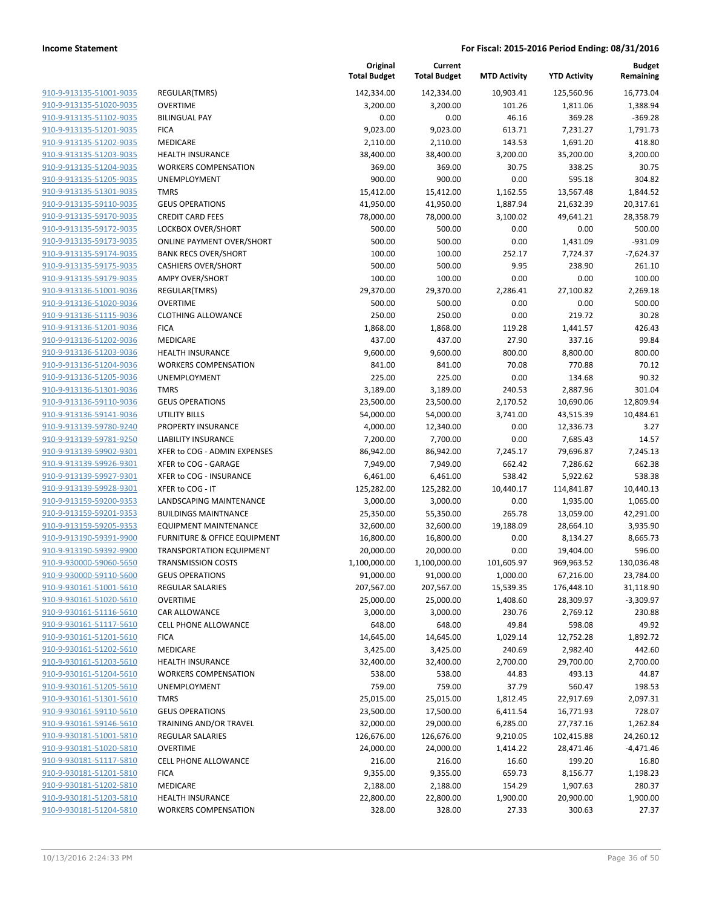| 910-9-913135-51001-9035 |
|-------------------------|
| 910-9-913135-51020-9035 |
| 910-9-913135-51102-9035 |
| 910-9-913135-51201-9035 |
| 910-9-913135-51202-9035 |
| 910-9-913135-51203-9035 |
| 910-9-913135-51204-9035 |
| 910-9-913135-51205-9035 |
| 910-9-913135-51301-9035 |
| 910-9-913135-59110-9035 |
| 910-9-913135-59170-9035 |
| 910-9-913135-59172-9035 |
| 910-9-913135-59173-9035 |
| 910-9-913135-59174-9035 |
| 910-9-913135-59175-9035 |
| 910-9-913135-59179-9035 |
| 910-9-913136-51001-9036 |
| 910-9-913136-51020-9036 |
| 910-9-913136-51115-9036 |
| 910-9-913136-51201-9036 |
| 910-9-913136-51202-9036 |
| 910-9-913136-51203-9036 |
| 910-9-913136-51204-9036 |
| 910-9-913136-51205-9036 |
| 910-9-913136-51301-9036 |
| 910-9-913136-59110-9036 |
| 910-9-913136-59141-9036 |
| 910-9-913139-59780-9240 |
| 910-9-913139-59781-9250 |
| 910-9-913139-59902-9301 |
| 910-9-913139-59926-9301 |
| 910-9-913139-59927-9301 |
| 910-9-913139-59928-9301 |
| 910-9-913159-59200-9353 |
| 910-9-913159-59201-9353 |
| 910-9-913159-59205-9353 |
| 910-9-913190-59391-9900 |
| 910-9-913190-59392-9900 |
| 910-9-930000-59060-5650 |
| 910-9-930000-59110-5600 |
| 910-9-930161-51001-5610 |
| 910-9-930161-51020-5610 |
| 910-9-930161-51116-5610 |
| 910-9-930161-51117-5610 |
| 910-9-930161-51201-5610 |
| 910-9-930161-51202-5610 |
| 910-9-930161-51203-5610 |
| 910-9-930161-51204-5610 |
| 910-9-930161-51205-5610 |
| 910-9-930161-51301-5610 |
| 910-9-930161-59110-5610 |
| 910-9-930161-59146-5610 |
| 910-9-930181-51001-5810 |
| 910-9-930181-51020-5810 |
| 910-9-930181-51117-5810 |
| 910-9-930181-51201-5810 |
| 910-9-930181-51202-5810 |
| 910-9-930181-51203-5810 |
| 910-9-930181-51204-5810 |

|                                                    |                                                     | Original<br><b>Total Budget</b> | Current<br><b>Total Budget</b> | <b>MTD Activity</b>    | <b>YTD Activity</b>     | <b>Budget</b><br>Remaining |
|----------------------------------------------------|-----------------------------------------------------|---------------------------------|--------------------------------|------------------------|-------------------------|----------------------------|
| 910-9-913135-51001-9035                            | REGULAR(TMRS)                                       | 142,334.00                      | 142,334.00                     | 10,903.41              | 125,560.96              | 16,773.04                  |
| 910-9-913135-51020-9035                            | <b>OVERTIME</b>                                     | 3,200.00                        | 3,200.00                       | 101.26                 | 1,811.06                | 1,388.94                   |
| 910-9-913135-51102-9035                            | <b>BILINGUAL PAY</b>                                | 0.00                            | 0.00                           | 46.16                  | 369.28                  | $-369.28$                  |
| 910-9-913135-51201-9035                            | <b>FICA</b>                                         | 9,023.00                        | 9,023.00                       | 613.71                 | 7,231.27                | 1,791.73                   |
| 910-9-913135-51202-9035                            | MEDICARE                                            | 2,110.00                        | 2,110.00                       | 143.53                 | 1,691.20                | 418.80                     |
| 910-9-913135-51203-9035                            | <b>HEALTH INSURANCE</b>                             | 38,400.00                       | 38,400.00                      | 3,200.00               | 35,200.00               | 3,200.00                   |
| 910-9-913135-51204-9035                            | <b>WORKERS COMPENSATION</b>                         | 369.00                          | 369.00                         | 30.75                  | 338.25                  | 30.75                      |
| 910-9-913135-51205-9035                            | UNEMPLOYMENT                                        | 900.00                          | 900.00                         | 0.00                   | 595.18                  | 304.82                     |
| 910-9-913135-51301-9035                            | <b>TMRS</b>                                         | 15,412.00                       | 15,412.00                      | 1,162.55               | 13,567.48               | 1,844.52                   |
| 910-9-913135-59110-9035                            | <b>GEUS OPERATIONS</b>                              | 41,950.00                       | 41,950.00                      | 1,887.94               | 21,632.39               | 20,317.61                  |
| 910-9-913135-59170-9035                            | <b>CREDIT CARD FEES</b>                             | 78,000.00                       | 78,000.00                      | 3,100.02               | 49,641.21               | 28,358.79                  |
| 910-9-913135-59172-9035                            | LOCKBOX OVER/SHORT                                  | 500.00                          | 500.00                         | 0.00                   | 0.00                    | 500.00                     |
| 910-9-913135-59173-9035                            | <b>ONLINE PAYMENT OVER/SHORT</b>                    | 500.00                          | 500.00                         | 0.00                   | 1,431.09                | $-931.09$                  |
| 910-9-913135-59174-9035                            | <b>BANK RECS OVER/SHORT</b>                         | 100.00                          | 100.00                         | 252.17                 | 7,724.37                | $-7,624.37$                |
| 910-9-913135-59175-9035                            | <b>CASHIERS OVER/SHORT</b>                          | 500.00                          | 500.00                         | 9.95                   | 238.90                  | 261.10                     |
| 910-9-913135-59179-9035                            | <b>AMPY OVER/SHORT</b>                              | 100.00                          | 100.00                         | 0.00                   | 0.00                    | 100.00                     |
| 910-9-913136-51001-9036                            | REGULAR(TMRS)                                       | 29,370.00                       | 29,370.00                      | 2,286.41               | 27,100.82               | 2,269.18                   |
| 910-9-913136-51020-9036                            | <b>OVERTIME</b>                                     | 500.00                          | 500.00                         | 0.00                   | 0.00                    | 500.00                     |
| 910-9-913136-51115-9036                            | <b>CLOTHING ALLOWANCE</b>                           | 250.00                          | 250.00                         | 0.00                   | 219.72                  | 30.28                      |
| 910-9-913136-51201-9036                            | <b>FICA</b>                                         | 1,868.00                        | 1,868.00                       | 119.28                 | 1,441.57                | 426.43                     |
| 910-9-913136-51202-9036                            | MEDICARE                                            | 437.00                          | 437.00                         | 27.90                  | 337.16                  | 99.84                      |
| 910-9-913136-51203-9036                            | <b>HEALTH INSURANCE</b>                             | 9,600.00                        | 9,600.00                       | 800.00                 | 8,800.00                | 800.00                     |
| 910-9-913136-51204-9036                            | <b>WORKERS COMPENSATION</b>                         | 841.00                          | 841.00                         | 70.08                  | 770.88                  | 70.12                      |
| 910-9-913136-51205-9036                            | <b>UNEMPLOYMENT</b>                                 | 225.00                          | 225.00                         | 0.00                   | 134.68                  | 90.32                      |
| 910-9-913136-51301-9036                            | <b>TMRS</b>                                         | 3,189.00                        | 3,189.00                       | 240.53                 | 2,887.96                | 301.04                     |
| 910-9-913136-59110-9036                            | <b>GEUS OPERATIONS</b>                              | 23,500.00                       | 23,500.00                      | 2,170.52               | 10,690.06               | 12,809.94                  |
| 910-9-913136-59141-9036                            | UTILITY BILLS                                       | 54,000.00                       | 54,000.00                      | 3,741.00               | 43,515.39               | 10,484.61                  |
| 910-9-913139-59780-9240                            | PROPERTY INSURANCE                                  | 4,000.00                        | 12,340.00                      | 0.00                   | 12,336.73               | 3.27                       |
| 910-9-913139-59781-9250                            | <b>LIABILITY INSURANCE</b>                          | 7,200.00                        | 7,700.00                       | 0.00                   | 7,685.43                | 14.57                      |
| 910-9-913139-59902-9301                            | XFER to COG - ADMIN EXPENSES                        | 86,942.00                       | 86,942.00                      | 7,245.17               | 79,696.87               | 7,245.13                   |
| 910-9-913139-59926-9301                            | XFER to COG - GARAGE                                | 7,949.00                        | 7,949.00                       | 662.42                 | 7,286.62                | 662.38                     |
| 910-9-913139-59927-9301                            | XFER to COG - INSURANCE                             | 6,461.00                        | 6,461.00                       | 538.42                 | 5,922.62                | 538.38                     |
| 910-9-913139-59928-9301                            | XFER to COG - IT                                    | 125,282.00                      | 125,282.00                     | 10,440.17              | 114,841.87              | 10,440.13                  |
| 910-9-913159-59200-9353                            | LANDSCAPING MAINTENANCE                             | 3,000.00                        | 3,000.00                       | 0.00                   | 1,935.00                | 1,065.00                   |
| 910-9-913159-59201-9353                            | <b>BUILDINGS MAINTNANCE</b>                         | 25,350.00                       | 55,350.00                      | 265.78                 | 13,059.00               | 42,291.00                  |
| 910-9-913159-59205-9353                            | EQUIPMENT MAINTENANCE                               | 32,600.00                       | 32,600.00                      | 19,188.09              | 28,664.10               | 3,935.90                   |
| 910-9-913190-59391-9900<br>910-9-913190-59392-9900 | FURNITURE & OFFICE EQUIPMENT                        | 16,800.00<br>20,000.00          | 16,800.00                      | 0.00                   | 8,134.27                | 8,665.73                   |
| 910-9-930000-59060-5650                            | <b>TRANSPORTATION EQUIPMENT</b>                     |                                 | 20,000.00                      | 0.00                   | 19,404.00<br>969,963.52 | 596.00                     |
| 910-9-930000-59110-5600                            | <b>TRANSMISSION COSTS</b><br><b>GEUS OPERATIONS</b> | 1,100,000.00<br>91,000.00       | 1,100,000.00<br>91,000.00      | 101,605.97<br>1,000.00 | 67,216.00               | 130,036.48<br>23,784.00    |
| 910-9-930161-51001-5610                            | <b>REGULAR SALARIES</b>                             | 207,567.00                      | 207,567.00                     | 15,539.35              |                         | 31,118.90                  |
| 910-9-930161-51020-5610                            | <b>OVERTIME</b>                                     | 25,000.00                       | 25,000.00                      | 1,408.60               | 176,448.10<br>28,309.97 | $-3,309.97$                |
| 910-9-930161-51116-5610                            | CAR ALLOWANCE                                       | 3,000.00                        | 3,000.00                       | 230.76                 | 2,769.12                | 230.88                     |
| 910-9-930161-51117-5610                            | CELL PHONE ALLOWANCE                                | 648.00                          | 648.00                         | 49.84                  | 598.08                  | 49.92                      |
| 910-9-930161-51201-5610                            | <b>FICA</b>                                         | 14,645.00                       | 14,645.00                      | 1,029.14               | 12,752.28               | 1,892.72                   |
| 910-9-930161-51202-5610                            | MEDICARE                                            | 3,425.00                        | 3,425.00                       | 240.69                 | 2,982.40                | 442.60                     |
| 910-9-930161-51203-5610                            | <b>HEALTH INSURANCE</b>                             | 32,400.00                       | 32,400.00                      | 2,700.00               | 29,700.00               | 2,700.00                   |
| 910-9-930161-51204-5610                            | <b>WORKERS COMPENSATION</b>                         | 538.00                          | 538.00                         | 44.83                  | 493.13                  | 44.87                      |
| 910-9-930161-51205-5610                            | UNEMPLOYMENT                                        | 759.00                          | 759.00                         | 37.79                  | 560.47                  | 198.53                     |
| 910-9-930161-51301-5610                            | <b>TMRS</b>                                         | 25,015.00                       | 25,015.00                      | 1,812.45               | 22,917.69               | 2,097.31                   |
| 910-9-930161-59110-5610                            | <b>GEUS OPERATIONS</b>                              | 23,500.00                       | 17,500.00                      | 6,411.54               | 16,771.93               | 728.07                     |
| 910-9-930161-59146-5610                            | TRAINING AND/OR TRAVEL                              | 32,000.00                       | 29,000.00                      | 6,285.00               | 27,737.16               | 1,262.84                   |
| 910-9-930181-51001-5810                            | REGULAR SALARIES                                    | 126,676.00                      | 126,676.00                     | 9,210.05               | 102,415.88              | 24,260.12                  |
| 910-9-930181-51020-5810                            | <b>OVERTIME</b>                                     | 24,000.00                       | 24,000.00                      | 1,414.22               | 28,471.46               | $-4,471.46$                |
| 910-9-930181-51117-5810                            | CELL PHONE ALLOWANCE                                | 216.00                          | 216.00                         | 16.60                  | 199.20                  | 16.80                      |
| 910-9-930181-51201-5810                            | <b>FICA</b>                                         | 9,355.00                        | 9,355.00                       | 659.73                 | 8,156.77                | 1,198.23                   |
| 910-9-930181-51202-5810                            | MEDICARE                                            | 2,188.00                        | 2,188.00                       | 154.29                 | 1,907.63                | 280.37                     |
| 910-9-930181-51203-5810                            | <b>HEALTH INSURANCE</b>                             | 22,800.00                       | 22,800.00                      | 1,900.00               | 20,900.00               | 1,900.00                   |
| 910-9-930181-51204-5810                            | WORKERS COMPENSATION                                | 328.00                          | 328.00                         | 27.33                  | 300.63                  | 27.37                      |
|                                                    |                                                     |                                 |                                |                        |                         |                            |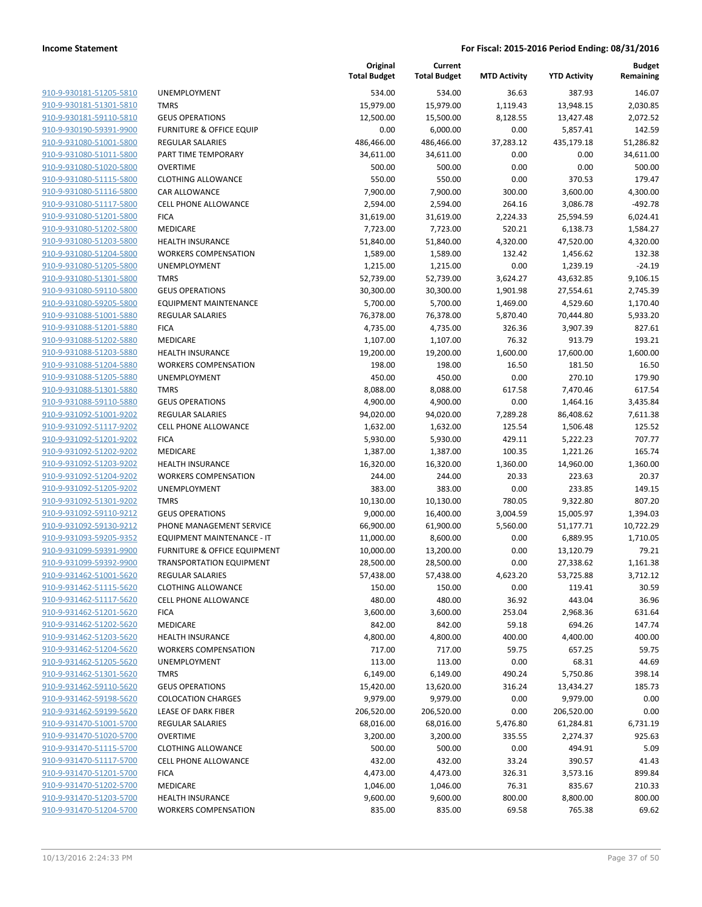| 910-9-930181-51205-5810        |
|--------------------------------|
| 910-9-930181-51301-5810        |
| 910-9-930181-59110-5810        |
| 910-9-930190-59391-9900        |
| 910-9-931080-51001-5800        |
| 910-9-931080-51011-5800        |
| <u>910-9-931080-51020-5800</u> |
| 910-9-931080-51115-5800        |
| 910-9-931080-51116-5800        |
| 910-9-931080-51117-5800        |
| 910-9-931080-51201-5800        |
| 910-9-931080-51202-5800        |
| 910-9-931080-51203-5800        |
| 910-9-931080-51204-5800        |
| 910-9-931080-51205-5800        |
| 910-9-931080-51301-5800        |
| 910-9-931080-59110-5800        |
| 910-9-931080-59205-5800        |
| 910-9-931088-51001-5880        |
| 910-9-931088-51201-5880        |
| 910-9-931088-51202-5880        |
| 910-9-931088-51203-5880        |
| 910-9-931088-51204-5880        |
| 910-9-931088-51205-5880        |
| 910-9-931088-51301-5880        |
| 910-9-931088-59110-5880        |
| 910-9-931092-51001-9202        |
| 910-9-931092-51117-9202        |
| 910-9-931092-51201-9202        |
|                                |
| 910-9-931092-51202-9202        |
| 910-9-931092-51203-9202        |
| 910-9-931092-51204-9202        |
| <u>910-9-931092-51205-9202</u> |
| 910-9-931092-51301-9202        |
| 910-9-931092-59110-9212        |
| 910-9-931092-59130-9212        |
| 910-9-931093-59205-9352        |
| 910-9-931099-59391-9900        |
| 910-9-931099-59392-9900        |
| 910-9-931462-51001-5620        |
| 910-9-931462-51115-5620        |
| 910-9-931462-51117-5620        |
| 910-9-931462-51201-5620        |
| 910-9-931462-51202-5620        |
| 910-9-931462-51203-5620        |
| 910-9-931462-51204-5620        |
| 910-9-931462-51205-5620        |
| 910-9-931462-51301-5620        |
| 910-9-931462-59110-5620        |
| 910-9-931462-59198-5620        |
| 910-9-931462-59199-5620        |
| 910-9-931470-51001-5700        |
| 910-9-931470-51020-5700        |
| 910-9-931470-51115-5700        |
| 910-9-931470-51117-5700        |
| 910-9-931470-51201-5700        |
| 910-9-931470-51202-5700        |
| 910-9-931470-51203-5700        |
| 910-9-931470-51204-5700        |
|                                |

|                                                    |                                         | Original<br><b>Total Budget</b> | Current<br><b>Total Budget</b> | <b>MTD Activity</b> | <b>YTD Activity</b>  | <b>Budget</b><br>Remaining |
|----------------------------------------------------|-----------------------------------------|---------------------------------|--------------------------------|---------------------|----------------------|----------------------------|
| 910-9-930181-51205-5810                            | <b>UNEMPLOYMENT</b>                     | 534.00                          | 534.00                         | 36.63               | 387.93               | 146.07                     |
| 910-9-930181-51301-5810                            | <b>TMRS</b>                             | 15,979.00                       | 15,979.00                      | 1,119.43            | 13,948.15            | 2,030.85                   |
| 910-9-930181-59110-5810                            | <b>GEUS OPERATIONS</b>                  | 12,500.00                       | 15,500.00                      | 8,128.55            | 13,427.48            | 2,072.52                   |
| 910-9-930190-59391-9900                            | <b>FURNITURE &amp; OFFICE EQUIP</b>     | 0.00                            | 6,000.00                       | 0.00                | 5,857.41             | 142.59                     |
| 910-9-931080-51001-5800                            | <b>REGULAR SALARIES</b>                 | 486,466.00                      | 486,466.00                     | 37,283.12           | 435,179.18           | 51,286.82                  |
| 910-9-931080-51011-5800                            | PART TIME TEMPORARY                     | 34,611.00                       | 34,611.00                      | 0.00                | 0.00                 | 34,611.00                  |
| 910-9-931080-51020-5800                            | <b>OVERTIME</b>                         | 500.00                          | 500.00                         | 0.00                | 0.00                 | 500.00                     |
| 910-9-931080-51115-5800                            | <b>CLOTHING ALLOWANCE</b>               | 550.00                          | 550.00                         | 0.00                | 370.53               | 179.47                     |
| 910-9-931080-51116-5800                            | CAR ALLOWANCE                           | 7,900.00                        | 7,900.00                       | 300.00              | 3,600.00             | 4,300.00                   |
| 910-9-931080-51117-5800                            | <b>CELL PHONE ALLOWANCE</b>             | 2,594.00                        | 2,594.00                       | 264.16              | 3,086.78             | $-492.78$                  |
| 910-9-931080-51201-5800                            | <b>FICA</b>                             | 31,619.00                       | 31,619.00                      | 2,224.33            | 25,594.59            | 6,024.41                   |
| 910-9-931080-51202-5800                            | <b>MEDICARE</b>                         | 7,723.00                        | 7,723.00                       | 520.21              | 6,138.73             | 1,584.27                   |
| 910-9-931080-51203-5800                            | <b>HEALTH INSURANCE</b>                 | 51,840.00                       | 51,840.00                      | 4,320.00            | 47,520.00            | 4,320.00                   |
| 910-9-931080-51204-5800                            | <b>WORKERS COMPENSATION</b>             | 1,589.00                        | 1,589.00                       | 132.42              | 1,456.62             | 132.38                     |
| 910-9-931080-51205-5800                            | <b>UNEMPLOYMENT</b>                     | 1,215.00                        | 1,215.00                       | 0.00                | 1,239.19             | $-24.19$                   |
| 910-9-931080-51301-5800                            | <b>TMRS</b>                             | 52,739.00                       | 52,739.00                      | 3,624.27            | 43,632.85            | 9,106.15                   |
| 910-9-931080-59110-5800                            | <b>GEUS OPERATIONS</b>                  | 30,300.00                       | 30,300.00                      | 1,901.98            | 27,554.61            | 2,745.39                   |
| 910-9-931080-59205-5800                            | <b>EQUIPMENT MAINTENANCE</b>            | 5,700.00                        | 5,700.00                       | 1,469.00            | 4,529.60             | 1,170.40                   |
| 910-9-931088-51001-5880                            | <b>REGULAR SALARIES</b>                 | 76,378.00                       | 76,378.00                      | 5,870.40            | 70,444.80            | 5,933.20                   |
| 910-9-931088-51201-5880                            | <b>FICA</b>                             | 4,735.00                        | 4,735.00                       | 326.36              | 3,907.39             | 827.61                     |
| 910-9-931088-51202-5880                            | MEDICARE                                | 1,107.00                        | 1,107.00                       | 76.32               | 913.79               | 193.21                     |
| 910-9-931088-51203-5880                            | <b>HEALTH INSURANCE</b>                 | 19,200.00                       | 19,200.00                      | 1,600.00            | 17,600.00            | 1,600.00                   |
| 910-9-931088-51204-5880                            | <b>WORKERS COMPENSATION</b>             | 198.00                          | 198.00                         | 16.50               | 181.50               | 16.50                      |
| 910-9-931088-51205-5880                            | <b>UNEMPLOYMENT</b>                     | 450.00                          | 450.00                         | 0.00                | 270.10               | 179.90                     |
| 910-9-931088-51301-5880                            | <b>TMRS</b>                             | 8,088.00                        | 8,088.00                       | 617.58              | 7,470.46             | 617.54                     |
| 910-9-931088-59110-5880                            | <b>GEUS OPERATIONS</b>                  | 4,900.00                        | 4,900.00                       | 0.00                | 1,464.16             | 3,435.84                   |
| 910-9-931092-51001-9202                            | <b>REGULAR SALARIES</b>                 | 94,020.00                       | 94,020.00                      | 7,289.28            | 86,408.62            | 7,611.38                   |
| 910-9-931092-51117-9202                            | <b>CELL PHONE ALLOWANCE</b>             | 1,632.00                        | 1,632.00                       | 125.54              | 1,506.48             | 125.52                     |
| 910-9-931092-51201-9202<br>910-9-931092-51202-9202 | <b>FICA</b><br>MEDICARE                 | 5,930.00                        | 5,930.00                       | 429.11<br>100.35    | 5,222.23<br>1,221.26 | 707.77<br>165.74           |
| 910-9-931092-51203-9202                            | <b>HEALTH INSURANCE</b>                 | 1,387.00<br>16,320.00           | 1,387.00<br>16,320.00          | 1,360.00            | 14,960.00            | 1,360.00                   |
| 910-9-931092-51204-9202                            | <b>WORKERS COMPENSATION</b>             | 244.00                          | 244.00                         | 20.33               | 223.63               | 20.37                      |
| 910-9-931092-51205-9202                            | <b>UNEMPLOYMENT</b>                     | 383.00                          | 383.00                         | 0.00                | 233.85               | 149.15                     |
| 910-9-931092-51301-9202                            | <b>TMRS</b>                             | 10,130.00                       | 10,130.00                      | 780.05              | 9,322.80             | 807.20                     |
| 910-9-931092-59110-9212                            | <b>GEUS OPERATIONS</b>                  | 9,000.00                        | 16,400.00                      | 3,004.59            | 15,005.97            | 1,394.03                   |
| 910-9-931092-59130-9212                            | PHONE MANAGEMENT SERVICE                | 66,900.00                       | 61,900.00                      | 5,560.00            | 51,177.71            | 10,722.29                  |
| 910-9-931093-59205-9352                            | EQUIPMENT MAINTENANCE - IT              | 11,000.00                       | 8,600.00                       | 0.00                | 6,889.95             | 1,710.05                   |
| 910-9-931099-59391-9900                            | <b>FURNITURE &amp; OFFICE EQUIPMENT</b> | 10,000.00                       | 13,200.00                      | 0.00                | 13,120.79            | 79.21                      |
| 910-9-931099-59392-9900                            | <b>TRANSPORTATION EQUIPMENT</b>         | 28,500.00                       | 28,500.00                      | 0.00                | 27,338.62            | 1,161.38                   |
| 910-9-931462-51001-5620                            | <b>REGULAR SALARIES</b>                 | 57,438.00                       | 57,438.00                      | 4,623.20            | 53,725.88            | 3,712.12                   |
| 910-9-931462-51115-5620                            | <b>CLOTHING ALLOWANCE</b>               | 150.00                          | 150.00                         | 0.00                | 119.41               | 30.59                      |
| 910-9-931462-51117-5620                            | <b>CELL PHONE ALLOWANCE</b>             | 480.00                          | 480.00                         | 36.92               | 443.04               | 36.96                      |
| 910-9-931462-51201-5620                            | <b>FICA</b>                             | 3,600.00                        | 3,600.00                       | 253.04              | 2,968.36             | 631.64                     |
| 910-9-931462-51202-5620                            | MEDICARE                                | 842.00                          | 842.00                         | 59.18               | 694.26               | 147.74                     |
| 910-9-931462-51203-5620                            | <b>HEALTH INSURANCE</b>                 | 4,800.00                        | 4,800.00                       | 400.00              | 4,400.00             | 400.00                     |
| 910-9-931462-51204-5620                            | <b>WORKERS COMPENSATION</b>             | 717.00                          | 717.00                         | 59.75               | 657.25               | 59.75                      |
| 910-9-931462-51205-5620                            | UNEMPLOYMENT                            | 113.00                          | 113.00                         | 0.00                | 68.31                | 44.69                      |
| 910-9-931462-51301-5620                            | <b>TMRS</b>                             | 6,149.00                        | 6,149.00                       | 490.24              | 5,750.86             | 398.14                     |
| 910-9-931462-59110-5620                            | <b>GEUS OPERATIONS</b>                  | 15,420.00                       | 13,620.00                      | 316.24              | 13,434.27            | 185.73                     |
| 910-9-931462-59198-5620                            | <b>COLOCATION CHARGES</b>               | 9,979.00                        | 9,979.00                       | 0.00                | 9,979.00             | 0.00                       |
| 910-9-931462-59199-5620                            | <b>LEASE OF DARK FIBER</b>              | 206,520.00                      | 206,520.00                     | 0.00                | 206,520.00           | 0.00                       |
| 910-9-931470-51001-5700                            | <b>REGULAR SALARIES</b>                 | 68,016.00                       | 68,016.00                      | 5,476.80            | 61,284.81            | 6,731.19                   |
| 910-9-931470-51020-5700                            | <b>OVERTIME</b>                         | 3,200.00                        | 3,200.00                       | 335.55              | 2,274.37             | 925.63                     |
| 910-9-931470-51115-5700                            | <b>CLOTHING ALLOWANCE</b>               | 500.00                          | 500.00                         | 0.00                | 494.91               | 5.09                       |
| 910-9-931470-51117-5700                            | <b>CELL PHONE ALLOWANCE</b>             | 432.00                          | 432.00                         | 33.24               | 390.57               | 41.43                      |
| 910-9-931470-51201-5700                            | <b>FICA</b>                             | 4,473.00                        | 4,473.00                       | 326.31              | 3,573.16             | 899.84                     |
| 910-9-931470-51202-5700                            | MEDICARE                                | 1,046.00                        | 1,046.00                       | 76.31               | 835.67               | 210.33                     |
| 910-9-931470-51203-5700                            | <b>HEALTH INSURANCE</b>                 | 9,600.00                        | 9,600.00                       | 800.00              | 8,800.00             | 800.00                     |
| 910-9-931470-51204-5700                            | <b>WORKERS COMPENSATION</b>             | 835.00                          | 835.00                         | 69.58               | 765.38               | 69.62                      |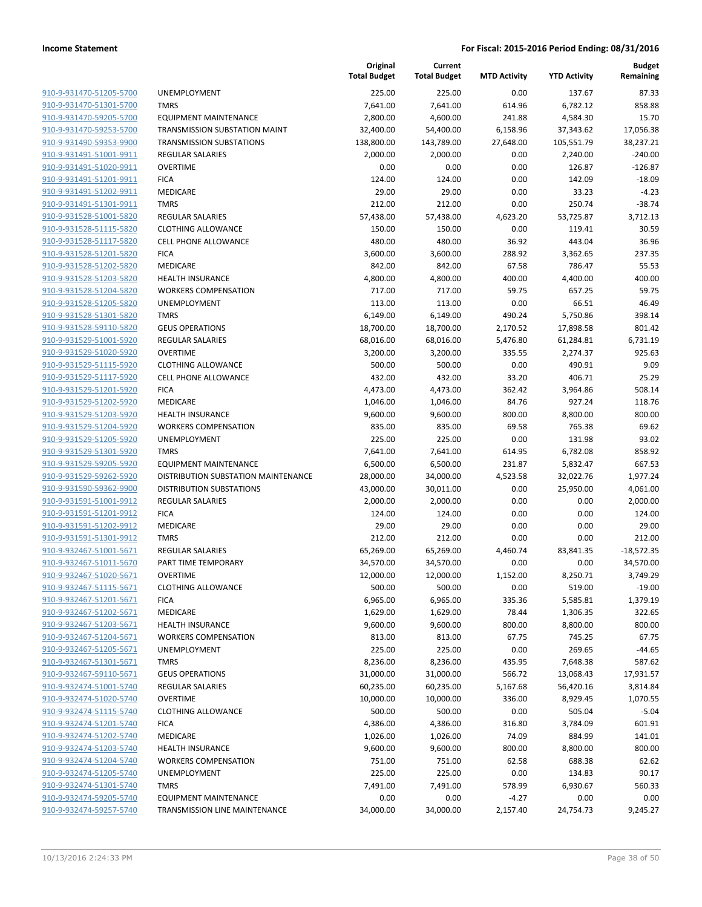| 910-9-931470-51205-5700        |
|--------------------------------|
| 910-9-931470-51301-5700        |
| 910-9-931470-59205-5700        |
| 910-9-931470-59253-5700        |
| 910-9-931490-59353-9900        |
| 910-9-931491-51001-9911        |
| 910-9-931491-51020-9911        |
| 910-9-931491-51201-9911        |
|                                |
| <u>910-9-931491-51202-9911</u> |
| <u>910-9-931491-51301-9911</u> |
| 910-9-931528-51001-5820        |
| 910-9-931528-51115-5820        |
| 910-9-931528-51117-5820        |
| 910-9-931528-51201-5820        |
| <u>910-9-931528-51202-5820</u> |
| 910-9-931528-51203-5820        |
| 910-9-931528-51204-5820        |
| 910-9-931528-51205-5820        |
| 910-9-931528-51301-5820        |
| <u>910-9-931528-59110-5820</u> |
|                                |
| 910-9-931529-51001-5920        |
| 910-9-931529-51020-5920        |
| 910-9-931529-51115-5920        |
| <u>910-9-931529-51117-5920</u> |
| 910-9-931529-51201-5920        |
| 910-9-931529-51202-5920        |
| 910-9-931529-51203-5920        |
| 910-9-931529-51204-5920        |
| <u>910-9-931529-51205-5920</u> |
| <u>910-9-931529-51301-5920</u> |
| 910-9-931529-59205-5920        |
| 910-9-931529-59262-5920        |
| 910-9-931590-59362-9900        |
|                                |
| 910-9-931591-51001-9912        |
| <u>910-9-931591-51201-9912</u> |
| 910-9-931591-51202-9912        |
| 910-9-931591-51301-9912        |
| 910-9-932467-51001-5671        |
| 910-9-932467-51011-5670        |
| <u>910-9-932467-51020-5671</u> |
| 910-9-932467-51115-5671        |
| 910-9-932467-51201-5671        |
| 910-9-932467-51202-5671        |
| 910-9-932467-51203-5671        |
| <u>910-9-932467-51204-5671</u> |
|                                |
| 910-9-932467-51205-5671        |
| <u>910-9-932467-51301-5671</u> |
| 910-9-932467-59110-5671        |
| <u>910-9-932474-51001-5740</u> |
| <u>910-9-932474-51020-5740</u> |
| 910-9-932474-51115-5740        |
| 910-9-932474-51201-5740        |
| 910-9-932474-51202-5740        |
| <u>910-9-932474-51203-5740</u> |
| <u>910-9-932474-51204-5740</u> |
| <u>910-9-932474-51205-5740</u> |
| <u>910-9-932474-51301-5740</u> |
| 910-9-932474-59205-5740        |
| <u>910-9-932474-59257-5740</u> |
|                                |

|                         |                                     | Original<br><b>Total Budget</b> | Current<br><b>Total Budget</b> | <b>MTD Activity</b> | <b>YTD Activity</b> | <b>Budget</b><br>Remaining |
|-------------------------|-------------------------------------|---------------------------------|--------------------------------|---------------------|---------------------|----------------------------|
| 910-9-931470-51205-5700 | UNEMPLOYMENT                        | 225.00                          | 225.00                         | 0.00                | 137.67              | 87.33                      |
| 910-9-931470-51301-5700 | <b>TMRS</b>                         | 7,641.00                        | 7,641.00                       | 614.96              | 6,782.12            | 858.88                     |
| 910-9-931470-59205-5700 | <b>EQUIPMENT MAINTENANCE</b>        | 2,800.00                        | 4,600.00                       | 241.88              | 4,584.30            | 15.70                      |
| 910-9-931470-59253-5700 | TRANSMISSION SUBSTATION MAINT       | 32,400.00                       | 54,400.00                      | 6,158.96            | 37,343.62           | 17,056.38                  |
| 910-9-931490-59353-9900 | <b>TRANSMISSION SUBSTATIONS</b>     | 138,800.00                      | 143,789.00                     | 27,648.00           | 105,551.79          | 38,237.21                  |
| 910-9-931491-51001-9911 | <b>REGULAR SALARIES</b>             | 2,000.00                        | 2,000.00                       | 0.00                | 2,240.00            | $-240.00$                  |
| 910-9-931491-51020-9911 | <b>OVERTIME</b>                     | 0.00                            | 0.00                           | 0.00                | 126.87              | $-126.87$                  |
| 910-9-931491-51201-9911 | <b>FICA</b>                         | 124.00                          | 124.00                         | 0.00                | 142.09              | $-18.09$                   |
| 910-9-931491-51202-9911 | <b>MEDICARE</b>                     | 29.00                           | 29.00                          | 0.00                | 33.23               | $-4.23$                    |
| 910-9-931491-51301-9911 | <b>TMRS</b>                         | 212.00                          | 212.00                         | 0.00                | 250.74              | $-38.74$                   |
| 910-9-931528-51001-5820 | <b>REGULAR SALARIES</b>             | 57,438.00                       | 57,438.00                      | 4,623.20            | 53,725.87           | 3,712.13                   |
| 910-9-931528-51115-5820 | <b>CLOTHING ALLOWANCE</b>           | 150.00                          | 150.00                         | 0.00                | 119.41              | 30.59                      |
| 910-9-931528-51117-5820 | <b>CELL PHONE ALLOWANCE</b>         | 480.00                          | 480.00                         | 36.92               | 443.04              | 36.96                      |
| 910-9-931528-51201-5820 | <b>FICA</b>                         | 3,600.00                        | 3,600.00                       | 288.92              | 3,362.65            | 237.35                     |
| 910-9-931528-51202-5820 | MEDICARE                            | 842.00                          | 842.00                         | 67.58               | 786.47              | 55.53                      |
| 910-9-931528-51203-5820 | <b>HEALTH INSURANCE</b>             | 4,800.00                        | 4,800.00                       | 400.00              | 4,400.00            | 400.00                     |
| 910-9-931528-51204-5820 | <b>WORKERS COMPENSATION</b>         | 717.00                          | 717.00                         | 59.75               | 657.25              | 59.75                      |
| 910-9-931528-51205-5820 | <b>UNEMPLOYMENT</b>                 | 113.00                          | 113.00                         | 0.00                | 66.51               | 46.49                      |
| 910-9-931528-51301-5820 | <b>TMRS</b>                         | 6,149.00                        | 6,149.00                       | 490.24              | 5,750.86            | 398.14                     |
| 910-9-931528-59110-5820 | <b>GEUS OPERATIONS</b>              | 18,700.00                       | 18,700.00                      | 2,170.52            | 17,898.58           | 801.42                     |
| 910-9-931529-51001-5920 | <b>REGULAR SALARIES</b>             | 68,016.00                       | 68,016.00                      | 5,476.80            | 61,284.81           | 6,731.19                   |
| 910-9-931529-51020-5920 | <b>OVERTIME</b>                     | 3,200.00                        | 3,200.00                       | 335.55              | 2,274.37            | 925.63                     |
| 910-9-931529-51115-5920 | <b>CLOTHING ALLOWANCE</b>           | 500.00                          | 500.00                         | 0.00                | 490.91              | 9.09                       |
| 910-9-931529-51117-5920 | <b>CELL PHONE ALLOWANCE</b>         | 432.00                          | 432.00                         | 33.20               | 406.71              | 25.29                      |
| 910-9-931529-51201-5920 | <b>FICA</b>                         | 4,473.00                        | 4,473.00                       | 362.42              | 3,964.86            | 508.14                     |
| 910-9-931529-51202-5920 | MEDICARE                            | 1,046.00                        | 1,046.00                       | 84.76               | 927.24              | 118.76                     |
| 910-9-931529-51203-5920 | <b>HEALTH INSURANCE</b>             | 9,600.00                        | 9,600.00                       | 800.00              | 8,800.00            | 800.00                     |
| 910-9-931529-51204-5920 | <b>WORKERS COMPENSATION</b>         | 835.00                          | 835.00                         | 69.58               | 765.38              | 69.62                      |
| 910-9-931529-51205-5920 | UNEMPLOYMENT                        | 225.00                          | 225.00                         | 0.00                | 131.98              | 93.02                      |
| 910-9-931529-51301-5920 | <b>TMRS</b>                         | 7,641.00                        | 7,641.00                       | 614.95              | 6,782.08            | 858.92                     |
| 910-9-931529-59205-5920 | <b>EQUIPMENT MAINTENANCE</b>        | 6,500.00                        | 6,500.00                       | 231.87              | 5,832.47            | 667.53                     |
| 910-9-931529-59262-5920 | DISTRIBUTION SUBSTATION MAINTENANCE | 28,000.00                       | 34,000.00                      | 4,523.58            | 32,022.76           | 1,977.24                   |
| 910-9-931590-59362-9900 | <b>DISTRIBUTION SUBSTATIONS</b>     | 43,000.00                       | 30,011.00                      | 0.00                | 25,950.00           | 4,061.00                   |
| 910-9-931591-51001-9912 | <b>REGULAR SALARIES</b>             | 2,000.00                        | 2,000.00                       | 0.00                | 0.00                | 2,000.00                   |
| 910-9-931591-51201-9912 | <b>FICA</b>                         | 124.00                          | 124.00                         | 0.00                | 0.00                | 124.00                     |
| 910-9-931591-51202-9912 | MEDICARE                            | 29.00                           | 29.00                          | 0.00                | 0.00                | 29.00                      |
| 910-9-931591-51301-9912 | <b>TMRS</b>                         | 212.00                          | 212.00                         | 0.00                | 0.00                | 212.00                     |
| 910-9-932467-51001-5671 | <b>REGULAR SALARIES</b>             | 65,269.00                       | 65,269.00                      | 4,460.74            | 83,841.35           | $-18,572.35$               |
| 910-9-932467-51011-5670 | PART TIME TEMPORARY                 | 34,570.00                       | 34,570.00                      | 0.00                | 0.00                | 34,570.00                  |
| 910-9-932467-51020-5671 | OVERTIME                            | 12,000.00                       | 12,000.00                      | 1,152.00            | 8,250.71            | 3,749.29                   |
| 910-9-932467-51115-5671 | <b>CLOTHING ALLOWANCE</b>           | 500.00                          | 500.00                         | 0.00                | 519.00              | $-19.00$                   |
| 910-9-932467-51201-5671 | <b>FICA</b>                         | 6,965.00                        | 6,965.00                       | 335.36              | 5,585.81            | 1,379.19                   |
| 910-9-932467-51202-5671 | MEDICARE                            | 1,629.00                        | 1,629.00                       | 78.44               | 1,306.35            | 322.65                     |
| 910-9-932467-51203-5671 | <b>HEALTH INSURANCE</b>             | 9,600.00                        | 9,600.00                       | 800.00              | 8,800.00            | 800.00                     |
| 910-9-932467-51204-5671 | <b>WORKERS COMPENSATION</b>         | 813.00                          | 813.00                         | 67.75               | 745.25              | 67.75                      |
| 910-9-932467-51205-5671 | <b>UNEMPLOYMENT</b>                 | 225.00                          | 225.00                         | 0.00                | 269.65              | $-44.65$                   |
| 910-9-932467-51301-5671 | <b>TMRS</b>                         | 8,236.00                        | 8,236.00                       | 435.95              | 7,648.38            | 587.62                     |
| 910-9-932467-59110-5671 | <b>GEUS OPERATIONS</b>              | 31,000.00                       | 31,000.00                      | 566.72              | 13,068.43           | 17,931.57                  |
| 910-9-932474-51001-5740 | REGULAR SALARIES                    | 60,235.00                       | 60,235.00                      | 5,167.68            | 56,420.16           | 3,814.84                   |
| 910-9-932474-51020-5740 | <b>OVERTIME</b>                     | 10,000.00                       | 10,000.00                      | 336.00              | 8,929.45            | 1,070.55                   |
| 910-9-932474-51115-5740 | <b>CLOTHING ALLOWANCE</b>           | 500.00                          | 500.00                         | 0.00                | 505.04              | $-5.04$                    |
| 910-9-932474-51201-5740 | <b>FICA</b>                         | 4,386.00                        | 4,386.00                       | 316.80              | 3,784.09            | 601.91                     |
| 910-9-932474-51202-5740 | MEDICARE                            | 1,026.00                        | 1,026.00                       | 74.09               | 884.99              | 141.01                     |
| 910-9-932474-51203-5740 | <b>HEALTH INSURANCE</b>             | 9,600.00                        | 9,600.00                       | 800.00              | 8,800.00            | 800.00                     |
| 910-9-932474-51204-5740 | <b>WORKERS COMPENSATION</b>         | 751.00                          | 751.00                         | 62.58               | 688.38              | 62.62                      |
| 910-9-932474-51205-5740 | UNEMPLOYMENT                        | 225.00                          | 225.00                         | 0.00                | 134.83              | 90.17                      |
| 910-9-932474-51301-5740 | <b>TMRS</b>                         | 7,491.00                        | 7,491.00                       | 578.99              | 6,930.67            | 560.33                     |
| 910-9-932474-59205-5740 | <b>EQUIPMENT MAINTENANCE</b>        | 0.00                            | 0.00                           | $-4.27$             | 0.00                | 0.00                       |
| 910-9-932474-59257-5740 | TRANSMISSION LINE MAINTENANCE       | 34,000.00                       | 34,000.00                      | 2,157.40            | 24,754.73           | 9,245.27                   |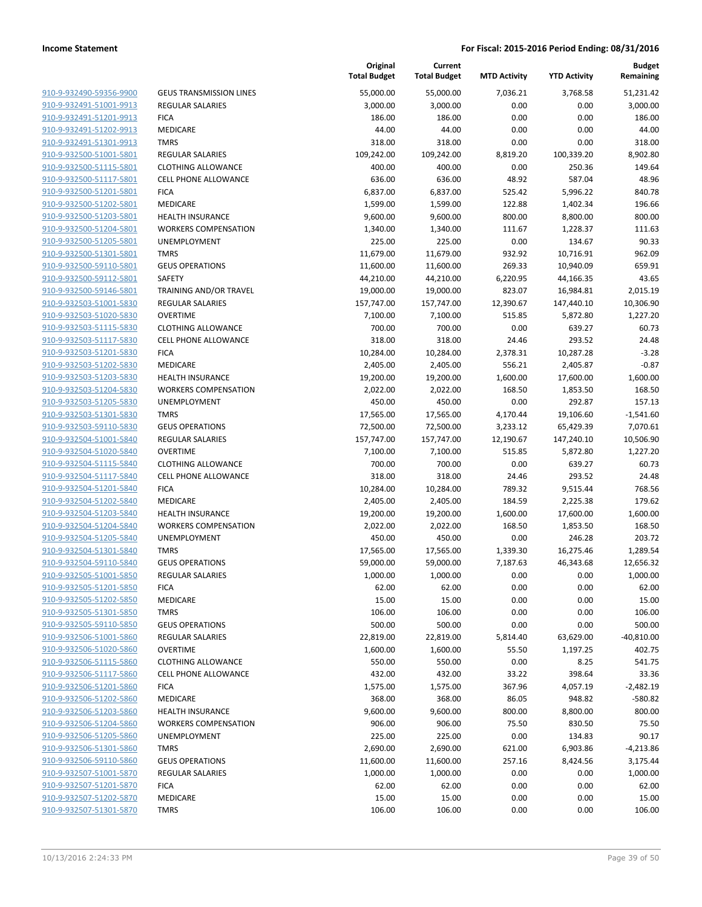| 910-9-932490-59356-9900                            |
|----------------------------------------------------|
| 910-9-932491-51001-9913                            |
| 910-9-932491-51201-9913                            |
| 910-9-932491-51202-9913                            |
| 910-9-932491-51301-9913                            |
| 910-9-932500-51001-5801                            |
| 910-9-932500-51115-5801                            |
| 910-9-932500-51117-5801                            |
| 910-9-932500-51201-5801                            |
| 910-9-932500-51202-5801                            |
| 910-9-932500-51203-5801                            |
| 910-9-932500-51204-5801                            |
| 910-9-932500-51205-5801                            |
| 910-9-932500-51301-5801                            |
| 910-9-932500-59110-5801                            |
| 910-9-932500-59112-5801                            |
| 910-9-932500-59146-5801                            |
| 910-9-932503-51001-5830                            |
| 910-9-932503-51020-5830                            |
| 910-9-932503-51115-5830                            |
| 910-9-932503-51117-5830                            |
| 910-9-932503-51201-5830                            |
| 910-9-932503-51202-5830                            |
| 910-9-932503-51203-5830                            |
| 910-9-932503-51204-5830                            |
| 910-9-932503-51205-5830                            |
| 910-9-932503-51301-5830                            |
| 910-9-932503-59110-5830                            |
| 910-9-932504-51001-5840                            |
| 910-9-932504-51020-5840                            |
| 910-9-932504-51115-5840                            |
| 910-9-932504-51117-5840                            |
| 910-9-932504-51201-5840                            |
| 910-9-932504-51202-5840                            |
| 910-9-932504-51203-5840                            |
| 910-9-932504-51204-5840                            |
| 910-9-932504-51205-5840                            |
| 910-9-932504-51301-5840                            |
| 910-9-932504-59110-5840                            |
| 910-9-932505-51001-5850                            |
| 910-9-932505-51201-5850                            |
| 910-9-932505-51202-5850                            |
| 910-9-932505-51301-5850                            |
| 910-9-932505-59110-5850<br>910-9-932506-51001-5860 |
| 910-9-932506-51020-5860                            |
| 910-9-932506-51115-5860                            |
| 910-9-932506-51117-5860                            |
| 910-9-932506-51201-5860                            |
| 910-9-932506-51202-5860                            |
| 910-9-932506-51203-5860                            |
|                                                    |
| 910-9-932506-51204-5860<br>910-9-932506-51205-5860 |
| 910-9-932506-51301-5860                            |
| 910-9-932506-59110-5860                            |
| 910-9-932507-51001-5870                            |
| 910-9-932507-51201-5870                            |
| 910-9-932507-51202-5870                            |
| 910-9-932507-51301-5870                            |
|                                                    |

|                         |                                | Original<br><b>Total Budget</b> | Current<br><b>Total Budget</b> | <b>MTD Activity</b> | <b>YTD Activity</b> | <b>Budget</b><br>Remaining |
|-------------------------|--------------------------------|---------------------------------|--------------------------------|---------------------|---------------------|----------------------------|
| 910-9-932490-59356-9900 | <b>GEUS TRANSMISSION LINES</b> | 55,000.00                       | 55,000.00                      | 7,036.21            | 3,768.58            | 51,231.42                  |
| 910-9-932491-51001-9913 | REGULAR SALARIES               | 3,000.00                        | 3,000.00                       | 0.00                | 0.00                | 3,000.00                   |
| 910-9-932491-51201-9913 | <b>FICA</b>                    | 186.00                          | 186.00                         | 0.00                | 0.00                | 186.00                     |
| 910-9-932491-51202-9913 | MEDICARE                       | 44.00                           | 44.00                          | 0.00                | 0.00                | 44.00                      |
| 910-9-932491-51301-9913 | <b>TMRS</b>                    | 318.00                          | 318.00                         | 0.00                | 0.00                | 318.00                     |
| 910-9-932500-51001-5801 | REGULAR SALARIES               | 109,242.00                      | 109,242.00                     | 8,819.20            | 100,339.20          | 8,902.80                   |
| 910-9-932500-51115-5801 | <b>CLOTHING ALLOWANCE</b>      | 400.00                          | 400.00                         | 0.00                | 250.36              | 149.64                     |
| 910-9-932500-51117-5801 | <b>CELL PHONE ALLOWANCE</b>    | 636.00                          | 636.00                         | 48.92               | 587.04              | 48.96                      |
| 910-9-932500-51201-5801 | <b>FICA</b>                    | 6,837.00                        | 6,837.00                       | 525.42              | 5,996.22            | 840.78                     |
| 910-9-932500-51202-5801 | MEDICARE                       | 1,599.00                        | 1,599.00                       | 122.88              | 1,402.34            | 196.66                     |
| 910-9-932500-51203-5801 | <b>HEALTH INSURANCE</b>        | 9,600.00                        | 9,600.00                       | 800.00              | 8,800.00            | 800.00                     |
| 910-9-932500-51204-5801 | <b>WORKERS COMPENSATION</b>    | 1,340.00                        | 1,340.00                       | 111.67              | 1,228.37            | 111.63                     |
| 910-9-932500-51205-5801 | UNEMPLOYMENT                   | 225.00                          | 225.00                         | 0.00                | 134.67              | 90.33                      |
| 910-9-932500-51301-5801 | <b>TMRS</b>                    | 11,679.00                       | 11,679.00                      | 932.92              | 10,716.91           | 962.09                     |
| 910-9-932500-59110-5801 | <b>GEUS OPERATIONS</b>         | 11,600.00                       | 11,600.00                      | 269.33              | 10,940.09           | 659.91                     |
| 910-9-932500-59112-5801 | <b>SAFETY</b>                  | 44,210.00                       | 44,210.00                      | 6,220.95            | 44,166.35           | 43.65                      |
| 910-9-932500-59146-5801 | TRAINING AND/OR TRAVEL         | 19,000.00                       | 19,000.00                      | 823.07              | 16,984.81           | 2,015.19                   |
| 910-9-932503-51001-5830 | REGULAR SALARIES               | 157,747.00                      | 157,747.00                     | 12,390.67           | 147,440.10          | 10,306.90                  |
| 910-9-932503-51020-5830 | <b>OVERTIME</b>                | 7,100.00                        | 7,100.00                       | 515.85              | 5,872.80            | 1,227.20                   |
| 910-9-932503-51115-5830 | <b>CLOTHING ALLOWANCE</b>      | 700.00                          | 700.00                         | 0.00                | 639.27              | 60.73                      |
| 910-9-932503-51117-5830 | CELL PHONE ALLOWANCE           | 318.00                          | 318.00                         | 24.46               | 293.52              | 24.48                      |
| 910-9-932503-51201-5830 | <b>FICA</b>                    | 10,284.00                       | 10,284.00                      | 2,378.31            | 10,287.28           | $-3.28$                    |
| 910-9-932503-51202-5830 | MEDICARE                       | 2,405.00                        | 2,405.00                       | 556.21              | 2,405.87            | $-0.87$                    |
| 910-9-932503-51203-5830 | <b>HEALTH INSURANCE</b>        | 19,200.00                       | 19,200.00                      | 1,600.00            | 17,600.00           | 1,600.00                   |
| 910-9-932503-51204-5830 | <b>WORKERS COMPENSATION</b>    | 2,022.00                        | 2,022.00                       | 168.50              | 1,853.50            | 168.50                     |
| 910-9-932503-51205-5830 | UNEMPLOYMENT                   | 450.00                          | 450.00                         | 0.00                | 292.87              | 157.13                     |
| 910-9-932503-51301-5830 | <b>TMRS</b>                    | 17,565.00                       | 17,565.00                      | 4,170.44            | 19,106.60           | $-1,541.60$                |
| 910-9-932503-59110-5830 | <b>GEUS OPERATIONS</b>         | 72,500.00                       | 72,500.00                      | 3,233.12            | 65,429.39           | 7,070.61                   |
| 910-9-932504-51001-5840 | <b>REGULAR SALARIES</b>        | 157,747.00                      | 157,747.00                     | 12,190.67           | 147,240.10          | 10,506.90                  |
| 910-9-932504-51020-5840 | <b>OVERTIME</b>                | 7,100.00                        | 7,100.00                       | 515.85              | 5,872.80            | 1,227.20                   |
| 910-9-932504-51115-5840 | <b>CLOTHING ALLOWANCE</b>      | 700.00                          | 700.00                         | 0.00                | 639.27              | 60.73                      |
| 910-9-932504-51117-5840 | CELL PHONE ALLOWANCE           | 318.00                          | 318.00                         | 24.46               | 293.52              | 24.48                      |
| 910-9-932504-51201-5840 | <b>FICA</b>                    | 10,284.00                       | 10,284.00                      | 789.32              | 9,515.44            | 768.56                     |
| 910-9-932504-51202-5840 | MEDICARE                       | 2,405.00                        | 2,405.00                       | 184.59              | 2,225.38            | 179.62                     |
| 910-9-932504-51203-5840 | <b>HEALTH INSURANCE</b>        | 19,200.00                       | 19,200.00                      | 1,600.00            | 17,600.00           | 1,600.00                   |
| 910-9-932504-51204-5840 | <b>WORKERS COMPENSATION</b>    | 2,022.00                        | 2,022.00                       | 168.50              | 1,853.50            | 168.50                     |
| 910-9-932504-51205-5840 | UNEMPLOYMENT                   | 450.00                          | 450.00                         | 0.00                | 246.28              | 203.72                     |
| 910-9-932504-51301-5840 | <b>TMRS</b>                    | 17,565.00                       | 17,565.00                      | 1,339.30            | 16,275.46           | 1,289.54                   |
| 910-9-932504-59110-5840 | <b>GEUS OPERATIONS</b>         | 59,000.00                       | 59,000.00                      | 7,187.63            | 46,343.68           | 12,656.32                  |
| 910-9-932505-51001-5850 | <b>REGULAR SALARIES</b>        | 1,000.00                        | 1,000.00                       | 0.00                | 0.00                | 1,000.00                   |
| 910-9-932505-51201-5850 | <b>FICA</b>                    | 62.00                           | 62.00                          | 0.00                | 0.00                | 62.00                      |
| 910-9-932505-51202-5850 | MEDICARE                       | 15.00                           | 15.00                          | 0.00                | 0.00                | 15.00                      |
| 910-9-932505-51301-5850 | <b>TMRS</b>                    | 106.00                          | 106.00                         | 0.00                | 0.00                | 106.00                     |
| 910-9-932505-59110-5850 | <b>GEUS OPERATIONS</b>         | 500.00                          | 500.00                         | 0.00                | 0.00                | 500.00                     |
| 910-9-932506-51001-5860 | REGULAR SALARIES               | 22,819.00                       | 22,819.00                      | 5,814.40            | 63,629.00           | $-40,810.00$               |
| 910-9-932506-51020-5860 | <b>OVERTIME</b>                | 1,600.00                        | 1,600.00                       | 55.50               | 1,197.25            | 402.75                     |
| 910-9-932506-51115-5860 | <b>CLOTHING ALLOWANCE</b>      | 550.00                          | 550.00                         | 0.00                | 8.25                | 541.75                     |
| 910-9-932506-51117-5860 | <b>CELL PHONE ALLOWANCE</b>    | 432.00                          | 432.00                         | 33.22               | 398.64              | 33.36                      |
| 910-9-932506-51201-5860 | <b>FICA</b>                    | 1,575.00                        | 1,575.00                       | 367.96              | 4,057.19            | $-2,482.19$                |
| 910-9-932506-51202-5860 | MEDICARE                       | 368.00                          | 368.00                         | 86.05               | 948.82              | $-580.82$                  |
| 910-9-932506-51203-5860 | <b>HEALTH INSURANCE</b>        | 9,600.00                        | 9,600.00                       | 800.00              | 8,800.00            | 800.00                     |
| 910-9-932506-51204-5860 | <b>WORKERS COMPENSATION</b>    | 906.00                          | 906.00                         | 75.50               | 830.50              | 75.50                      |
| 910-9-932506-51205-5860 | UNEMPLOYMENT                   | 225.00                          | 225.00                         | 0.00                | 134.83              | 90.17                      |
| 910-9-932506-51301-5860 | <b>TMRS</b>                    | 2,690.00                        | 2,690.00                       | 621.00              | 6,903.86            | $-4,213.86$                |
| 910-9-932506-59110-5860 | <b>GEUS OPERATIONS</b>         | 11,600.00                       | 11,600.00                      | 257.16              | 8,424.56            | 3,175.44                   |
| 910-9-932507-51001-5870 | REGULAR SALARIES               | 1,000.00                        | 1,000.00                       | 0.00                | 0.00                | 1,000.00                   |
| 910-9-932507-51201-5870 | <b>FICA</b>                    | 62.00                           | 62.00                          | 0.00                | 0.00                | 62.00                      |
| 910-9-932507-51202-5870 | MEDICARE                       | 15.00                           | 15.00                          | 0.00                | 0.00                | 15.00                      |
| 910-9-932507-51301-5870 | <b>TMRS</b>                    | 106.00                          | 106.00                         | 0.00                | 0.00                | 106.00                     |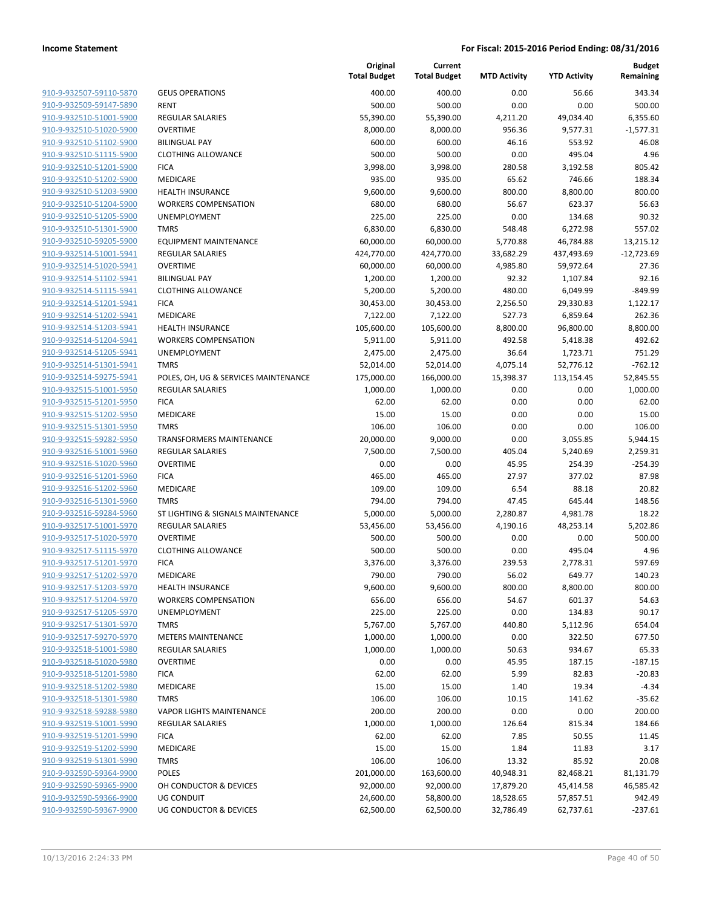| 910-9-932507-59110-5870        |
|--------------------------------|
| 910-9-932509-59147-5890        |
| 910-9-932510-51001-5900        |
| 910-9-932510-51020-5900        |
| 910-9-932510-51102-5900        |
| 910-9-932510-51115-5900        |
| 910-9-932510-51201-5900        |
| 910-9-932510-51202-5900        |
| 910-9-932510-51203-5900        |
| 910-9-932510-51204-5900        |
| 910-9-932510-51205-5900        |
| 910-9-932510-51301-5900        |
| 910-9-932510-59205-5900        |
| 910-9-932514-51001-5941        |
| <u>910-9-932514-51020-5941</u> |
| 910-9-932514-51102-5941        |
| 910-9-932514-51115-5941        |
| 910-9-932514-51201-5941        |
| 910-9-932514-51202-5941        |
| 910-9-932514-51203-5941        |
| 910-9-932514-51204-5941        |
| 910-9-932514-51205-5941        |
| 910-9-932514-51301-5941        |
|                                |
| 910-9-932514-59275-5941        |
| <u>910-9-932515-51001-5950</u> |
| 910-9-932515-51201-5950        |
| 910-9-932515-51202-5950        |
| 910-9-932515-51301-5950        |
| 910-9-932515-59282-5950        |
| <u>910-9-932516-51001-5960</u> |
| 910-9-932516-51020-5960        |
| 910-9-932516-51201-5960        |
| 910-9-932516-51202-5960        |
| 910-9-932516-51301-5960        |
| <u>910-9-932516-59284-5960</u> |
| 910-9-932517-51001-5970        |
| 910-9-932517-51020-5970        |
| 910-9-932517-51115-5970        |
| 910-9-932517-51201-5970        |
| 910-9-932517-51202-5970        |
| 910-9-932517-51203-5970        |
| <u>910-9-932517-51204-5970</u> |
| 910-9-932517-51205-5970        |
| 910-9-932517-51301-5970        |
| <u>910-9-932517-59270-5970</u> |
| <u>910-9-932518-51001-5980</u> |
| 910-9-932518-51020-5980        |
| 910-9-932518-51201-5980        |
| 910-9-932518-51202-5980        |
| 910-9-932518-51301-5980        |
| <u>910-9-932518-59288-5980</u> |
| 910-9-932519-51001-5990        |
| 910-9-932519-51201-5990        |
| <u>910-9-932519-51202-5990</u> |
| <u>910-9-932519-51301-5990</u> |
| <u>910-9-932590-59364-9900</u> |
| 910-9-932590-59365-9900        |
| <u>910-9-932590-59366-9900</u> |
| 910-9-932590-59367-9900        |
|                                |

|                         |                                      | Original<br><b>Total Budget</b> | Current<br><b>Total Budget</b> | <b>MTD Activity</b> | <b>YTD Activity</b> | <b>Budget</b><br>Remaining |
|-------------------------|--------------------------------------|---------------------------------|--------------------------------|---------------------|---------------------|----------------------------|
| 910-9-932507-59110-5870 | <b>GEUS OPERATIONS</b>               | 400.00                          | 400.00                         | 0.00                | 56.66               | 343.34                     |
| 910-9-932509-59147-5890 | <b>RENT</b>                          | 500.00                          | 500.00                         | 0.00                | 0.00                | 500.00                     |
| 910-9-932510-51001-5900 | <b>REGULAR SALARIES</b>              | 55,390.00                       | 55,390.00                      | 4,211.20            | 49,034.40           | 6,355.60                   |
| 910-9-932510-51020-5900 | <b>OVERTIME</b>                      | 8,000.00                        | 8,000.00                       | 956.36              | 9,577.31            | $-1,577.31$                |
| 910-9-932510-51102-5900 | <b>BILINGUAL PAY</b>                 | 600.00                          | 600.00                         | 46.16               | 553.92              | 46.08                      |
| 910-9-932510-51115-5900 | <b>CLOTHING ALLOWANCE</b>            | 500.00                          | 500.00                         | 0.00                | 495.04              | 4.96                       |
| 910-9-932510-51201-5900 | <b>FICA</b>                          | 3,998.00                        | 3,998.00                       | 280.58              | 3,192.58            | 805.42                     |
| 910-9-932510-51202-5900 | MEDICARE                             | 935.00                          | 935.00                         | 65.62               | 746.66              | 188.34                     |
| 910-9-932510-51203-5900 | <b>HEALTH INSURANCE</b>              | 9,600.00                        | 9,600.00                       | 800.00              | 8,800.00            | 800.00                     |
| 910-9-932510-51204-5900 | <b>WORKERS COMPENSATION</b>          | 680.00                          | 680.00                         | 56.67               | 623.37              | 56.63                      |
| 910-9-932510-51205-5900 | <b>UNEMPLOYMENT</b>                  | 225.00                          | 225.00                         | 0.00                | 134.68              | 90.32                      |
| 910-9-932510-51301-5900 | <b>TMRS</b>                          | 6,830.00                        | 6,830.00                       | 548.48              | 6,272.98            | 557.02                     |
| 910-9-932510-59205-5900 | <b>EQUIPMENT MAINTENANCE</b>         | 60,000.00                       | 60,000.00                      | 5,770.88            | 46,784.88           | 13,215.12                  |
| 910-9-932514-51001-5941 | <b>REGULAR SALARIES</b>              | 424,770.00                      | 424,770.00                     | 33,682.29           | 437,493.69          | $-12,723.69$               |
| 910-9-932514-51020-5941 | <b>OVERTIME</b>                      | 60,000.00                       | 60,000.00                      | 4,985.80            | 59,972.64           | 27.36                      |
| 910-9-932514-51102-5941 | <b>BILINGUAL PAY</b>                 | 1,200.00                        | 1,200.00                       | 92.32               | 1,107.84            | 92.16                      |
| 910-9-932514-51115-5941 | <b>CLOTHING ALLOWANCE</b>            | 5,200.00                        | 5,200.00                       | 480.00              | 6,049.99            | $-849.99$                  |
| 910-9-932514-51201-5941 | <b>FICA</b>                          | 30,453.00                       | 30,453.00                      | 2,256.50            | 29,330.83           | 1,122.17                   |
| 910-9-932514-51202-5941 | <b>MEDICARE</b>                      | 7,122.00                        | 7,122.00                       | 527.73              | 6,859.64            | 262.36                     |
| 910-9-932514-51203-5941 | <b>HEALTH INSURANCE</b>              | 105,600.00                      | 105,600.00                     | 8,800.00            | 96,800.00           | 8,800.00                   |
| 910-9-932514-51204-5941 | <b>WORKERS COMPENSATION</b>          | 5,911.00                        | 5,911.00                       | 492.58              | 5,418.38            | 492.62                     |
| 910-9-932514-51205-5941 | <b>UNEMPLOYMENT</b>                  | 2,475.00                        | 2,475.00                       | 36.64               | 1,723.71            | 751.29                     |
| 910-9-932514-51301-5941 | <b>TMRS</b>                          | 52,014.00                       | 52,014.00                      | 4,075.14            | 52,776.12           | $-762.12$                  |
| 910-9-932514-59275-5941 | POLES, OH, UG & SERVICES MAINTENANCE | 175,000.00                      | 166,000.00                     | 15,398.37           | 113,154.45          | 52,845.55                  |
| 910-9-932515-51001-5950 | <b>REGULAR SALARIES</b>              | 1,000.00                        | 1,000.00                       | 0.00                | 0.00                | 1,000.00                   |
| 910-9-932515-51201-5950 | <b>FICA</b>                          | 62.00                           | 62.00                          | 0.00                | 0.00                | 62.00                      |
| 910-9-932515-51202-5950 | MEDICARE                             | 15.00                           | 15.00                          | 0.00                | 0.00                | 15.00                      |
| 910-9-932515-51301-5950 | <b>TMRS</b>                          | 106.00                          | 106.00                         | 0.00                | 0.00                | 106.00                     |
| 910-9-932515-59282-5950 | <b>TRANSFORMERS MAINTENANCE</b>      | 20,000.00                       | 9,000.00                       | 0.00                | 3,055.85            | 5,944.15                   |
| 910-9-932516-51001-5960 | <b>REGULAR SALARIES</b>              | 7,500.00                        | 7,500.00                       | 405.04              | 5,240.69            | 2,259.31                   |
| 910-9-932516-51020-5960 | <b>OVERTIME</b>                      | 0.00                            | 0.00                           | 45.95               | 254.39              | $-254.39$                  |
| 910-9-932516-51201-5960 | <b>FICA</b>                          | 465.00                          | 465.00                         | 27.97               | 377.02              | 87.98                      |
| 910-9-932516-51202-5960 | <b>MEDICARE</b>                      | 109.00                          | 109.00                         | 6.54                | 88.18               | 20.82                      |
| 910-9-932516-51301-5960 | <b>TMRS</b>                          | 794.00                          | 794.00                         | 47.45               | 645.44              | 148.56                     |
| 910-9-932516-59284-5960 | ST LIGHTING & SIGNALS MAINTENANCE    | 5,000.00                        | 5,000.00                       | 2,280.87            | 4,981.78            | 18.22                      |
| 910-9-932517-51001-5970 | REGULAR SALARIES                     | 53,456.00                       | 53,456.00                      | 4,190.16            | 48,253.14           | 5,202.86                   |
| 910-9-932517-51020-5970 | <b>OVERTIME</b>                      | 500.00                          | 500.00                         | 0.00                | 0.00                | 500.00                     |
| 910-9-932517-51115-5970 | <b>CLOTHING ALLOWANCE</b>            | 500.00                          | 500.00                         | 0.00                | 495.04              | 4.96                       |
| 910-9-932517-51201-5970 | <b>FICA</b>                          | 3,376.00                        | 3,376.00                       | 239.53              | 2,778.31            | 597.69                     |
| 910-9-932517-51202-5970 | MEDICARE                             | 790.00                          | 790.00                         | 56.02               | 649.77              | 140.23                     |
| 910-9-932517-51203-5970 | <b>HEALTH INSURANCE</b>              | 9,600.00                        | 9,600.00                       | 800.00              | 8,800.00            | 800.00                     |
| 910-9-932517-51204-5970 | <b>WORKERS COMPENSATION</b>          | 656.00                          | 656.00                         | 54.67               | 601.37              | 54.63                      |
| 910-9-932517-51205-5970 | <b>UNEMPLOYMENT</b>                  | 225.00                          | 225.00                         | 0.00                | 134.83              | 90.17                      |
| 910-9-932517-51301-5970 | <b>TMRS</b>                          | 5,767.00                        | 5,767.00                       | 440.80              | 5,112.96            | 654.04                     |
| 910-9-932517-59270-5970 | <b>METERS MAINTENANCE</b>            | 1,000.00                        | 1,000.00                       | 0.00                | 322.50              | 677.50                     |
| 910-9-932518-51001-5980 | <b>REGULAR SALARIES</b>              | 1,000.00                        | 1,000.00                       | 50.63               | 934.67              | 65.33                      |
| 910-9-932518-51020-5980 | <b>OVERTIME</b>                      | 0.00                            | 0.00                           | 45.95               | 187.15              | $-187.15$                  |
| 910-9-932518-51201-5980 | <b>FICA</b>                          | 62.00                           | 62.00                          | 5.99                | 82.83               | $-20.83$                   |
| 910-9-932518-51202-5980 | MEDICARE                             | 15.00                           | 15.00                          | 1.40                | 19.34               | $-4.34$                    |
| 910-9-932518-51301-5980 | <b>TMRS</b>                          | 106.00                          | 106.00                         | 10.15               | 141.62              | $-35.62$                   |
| 910-9-932518-59288-5980 | <b>VAPOR LIGHTS MAINTENANCE</b>      | 200.00                          | 200.00                         | 0.00                | 0.00                | 200.00                     |
| 910-9-932519-51001-5990 | <b>REGULAR SALARIES</b>              | 1,000.00                        | 1,000.00                       | 126.64              | 815.34              | 184.66                     |
| 910-9-932519-51201-5990 | <b>FICA</b>                          | 62.00                           | 62.00                          | 7.85                | 50.55               | 11.45                      |
| 910-9-932519-51202-5990 | MEDICARE                             | 15.00                           | 15.00                          | 1.84                | 11.83               | 3.17                       |
| 910-9-932519-51301-5990 | <b>TMRS</b>                          | 106.00                          | 106.00                         | 13.32               | 85.92               | 20.08                      |
| 910-9-932590-59364-9900 | POLES                                | 201,000.00                      | 163,600.00                     | 40,948.31           | 82,468.21           | 81,131.79                  |
| 910-9-932590-59365-9900 | OH CONDUCTOR & DEVICES               | 92,000.00                       | 92,000.00                      | 17,879.20           | 45,414.58           | 46,585.42                  |
| 910-9-932590-59366-9900 | UG CONDUIT                           | 24,600.00                       | 58,800.00                      | 18,528.65           | 57,857.51           | 942.49                     |
| 910-9-932590-59367-9900 | <b>UG CONDUCTOR &amp; DEVICES</b>    | 62,500.00                       | 62,500.00                      | 32,786.49           | 62,737.61           | $-237.61$                  |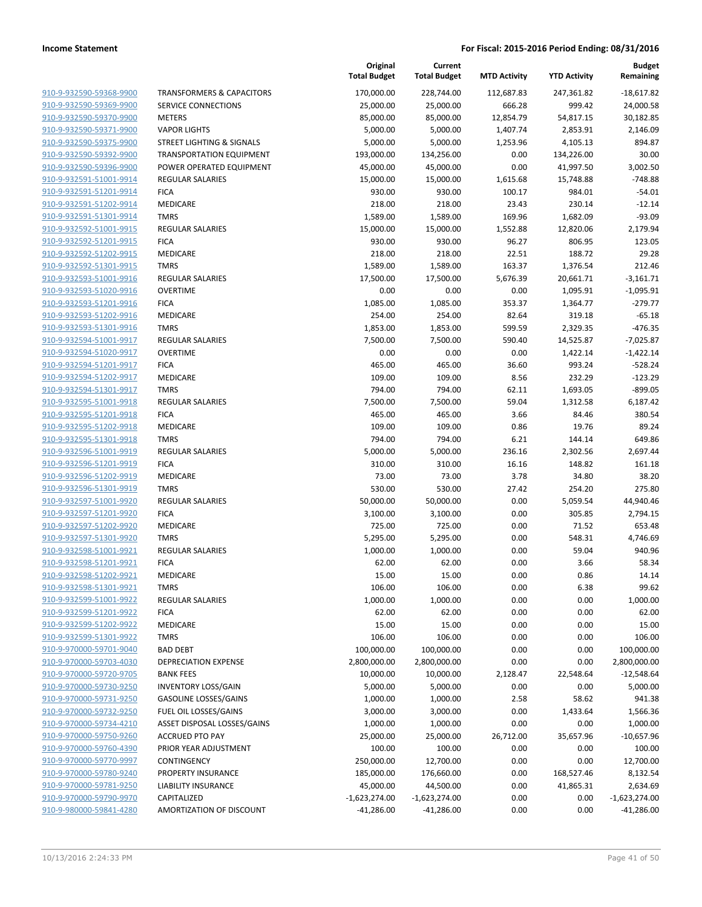|                         |                                      | Original<br><b>Total Budget</b> | Current<br><b>Total Budget</b> | <b>MTD Activity</b> | <b>YTD Activity</b> | <b>Budget</b><br>Remaining |
|-------------------------|--------------------------------------|---------------------------------|--------------------------------|---------------------|---------------------|----------------------------|
| 910-9-932590-59368-9900 | <b>TRANSFORMERS &amp; CAPACITORS</b> | 170,000.00                      | 228,744.00                     | 112,687.83          | 247,361.82          | $-18,617.82$               |
| 910-9-932590-59369-9900 | SERVICE CONNECTIONS                  | 25,000.00                       | 25,000.00                      | 666.28              | 999.42              | 24,000.58                  |
| 910-9-932590-59370-9900 | <b>METERS</b>                        | 85,000.00                       | 85,000.00                      | 12,854.79           | 54,817.15           | 30,182.85                  |
| 910-9-932590-59371-9900 | <b>VAPOR LIGHTS</b>                  | 5,000.00                        | 5,000.00                       | 1,407.74            | 2,853.91            | 2,146.09                   |
| 910-9-932590-59375-9900 | STREET LIGHTING & SIGNALS            | 5,000.00                        | 5,000.00                       | 1,253.96            | 4,105.13            | 894.87                     |
| 910-9-932590-59392-9900 | <b>TRANSPORTATION EQUIPMENT</b>      | 193,000.00                      | 134,256.00                     | 0.00                | 134,226.00          | 30.00                      |
| 910-9-932590-59396-9900 | POWER OPERATED EQUIPMENT             | 45,000.00                       | 45,000.00                      | 0.00                | 41,997.50           | 3,002.50                   |
| 910-9-932591-51001-9914 | <b>REGULAR SALARIES</b>              | 15,000.00                       | 15,000.00                      | 1,615.68            | 15,748.88           | $-748.88$                  |
| 910-9-932591-51201-9914 | <b>FICA</b>                          | 930.00                          | 930.00                         | 100.17              | 984.01              | $-54.01$                   |
| 910-9-932591-51202-9914 | MEDICARE                             | 218.00                          | 218.00                         | 23.43               | 230.14              | $-12.14$                   |
| 910-9-932591-51301-9914 | <b>TMRS</b>                          | 1,589.00                        | 1,589.00                       | 169.96              | 1,682.09            | $-93.09$                   |
| 910-9-932592-51001-9915 | <b>REGULAR SALARIES</b>              | 15,000.00                       | 15,000.00                      | 1,552.88            | 12,820.06           | 2,179.94                   |
| 910-9-932592-51201-9915 | <b>FICA</b>                          | 930.00                          | 930.00                         | 96.27               | 806.95              | 123.05                     |
| 910-9-932592-51202-9915 | MEDICARE                             | 218.00                          | 218.00                         | 22.51               | 188.72              | 29.28                      |
| 910-9-932592-51301-9915 | <b>TMRS</b>                          | 1,589.00                        | 1,589.00                       | 163.37              | 1,376.54            | 212.46                     |
| 910-9-932593-51001-9916 | <b>REGULAR SALARIES</b>              | 17,500.00                       | 17,500.00                      | 5,676.39            | 20,661.71           | $-3,161.71$                |
| 910-9-932593-51020-9916 | <b>OVERTIME</b>                      | 0.00                            | 0.00                           | 0.00                | 1,095.91            | $-1,095.91$                |
| 910-9-932593-51201-9916 | <b>FICA</b>                          | 1,085.00                        | 1,085.00                       | 353.37              | 1,364.77            | $-279.77$                  |
| 910-9-932593-51202-9916 | MEDICARE                             | 254.00                          | 254.00                         | 82.64               | 319.18              | $-65.18$                   |
| 910-9-932593-51301-9916 | <b>TMRS</b>                          | 1,853.00                        | 1,853.00                       | 599.59              | 2,329.35            | $-476.35$                  |
| 910-9-932594-51001-9917 | <b>REGULAR SALARIES</b>              | 7,500.00                        | 7,500.00                       | 590.40              | 14,525.87           | $-7,025.87$                |
| 910-9-932594-51020-9917 | <b>OVERTIME</b>                      | 0.00                            | 0.00                           | 0.00                | 1,422.14            | $-1,422.14$                |
| 910-9-932594-51201-9917 | <b>FICA</b>                          | 465.00                          | 465.00                         | 36.60               | 993.24              | $-528.24$                  |
| 910-9-932594-51202-9917 | MEDICARE                             | 109.00                          | 109.00                         | 8.56                | 232.29              | $-123.29$                  |
| 910-9-932594-51301-9917 | <b>TMRS</b>                          | 794.00                          | 794.00                         | 62.11               | 1,693.05            | $-899.05$                  |
| 910-9-932595-51001-9918 | <b>REGULAR SALARIES</b>              | 7,500.00                        | 7,500.00                       | 59.04               | 1,312.58            | 6,187.42                   |
| 910-9-932595-51201-9918 | <b>FICA</b>                          | 465.00                          | 465.00                         | 3.66                | 84.46               | 380.54                     |
| 910-9-932595-51202-9918 | MEDICARE                             | 109.00                          | 109.00                         | 0.86                | 19.76               | 89.24                      |
| 910-9-932595-51301-9918 | <b>TMRS</b>                          | 794.00                          | 794.00                         | 6.21                | 144.14              | 649.86                     |
| 910-9-932596-51001-9919 | <b>REGULAR SALARIES</b>              | 5,000.00                        | 5,000.00                       | 236.16              | 2,302.56            | 2,697.44                   |
| 910-9-932596-51201-9919 | <b>FICA</b>                          | 310.00                          | 310.00                         | 16.16               | 148.82              | 161.18                     |
| 910-9-932596-51202-9919 | MEDICARE                             | 73.00                           | 73.00                          | 3.78                | 34.80               | 38.20                      |
| 910-9-932596-51301-9919 | <b>TMRS</b>                          | 530.00                          | 530.00                         | 27.42               | 254.20              | 275.80                     |
| 910-9-932597-51001-9920 | <b>REGULAR SALARIES</b>              | 50,000.00                       | 50,000.00                      | 0.00                | 5,059.54            | 44,940.46                  |
| 910-9-932597-51201-9920 | <b>FICA</b>                          | 3,100.00                        | 3,100.00                       | 0.00                | 305.85              | 2,794.15                   |
| 910-9-932597-51202-9920 | MEDICARE                             | 725.00                          | 725.00                         | 0.00                | 71.52               | 653.48                     |
| 910-9-932597-51301-9920 | <b>TMRS</b>                          | 5,295.00                        | 5,295.00                       | 0.00                | 548.31              | 4,746.69                   |
| 910-9-932598-51001-9921 | <b>REGULAR SALARIES</b>              | 1,000.00                        | 1,000.00                       | 0.00                | 59.04               | 940.96                     |
| 910-9-932598-51201-9921 | <b>FICA</b>                          | 62.00                           | 62.00                          | 0.00                | 3.66                | 58.34                      |
| 910-9-932598-51202-9921 | MEDICARE                             | 15.00                           | 15.00                          | 0.00                | 0.86                | 14.14                      |
| 910-9-932598-51301-9921 | <b>TMRS</b>                          | 106.00                          | 106.00                         | 0.00                | 6.38                | 99.62                      |
| 910-9-932599-51001-9922 | REGULAR SALARIES                     | 1,000.00                        | 1,000.00                       | 0.00                | 0.00                | 1,000.00                   |
| 910-9-932599-51201-9922 | <b>FICA</b>                          | 62.00                           | 62.00                          | 0.00                | 0.00                | 62.00                      |
| 910-9-932599-51202-9922 | MEDICARE                             | 15.00                           | 15.00                          | 0.00                | 0.00                | 15.00                      |
| 910-9-932599-51301-9922 | <b>TMRS</b>                          | 106.00                          | 106.00                         | 0.00                | 0.00                | 106.00                     |
| 910-9-970000-59701-9040 | <b>BAD DEBT</b>                      | 100,000.00                      | 100,000.00                     | 0.00                | 0.00                | 100,000.00                 |
| 910-9-970000-59703-4030 | DEPRECIATION EXPENSE                 | 2,800,000.00                    | 2,800,000.00                   | 0.00                | 0.00                | 2,800,000.00               |
| 910-9-970000-59720-9705 | <b>BANK FEES</b>                     | 10,000.00                       | 10,000.00                      | 2,128.47            | 22,548.64           | $-12,548.64$               |
| 910-9-970000-59730-9250 | <b>INVENTORY LOSS/GAIN</b>           | 5,000.00                        | 5,000.00                       | 0.00                | 0.00                | 5,000.00                   |
| 910-9-970000-59731-9250 | <b>GASOLINE LOSSES/GAINS</b>         | 1,000.00                        | 1,000.00                       | 2.58                | 58.62               | 941.38                     |
| 910-9-970000-59732-9250 | FUEL OIL LOSSES/GAINS                | 3,000.00                        | 3,000.00                       | 0.00                | 1,433.64            | 1,566.36                   |
| 910-9-970000-59734-4210 | ASSET DISPOSAL LOSSES/GAINS          | 1,000.00                        | 1,000.00                       | 0.00                | 0.00                | 1,000.00                   |
| 910-9-970000-59750-9260 | <b>ACCRUED PTO PAY</b>               | 25,000.00                       | 25,000.00                      | 26,712.00           | 35,657.96           | $-10,657.96$               |
| 910-9-970000-59760-4390 | PRIOR YEAR ADJUSTMENT                | 100.00                          | 100.00                         | 0.00                | 0.00                | 100.00                     |
| 910-9-970000-59770-9997 | CONTINGENCY                          | 250,000.00                      | 12,700.00                      | 0.00                | 0.00                | 12,700.00                  |
| 910-9-970000-59780-9240 | PROPERTY INSURANCE                   | 185,000.00                      | 176,660.00                     | 0.00                | 168,527.46          | 8,132.54                   |
| 910-9-970000-59781-9250 | LIABILITY INSURANCE                  | 45,000.00                       | 44,500.00                      | 0.00                | 41,865.31           | 2,634.69                   |
| 910-9-970000-59790-9970 | CAPITALIZED                          | $-1,623,274.00$                 | $-1,623,274.00$                | 0.00                | 0.00                | $-1,623,274.00$            |
| 910-9-980000-59841-4280 | AMORTIZATION OF DISCOUNT             | $-41,286.00$                    | $-41,286.00$                   | 0.00                | 0.00                | $-41,286.00$               |
|                         |                                      |                                 |                                |                     |                     |                            |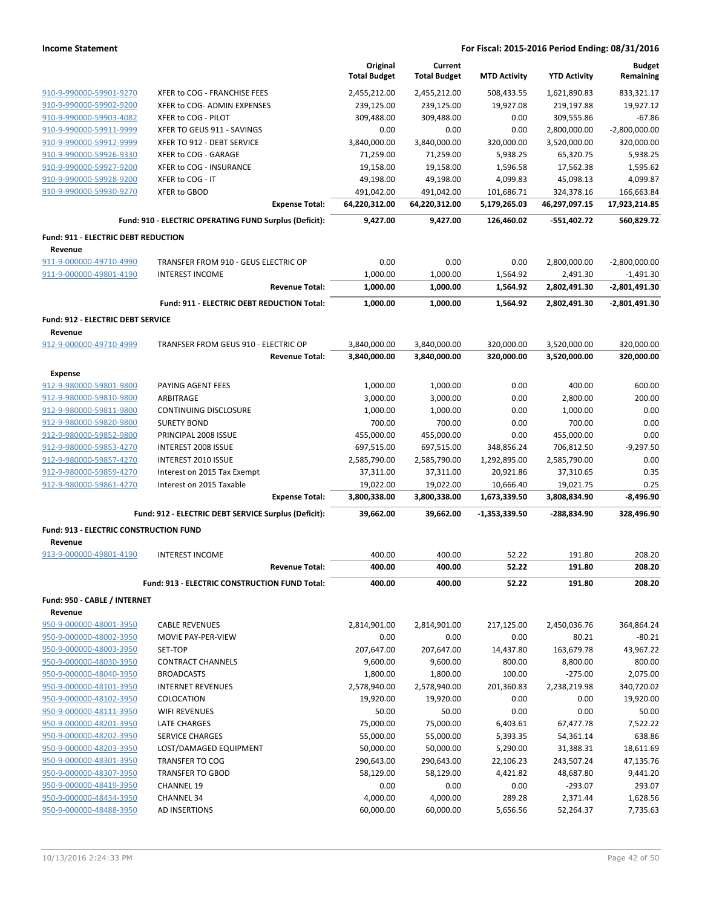|                                                    |                                                          | Original<br><b>Total Budget</b> | Current<br><b>Total Budget</b> | <b>MTD Activity</b>    | <b>YTD Activity</b>       | <b>Budget</b><br>Remaining    |
|----------------------------------------------------|----------------------------------------------------------|---------------------------------|--------------------------------|------------------------|---------------------------|-------------------------------|
|                                                    |                                                          |                                 |                                |                        |                           |                               |
| 910-9-990000-59901-9270                            | XFER to COG - FRANCHISE FEES                             | 2,455,212.00                    | 2,455,212.00                   | 508,433.55             | 1,621,890.83              | 833,321.17                    |
| 910-9-990000-59902-9200                            | XFER to COG- ADMIN EXPENSES                              | 239,125.00                      | 239,125.00                     | 19,927.08              | 219,197.88                | 19,927.12                     |
| 910-9-990000-59903-4082                            | XFER to COG - PILOT                                      | 309,488.00                      | 309,488.00                     | 0.00                   | 309,555.86                | $-67.86$                      |
| 910-9-990000-59911-9999                            | XFER TO GEUS 911 - SAVINGS<br>XFER TO 912 - DEBT SERVICE | 0.00                            | 0.00                           | 0.00                   | 2,800,000.00              | $-2,800,000.00$<br>320,000.00 |
| 910-9-990000-59912-9999<br>910-9-990000-59926-9330 | XFER to COG - GARAGE                                     | 3,840,000.00<br>71,259.00       | 3,840,000.00<br>71,259.00      | 320,000.00<br>5,938.25 | 3,520,000.00<br>65,320.75 | 5,938.25                      |
| 910-9-990000-59927-9200                            | XFER to COG - INSURANCE                                  | 19,158.00                       | 19,158.00                      | 1,596.58               | 17,562.38                 | 1,595.62                      |
| 910-9-990000-59928-9200                            | XFER to COG - IT                                         | 49,198.00                       | 49,198.00                      | 4,099.83               | 45,098.13                 | 4,099.87                      |
| 910-9-990000-59930-9270                            | <b>XFER to GBOD</b>                                      | 491,042.00                      | 491,042.00                     | 101,686.71             | 324,378.16                | 166,663.84                    |
|                                                    | <b>Expense Total:</b>                                    | 64,220,312.00                   | 64,220,312.00                  | 5,179,265.03           | 46,297,097.15             | 17,923,214.85                 |
|                                                    | Fund: 910 - ELECTRIC OPERATING FUND Surplus (Deficit):   | 9,427.00                        | 9.427.00                       | 126,460.02             | $-551,402.72$             | 560,829.72                    |
| <b>Fund: 911 - ELECTRIC DEBT REDUCTION</b>         |                                                          |                                 |                                |                        |                           |                               |
| Revenue                                            |                                                          |                                 |                                |                        |                           |                               |
| 911-9-000000-49710-4990                            | TRANSFER FROM 910 - GEUS ELECTRIC OP                     | 0.00                            | 0.00                           | 0.00                   | 2,800,000.00              | $-2,800,000.00$               |
| 911-9-000000-49801-4190                            | <b>INTEREST INCOME</b>                                   | 1,000.00                        | 1,000.00                       | 1,564.92               | 2,491.30                  | $-1,491.30$                   |
|                                                    | <b>Revenue Total:</b>                                    | 1,000.00                        | 1,000.00                       | 1,564.92               | 2,802,491.30              | -2,801,491.30                 |
|                                                    | Fund: 911 - ELECTRIC DEBT REDUCTION Total:               | 1,000.00                        | 1,000.00                       | 1,564.92               | 2,802,491.30              | -2,801,491.30                 |
| <b>Fund: 912 - ELECTRIC DEBT SERVICE</b>           |                                                          |                                 |                                |                        |                           |                               |
| Revenue                                            |                                                          |                                 |                                |                        |                           |                               |
| 912-9-000000-49710-4999                            | TRANFSER FROM GEUS 910 - ELECTRIC OP                     | 3,840,000.00                    | 3,840,000.00                   | 320,000.00             | 3,520,000.00              | 320,000.00                    |
|                                                    | <b>Revenue Total:</b>                                    | 3,840,000.00                    | 3,840,000.00                   | 320,000.00             | 3,520,000.00              | 320,000.00                    |
| <b>Expense</b>                                     |                                                          |                                 |                                |                        |                           |                               |
| 912-9-980000-59801-9800                            | PAYING AGENT FEES                                        | 1,000.00                        | 1,000.00                       | 0.00                   | 400.00                    | 600.00                        |
| 912-9-980000-59810-9800<br>912-9-980000-59811-9800 | <b>ARBITRAGE</b><br><b>CONTINUING DISCLOSURE</b>         | 3,000.00<br>1,000.00            | 3,000.00<br>1,000.00           | 0.00<br>0.00           | 2,800.00<br>1,000.00      | 200.00<br>0.00                |
| 912-9-980000-59820-9800                            | <b>SURETY BOND</b>                                       | 700.00                          | 700.00                         | 0.00                   | 700.00                    | 0.00                          |
| 912-9-980000-59852-9800                            | PRINCIPAL 2008 ISSUE                                     | 455,000.00                      | 455,000.00                     | 0.00                   | 455,000.00                | 0.00                          |
| 912-9-980000-59853-4270                            | <b>INTEREST 2008 ISSUE</b>                               | 697,515.00                      | 697,515.00                     | 348,856.24             | 706,812.50                | $-9,297.50$                   |
| 912-9-980000-59857-4270                            | INTEREST 2010 ISSUE                                      | 2,585,790.00                    | 2,585,790.00                   | 1,292,895.00           | 2,585,790.00              | 0.00                          |
| 912-9-980000-59859-4270                            | Interest on 2015 Tax Exempt                              | 37,311.00                       | 37,311.00                      | 20,921.86              | 37,310.65                 | 0.35                          |
| 912-9-980000-59861-4270                            | Interest on 2015 Taxable                                 | 19,022.00                       | 19,022.00                      | 10,666.40              | 19,021.75                 | 0.25                          |
|                                                    | <b>Expense Total:</b>                                    | 3,800,338.00                    | 3,800,338.00                   | 1,673,339.50           | 3,808,834.90              | $-8,496.90$                   |
|                                                    | Fund: 912 - ELECTRIC DEBT SERVICE Surplus (Deficit):     | 39,662.00                       | 39,662.00                      | -1,353,339.50          | -288,834.90               | 328,496.90                    |
| Fund: 913 - ELECTRIC CONSTRUCTION FUND             |                                                          |                                 |                                |                        |                           |                               |
| Revenue                                            |                                                          |                                 |                                |                        |                           |                               |
| 913-9-000000-49801-4190                            | <b>INTEREST INCOME</b>                                   | 400.00                          | 400.00                         | 52.22                  | 191.80                    | 208.20                        |
|                                                    | <b>Revenue Total:</b>                                    | 400.00                          | 400.00                         | 52.22                  | 191.80                    | 208.20                        |
|                                                    | Fund: 913 - ELECTRIC CONSTRUCTION FUND Total:            | 400.00                          | 400.00                         | 52.22                  | 191.80                    | 208.20                        |
| Fund: 950 - CABLE / INTERNET                       |                                                          |                                 |                                |                        |                           |                               |
| Revenue                                            |                                                          |                                 |                                |                        |                           |                               |
| 950-9-000000-48001-3950                            | <b>CABLE REVENUES</b>                                    | 2,814,901.00                    | 2,814,901.00                   | 217,125.00             | 2,450,036.76              | 364,864.24                    |
| 950-9-000000-48002-3950                            | MOVIE PAY-PER-VIEW                                       | 0.00                            | 0.00                           | 0.00                   | 80.21                     | $-80.21$                      |
| 950-9-000000-48003-3950<br>950-9-000000-48030-3950 | SET-TOP<br><b>CONTRACT CHANNELS</b>                      | 207,647.00<br>9,600.00          | 207,647.00<br>9,600.00         | 14,437.80<br>800.00    | 163,679.78<br>8,800.00    | 43,967.22<br>800.00           |
| 950-9-000000-48040-3950                            | <b>BROADCASTS</b>                                        | 1,800.00                        | 1,800.00                       | 100.00                 | $-275.00$                 | 2,075.00                      |
| 950-9-000000-48101-3950                            | <b>INTERNET REVENUES</b>                                 | 2,578,940.00                    | 2,578,940.00                   | 201,360.83             | 2,238,219.98              | 340,720.02                    |
| 950-9-000000-48102-3950                            | COLOCATION                                               | 19,920.00                       | 19,920.00                      | 0.00                   | 0.00                      | 19,920.00                     |
| 950-9-000000-48111-3950                            | WIFI REVENUES                                            | 50.00                           | 50.00                          | 0.00                   | 0.00                      | 50.00                         |
| 950-9-000000-48201-3950                            | LATE CHARGES                                             | 75,000.00                       | 75,000.00                      | 6,403.61               | 67,477.78                 | 7,522.22                      |
| 950-9-000000-48202-3950                            | <b>SERVICE CHARGES</b>                                   | 55,000.00                       | 55,000.00                      | 5,393.35               | 54,361.14                 | 638.86                        |
| 950-9-000000-48203-3950                            | LOST/DAMAGED EQUIPMENT                                   | 50,000.00                       | 50,000.00                      | 5,290.00               | 31,388.31                 | 18,611.69                     |
| 950-9-000000-48301-3950                            | TRANSFER TO COG                                          | 290,643.00                      | 290,643.00                     | 22,106.23              | 243,507.24                | 47,135.76                     |
| 950-9-000000-48307-3950                            | <b>TRANSFER TO GBOD</b>                                  | 58,129.00                       | 58,129.00                      | 4,421.82               | 48,687.80                 | 9,441.20                      |
| 950-9-000000-48419-3950                            | <b>CHANNEL 19</b>                                        | 0.00                            | 0.00                           | 0.00                   | $-293.07$                 | 293.07                        |
| 950-9-000000-48434-3950                            | <b>CHANNEL 34</b>                                        | 4,000.00                        | 4,000.00                       | 289.28                 | 2,371.44                  | 1,628.56                      |
| 950-9-000000-48488-3950                            | AD INSERTIONS                                            | 60,000.00                       | 60,000.00                      | 5,656.56               | 52,264.37                 | 7,735.63                      |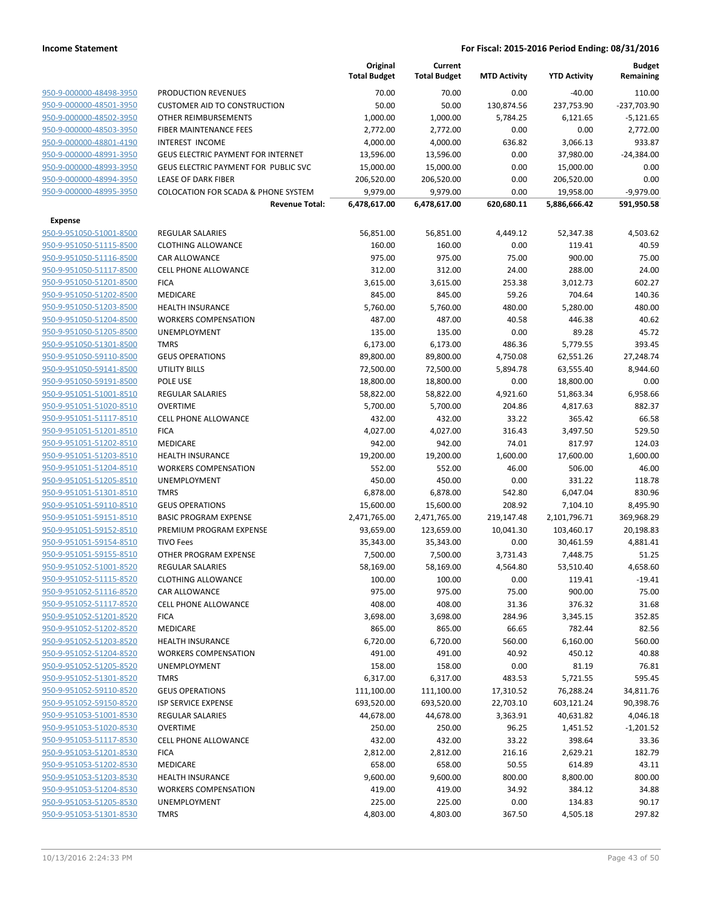|                         |                                                | Original<br><b>Total Budget</b> | Current<br><b>Total Budget</b> | <b>MTD Activity</b> | <b>YTD Activity</b> | <b>Budget</b><br>Remaining |
|-------------------------|------------------------------------------------|---------------------------------|--------------------------------|---------------------|---------------------|----------------------------|
| 950-9-000000-48498-3950 | PRODUCTION REVENUES                            | 70.00                           | 70.00                          | 0.00                | $-40.00$            | 110.00                     |
| 950-9-000000-48501-3950 | <b>CUSTOMER AID TO CONSTRUCTION</b>            | 50.00                           | 50.00                          | 130,874.56          | 237,753.90          | -237,703.90                |
| 950-9-000000-48502-3950 | OTHER REIMBURSEMENTS                           | 1,000.00                        | 1,000.00                       | 5,784.25            | 6,121.65            | $-5,121.65$                |
| 950-9-000000-48503-3950 | FIBER MAINTENANCE FEES                         | 2,772.00                        | 2,772.00                       | 0.00                | 0.00                | 2,772.00                   |
| 950-9-000000-48801-4190 | INTEREST INCOME                                | 4,000.00                        | 4,000.00                       | 636.82              | 3,066.13            | 933.87                     |
| 950-9-000000-48991-3950 | <b>GEUS ELECTRIC PAYMENT FOR INTERNET</b>      | 13,596.00                       | 13,596.00                      | 0.00                | 37,980.00           | $-24,384.00$               |
| 950-9-000000-48993-3950 | GEUS ELECTRIC PAYMENT FOR PUBLIC SVC           | 15,000.00                       | 15,000.00                      | 0.00                | 15,000.00           | 0.00                       |
| 950-9-000000-48994-3950 | <b>LEASE OF DARK FIBER</b>                     | 206,520.00                      | 206,520.00                     | 0.00                | 206,520.00          | 0.00                       |
| 950-9-000000-48995-3950 | <b>COLOCATION FOR SCADA &amp; PHONE SYSTEM</b> | 9,979.00                        | 9,979.00                       | 0.00                | 19,958.00           | $-9,979.00$                |
|                         | <b>Revenue Total:</b>                          | 6,478,617.00                    | 6,478,617.00                   | 620,680.11          | 5,886,666.42        | 591,950.58                 |
| <b>Expense</b>          |                                                |                                 |                                |                     |                     |                            |
| 950-9-951050-51001-8500 | <b>REGULAR SALARIES</b>                        | 56,851.00                       | 56,851.00                      | 4,449.12            | 52,347.38           | 4,503.62                   |
| 950-9-951050-51115-8500 | <b>CLOTHING ALLOWANCE</b>                      | 160.00                          | 160.00                         | 0.00                | 119.41              | 40.59                      |
| 950-9-951050-51116-8500 | CAR ALLOWANCE                                  | 975.00                          | 975.00                         | 75.00               | 900.00              | 75.00                      |
| 950-9-951050-51117-8500 | <b>CELL PHONE ALLOWANCE</b>                    | 312.00                          | 312.00                         | 24.00               | 288.00              | 24.00                      |
| 950-9-951050-51201-8500 | <b>FICA</b>                                    | 3,615.00                        | 3,615.00                       | 253.38              | 3,012.73            | 602.27                     |
| 950-9-951050-51202-8500 | <b>MEDICARE</b>                                | 845.00                          | 845.00                         | 59.26               | 704.64              | 140.36                     |
| 950-9-951050-51203-8500 | <b>HEALTH INSURANCE</b>                        | 5,760.00                        | 5,760.00                       | 480.00              | 5,280.00            | 480.00                     |
| 950-9-951050-51204-8500 | <b>WORKERS COMPENSATION</b>                    | 487.00                          | 487.00                         | 40.58               | 446.38              | 40.62                      |
| 950-9-951050-51205-8500 | UNEMPLOYMENT                                   | 135.00                          | 135.00                         | 0.00                | 89.28               | 45.72                      |
| 950-9-951050-51301-8500 | <b>TMRS</b>                                    | 6,173.00                        | 6,173.00                       | 486.36              | 5,779.55            | 393.45                     |
| 950-9-951050-59110-8500 | <b>GEUS OPERATIONS</b>                         | 89,800.00                       | 89,800.00                      | 4,750.08            | 62,551.26           | 27,248.74                  |
| 950-9-951050-59141-8500 | <b>UTILITY BILLS</b>                           | 72,500.00                       | 72,500.00                      | 5,894.78            | 63,555.40           | 8,944.60                   |
| 950-9-951050-59191-8500 | POLE USE                                       | 18,800.00                       | 18,800.00                      | 0.00                | 18,800.00           | 0.00                       |
| 950-9-951051-51001-8510 | <b>REGULAR SALARIES</b>                        | 58,822.00                       | 58,822.00                      | 4,921.60            | 51,863.34           | 6,958.66                   |
| 950-9-951051-51020-8510 | <b>OVERTIME</b>                                | 5,700.00                        | 5,700.00                       | 204.86              | 4,817.63            | 882.37                     |
| 950-9-951051-51117-8510 | <b>CELL PHONE ALLOWANCE</b>                    | 432.00                          | 432.00                         | 33.22               | 365.42              | 66.58                      |
| 950-9-951051-51201-8510 | <b>FICA</b>                                    | 4,027.00                        | 4,027.00                       | 316.43              | 3,497.50            | 529.50                     |
| 950-9-951051-51202-8510 | MEDICARE                                       | 942.00                          | 942.00                         | 74.01               | 817.97              | 124.03                     |
| 950-9-951051-51203-8510 | <b>HEALTH INSURANCE</b>                        | 19,200.00                       | 19,200.00                      | 1,600.00            | 17,600.00           | 1,600.00                   |
| 950-9-951051-51204-8510 | <b>WORKERS COMPENSATION</b>                    | 552.00                          | 552.00                         | 46.00               | 506.00              | 46.00                      |
| 950-9-951051-51205-8510 | UNEMPLOYMENT                                   | 450.00                          | 450.00                         | 0.00                | 331.22              | 118.78                     |
| 950-9-951051-51301-8510 | <b>TMRS</b>                                    | 6,878.00                        | 6,878.00                       | 542.80              | 6,047.04            | 830.96                     |
| 950-9-951051-59110-8510 | <b>GEUS OPERATIONS</b>                         | 15,600.00                       | 15,600.00                      | 208.92              | 7,104.10            | 8,495.90                   |
| 950-9-951051-59151-8510 | <b>BASIC PROGRAM EXPENSE</b>                   | 2,471,765.00                    | 2,471,765.00                   | 219,147.48          | 2,101,796.71        | 369,968.29                 |
| 950-9-951051-59152-8510 | PREMIUM PROGRAM EXPENSE                        | 93,659.00                       | 123,659.00                     | 10,041.30           | 103,460.17          | 20,198.83                  |
| 950-9-951051-59154-8510 | <b>TIVO Fees</b>                               | 35,343.00                       | 35,343.00                      | 0.00                | 30,461.59           | 4,881.41                   |
| 950-9-951051-59155-8510 | OTHER PROGRAM EXPENSE                          | 7,500.00                        | 7,500.00                       | 3,731.43            | 7,448.75            | 51.25                      |
| 950-9-951052-51001-8520 | <b>REGULAR SALARIES</b>                        | 58,169.00                       | 58,169.00                      | 4,564.80            | 53,510.40           | 4,658.60                   |
| 950-9-951052-51115-8520 | <b>CLOTHING ALLOWANCE</b>                      | 100.00                          | 100.00                         | 0.00                | 119.41              | $-19.41$                   |
| 950-9-951052-51116-8520 | <b>CAR ALLOWANCE</b>                           | 975.00                          | 975.00                         | 75.00               | 900.00              | 75.00                      |
| 950-9-951052-51117-8520 | <b>CELL PHONE ALLOWANCE</b>                    | 408.00                          | 408.00                         | 31.36               | 376.32              | 31.68                      |
| 950-9-951052-51201-8520 | <b>FICA</b>                                    | 3,698.00                        | 3,698.00                       | 284.96              | 3,345.15            | 352.85                     |
| 950-9-951052-51202-8520 | MEDICARE                                       | 865.00                          | 865.00                         | 66.65               | 782.44              | 82.56                      |
| 950-9-951052-51203-8520 | <b>HEALTH INSURANCE</b>                        | 6,720.00                        | 6,720.00                       | 560.00              | 6,160.00            | 560.00                     |
| 950-9-951052-51204-8520 | <b>WORKERS COMPENSATION</b>                    | 491.00                          | 491.00                         | 40.92               | 450.12              | 40.88                      |
| 950-9-951052-51205-8520 | UNEMPLOYMENT                                   | 158.00                          | 158.00                         | 0.00                | 81.19               | 76.81                      |
| 950-9-951052-51301-8520 | <b>TMRS</b>                                    | 6,317.00                        | 6,317.00                       | 483.53              | 5,721.55            | 595.45                     |
| 950-9-951052-59110-8520 | <b>GEUS OPERATIONS</b>                         | 111,100.00                      | 111,100.00                     | 17,310.52           | 76,288.24           | 34,811.76                  |
| 950-9-951052-59150-8520 | <b>ISP SERVICE EXPENSE</b>                     | 693,520.00                      | 693,520.00                     | 22,703.10           | 603,121.24          | 90,398.76                  |
| 950-9-951053-51001-8530 | <b>REGULAR SALARIES</b>                        | 44,678.00                       | 44,678.00                      | 3,363.91            | 40,631.82           | 4,046.18                   |
| 950-9-951053-51020-8530 | <b>OVERTIME</b>                                | 250.00                          | 250.00                         | 96.25               | 1,451.52            | $-1,201.52$                |
| 950-9-951053-51117-8530 | <b>CELL PHONE ALLOWANCE</b>                    | 432.00                          | 432.00                         | 33.22               | 398.64              | 33.36                      |
| 950-9-951053-51201-8530 | <b>FICA</b>                                    | 2,812.00                        | 2,812.00                       | 216.16              | 2,629.21            | 182.79                     |
| 950-9-951053-51202-8530 | MEDICARE                                       | 658.00                          | 658.00                         | 50.55               | 614.89              | 43.11                      |
| 950-9-951053-51203-8530 | <b>HEALTH INSURANCE</b>                        | 9,600.00                        | 9,600.00                       | 800.00              | 8,800.00            | 800.00                     |
| 950-9-951053-51204-8530 | <b>WORKERS COMPENSATION</b>                    | 419.00                          | 419.00                         | 34.92               | 384.12              | 34.88                      |
| 950-9-951053-51205-8530 | UNEMPLOYMENT                                   | 225.00                          | 225.00                         | 0.00                | 134.83              | 90.17                      |
| 950-9-951053-51301-8530 | <b>TMRS</b>                                    | 4,803.00                        | 4,803.00                       | 367.50              | 4,505.18            | 297.82                     |
|                         |                                                |                                 |                                |                     |                     |                            |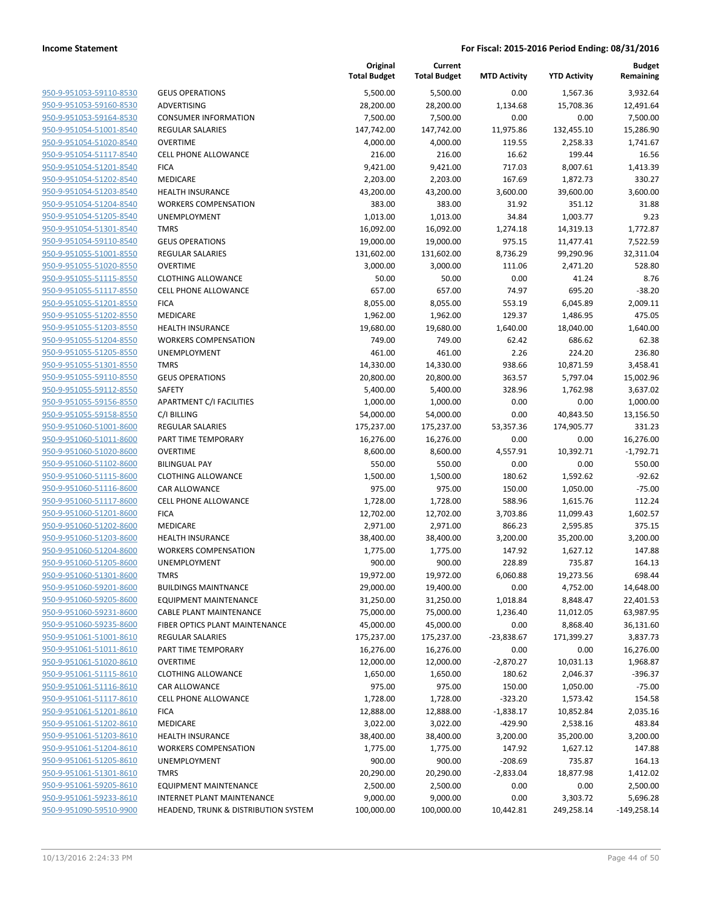|                                                    |                                                   | Original<br><b>Total Budget</b> | Current<br><b>Total Budget</b> | <b>MTD Activity</b> | <b>YTD Activity</b>   | Budget<br>Remaining |
|----------------------------------------------------|---------------------------------------------------|---------------------------------|--------------------------------|---------------------|-----------------------|---------------------|
| 950-9-951053-59110-8530                            | <b>GEUS OPERATIONS</b>                            | 5,500.00                        | 5,500.00                       | 0.00                | 1,567.36              | 3,932.64            |
| 950-9-951053-59160-8530                            | ADVERTISING                                       | 28,200.00                       | 28,200.00                      | 1,134.68            | 15,708.36             | 12,491.64           |
| 950-9-951053-59164-8530                            | <b>CONSUMER INFORMATION</b>                       | 7,500.00                        | 7,500.00                       | 0.00                | 0.00                  | 7,500.00            |
| 950-9-951054-51001-8540                            | REGULAR SALARIES                                  | 147,742.00                      | 147,742.00                     | 11,975.86           | 132,455.10            | 15,286.90           |
| 950-9-951054-51020-8540                            | <b>OVERTIME</b>                                   | 4,000.00                        | 4,000.00                       | 119.55              | 2,258.33              | 1,741.67            |
| 950-9-951054-51117-8540                            | <b>CELL PHONE ALLOWANCE</b>                       | 216.00                          | 216.00                         | 16.62               | 199.44                | 16.56               |
| 950-9-951054-51201-8540                            | <b>FICA</b>                                       | 9,421.00                        | 9,421.00                       | 717.03              | 8,007.61              | 1,413.39            |
| 950-9-951054-51202-8540                            | MEDICARE                                          | 2,203.00                        | 2,203.00                       | 167.69              | 1,872.73              | 330.27              |
| 950-9-951054-51203-8540                            | <b>HEALTH INSURANCE</b>                           | 43,200.00                       | 43,200.00                      | 3,600.00            | 39,600.00             | 3,600.00            |
| 950-9-951054-51204-8540                            | <b>WORKERS COMPENSATION</b>                       | 383.00                          | 383.00                         | 31.92               | 351.12                | 31.88               |
| 950-9-951054-51205-8540                            | <b>UNEMPLOYMENT</b>                               | 1,013.00                        | 1,013.00                       | 34.84               | 1,003.77              | 9.23                |
| 950-9-951054-51301-8540                            | <b>TMRS</b>                                       | 16,092.00                       | 16,092.00                      | 1,274.18            | 14,319.13             | 1,772.87            |
| 950-9-951054-59110-8540                            | <b>GEUS OPERATIONS</b>                            | 19,000.00                       | 19,000.00                      | 975.15              | 11,477.41             | 7,522.59            |
| 950-9-951055-51001-8550                            | REGULAR SALARIES                                  | 131,602.00                      | 131,602.00                     | 8,736.29            | 99,290.96             | 32,311.04           |
| 950-9-951055-51020-8550                            | <b>OVERTIME</b>                                   | 3,000.00                        | 3,000.00                       | 111.06              | 2,471.20              | 528.80              |
| 950-9-951055-51115-8550                            | <b>CLOTHING ALLOWANCE</b>                         | 50.00                           | 50.00                          | 0.00                | 41.24                 | 8.76                |
| 950-9-951055-51117-8550                            | <b>CELL PHONE ALLOWANCE</b>                       | 657.00                          | 657.00                         | 74.97               | 695.20                | $-38.20$            |
| 950-9-951055-51201-8550                            | <b>FICA</b>                                       | 8,055.00                        | 8,055.00                       | 553.19              | 6,045.89              | 2,009.11            |
| 950-9-951055-51202-8550                            | <b>MEDICARE</b>                                   | 1,962.00                        | 1,962.00                       | 129.37              | 1,486.95              | 475.05              |
| 950-9-951055-51203-8550                            | <b>HEALTH INSURANCE</b>                           | 19,680.00                       | 19,680.00                      | 1,640.00            | 18,040.00             | 1,640.00            |
| 950-9-951055-51204-8550                            | <b>WORKERS COMPENSATION</b>                       | 749.00                          | 749.00                         | 62.42               | 686.62                | 62.38               |
| 950-9-951055-51205-8550                            | <b>UNEMPLOYMENT</b>                               | 461.00                          | 461.00                         | 2.26                | 224.20                | 236.80              |
| 950-9-951055-51301-8550                            | <b>TMRS</b>                                       | 14,330.00                       | 14,330.00                      | 938.66              | 10,871.59             | 3,458.41            |
| 950-9-951055-59110-8550                            | <b>GEUS OPERATIONS</b>                            | 20,800.00                       | 20,800.00                      | 363.57              | 5,797.04              | 15,002.96           |
| 950-9-951055-59112-8550                            | <b>SAFETY</b>                                     | 5,400.00                        | 5,400.00                       | 328.96              | 1,762.98              | 3,637.02            |
| 950-9-951055-59156-8550                            | APARTMENT C/I FACILITIES                          | 1,000.00                        | 1,000.00                       | 0.00                | 0.00                  | 1,000.00            |
| 950-9-951055-59158-8550                            | C/I BILLING                                       | 54,000.00                       | 54,000.00                      | 0.00                | 40,843.50             | 13,156.50           |
| 950-9-951060-51001-8600                            | <b>REGULAR SALARIES</b>                           | 175,237.00                      | 175,237.00                     | 53,357.36           | 174,905.77            | 331.23              |
| 950-9-951060-51011-8600                            | PART TIME TEMPORARY                               | 16,276.00                       | 16,276.00                      | 0.00                | 0.00                  | 16,276.00           |
| 950-9-951060-51020-8600                            | <b>OVERTIME</b>                                   | 8,600.00                        | 8,600.00                       | 4,557.91            | 10,392.71             | $-1,792.71$         |
| 950-9-951060-51102-8600                            | <b>BILINGUAL PAY</b>                              | 550.00                          | 550.00                         | 0.00                | 0.00                  | 550.00              |
| 950-9-951060-51115-8600                            | <b>CLOTHING ALLOWANCE</b>                         | 1,500.00                        | 1,500.00                       | 180.62              | 1,592.62              | $-92.62$            |
| 950-9-951060-51116-8600                            | CAR ALLOWANCE                                     | 975.00                          | 975.00                         | 150.00              | 1,050.00              | $-75.00$            |
| 950-9-951060-51117-8600                            | <b>CELL PHONE ALLOWANCE</b>                       | 1,728.00                        | 1,728.00                       | 588.96              | 1,615.76              | 112.24              |
| 950-9-951060-51201-8600                            | <b>FICA</b>                                       | 12,702.00                       | 12,702.00                      | 3,703.86            | 11,099.43             | 1,602.57            |
| 950-9-951060-51202-8600                            | <b>MEDICARE</b>                                   | 2,971.00                        | 2,971.00                       | 866.23              | 2,595.85              | 375.15              |
| 950-9-951060-51203-8600                            | <b>HEALTH INSURANCE</b>                           | 38,400.00                       | 38,400.00                      | 3,200.00            | 35,200.00             | 3,200.00            |
| 950-9-951060-51204-8600                            | <b>WORKERS COMPENSATION</b>                       | 1,775.00                        | 1,775.00                       | 147.92              | 1,627.12              | 147.88              |
| 950-9-951060-51205-8600                            | UNEMPLOYMENT                                      | 900.00                          | 900.00                         | 228.89              | 735.87                | 164.13              |
| 950-9-951060-51301-8600                            | <b>TMRS</b>                                       | 19,972.00                       | 19,972.00                      | 6,060.88            | 19,273.56             | 698.44              |
| 950-9-951060-59201-8600                            | <b>BUILDINGS MAINTNANCE</b>                       | 29,000.00                       | 19,400.00                      | 0.00                | 4,752.00              | 14,648.00           |
| 950-9-951060-59205-8600                            | <b>EQUIPMENT MAINTENANCE</b>                      | 31,250.00                       | 31,250.00                      | 1,018.84            | 8,848.47              | 22,401.53           |
| 950-9-951060-59231-8600                            | <b>CABLE PLANT MAINTENANCE</b>                    | 75,000.00                       | 75,000.00                      | 1,236.40            | 11,012.05             | 63,987.95           |
| 950-9-951060-59235-8600                            | FIBER OPTICS PLANT MAINTENANCE                    | 45,000.00                       | 45,000.00                      | 0.00                | 8,868.40              | 36,131.60           |
| 950-9-951061-51001-8610                            | <b>REGULAR SALARIES</b>                           | 175,237.00                      | 175,237.00                     | $-23,838.67$        | 171,399.27            | 3,837.73            |
| 950-9-951061-51011-8610<br>950-9-951061-51020-8610 | PART TIME TEMPORARY<br><b>OVERTIME</b>            | 16,276.00                       | 16,276.00<br>12,000.00         | 0.00                | 0.00                  | 16,276.00           |
|                                                    |                                                   | 12,000.00                       |                                | $-2,870.27$         | 10,031.13             | 1,968.87            |
| 950-9-951061-51115-8610<br>950-9-951061-51116-8610 | <b>CLOTHING ALLOWANCE</b><br><b>CAR ALLOWANCE</b> | 1,650.00                        | 1,650.00                       | 180.62              | 2,046.37              | $-396.37$           |
| 950-9-951061-51117-8610                            | <b>CELL PHONE ALLOWANCE</b>                       | 975.00<br>1,728.00              | 975.00<br>1,728.00             | 150.00<br>$-323.20$ | 1,050.00<br>1,573.42  | $-75.00$<br>154.58  |
| 950-9-951061-51201-8610                            | <b>FICA</b>                                       |                                 |                                | $-1,838.17$         |                       | 2,035.16            |
| 950-9-951061-51202-8610                            | MEDICARE                                          | 12,888.00<br>3,022.00           | 12,888.00<br>3,022.00          | $-429.90$           | 10,852.84<br>2,538.16 | 483.84              |
| 950-9-951061-51203-8610                            | <b>HEALTH INSURANCE</b>                           | 38,400.00                       | 38,400.00                      | 3,200.00            | 35,200.00             | 3,200.00            |
| 950-9-951061-51204-8610                            | <b>WORKERS COMPENSATION</b>                       | 1,775.00                        | 1,775.00                       | 147.92              | 1,627.12              | 147.88              |
| 950-9-951061-51205-8610                            | <b>UNEMPLOYMENT</b>                               | 900.00                          | 900.00                         | $-208.69$           | 735.87                | 164.13              |
| 950-9-951061-51301-8610                            | <b>TMRS</b>                                       | 20,290.00                       | 20,290.00                      | $-2,833.04$         | 18,877.98             | 1,412.02            |
| 950-9-951061-59205-8610                            | <b>EQUIPMENT MAINTENANCE</b>                      | 2,500.00                        | 2,500.00                       | 0.00                | 0.00                  | 2,500.00            |
| 950-9-951061-59233-8610                            | INTERNET PLANT MAINTENANCE                        | 9,000.00                        | 9,000.00                       | 0.00                | 3,303.72              | 5,696.28            |
| 950-9-951090-59510-9900                            | HEADEND, TRUNK & DISTRIBUTION SYSTEM              | 100,000.00                      | 100,000.00                     | 10,442.81           | 249,258.14            | $-149,258.14$       |
|                                                    |                                                   |                                 |                                |                     |                       |                     |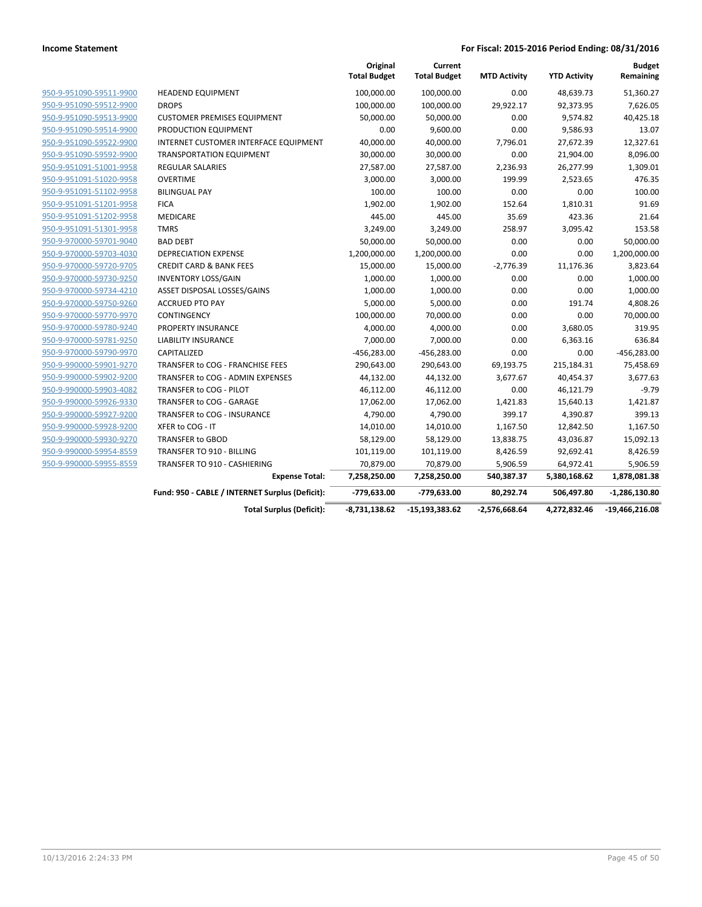|                         |                                                 | Original<br><b>Total Budget</b> | Current<br><b>Total Budget</b> | <b>MTD Activity</b> | <b>YTD Activity</b> | <b>Budget</b><br>Remaining |
|-------------------------|-------------------------------------------------|---------------------------------|--------------------------------|---------------------|---------------------|----------------------------|
| 950-9-951090-59511-9900 | <b>HEADEND EQUIPMENT</b>                        | 100,000.00                      | 100,000.00                     | 0.00                | 48,639.73           | 51,360.27                  |
| 950-9-951090-59512-9900 | <b>DROPS</b>                                    | 100,000.00                      | 100,000.00                     | 29,922.17           | 92,373.95           | 7,626.05                   |
| 950-9-951090-59513-9900 | <b>CUSTOMER PREMISES EQUIPMENT</b>              | 50,000.00                       | 50,000.00                      | 0.00                | 9,574.82            | 40,425.18                  |
| 950-9-951090-59514-9900 | PRODUCTION EQUIPMENT                            | 0.00                            | 9,600.00                       | 0.00                | 9,586.93            | 13.07                      |
| 950-9-951090-59522-9900 | INTERNET CUSTOMER INTERFACE EQUIPMENT           | 40,000.00                       | 40,000.00                      | 7,796.01            | 27,672.39           | 12,327.61                  |
| 950-9-951090-59592-9900 | <b>TRANSPORTATION EQUIPMENT</b>                 | 30,000.00                       | 30,000.00                      | 0.00                | 21,904.00           | 8,096.00                   |
| 950-9-951091-51001-9958 | <b>REGULAR SALARIES</b>                         | 27,587.00                       | 27,587.00                      | 2,236.93            | 26,277.99           | 1,309.01                   |
| 950-9-951091-51020-9958 | <b>OVERTIME</b>                                 | 3,000.00                        | 3,000.00                       | 199.99              | 2,523.65            | 476.35                     |
| 950-9-951091-51102-9958 | <b>BILINGUAL PAY</b>                            | 100.00                          | 100.00                         | 0.00                | 0.00                | 100.00                     |
| 950-9-951091-51201-9958 | <b>FICA</b>                                     | 1,902.00                        | 1,902.00                       | 152.64              | 1,810.31            | 91.69                      |
| 950-9-951091-51202-9958 | <b>MEDICARE</b>                                 | 445.00                          | 445.00                         | 35.69               | 423.36              | 21.64                      |
| 950-9-951091-51301-9958 | <b>TMRS</b>                                     | 3,249.00                        | 3,249.00                       | 258.97              | 3,095.42            | 153.58                     |
| 950-9-970000-59701-9040 | <b>BAD DEBT</b>                                 | 50,000.00                       | 50,000.00                      | 0.00                | 0.00                | 50,000.00                  |
| 950-9-970000-59703-4030 | <b>DEPRECIATION EXPENSE</b>                     | 1,200,000.00                    | 1,200,000.00                   | 0.00                | 0.00                | 1,200,000.00               |
| 950-9-970000-59720-9705 | <b>CREDIT CARD &amp; BANK FEES</b>              | 15,000.00                       | 15,000.00                      | $-2,776.39$         | 11,176.36           | 3,823.64                   |
| 950-9-970000-59730-9250 | <b>INVENTORY LOSS/GAIN</b>                      | 1,000.00                        | 1,000.00                       | 0.00                | 0.00                | 1,000.00                   |
| 950-9-970000-59734-4210 | ASSET DISPOSAL LOSSES/GAINS                     | 1,000.00                        | 1,000.00                       | 0.00                | 0.00                | 1,000.00                   |
| 950-9-970000-59750-9260 | <b>ACCRUED PTO PAY</b>                          | 5,000.00                        | 5,000.00                       | 0.00                | 191.74              | 4,808.26                   |
| 950-9-970000-59770-9970 | CONTINGENCY                                     | 100,000.00                      | 70,000.00                      | 0.00                | 0.00                | 70,000.00                  |
| 950-9-970000-59780-9240 | <b>PROPERTY INSURANCE</b>                       | 4,000.00                        | 4,000.00                       | 0.00                | 3,680.05            | 319.95                     |
| 950-9-970000-59781-9250 | <b>LIABILITY INSURANCE</b>                      | 7,000.00                        | 7,000.00                       | 0.00                | 6,363.16            | 636.84                     |
| 950-9-970000-59790-9970 | CAPITALIZED                                     | $-456,283.00$                   | $-456,283.00$                  | 0.00                | 0.00                | $-456,283.00$              |
| 950-9-990000-59901-9270 | TRANSFER to COG - FRANCHISE FEES                | 290,643.00                      | 290,643.00                     | 69,193.75           | 215,184.31          | 75,458.69                  |
| 950-9-990000-59902-9200 | TRANSFER to COG - ADMIN EXPENSES                | 44,132.00                       | 44,132.00                      | 3,677.67            | 40,454.37           | 3,677.63                   |
| 950-9-990000-59903-4082 | TRANSFER to COG - PILOT                         | 46,112.00                       | 46,112.00                      | 0.00                | 46,121.79           | $-9.79$                    |
| 950-9-990000-59926-9330 | <b>TRANSFER to COG - GARAGE</b>                 | 17,062.00                       | 17,062.00                      | 1,421.83            | 15,640.13           | 1,421.87                   |
| 950-9-990000-59927-9200 | TRANSFER to COG - INSURANCE                     | 4,790.00                        | 4,790.00                       | 399.17              | 4,390.87            | 399.13                     |
| 950-9-990000-59928-9200 | XFER to COG - IT                                | 14,010.00                       | 14,010.00                      | 1,167.50            | 12,842.50           | 1,167.50                   |
| 950-9-990000-59930-9270 | <b>TRANSFER to GBOD</b>                         | 58,129.00                       | 58,129.00                      | 13,838.75           | 43,036.87           | 15,092.13                  |
| 950-9-990000-59954-8559 | TRANSFER TO 910 - BILLING                       | 101,119.00                      | 101,119.00                     | 8,426.59            | 92,692.41           | 8,426.59                   |
| 950-9-990000-59955-8559 | TRANSFER TO 910 - CASHIERING                    | 70,879.00                       | 70,879.00                      | 5,906.59            | 64,972.41           | 5,906.59                   |
|                         | <b>Expense Total:</b>                           | 7,258,250.00                    | 7,258,250.00                   | 540,387.37          | 5,380,168.62        | 1,878,081.38               |
|                         | Fund: 950 - CABLE / INTERNET Surplus (Deficit): | -779,633.00                     | -779,633.00                    | 80,292.74           | 506,497.80          | $-1,286,130.80$            |
|                         | <b>Total Surplus (Deficit):</b>                 | $-8,731,138.62$                 | $-15,193,383.62$               | $-2,576,668.64$     | 4,272,832.46        | $-19,466,216.08$           |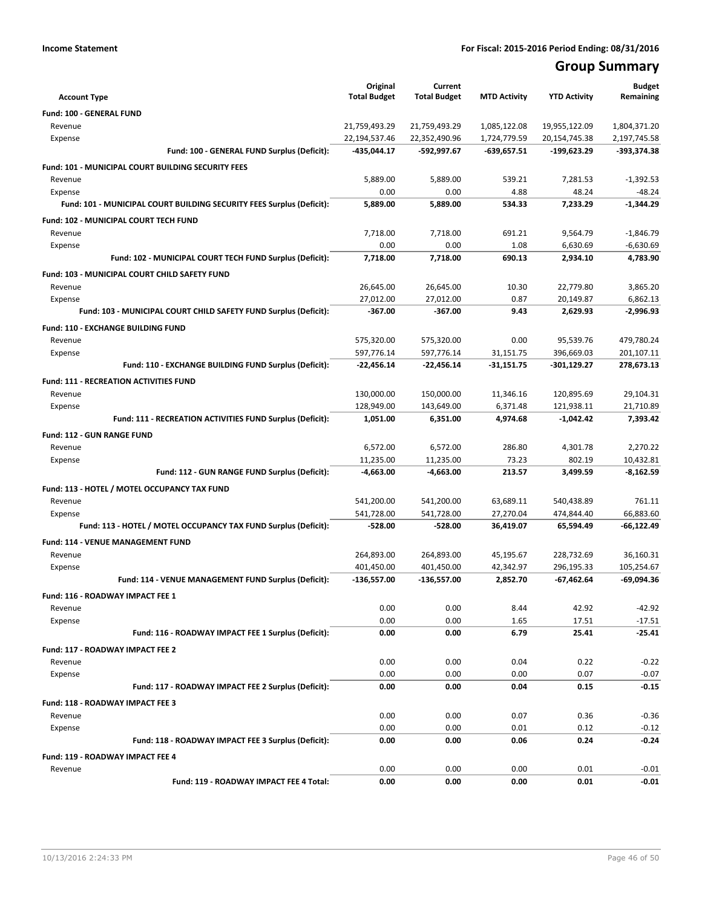## **Group Summary**

| <b>Account Type</b>                                                   | Original<br><b>Total Budget</b> | Current<br><b>Total Budget</b> | <b>MTD Activity</b> | <b>YTD Activity</b> | <b>Budget</b><br>Remaining |
|-----------------------------------------------------------------------|---------------------------------|--------------------------------|---------------------|---------------------|----------------------------|
| <b>Fund: 100 - GENERAL FUND</b>                                       |                                 |                                |                     |                     |                            |
| Revenue                                                               | 21,759,493.29                   | 21,759,493.29                  | 1,085,122.08        | 19,955,122.09       | 1,804,371.20               |
| Expense                                                               | 22,194,537.46                   | 22,352,490.96                  | 1,724,779.59        | 20,154,745.38       | 2,197,745.58               |
| Fund: 100 - GENERAL FUND Surplus (Deficit):                           | -435,044.17                     | -592,997.67                    | $-639,657.51$       | -199,623.29         | -393,374.38                |
| Fund: 101 - MUNICIPAL COURT BUILDING SECURITY FEES                    |                                 |                                |                     |                     |                            |
| Revenue                                                               | 5,889.00                        | 5,889.00                       | 539.21              | 7,281.53            | $-1,392.53$                |
| Expense                                                               | 0.00                            | 0.00                           | 4.88                | 48.24               | $-48.24$                   |
| Fund: 101 - MUNICIPAL COURT BUILDING SECURITY FEES Surplus (Deficit): | 5,889.00                        | 5,889.00                       | 534.33              | 7.233.29            | $-1,344.29$                |
| Fund: 102 - MUNICIPAL COURT TECH FUND                                 |                                 |                                |                     |                     |                            |
| Revenue                                                               | 7,718.00                        | 7,718.00                       | 691.21              | 9,564.79            | $-1,846.79$                |
| Expense                                                               | 0.00                            | 0.00                           | 1.08                | 6,630.69            | $-6,630.69$                |
| Fund: 102 - MUNICIPAL COURT TECH FUND Surplus (Deficit):              | 7,718.00                        | 7,718.00                       | 690.13              | 2,934.10            | 4,783.90                   |
| Fund: 103 - MUNICIPAL COURT CHILD SAFETY FUND                         |                                 |                                |                     |                     |                            |
| Revenue                                                               | 26,645.00                       | 26,645.00                      | 10.30               | 22,779.80           | 3,865.20                   |
| Expense                                                               | 27,012.00                       | 27,012.00                      | 0.87                | 20,149.87           | 6.862.13                   |
| Fund: 103 - MUNICIPAL COURT CHILD SAFETY FUND Surplus (Deficit):      | $-367.00$                       | $-367.00$                      | 9.43                | 2,629.93            | $-2.996.93$                |
| Fund: 110 - EXCHANGE BUILDING FUND                                    |                                 |                                |                     |                     |                            |
| Revenue                                                               | 575,320.00                      | 575,320.00                     | 0.00                | 95,539.76           | 479,780.24                 |
| Expense                                                               | 597,776.14                      | 597,776.14                     | 31,151.75           | 396,669.03          | 201,107.11                 |
| Fund: 110 - EXCHANGE BUILDING FUND Surplus (Deficit):                 | -22,456.14                      | $-22,456.14$                   | $-31,151.75$        | -301,129.27         | 278,673.13                 |
| <b>Fund: 111 - RECREATION ACTIVITIES FUND</b>                         |                                 |                                |                     |                     |                            |
| Revenue                                                               | 130,000.00                      | 150,000.00                     | 11,346.16           | 120,895.69          | 29,104.31                  |
| Expense                                                               | 128,949.00                      | 143,649.00                     | 6,371.48            | 121,938.11          | 21,710.89                  |
| Fund: 111 - RECREATION ACTIVITIES FUND Surplus (Deficit):             | 1,051.00                        | 6,351.00                       | 4,974.68            | $-1,042.42$         | 7,393.42                   |
| <b>Fund: 112 - GUN RANGE FUND</b>                                     |                                 |                                |                     |                     |                            |
| Revenue                                                               | 6,572.00                        | 6,572.00                       | 286.80              | 4,301.78            | 2,270.22                   |
| Expense                                                               | 11,235.00                       | 11,235.00                      | 73.23               | 802.19              | 10,432.81                  |
| Fund: 112 - GUN RANGE FUND Surplus (Deficit):                         | -4,663.00                       | -4,663.00                      | 213.57              | 3,499.59            | $-8,162.59$                |
| Fund: 113 - HOTEL / MOTEL OCCUPANCY TAX FUND                          |                                 |                                |                     |                     |                            |
| Revenue                                                               | 541,200.00                      | 541,200.00                     | 63,689.11           | 540,438.89          | 761.11                     |
| Expense                                                               | 541,728.00                      | 541,728.00                     | 27,270.04           | 474,844.40          | 66,883.60                  |
| Fund: 113 - HOTEL / MOTEL OCCUPANCY TAX FUND Surplus (Deficit):       | -528.00                         | $-528.00$                      | 36,419.07           | 65,594.49           | -66,122.49                 |
| Fund: 114 - VENUE MANAGEMENT FUND                                     |                                 |                                |                     |                     |                            |
| Revenue                                                               | 264,893.00                      | 264,893.00                     | 45,195.67           | 228,732.69          | 36,160.31                  |
| Expense                                                               | 401,450.00                      | 401,450.00                     | 42.342.97           | 296,195.33          | 105,254.67                 |
| Fund: 114 - VENUE MANAGEMENT FUND Surplus (Deficit):                  | -136,557.00                     | -136,557.00                    | 2,852.70            | $-67,462.64$        | -69,094.36                 |
| Fund: 116 - ROADWAY IMPACT FEE 1                                      |                                 |                                |                     |                     |                            |
| Revenue                                                               | 0.00                            | 0.00                           | 8.44                | 42.92               | $-42.92$                   |
| Expense                                                               | 0.00                            | 0.00                           | 1.65                | 17.51               | $-17.51$                   |
| Fund: 116 - ROADWAY IMPACT FEE 1 Surplus (Deficit):                   | 0.00                            | 0.00                           | 6.79                | 25.41               | $-25.41$                   |
| Fund: 117 - ROADWAY IMPACT FEE 2                                      |                                 |                                |                     |                     |                            |
| Revenue                                                               | 0.00                            | 0.00                           | 0.04                | 0.22                | $-0.22$                    |
| Expense                                                               | 0.00                            | 0.00                           | 0.00                | 0.07                | $-0.07$                    |
| Fund: 117 - ROADWAY IMPACT FEE 2 Surplus (Deficit):                   | 0.00                            | 0.00                           | 0.04                | 0.15                | $-0.15$                    |
| Fund: 118 - ROADWAY IMPACT FEE 3                                      |                                 |                                |                     |                     |                            |
| Revenue                                                               | 0.00                            | 0.00                           | 0.07                | 0.36                | $-0.36$                    |
| Expense                                                               | 0.00                            | 0.00                           | 0.01                | 0.12                | $-0.12$                    |
| Fund: 118 - ROADWAY IMPACT FEE 3 Surplus (Deficit):                   | 0.00                            | 0.00                           | 0.06                | 0.24                | $-0.24$                    |
| Fund: 119 - ROADWAY IMPACT FEE 4                                      |                                 |                                |                     |                     |                            |
| Revenue                                                               | 0.00                            | 0.00                           | 0.00                | 0.01                | $-0.01$                    |
| Fund: 119 - ROADWAY IMPACT FEE 4 Total:                               | 0.00                            | 0.00                           | 0.00                | 0.01                | $-0.01$                    |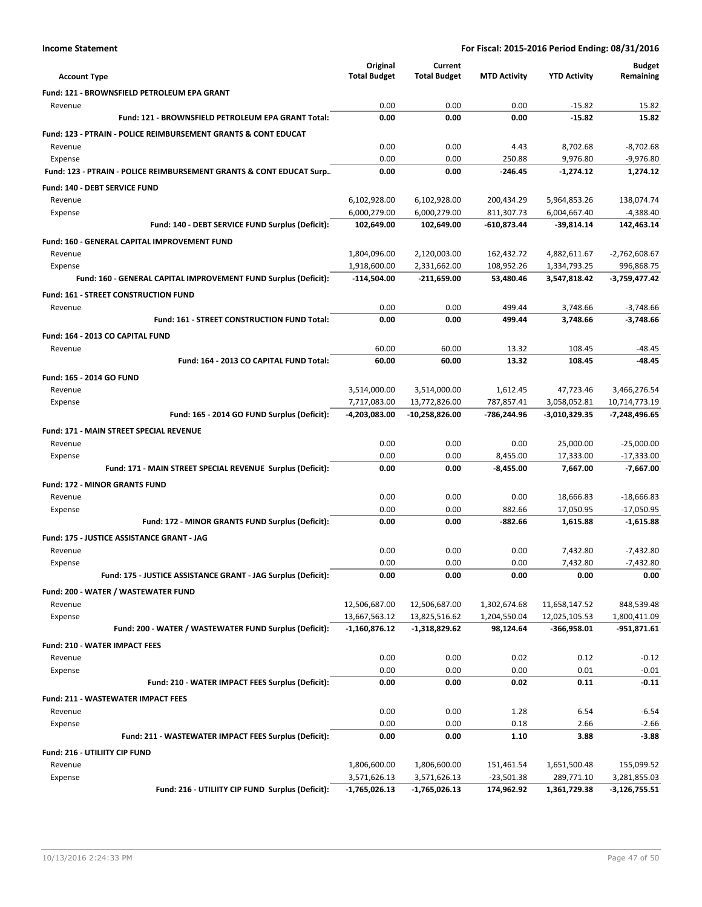|                                                                           | Original                         | Current                          |                           |                                | <b>Budget</b>               |
|---------------------------------------------------------------------------|----------------------------------|----------------------------------|---------------------------|--------------------------------|-----------------------------|
| <b>Account Type</b>                                                       | <b>Total Budget</b>              | <b>Total Budget</b>              | <b>MTD Activity</b>       | <b>YTD Activity</b>            | Remaining                   |
| Fund: 121 - BROWNSFIELD PETROLEUM EPA GRANT                               |                                  |                                  |                           |                                |                             |
| Revenue                                                                   | 0.00                             | 0.00                             | 0.00                      | $-15.82$                       | 15.82                       |
| Fund: 121 - BROWNSFIELD PETROLEUM EPA GRANT Total:                        | 0.00                             | 0.00                             | 0.00                      | $-15.82$                       | 15.82                       |
| <b>Fund: 123 - PTRAIN - POLICE REIMBURSEMENT GRANTS &amp; CONT EDUCAT</b> |                                  |                                  |                           |                                |                             |
| Revenue                                                                   | 0.00                             | 0.00                             | 4.43                      | 8,702.68                       | $-8,702.68$                 |
| Expense                                                                   | 0.00<br>0.00                     | 0.00<br>0.00                     | 250.88<br>$-246.45$       | 9,976.80<br>$-1,274.12$        | $-9,976.80$<br>1,274.12     |
| Fund: 123 - PTRAIN - POLICE REIMBURSEMENT GRANTS & CONT EDUCAT Surp       |                                  |                                  |                           |                                |                             |
| Fund: 140 - DEBT SERVICE FUND                                             |                                  |                                  |                           |                                |                             |
| Revenue                                                                   | 6,102,928.00                     | 6,102,928.00                     | 200,434.29                | 5,964,853.26                   | 138,074.74                  |
| Expense<br>Fund: 140 - DEBT SERVICE FUND Surplus (Deficit):               | 6,000,279.00<br>102,649.00       | 6,000,279.00<br>102,649.00       | 811,307.73<br>-610,873.44 | 6,004,667.40<br>-39,814.14     | $-4,388.40$<br>142,463.14   |
|                                                                           |                                  |                                  |                           |                                |                             |
| Fund: 160 - GENERAL CAPITAL IMPROVEMENT FUND<br>Revenue                   | 1,804,096.00                     | 2,120,003.00                     | 162,432.72                | 4,882,611.67                   | $-2,762,608.67$             |
| Expense                                                                   | 1,918,600.00                     | 2,331,662.00                     | 108,952.26                | 1,334,793.25                   | 996,868.75                  |
| Fund: 160 - GENERAL CAPITAL IMPROVEMENT FUND Surplus (Deficit):           | $-114,504.00$                    | $-211,659.00$                    | 53,480.46                 | 3,547,818.42                   | -3,759,477.42               |
| <b>Fund: 161 - STREET CONSTRUCTION FUND</b>                               |                                  |                                  |                           |                                |                             |
| Revenue                                                                   | 0.00                             | 0.00                             | 499.44                    | 3.748.66                       | $-3,748.66$                 |
| Fund: 161 - STREET CONSTRUCTION FUND Total:                               | 0.00                             | 0.00                             | 499.44                    | 3,748.66                       | $-3,748.66$                 |
| Fund: 164 - 2013 CO CAPITAL FUND                                          |                                  |                                  |                           |                                |                             |
| Revenue                                                                   | 60.00                            | 60.00                            | 13.32                     | 108.45                         | -48.45                      |
| Fund: 164 - 2013 CO CAPITAL FUND Total:                                   | 60.00                            | 60.00                            | 13.32                     | 108.45                         | -48.45                      |
| Fund: 165 - 2014 GO FUND                                                  |                                  |                                  |                           |                                |                             |
| Revenue                                                                   | 3,514,000.00                     | 3,514,000.00                     | 1,612.45                  | 47,723.46                      | 3,466,276.54                |
| Expense                                                                   | 7,717,083.00                     | 13,772,826.00                    | 787,857.41                | 3,058,052.81                   | 10,714,773.19               |
| Fund: 165 - 2014 GO FUND Surplus (Deficit):                               | -4,203,083.00                    | $-10,258,826.00$                 | -786,244.96               | -3,010,329.35                  | -7,248,496.65               |
| <b>Fund: 171 - MAIN STREET SPECIAL REVENUE</b>                            |                                  |                                  |                           |                                |                             |
| Revenue                                                                   | 0.00                             | 0.00                             | 0.00                      | 25,000.00                      | $-25,000.00$                |
| Expense                                                                   | 0.00                             | 0.00                             | 8,455.00                  | 17,333.00                      | $-17,333.00$                |
| Fund: 171 - MAIN STREET SPECIAL REVENUE Surplus (Deficit):                | 0.00                             | 0.00                             | $-8,455.00$               | 7,667.00                       | $-7,667.00$                 |
| <b>Fund: 172 - MINOR GRANTS FUND</b>                                      |                                  |                                  |                           |                                |                             |
| Revenue                                                                   | 0.00                             | 0.00                             | 0.00                      | 18,666.83                      | $-18,666.83$                |
| Expense                                                                   | 0.00                             | 0.00                             | 882.66                    | 17,050.95                      | $-17,050.95$                |
| Fund: 172 - MINOR GRANTS FUND Surplus (Deficit):                          | 0.00                             | 0.00                             | -882.66                   | 1,615.88                       | $-1,615.88$                 |
| Fund: 175 - JUSTICE ASSISTANCE GRANT - JAG                                |                                  |                                  |                           |                                |                             |
| Revenue                                                                   | 0.00                             | 0.00                             | 0.00                      | 7,432.80                       | $-7,432.80$                 |
| Expense                                                                   | 0.00                             | 0.00                             | 0.00                      | 7,432.80                       | $-7,432.80$                 |
| Fund: 175 - JUSTICE ASSISTANCE GRANT - JAG Surplus (Deficit):             | 0.00                             | 0.00                             | 0.00                      | 0.00                           | 0.00                        |
| Fund: 200 - WATER / WASTEWATER FUND                                       |                                  |                                  |                           |                                |                             |
| Revenue                                                                   | 12,506,687.00                    | 12,506,687.00                    | 1,302,674.68              | 11,658,147.52                  | 848,539.48                  |
| Expense<br>Fund: 200 - WATER / WASTEWATER FUND Surplus (Deficit):         | 13,667,563.12<br>$-1,160,876.12$ | 13,825,516.62<br>$-1,318,829.62$ | 1,204,550.04<br>98,124.64 | 12,025,105.53<br>$-366,958.01$ | 1,800,411.09<br>-951,871.61 |
|                                                                           |                                  |                                  |                           |                                |                             |
| <b>Fund: 210 - WATER IMPACT FEES</b>                                      |                                  |                                  |                           |                                |                             |
| Revenue<br>Expense                                                        | 0.00<br>0.00                     | 0.00<br>0.00                     | 0.02<br>0.00              | 0.12<br>0.01                   | $-0.12$<br>$-0.01$          |
| Fund: 210 - WATER IMPACT FEES Surplus (Deficit):                          | 0.00                             | 0.00                             | 0.02                      | 0.11                           | $-0.11$                     |
|                                                                           |                                  |                                  |                           |                                |                             |
| <b>Fund: 211 - WASTEWATER IMPACT FEES</b>                                 | 0.00                             | 0.00                             | 1.28                      | 6.54                           | $-6.54$                     |
| Revenue<br>Expense                                                        | 0.00                             | 0.00                             | 0.18                      | 2.66                           | $-2.66$                     |
| Fund: 211 - WASTEWATER IMPACT FEES Surplus (Deficit):                     | 0.00                             | 0.00                             | 1.10                      | 3.88                           | $-3.88$                     |
| Fund: 216 - UTILIITY CIP FUND                                             |                                  |                                  |                           |                                |                             |
| Revenue                                                                   | 1,806,600.00                     | 1,806,600.00                     | 151,461.54                | 1,651,500.48                   | 155,099.52                  |
| Expense                                                                   | 3,571,626.13                     | 3,571,626.13                     | $-23,501.38$              | 289,771.10                     | 3,281,855.03                |
| Fund: 216 - UTILIITY CIP FUND Surplus (Deficit):                          | $-1,765,026.13$                  | -1,765,026.13                    | 174,962.92                | 1,361,729.38                   | $-3,126,755.51$             |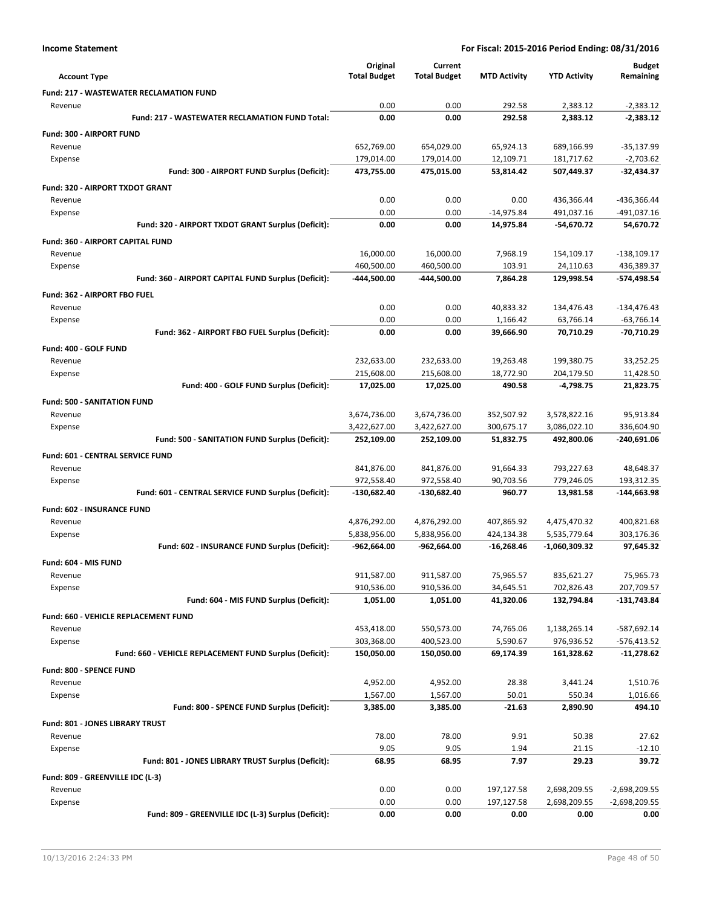|                                                         | Original            | Current             |                     |                     | <b>Budget</b>   |
|---------------------------------------------------------|---------------------|---------------------|---------------------|---------------------|-----------------|
| <b>Account Type</b>                                     | <b>Total Budget</b> | <b>Total Budget</b> | <b>MTD Activity</b> | <b>YTD Activity</b> | Remaining       |
| <b>Fund: 217 - WASTEWATER RECLAMATION FUND</b>          |                     |                     |                     |                     |                 |
| Revenue                                                 | 0.00                | 0.00                | 292.58              | 2,383.12            | $-2,383.12$     |
| Fund: 217 - WASTEWATER RECLAMATION FUND Total:          | 0.00                | 0.00                | 292.58              | 2,383.12            | $-2,383.12$     |
| Fund: 300 - AIRPORT FUND                                |                     |                     |                     |                     |                 |
| Revenue                                                 | 652,769.00          | 654,029.00          | 65,924.13           | 689,166.99          | $-35,137.99$    |
| Expense                                                 | 179,014.00          | 179,014.00          | 12,109.71           | 181,717.62          | $-2,703.62$     |
| Fund: 300 - AIRPORT FUND Surplus (Deficit):             | 473,755.00          | 475,015.00          | 53,814.42           | 507,449.37          | -32,434.37      |
| Fund: 320 - AIRPORT TXDOT GRANT                         |                     |                     |                     |                     |                 |
| Revenue                                                 | 0.00                | 0.00                | 0.00                | 436,366.44          | -436,366.44     |
| Expense                                                 | 0.00                | 0.00                | $-14,975.84$        | 491,037.16          | -491,037.16     |
| Fund: 320 - AIRPORT TXDOT GRANT Surplus (Deficit):      | 0.00                | 0.00                | 14,975.84           | $-54,670.72$        | 54,670.72       |
| <b>Fund: 360 - AIRPORT CAPITAL FUND</b>                 |                     |                     |                     |                     |                 |
| Revenue                                                 | 16,000.00           | 16,000.00           | 7,968.19            | 154,109.17          | $-138,109.17$   |
| Expense                                                 | 460,500.00          | 460,500.00          | 103.91              | 24,110.63           | 436,389.37      |
| Fund: 360 - AIRPORT CAPITAL FUND Surplus (Deficit):     | -444,500.00         | -444,500.00         | 7,864.28            | 129,998.54          | -574,498.54     |
| Fund: 362 - AIRPORT FBO FUEL                            |                     |                     |                     |                     |                 |
| Revenue                                                 | 0.00                | 0.00                | 40,833.32           | 134,476.43          | $-134,476.43$   |
| Expense                                                 | 0.00                | 0.00                | 1,166.42            | 63,766.14           | $-63,766.14$    |
| Fund: 362 - AIRPORT FBO FUEL Surplus (Deficit):         | 0.00                | 0.00                | 39,666.90           | 70,710.29           | -70,710.29      |
| Fund: 400 - GOLF FUND                                   |                     |                     |                     |                     |                 |
| Revenue                                                 | 232,633.00          | 232,633.00          | 19,263.48           | 199,380.75          | 33,252.25       |
| Expense                                                 | 215,608.00          | 215,608.00          | 18,772.90           | 204,179.50          | 11,428.50       |
| Fund: 400 - GOLF FUND Surplus (Deficit):                | 17,025.00           | 17,025.00           | 490.58              | $-4,798.75$         | 21,823.75       |
| <b>Fund: 500 - SANITATION FUND</b>                      |                     |                     |                     |                     |                 |
| Revenue                                                 | 3,674,736.00        | 3,674,736.00        | 352,507.92          | 3,578,822.16        | 95,913.84       |
| Expense                                                 | 3,422,627.00        | 3,422,627.00        | 300,675.17          | 3,086,022.10        | 336,604.90      |
| Fund: 500 - SANITATION FUND Surplus (Deficit):          | 252,109.00          | 252,109.00          | 51,832.75           | 492,800.06          | -240,691.06     |
| <b>Fund: 601 - CENTRAL SERVICE FUND</b>                 |                     |                     |                     |                     |                 |
| Revenue                                                 | 841,876.00          | 841,876.00          | 91,664.33           | 793,227.63          | 48,648.37       |
| Expense                                                 | 972,558.40          | 972,558.40          | 90,703.56           | 779,246.05          | 193,312.35      |
| Fund: 601 - CENTRAL SERVICE FUND Surplus (Deficit):     | $-130,682.40$       | -130,682.40         | 960.77              | 13,981.58           | $-144,663.98$   |
| <b>Fund: 602 - INSURANCE FUND</b>                       |                     |                     |                     |                     |                 |
| Revenue                                                 | 4,876,292.00        | 4,876,292.00        | 407,865.92          | 4,475,470.32        | 400,821.68      |
| Expense                                                 | 5,838,956.00        | 5,838,956.00        | 424,134.38          | 5,535,779.64        | 303,176.36      |
| Fund: 602 - INSURANCE FUND Surplus (Deficit):           | $-962,664.00$       | $-962,664.00$       | $-16,268.46$        | $-1,060,309.32$     | 97,645.32       |
| Fund: 604 - MIS FUND                                    |                     |                     |                     |                     |                 |
| Revenue                                                 | 911,587.00          | 911,587.00          | 75,965.57           | 835,621.27          | 75,965.73       |
| Expense                                                 | 910,536.00          | 910,536.00          | 34,645.51           | 702,826.43          | 207,709.57      |
| Fund: 604 - MIS FUND Surplus (Deficit):                 | 1,051.00            | 1,051.00            | 41,320.06           | 132,794.84          | $-131,743.84$   |
| Fund: 660 - VEHICLE REPLACEMENT FUND                    |                     |                     |                     |                     |                 |
| Revenue                                                 | 453,418.00          | 550,573.00          | 74,765.06           | 1,138,265.14        | -587,692.14     |
| Expense                                                 | 303,368.00          | 400,523.00          | 5,590.67            | 976,936.52          | -576,413.52     |
| Fund: 660 - VEHICLE REPLACEMENT FUND Surplus (Deficit): | 150,050.00          | 150,050.00          | 69,174.39           | 161,328.62          | $-11,278.62$    |
| Fund: 800 - SPENCE FUND                                 |                     |                     |                     |                     |                 |
| Revenue                                                 | 4,952.00            | 4,952.00            | 28.38               | 3,441.24            | 1,510.76        |
| Expense                                                 | 1,567.00            | 1,567.00            | 50.01               | 550.34              | 1,016.66        |
| Fund: 800 - SPENCE FUND Surplus (Deficit):              | 3,385.00            | 3,385.00            | -21.63              | 2,890.90            | 494.10          |
| Fund: 801 - JONES LIBRARY TRUST                         |                     |                     |                     |                     |                 |
| Revenue                                                 | 78.00               | 78.00               | 9.91                | 50.38               | 27.62           |
| Expense                                                 | 9.05                | 9.05                | 1.94                | 21.15               | $-12.10$        |
| Fund: 801 - JONES LIBRARY TRUST Surplus (Deficit):      | 68.95               | 68.95               | 7.97                | 29.23               | 39.72           |
| Fund: 809 - GREENVILLE IDC (L-3)                        |                     |                     |                     |                     |                 |
| Revenue                                                 | 0.00                | 0.00                | 197,127.58          | 2,698,209.55        | $-2,698,209.55$ |
| Expense                                                 | 0.00                | 0.00                | 197,127.58          | 2,698,209.55        | $-2,698,209.55$ |
| Fund: 809 - GREENVILLE IDC (L-3) Surplus (Deficit):     | 0.00                | 0.00                | 0.00                | 0.00                | 0.00            |
|                                                         |                     |                     |                     |                     |                 |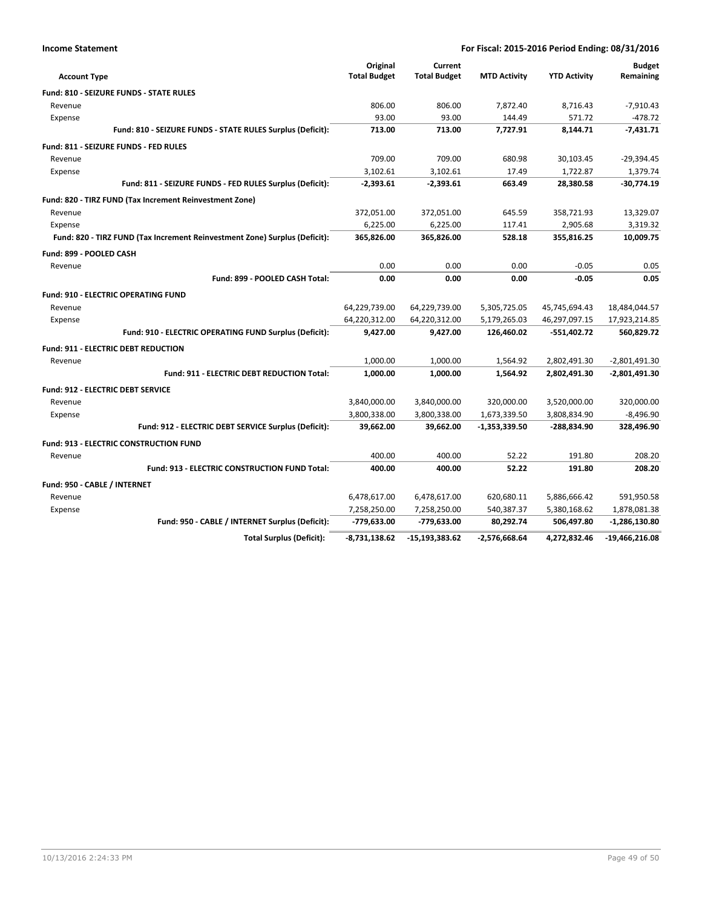| <b>Income Statement</b> |
|-------------------------|
|-------------------------|

| <b>Account Type</b>                                                        | Original<br><b>Total Budget</b> | Current<br><b>Total Budget</b> | <b>MTD Activity</b> | <b>YTD Activity</b> | <b>Budget</b><br>Remaining |
|----------------------------------------------------------------------------|---------------------------------|--------------------------------|---------------------|---------------------|----------------------------|
| <b>Fund: 810 - SEIZURE FUNDS - STATE RULES</b>                             |                                 |                                |                     |                     |                            |
| Revenue                                                                    | 806.00                          | 806.00                         | 7,872.40            | 8,716.43            | $-7,910.43$                |
| Expense                                                                    | 93.00                           | 93.00                          | 144.49              | 571.72              | $-478.72$                  |
| Fund: 810 - SEIZURE FUNDS - STATE RULES Surplus (Deficit):                 | 713.00                          | 713.00                         | 7,727.91            | 8,144.71            | $-7.431.71$                |
| Fund: 811 - SEIZURE FUNDS - FED RULES                                      |                                 |                                |                     |                     |                            |
| Revenue                                                                    | 709.00                          | 709.00                         | 680.98              | 30,103.45           | $-29,394.45$               |
| Expense                                                                    | 3,102.61                        | 3,102.61                       | 17.49               | 1,722.87            | 1,379.74                   |
| Fund: 811 - SEIZURE FUNDS - FED RULES Surplus (Deficit):                   | $-2,393.61$                     | $-2,393.61$                    | 663.49              | 28,380.58           | $-30,774.19$               |
| Fund: 820 - TIRZ FUND (Tax Increment Reinvestment Zone)                    |                                 |                                |                     |                     |                            |
| Revenue                                                                    | 372,051.00                      | 372,051.00                     | 645.59              | 358,721.93          | 13,329.07                  |
| Expense                                                                    | 6,225.00                        | 6,225.00                       | 117.41              | 2,905.68            | 3,319.32                   |
| Fund: 820 - TIRZ FUND (Tax Increment Reinvestment Zone) Surplus (Deficit): | 365,826.00                      | 365,826.00                     | 528.18              | 355,816.25          | 10,009.75                  |
| Fund: 899 - POOLED CASH                                                    |                                 |                                |                     |                     |                            |
| Revenue                                                                    | 0.00                            | 0.00                           | 0.00                | $-0.05$             | 0.05                       |
| Fund: 899 - POOLED CASH Total:                                             | 0.00                            | 0.00                           | 0.00                | $-0.05$             | 0.05                       |
| <b>Fund: 910 - ELECTRIC OPERATING FUND</b>                                 |                                 |                                |                     |                     |                            |
| Revenue                                                                    | 64,229,739.00                   | 64,229,739.00                  | 5,305,725.05        | 45,745,694.43       | 18,484,044.57              |
| Expense                                                                    | 64,220,312.00                   | 64,220,312.00                  | 5,179,265.03        | 46,297,097.15       | 17,923,214.85              |
| Fund: 910 - ELECTRIC OPERATING FUND Surplus (Deficit):                     | 9,427.00                        | 9,427.00                       | 126,460.02          | $-551,402.72$       | 560,829.72                 |
| <b>Fund: 911 - ELECTRIC DEBT REDUCTION</b>                                 |                                 |                                |                     |                     |                            |
| Revenue                                                                    | 1,000.00                        | 1,000.00                       | 1,564.92            | 2,802,491.30        | $-2,801,491.30$            |
| <b>Fund: 911 - ELECTRIC DEBT REDUCTION Total:</b>                          | 1,000.00                        | 1,000.00                       | 1,564.92            | 2,802,491.30        | -2,801,491.30              |
| <b>Fund: 912 - ELECTRIC DEBT SERVICE</b>                                   |                                 |                                |                     |                     |                            |
| Revenue                                                                    | 3,840,000.00                    | 3,840,000.00                   | 320,000.00          | 3,520,000.00        | 320,000.00                 |
| Expense                                                                    | 3,800,338.00                    | 3,800,338.00                   | 1,673,339.50        | 3,808,834.90        | $-8,496.90$                |
| Fund: 912 - ELECTRIC DEBT SERVICE Surplus (Deficit):                       | 39,662.00                       | 39,662.00                      | -1,353,339.50       | -288,834.90         | 328,496.90                 |
| <b>Fund: 913 - ELECTRIC CONSTRUCTION FUND</b>                              |                                 |                                |                     |                     |                            |
| Revenue                                                                    | 400.00                          | 400.00                         | 52.22               | 191.80              | 208.20                     |
| <b>Fund: 913 - ELECTRIC CONSTRUCTION FUND Total:</b>                       | 400.00                          | 400.00                         | 52.22               | 191.80              | 208.20                     |
| Fund: 950 - CABLE / INTERNET                                               |                                 |                                |                     |                     |                            |
| Revenue                                                                    | 6,478,617.00                    | 6,478,617.00                   | 620,680.11          | 5,886,666.42        | 591,950.58                 |
| Expense                                                                    | 7,258,250.00                    | 7,258,250.00                   | 540,387.37          | 5,380,168.62        | 1,878,081.38               |
| Fund: 950 - CABLE / INTERNET Surplus (Deficit):                            | -779,633.00                     | -779,633.00                    | 80,292.74           | 506,497.80          | -1,286,130.80              |
| <b>Total Surplus (Deficit):</b>                                            | $-8,731,138.62$                 | -15,193,383.62                 | $-2,576,668.64$     | 4,272,832.46        | $-19,466,216.08$           |